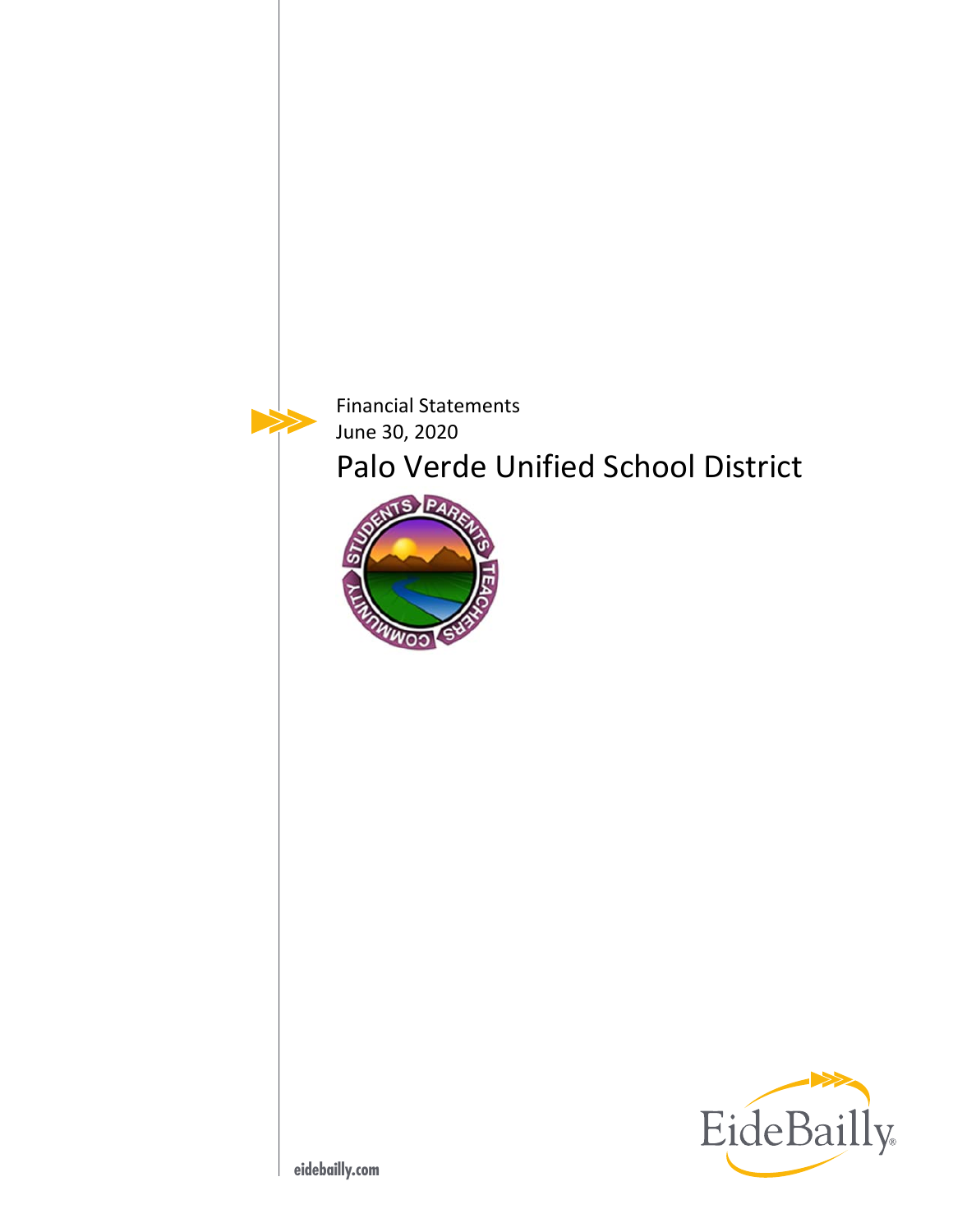Financial Statements June 30, 2020

Palo Verde Unified School District



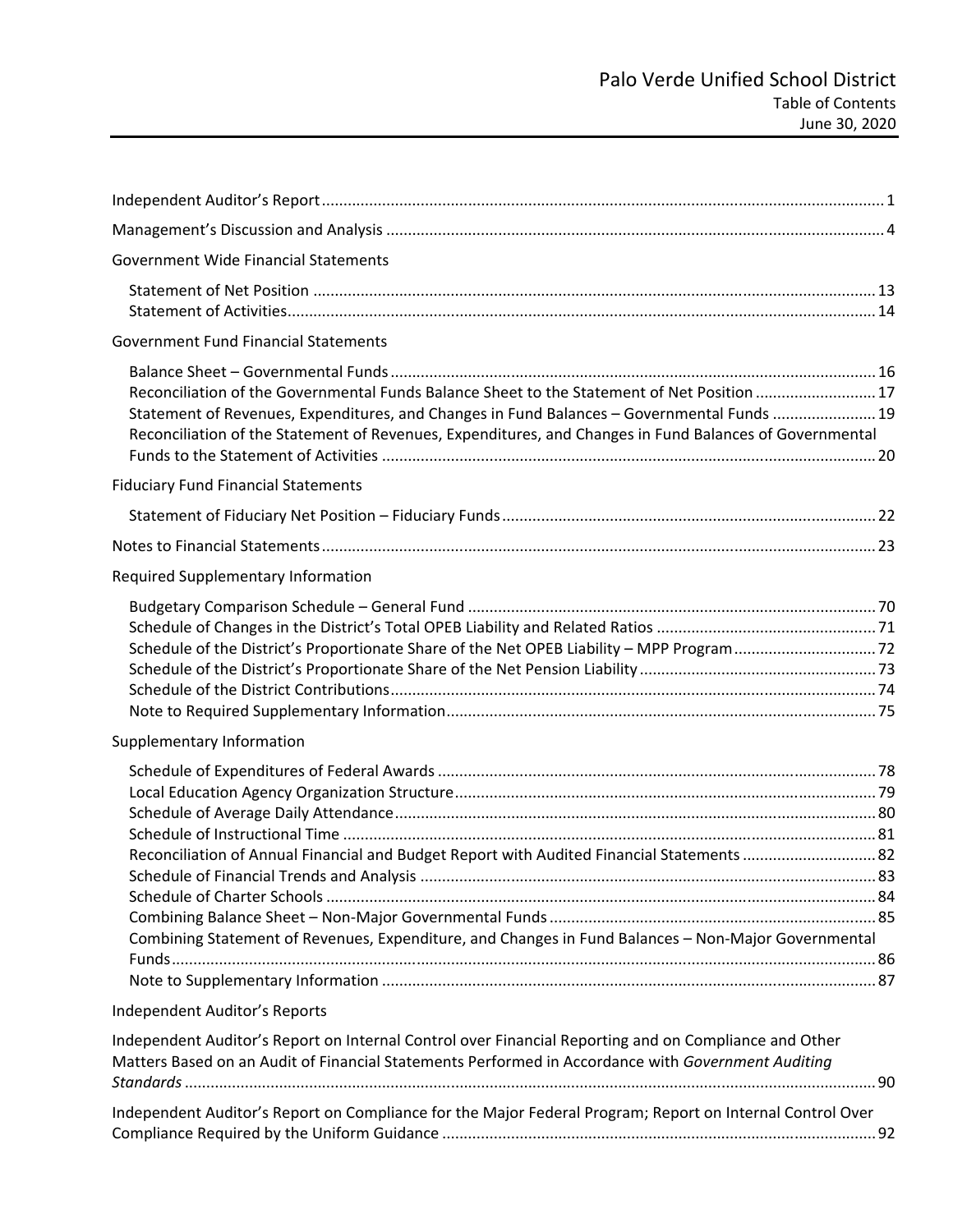| <b>Government Wide Financial Statements</b>                                                                                                                                                                                                                                                          |  |
|------------------------------------------------------------------------------------------------------------------------------------------------------------------------------------------------------------------------------------------------------------------------------------------------------|--|
|                                                                                                                                                                                                                                                                                                      |  |
| <b>Government Fund Financial Statements</b>                                                                                                                                                                                                                                                          |  |
| Reconciliation of the Governmental Funds Balance Sheet to the Statement of Net Position  17<br>Statement of Revenues, Expenditures, and Changes in Fund Balances - Governmental Funds  19<br>Reconciliation of the Statement of Revenues, Expenditures, and Changes in Fund Balances of Governmental |  |
| <b>Fiduciary Fund Financial Statements</b>                                                                                                                                                                                                                                                           |  |
|                                                                                                                                                                                                                                                                                                      |  |
|                                                                                                                                                                                                                                                                                                      |  |
| Required Supplementary Information                                                                                                                                                                                                                                                                   |  |
|                                                                                                                                                                                                                                                                                                      |  |
| Supplementary Information                                                                                                                                                                                                                                                                            |  |
| Reconciliation of Annual Financial and Budget Report with Audited Financial Statements  82<br>Combining Statement of Revenues, Expenditure, and Changes in Fund Balances - Non-Major Governmental                                                                                                    |  |
| Independent Auditor's Reports                                                                                                                                                                                                                                                                        |  |
| Independent Auditor's Report on Internal Control over Financial Reporting and on Compliance and Other<br>Matters Based on an Audit of Financial Statements Performed in Accordance with Government Auditing                                                                                          |  |

Independent Auditor's Report on Compliance for the Major Federal Program; Report on Internal Control Over Compliance Required by the Uniform Guidance ..................................................................................................... 92

*Standards* ................................................................................................................................................................. 90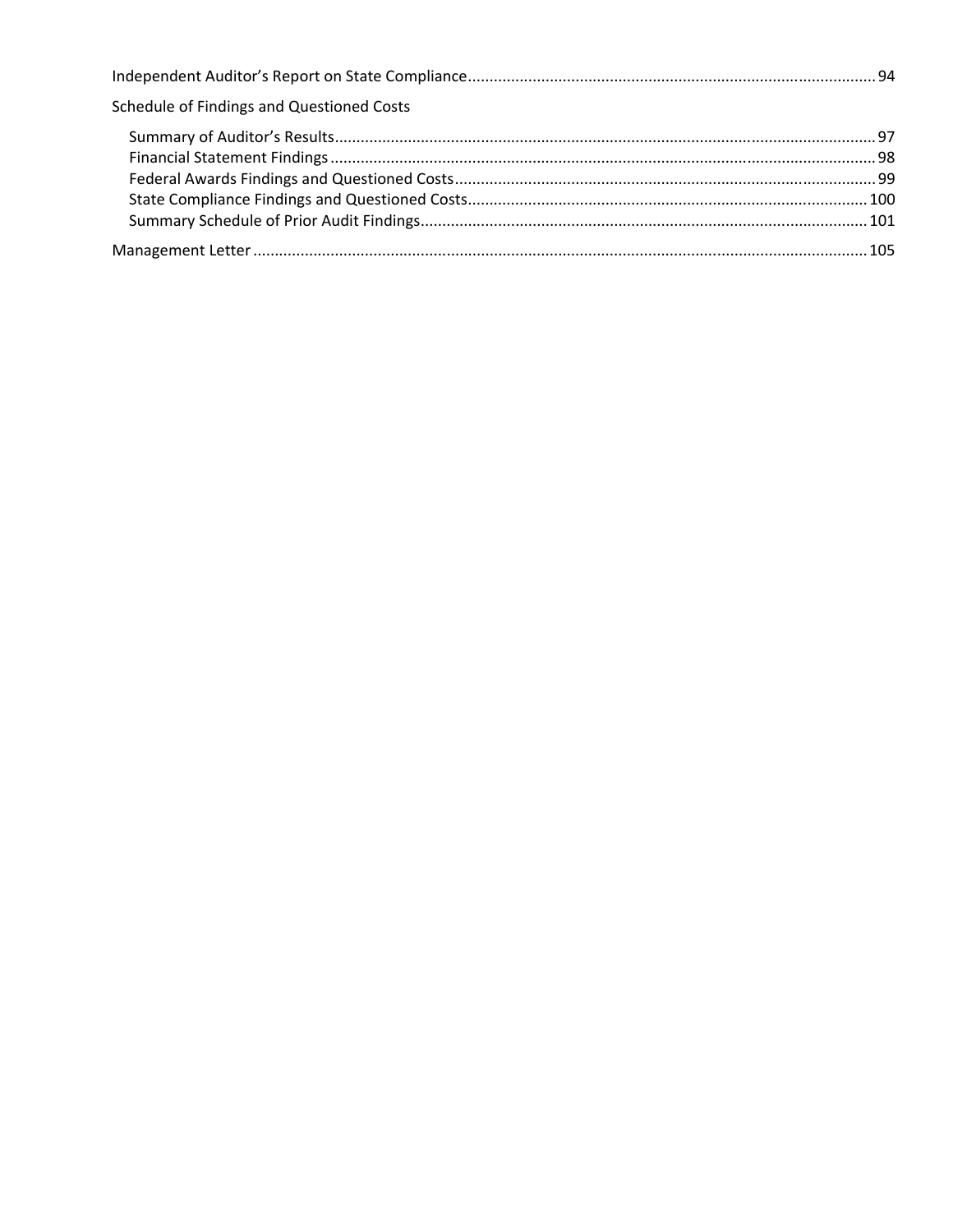| Schedule of Findings and Questioned Costs |  |
|-------------------------------------------|--|
|                                           |  |
|                                           |  |
|                                           |  |
|                                           |  |
|                                           |  |
|                                           |  |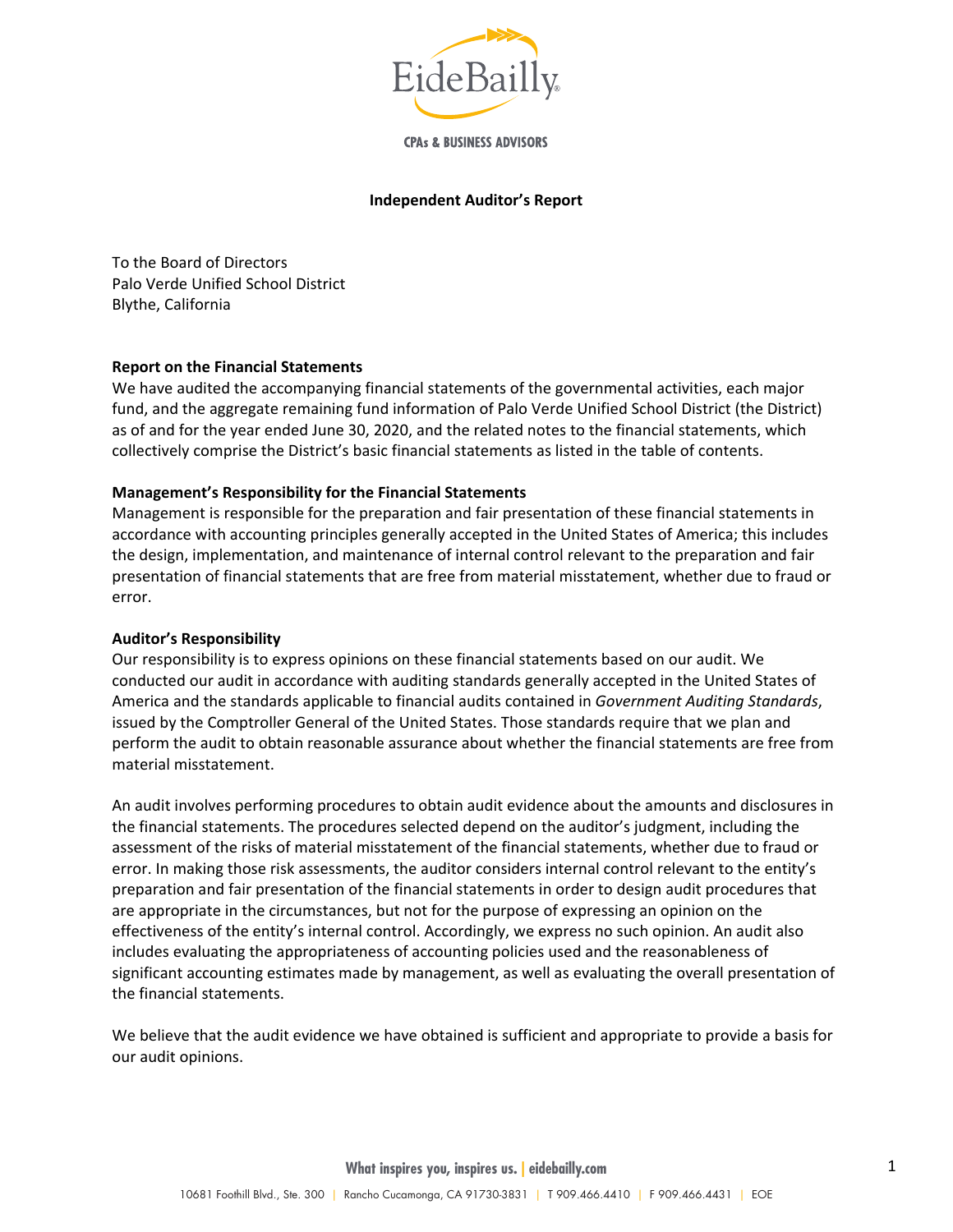

**CPAs & BUSINESS ADVISORS** 

## **Independent Auditor's Report**

To the Board of Directors Palo Verde Unified School District Blythe, California

## **Report on the Financial Statements**

We have audited the accompanying financial statements of the governmental activities, each major fund, and the aggregate remaining fund information of Palo Verde Unified School District (the District) as of and for the year ended June 30, 2020, and the related notes to the financial statements, which collectively comprise the District's basic financial statements as listed in the table of contents.

## **Management's Responsibility for the Financial Statements**

Management is responsible for the preparation and fair presentation of these financial statements in accordance with accounting principles generally accepted in the United States of America; this includes the design, implementation, and maintenance of internal control relevant to the preparation and fair presentation of financial statements that are free from material misstatement, whether due to fraud or error.

## **Auditor's Responsibility**

Our responsibility is to express opinions on these financial statements based on our audit. We conducted our audit in accordance with auditing standards generally accepted in the United States of America and the standards applicable to financial audits contained in *Government Auditing Standards*, issued by the Comptroller General of the United States. Those standards require that we plan and perform the audit to obtain reasonable assurance about whether the financial statements are free from material misstatement.

An audit involves performing procedures to obtain audit evidence about the amounts and disclosures in the financial statements. The procedures selected depend on the auditor's judgment, including the assessment of the risks of material misstatement of the financial statements, whether due to fraud or error. In making those risk assessments, the auditor considers internal control relevant to the entity's preparation and fair presentation of the financial statements in order to design audit procedures that are appropriate in the circumstances, but not for the purpose of expressing an opinion on the effectiveness of the entity's internal control. Accordingly, we express no such opinion. An audit also includes evaluating the appropriateness of accounting policies used and the reasonableness of significant accounting estimates made by management, as well as evaluating the overall presentation of the financial statements.

We believe that the audit evidence we have obtained is sufficient and appropriate to provide a basis for our audit opinions.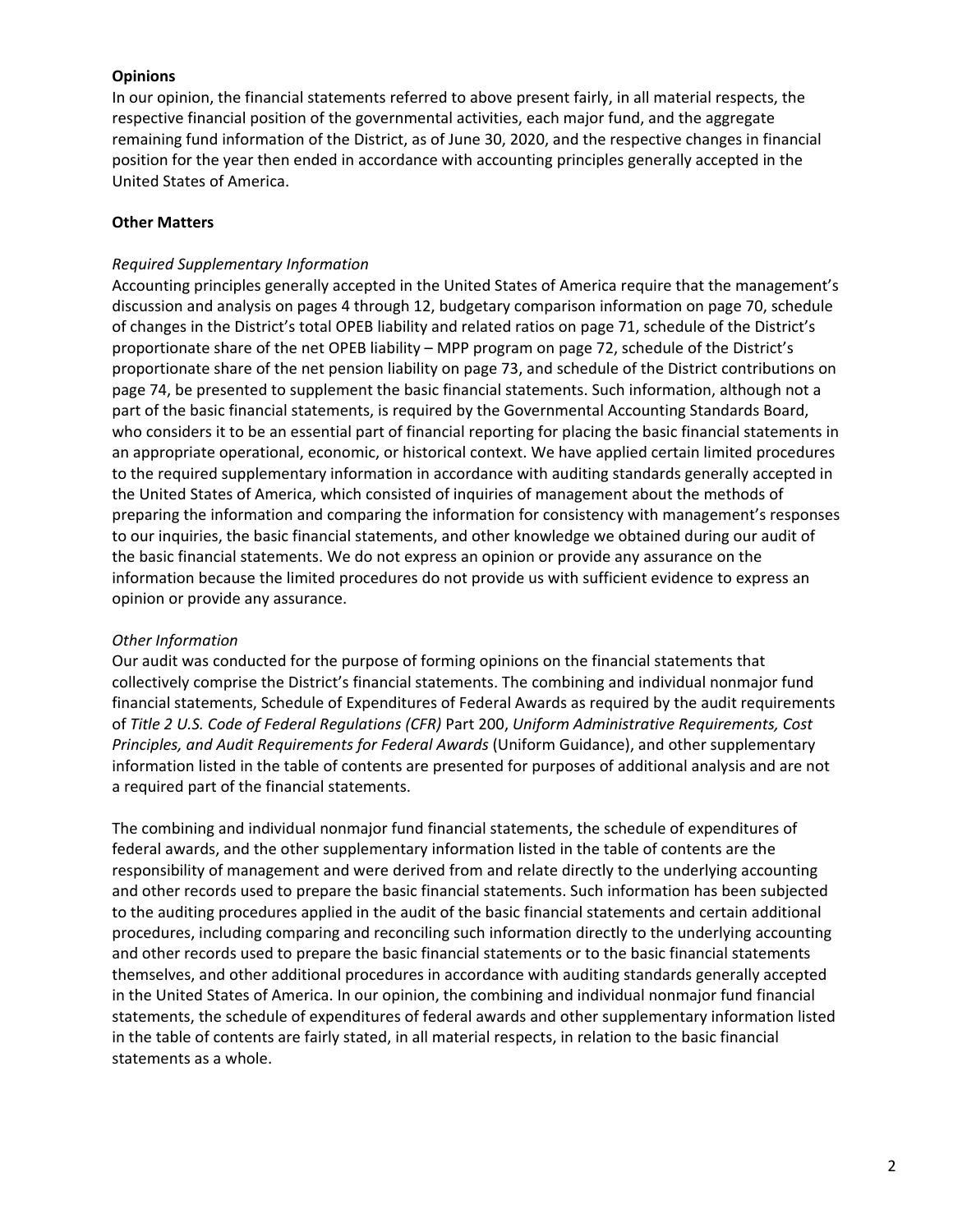## **Opinions**

In our opinion, the financial statements referred to above present fairly, in all material respects, the respective financial position of the governmental activities, each major fund, and the aggregate remaining fund information of the District, as of June 30, 2020, and the respective changes in financial position for the year then ended in accordance with accounting principles generally accepted in the United States of America.

## **Other Matters**

## *Required Supplementary Information*

Accounting principles generally accepted in the United States of America require that the management's discussion and analysis on pages 4 through 12, budgetary comparison information on page 70, schedule of changes in the District's total OPEB liability and related ratios on page 71, schedule of the District's proportionate share of the net OPEB liability – MPP program on page 72, schedule of the District's proportionate share of the net pension liability on page 73, and schedule of the District contributions on page 74, be presented to supplement the basic financial statements. Such information, although not a part of the basic financial statements, is required by the Governmental Accounting Standards Board, who considers it to be an essential part of financial reporting for placing the basic financial statements in an appropriate operational, economic, or historical context. We have applied certain limited procedures to the required supplementary information in accordance with auditing standards generally accepted in the United States of America, which consisted of inquiries of management about the methods of preparing the information and comparing the information for consistency with management's responses to our inquiries, the basic financial statements, and other knowledge we obtained during our audit of the basic financial statements. We do not express an opinion or provide any assurance on the information because the limited procedures do not provide us with sufficient evidence to express an opinion or provide any assurance.

## *Other Information*

Our audit was conducted for the purpose of forming opinions on the financial statements that collectively comprise the District's financial statements. The combining and individual nonmajor fund financial statements, Schedule of Expenditures of Federal Awards as required by the audit requirements of *Title 2 U.S. Code of Federal Regulations (CFR)* Part 200, *Uniform Administrative Requirements, Cost Principles, and Audit Requirements for Federal Awards* (Uniform Guidance), and other supplementary information listed in the table of contents are presented for purposes of additional analysis and are not a required part of the financial statements.

The combining and individual nonmajor fund financial statements, the schedule of expenditures of federal awards, and the other supplementary information listed in the table of contents are the responsibility of management and were derived from and relate directly to the underlying accounting and other records used to prepare the basic financial statements. Such information has been subjected to the auditing procedures applied in the audit of the basic financial statements and certain additional procedures, including comparing and reconciling such information directly to the underlying accounting and other records used to prepare the basic financial statements or to the basic financial statements themselves, and other additional procedures in accordance with auditing standards generally accepted in the United States of America. In our opinion, the combining and individual nonmajor fund financial statements, the schedule of expenditures of federal awards and other supplementary information listed in the table of contents are fairly stated, in all material respects, in relation to the basic financial statements as a whole.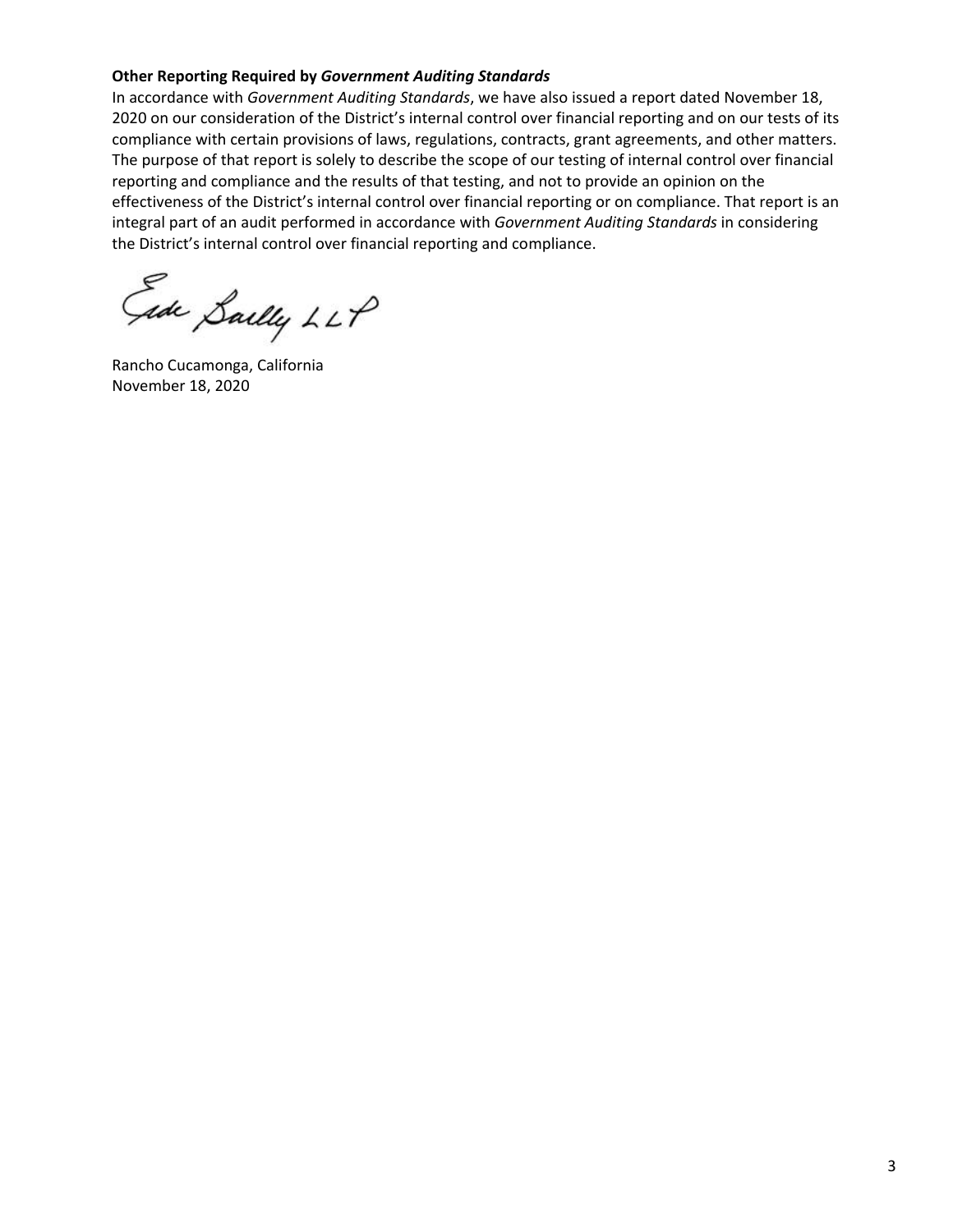## **Other Reporting Required by** *Government Auditing Standards*

In accordance with *Government Auditing Standards*, we have also issued a report dated November 18, 2020 on our consideration of the District's internal control over financial reporting and on our tests of its compliance with certain provisions of laws, regulations, contracts, grant agreements, and other matters. The purpose of that report is solely to describe the scope of our testing of internal control over financial reporting and compliance and the results of that testing, and not to provide an opinion on the effectiveness of the District's internal control over financial reporting or on compliance. That report is an integral part of an audit performed in accordance with *Government Auditing Standards* in considering the District's internal control over financial reporting and compliance.

Fede Sailly LLP

Rancho Cucamonga, California November 18, 2020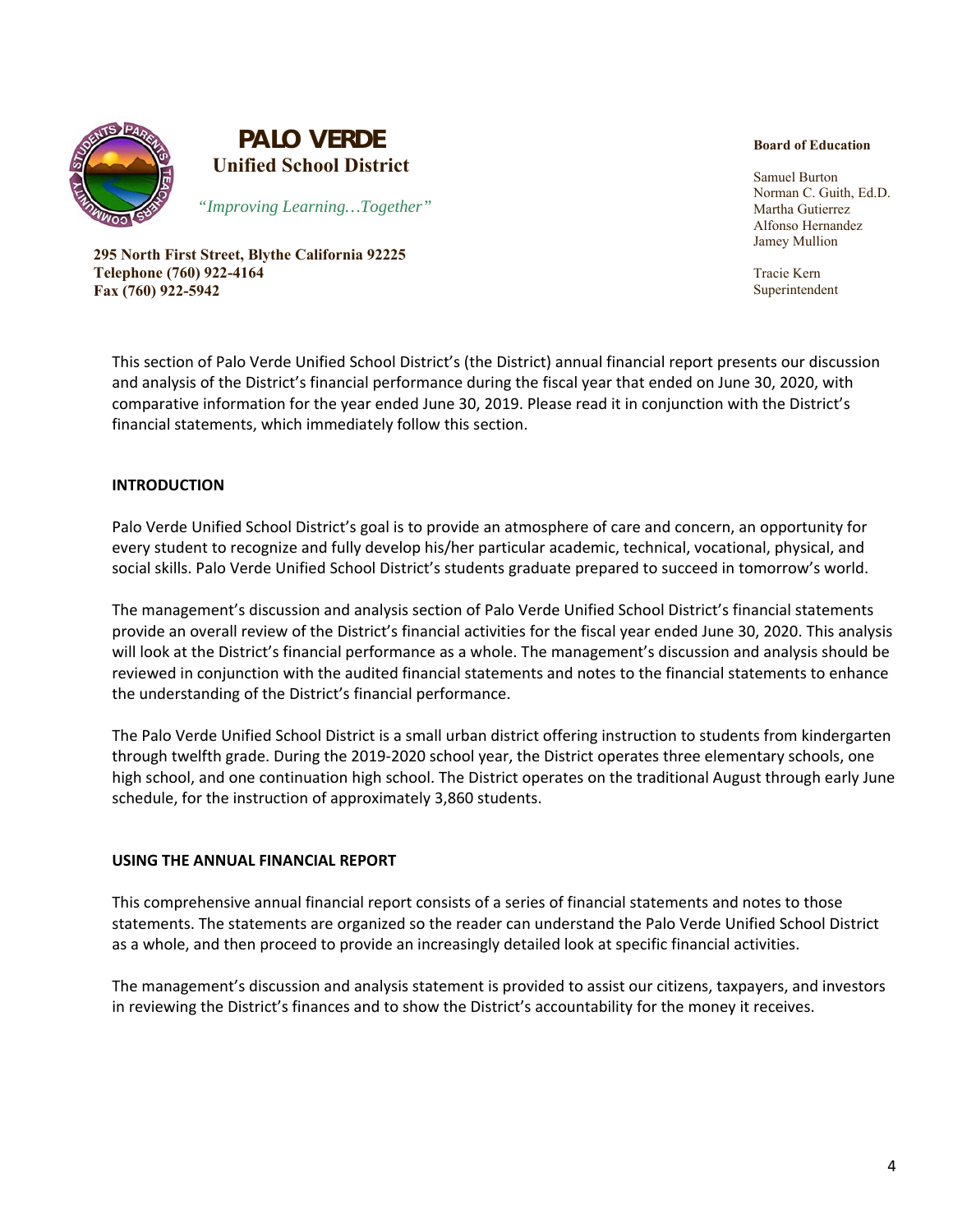

# **PALO VERDE Unified School District**

 *"Improving Learning…Together"* 

**295 North First Street, Blythe California 92225 Telephone (760) 922-4164 Fax (760) 922-5942** 

#### **Board of Education**

Samuel Burton Norman C. Guith, Ed.D. Martha Gutierrez Alfonso Hernandez Jamey Mullion

Tracie Kern Superintendent

This section of Palo Verde Unified School District's (the District) annual financial report presents our discussion and analysis of the District's financial performance during the fiscal year that ended on June 30, 2020, with comparative information for the year ended June 30, 2019. Please read it in conjunction with the District's financial statements, which immediately follow this section.

## **INTRODUCTION**

Palo Verde Unified School District's goal is to provide an atmosphere of care and concern, an opportunity for every student to recognize and fully develop his/her particular academic, technical, vocational, physical, and social skills. Palo Verde Unified School District's students graduate prepared to succeed in tomorrow's world.

The management's discussion and analysis section of Palo Verde Unified School District's financial statements provide an overall review of the District's financial activities for the fiscal year ended June 30, 2020. This analysis will look at the District's financial performance as a whole. The management's discussion and analysis should be reviewed in conjunction with the audited financial statements and notes to the financial statements to enhance the understanding of the District's financial performance.

The Palo Verde Unified School District is a small urban district offering instruction to students from kindergarten through twelfth grade. During the 2019‐2020 school year, the District operates three elementary schools, one high school, and one continuation high school. The District operates on the traditional August through early June schedule, for the instruction of approximately 3,860 students.

## **USING THE ANNUAL FINANCIAL REPORT**

This comprehensive annual financial report consists of a series of financial statements and notes to those statements. The statements are organized so the reader can understand the Palo Verde Unified School District as a whole, and then proceed to provide an increasingly detailed look at specific financial activities.

The management's discussion and analysis statement is provided to assist our citizens, taxpayers, and investors in reviewing the District's finances and to show the District's accountability for the money it receives.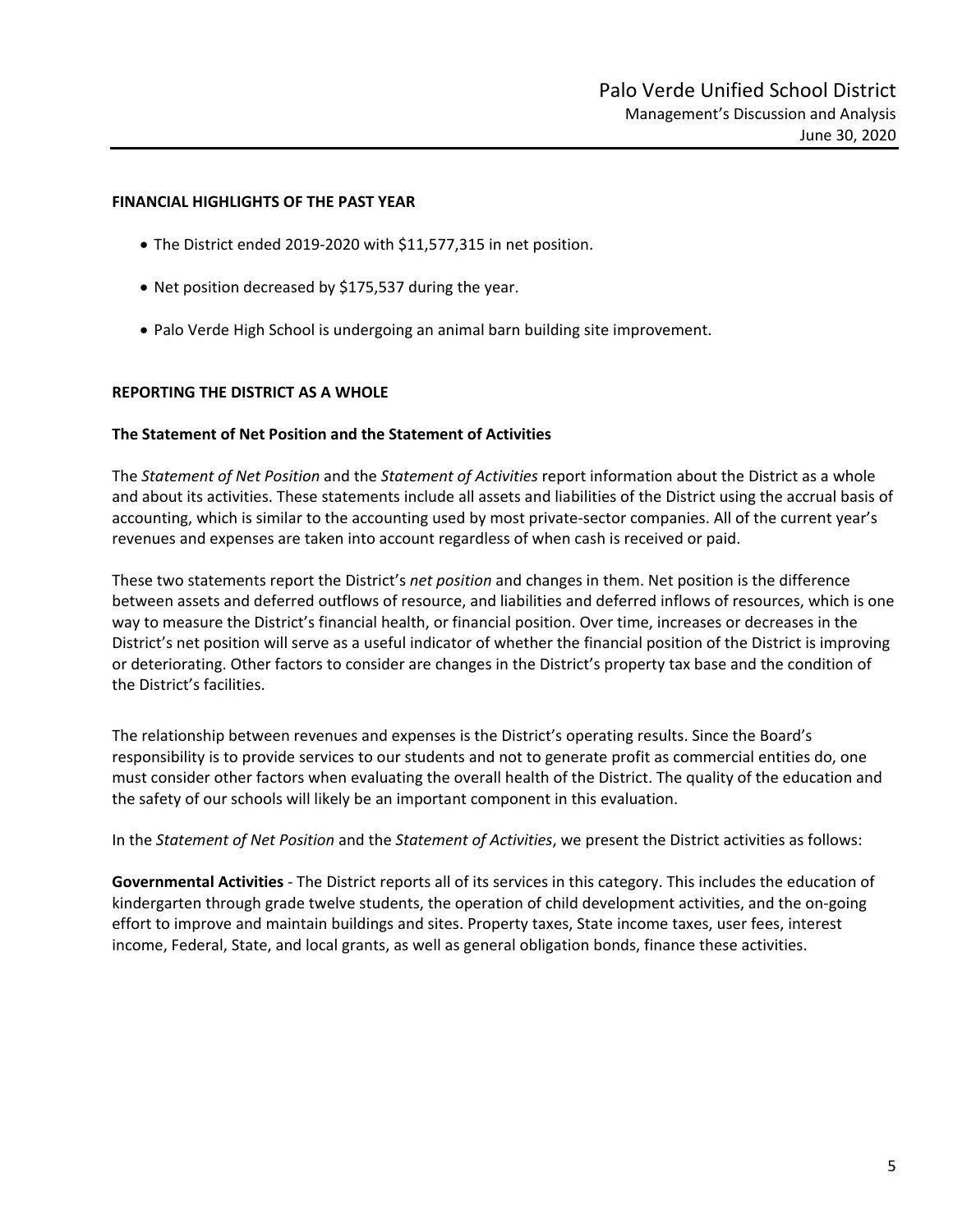## **FINANCIAL HIGHLIGHTS OF THE PAST YEAR**

- The District ended 2019‐2020 with \$11,577,315 in net position.
- Net position decreased by \$175,537 during the year.
- Palo Verde High School is undergoing an animal barn building site improvement.

## **REPORTING THE DISTRICT AS A WHOLE**

## **The Statement of Net Position and the Statement of Activities**

The *Statement of Net Position* and the *Statement of Activities* report information about the District as a whole and about its activities. These statements include all assets and liabilities of the District using the accrual basis of accounting, which is similar to the accounting used by most private‐sector companies. All of the current year's revenues and expenses are taken into account regardless of when cash is received or paid.

These two statements report the District's *net position* and changes in them. Net position is the difference between assets and deferred outflows of resource, and liabilities and deferred inflows of resources, which is one way to measure the District's financial health, or financial position. Over time, increases or decreases in the District's net position will serve as a useful indicator of whether the financial position of the District is improving or deteriorating. Other factors to consider are changes in the District's property tax base and the condition of the District's facilities.

The relationship between revenues and expenses is the District's operating results. Since the Board's responsibility is to provide services to our students and not to generate profit as commercial entities do, one must consider other factors when evaluating the overall health of the District. The quality of the education and the safety of our schools will likely be an important component in this evaluation.

In the *Statement of Net Position* and the *Statement of Activities*, we present the District activities as follows:

**Governmental Activities** *‐* The District reports all of its services in this category. This includes the education of kindergarten through grade twelve students, the operation of child development activities, and the on‐going effort to improve and maintain buildings and sites. Property taxes, State income taxes, user fees, interest income, Federal, State, and local grants, as well as general obligation bonds, finance these activities.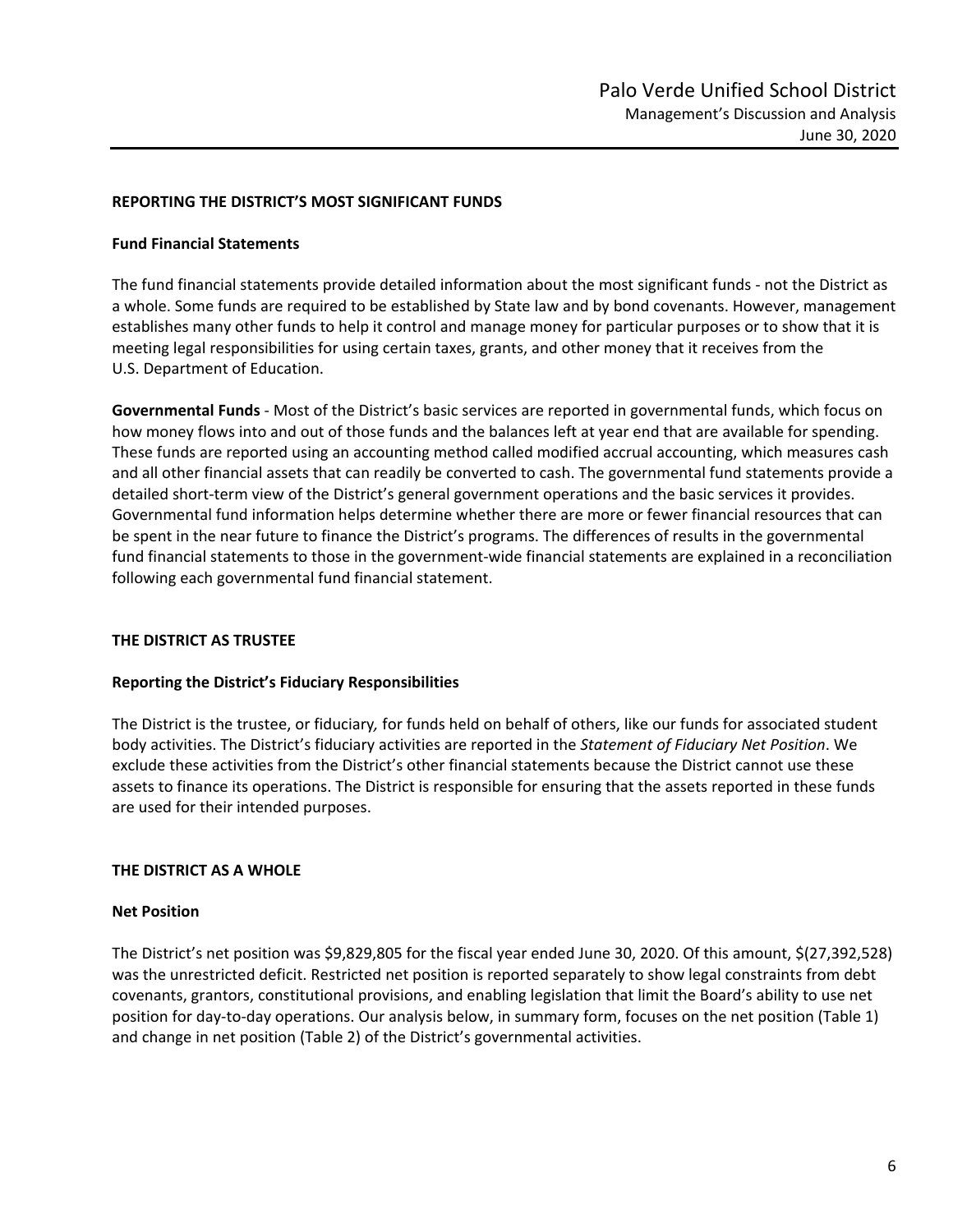## **REPORTING THE DISTRICT'S MOST SIGNIFICANT FUNDS**

## **Fund Financial Statements**

The fund financial statements provide detailed information about the most significant funds ‐ not the District as a whole. Some funds are required to be established by State law and by bond covenants. However, management establishes many other funds to help it control and manage money for particular purposes or to show that it is meeting legal responsibilities for using certain taxes, grants, and other money that it receives from the U.S. Department of Education.

**Governmental Funds** ‐ Most of the District's basic services are reported in governmental funds, which focus on how money flows into and out of those funds and the balances left at year end that are available for spending. These funds are reported using an accounting method called modified accrual accounting, which measures cash and all other financial assets that can readily be converted to cash. The governmental fund statements provide a detailed short-term view of the District's general government operations and the basic services it provides. Governmental fund information helps determine whether there are more or fewer financial resources that can be spent in the near future to finance the District's programs. The differences of results in the governmental fund financial statements to those in the government-wide financial statements are explained in a reconciliation following each governmental fund financial statement.

## **THE DISTRICT AS TRUSTEE**

### **Reporting the District's Fiduciary Responsibilities**

The District is the trustee, or fiduciary*,* for funds held on behalf of others, like our funds for associated student body activities. The District's fiduciary activities are reported in the *Statement of Fiduciary Net Position*. We exclude these activities from the District's other financial statements because the District cannot use these assets to finance its operations. The District is responsible for ensuring that the assets reported in these funds are used for their intended purposes.

### **THE DISTRICT AS A WHOLE**

### **Net Position**

The District's net position was \$9,829,805 for the fiscal year ended June 30, 2020. Of this amount, \$(27,392,528) was the unrestricted deficit. Restricted net position is reported separately to show legal constraints from debt covenants, grantors, constitutional provisions, and enabling legislation that limit the Board's ability to use net position for day‐to‐day operations. Our analysis below, in summary form, focuses on the net position (Table 1) and change in net position (Table 2) of the District's governmental activities.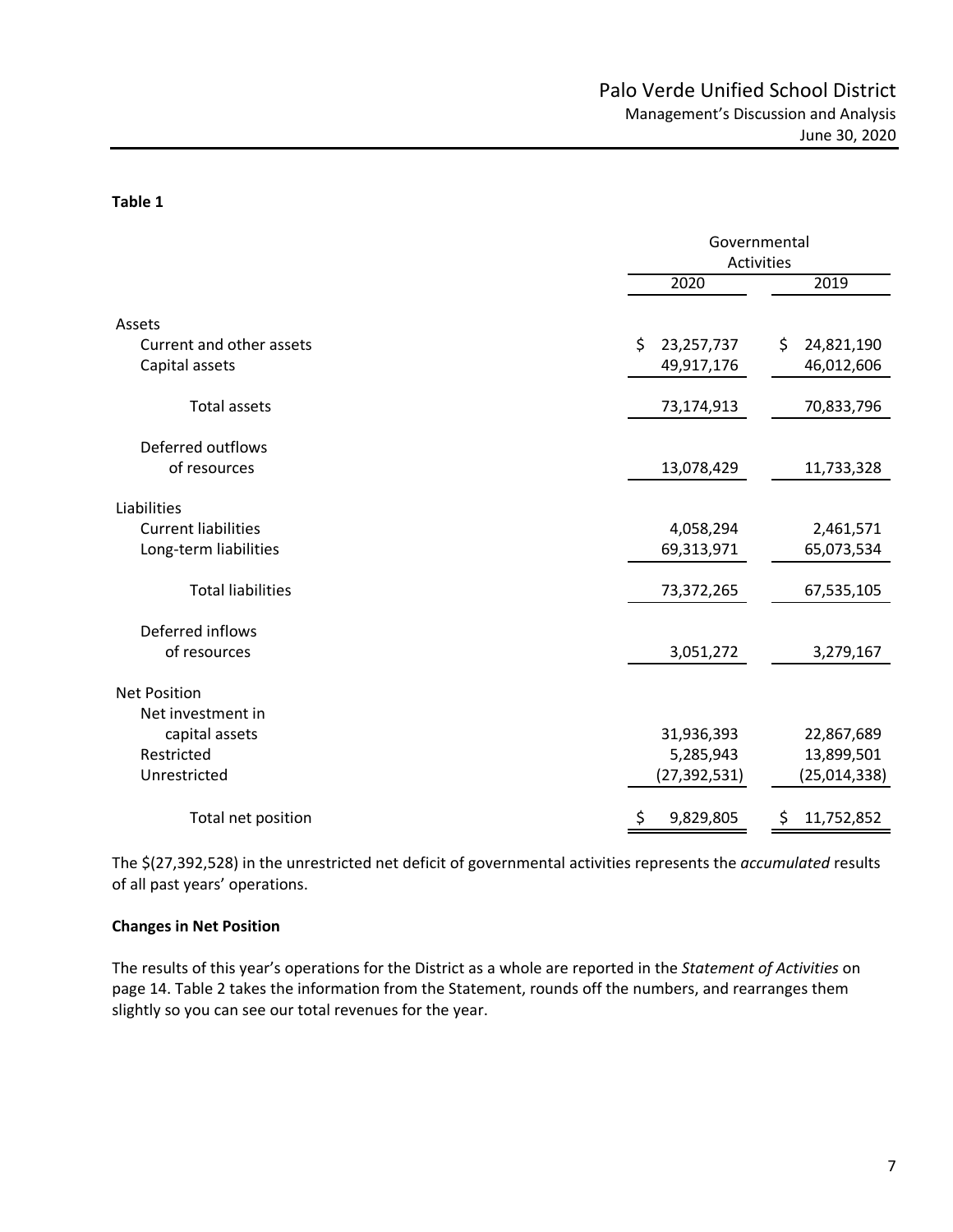**Table 1** 

|                            |                  | Governmental<br>Activities |  |  |  |
|----------------------------|------------------|----------------------------|--|--|--|
|                            | 2020             |                            |  |  |  |
| Assets                     |                  |                            |  |  |  |
| Current and other assets   | \$<br>23,257,737 | \$<br>24,821,190           |  |  |  |
| Capital assets             | 49,917,176       | 46,012,606                 |  |  |  |
| <b>Total assets</b>        | 73,174,913       | 70,833,796                 |  |  |  |
| Deferred outflows          |                  |                            |  |  |  |
| of resources               | 13,078,429       | 11,733,328                 |  |  |  |
| Liabilities                |                  |                            |  |  |  |
| <b>Current liabilities</b> | 4,058,294        | 2,461,571                  |  |  |  |
| Long-term liabilities      | 69,313,971       | 65,073,534                 |  |  |  |
| <b>Total liabilities</b>   | 73,372,265       | 67,535,105                 |  |  |  |
| Deferred inflows           |                  |                            |  |  |  |
| of resources               | 3,051,272        | 3,279,167                  |  |  |  |
| <b>Net Position</b>        |                  |                            |  |  |  |
| Net investment in          |                  |                            |  |  |  |
| capital assets             | 31,936,393       | 22,867,689                 |  |  |  |
| Restricted                 | 5,285,943        | 13,899,501                 |  |  |  |
| Unrestricted               | (27, 392, 531)   | (25, 014, 338)             |  |  |  |
| Total net position         | 9,829,805<br>\$  | \$<br>11,752,852           |  |  |  |

The \$(27,392,528) in the unrestricted net deficit of governmental activities represents the *accumulated* results of all past years' operations.

## **Changes in Net Position**

The results of this year's operations for the District as a whole are reported in the *Statement of Activities* on page 14. Table 2 takes the information from the Statement, rounds off the numbers, and rearranges them slightly so you can see our total revenues for the year.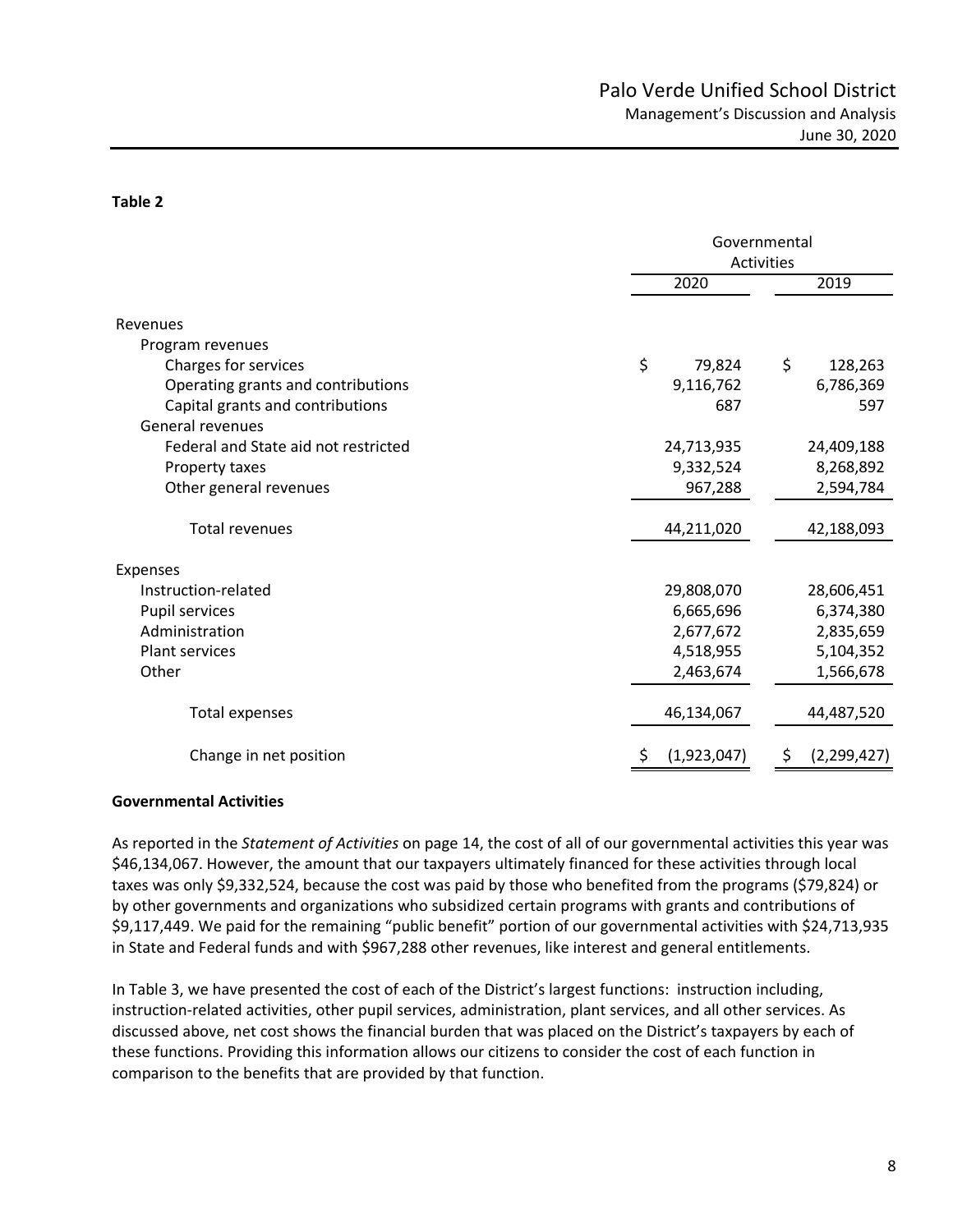| . .<br>v<br>×<br>۰,<br>× |  |
|--------------------------|--|
|--------------------------|--|

|                                      | Governmental<br>Activities |             |    |               |
|--------------------------------------|----------------------------|-------------|----|---------------|
|                                      |                            | 2020        |    | 2019          |
|                                      |                            |             |    |               |
| Revenues                             |                            |             |    |               |
| Program revenues                     |                            |             |    |               |
| Charges for services                 | \$                         | 79,824      | \$ | 128,263       |
| Operating grants and contributions   |                            | 9,116,762   |    | 6,786,369     |
| Capital grants and contributions     |                            | 687         |    | 597           |
| General revenues                     |                            |             |    |               |
| Federal and State aid not restricted |                            | 24,713,935  |    | 24,409,188    |
| Property taxes                       |                            | 9,332,524   |    | 8,268,892     |
| Other general revenues               |                            | 967,288     |    | 2,594,784     |
| Total revenues                       |                            | 44,211,020  |    | 42,188,093    |
| Expenses                             |                            |             |    |               |
| Instruction-related                  |                            | 29,808,070  |    | 28,606,451    |
| Pupil services                       |                            | 6,665,696   |    | 6,374,380     |
| Administration                       |                            | 2,677,672   |    | 2,835,659     |
| <b>Plant services</b>                |                            | 4,518,955   |    | 5,104,352     |
| Other                                |                            | 2,463,674   |    | 1,566,678     |
| <b>Total expenses</b>                |                            | 46,134,067  |    | 44,487,520    |
| Change in net position               | \$                         | (1,923,047) | \$ | (2, 299, 427) |

### **Governmental Activities**

As reported in the *Statement of Activities* on page 14, the cost of all of our governmental activities this year was \$46,134,067. However, the amount that our taxpayers ultimately financed for these activities through local taxes was only \$9,332,524, because the cost was paid by those who benefited from the programs (\$79,824) or by other governments and organizations who subsidized certain programs with grants and contributions of \$9,117,449. We paid for the remaining "public benefit" portion of our governmental activities with \$24,713,935 in State and Federal funds and with \$967,288 other revenues, like interest and general entitlements.

In Table 3, we have presented the cost of each of the District's largest functions: instruction including, instruction‐related activities, other pupil services, administration, plant services, and all other services. As discussed above, net cost shows the financial burden that was placed on the District's taxpayers by each of these functions. Providing this information allows our citizens to consider the cost of each function in comparison to the benefits that are provided by that function.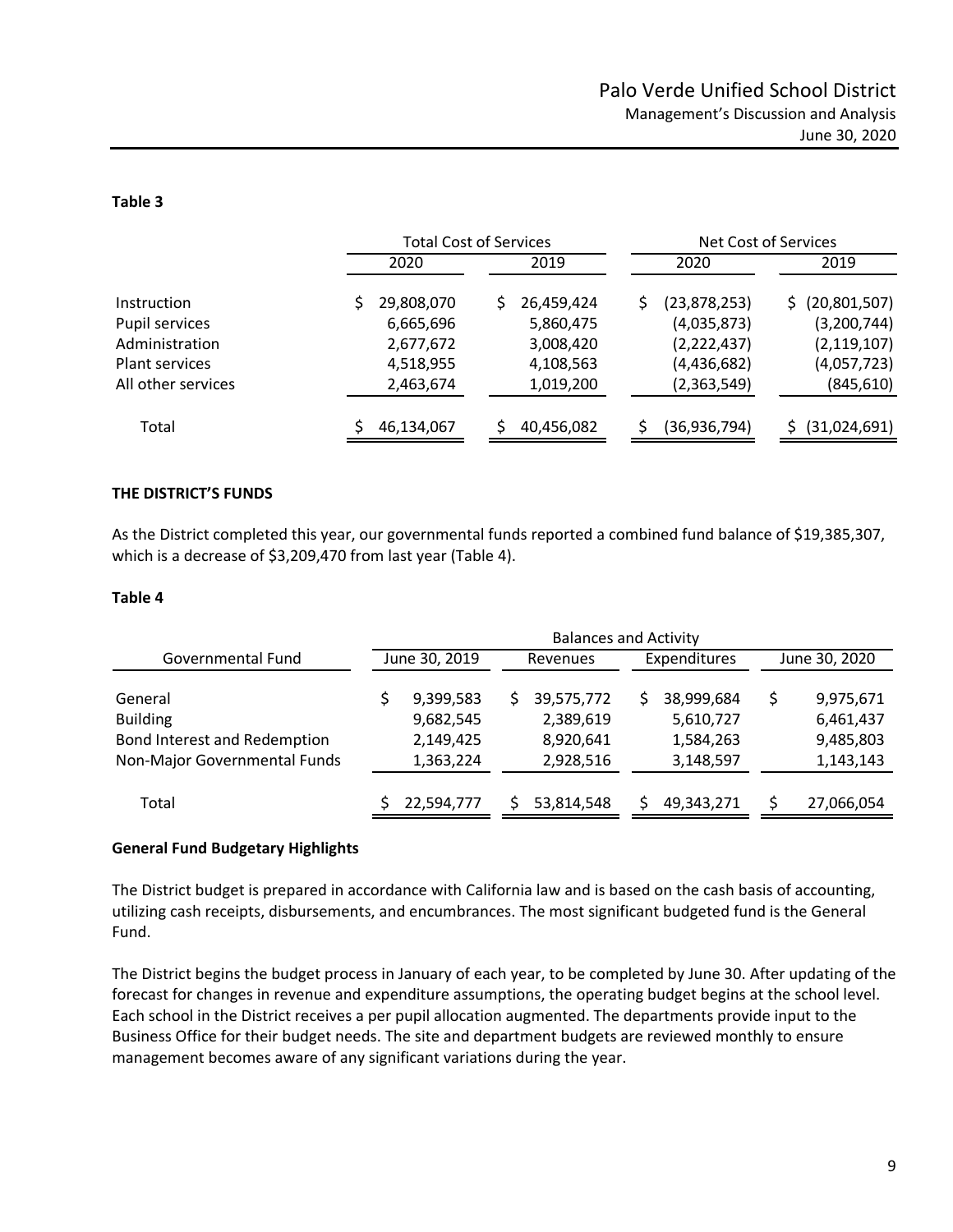|                       |            | <b>Total Cost of Services</b> | Net Cost of Services |                 |  |  |
|-----------------------|------------|-------------------------------|----------------------|-----------------|--|--|
|                       | 2020       | 2019                          | 2020                 | 2019            |  |  |
| Instruction           | 29,808,070 | 26,459,424                    | (23,878,253)<br>\$   | \$ (20,801,507) |  |  |
| Pupil services        | 6,665,696  | 5,860,475                     | (4,035,873)          | (3,200,744)     |  |  |
| Administration        | 2,677,672  | 3,008,420                     | (2,222,437)          | (2, 119, 107)   |  |  |
| <b>Plant services</b> | 4,518,955  | 4,108,563                     | (4,436,682)          | (4,057,723)     |  |  |
| All other services    | 2,463,674  | 1,019,200                     | (2,363,549)          | (845, 610)      |  |  |
| Total                 | 46,134,067 | 40,456,082                    | (36, 936, 794)       | (31,024,691)    |  |  |

## **Table 3**

## **THE DISTRICT'S FUNDS**

As the District completed this year, our governmental funds reported a combined fund balance of \$19,385,307, which is a decrease of \$3,209,470 from last year (Table 4).

### **Table 4**

|                                                            | <b>Balances and Activity</b> |                                     |   |                                      |  |                                      |  |                                     |
|------------------------------------------------------------|------------------------------|-------------------------------------|---|--------------------------------------|--|--------------------------------------|--|-------------------------------------|
| Governmental Fund                                          |                              | June 30, 2019                       |   | Revenues                             |  | Expenditures                         |  | June 30, 2020                       |
| General<br><b>Building</b><br>Bond Interest and Redemption |                              | 9,399,583<br>9,682,545<br>2,149,425 | S | 39,575,772<br>2,389,619<br>8,920,641 |  | 38,999,684<br>5,610,727<br>1,584,263 |  | 9,975,671<br>6,461,437<br>9,485,803 |
| Non-Major Governmental Funds                               |                              | 1,363,224                           |   | 2,928,516                            |  | 3,148,597                            |  | 1,143,143                           |
| Total                                                      |                              | 22,594,777                          |   | 53,814,548                           |  | 49,343,271                           |  | 27,066,054                          |

## **General Fund Budgetary Highlights**

The District budget is prepared in accordance with California law and is based on the cash basis of accounting, utilizing cash receipts, disbursements, and encumbrances. The most significant budgeted fund is the General Fund.

The District begins the budget process in January of each year, to be completed by June 30. After updating of the forecast for changes in revenue and expenditure assumptions, the operating budget begins at the school level. Each school in the District receives a per pupil allocation augmented. The departments provide input to the Business Office for their budget needs. The site and department budgets are reviewed monthly to ensure management becomes aware of any significant variations during the year.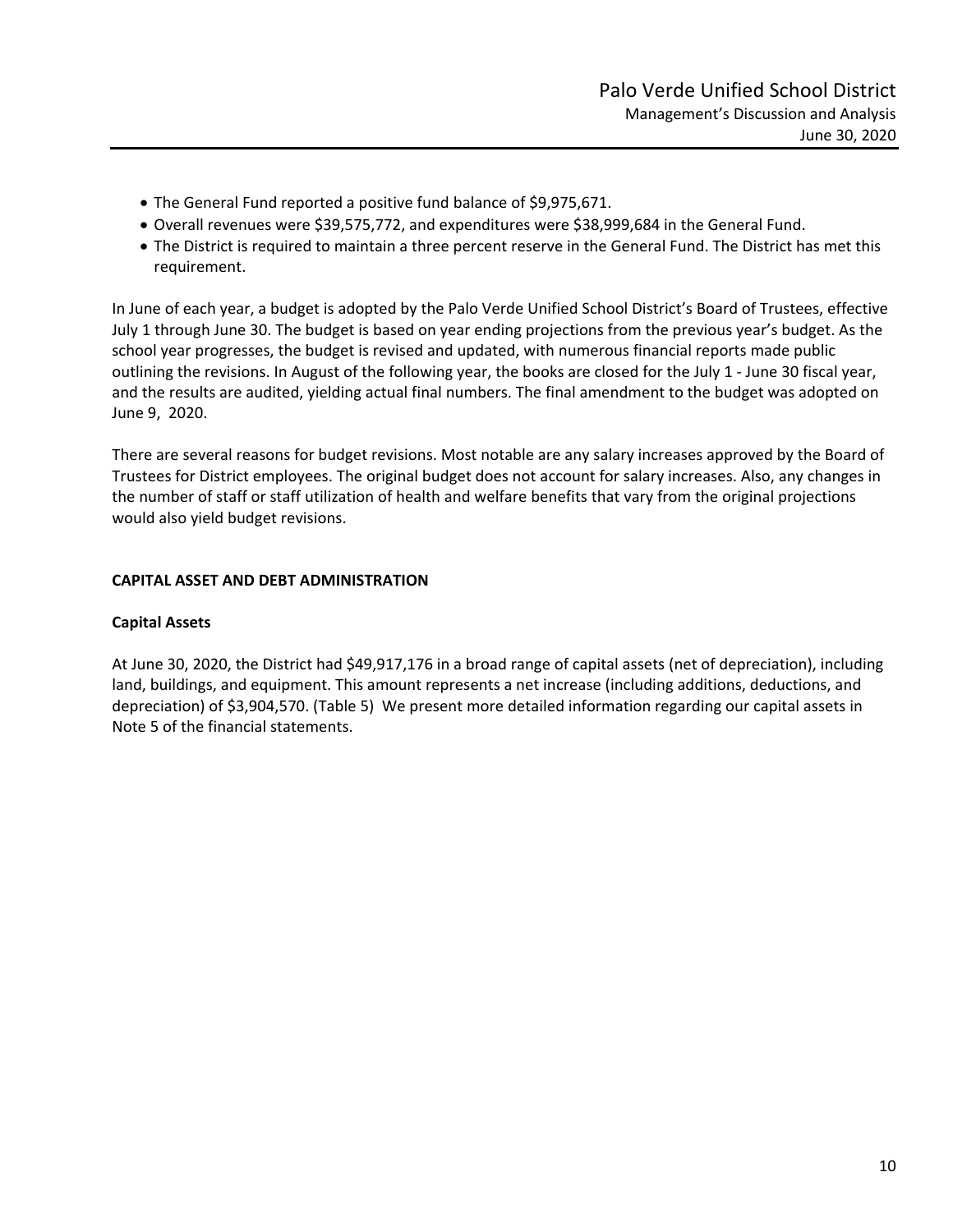- The General Fund reported a positive fund balance of \$9,975,671.
- Overall revenues were \$39,575,772, and expenditures were \$38,999,684 in the General Fund.
- The District is required to maintain a three percent reserve in the General Fund. The District has met this requirement.

In June of each year, a budget is adopted by the Palo Verde Unified School District's Board of Trustees, effective July 1 through June 30. The budget is based on year ending projections from the previous year's budget. As the school year progresses, the budget is revised and updated, with numerous financial reports made public outlining the revisions. In August of the following year, the books are closed for the July 1 ‐ June 30 fiscal year, and the results are audited, yielding actual final numbers. The final amendment to the budget was adopted on June 9, 2020.

There are several reasons for budget revisions. Most notable are any salary increases approved by the Board of Trustees for District employees. The original budget does not account for salary increases. Also, any changes in the number of staff or staff utilization of health and welfare benefits that vary from the original projections would also yield budget revisions.

## **CAPITAL ASSET AND DEBT ADMINISTRATION**

## **Capital Assets**

At June 30, 2020, the District had \$49,917,176 in a broad range of capital assets (net of depreciation), including land, buildings, and equipment. This amount represents a net increase (including additions, deductions, and depreciation) of \$3,904,570. (Table 5) We present more detailed information regarding our capital assets in Note 5 of the financial statements.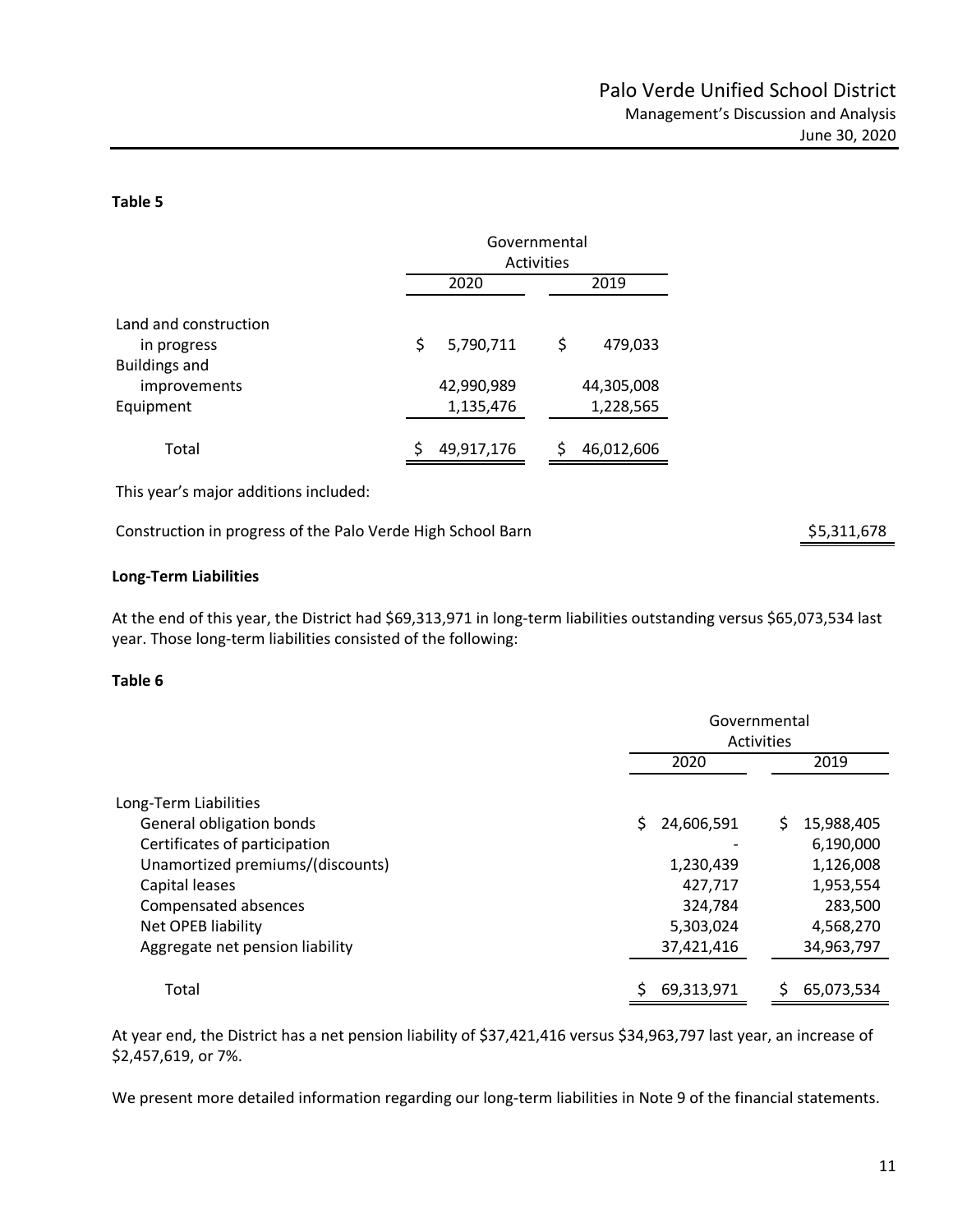## **Table 5**

|                       | Governmental    |            |            |  |  |
|-----------------------|-----------------|------------|------------|--|--|
|                       |                 | Activities |            |  |  |
|                       | 2020<br>2019    |            |            |  |  |
|                       |                 |            |            |  |  |
| Land and construction |                 |            |            |  |  |
| in progress           | \$<br>5,790,711 | \$         | 479,033    |  |  |
| <b>Buildings and</b>  |                 |            |            |  |  |
| improvements          | 42,990,989      |            | 44,305,008 |  |  |
| Equipment             | 1,135,476       |            | 1,228,565  |  |  |
|                       |                 |            |            |  |  |
| Total                 | 49,917,176      |            | 46,012,606 |  |  |

This year's major additions included:

Construction in progress of the Palo Verde High School Barn 5,5,31 \$ 1,678

## **Long‐Term Liabilities**

At the end of this year, the District had \$69,313,971 in long‐term liabilities outstanding versus \$65,073,534 last year. Those long-term liabilities consisted of the following:

## **Table 6**

|                                  | Governmental<br>Activities |                 |  |  |
|----------------------------------|----------------------------|-----------------|--|--|
|                                  | 2020                       | 2019            |  |  |
| Long-Term Liabilities            |                            |                 |  |  |
| General obligation bonds         | S.<br>24,606,591           | Ś<br>15,988,405 |  |  |
| Certificates of participation    |                            | 6,190,000       |  |  |
| Unamortized premiums/(discounts) | 1,230,439                  | 1,126,008       |  |  |
| Capital leases                   | 427,717                    | 1,953,554       |  |  |
| Compensated absences             | 324,784                    | 283,500         |  |  |
| Net OPEB liability               | 5,303,024                  | 4,568,270       |  |  |
| Aggregate net pension liability  | 37,421,416                 | 34,963,797      |  |  |
| Total                            | 69,313,971                 | 65,073,534      |  |  |

At year end, the District has a net pension liability of \$37,421,416 versus \$34,963,797 last year, an increase of \$2,457,619, or 7%.

We present more detailed information regarding our long-term liabilities in Note 9 of the financial statements.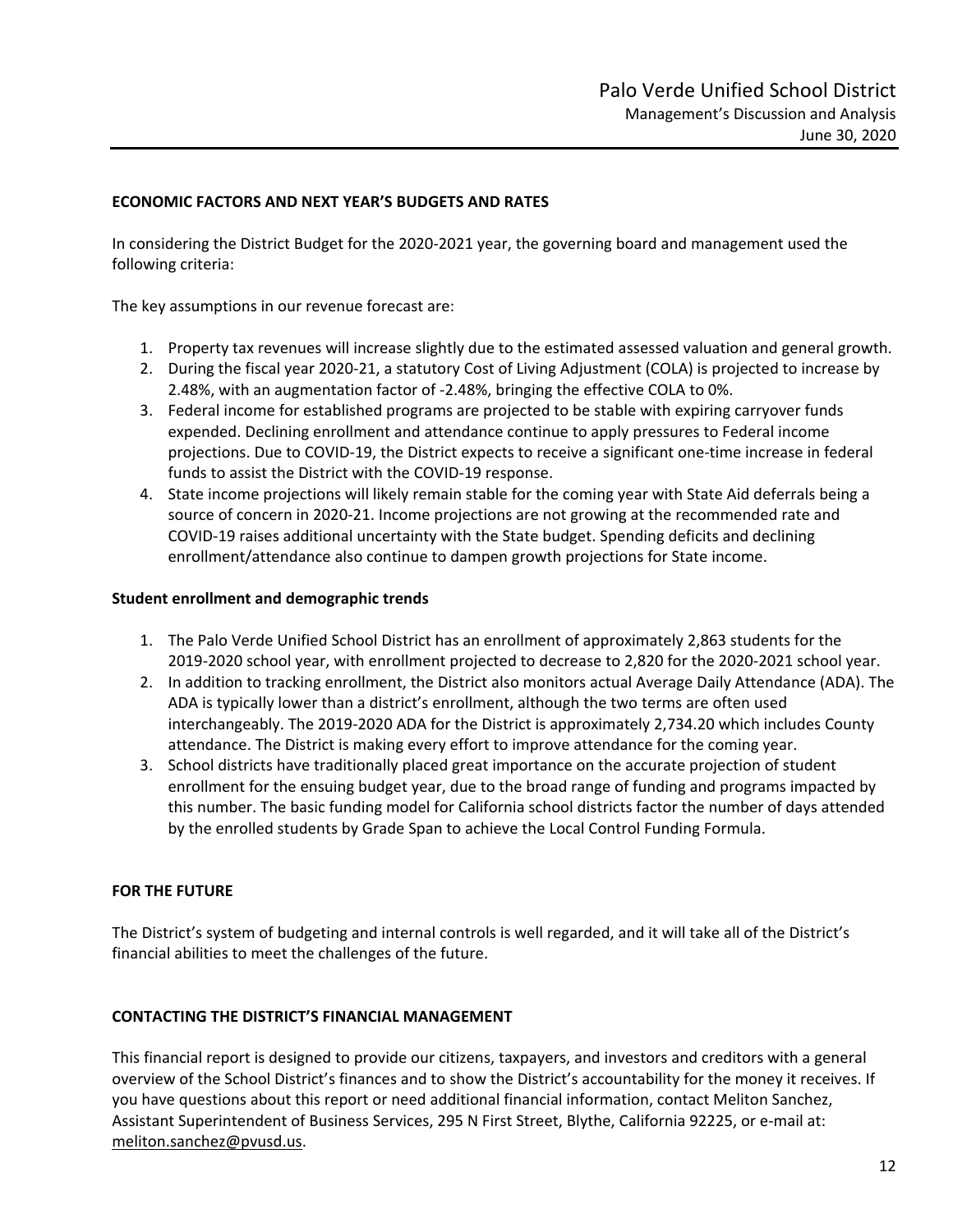## **ECONOMIC FACTORS AND NEXT YEAR'S BUDGETS AND RATES**

In considering the District Budget for the 2020‐2021 year, the governing board and management used the following criteria:

The key assumptions in our revenue forecast are:

- 1. Property tax revenues will increase slightly due to the estimated assessed valuation and general growth.
- 2. During the fiscal year 2020‐21, a statutory Cost of Living Adjustment (COLA) is projected to increase by 2.48%, with an augmentation factor of ‐2.48%, bringing the effective COLA to 0%.
- 3. Federal income for established programs are projected to be stable with expiring carryover funds expended. Declining enrollment and attendance continue to apply pressures to Federal income projections. Due to COVID‐19, the District expects to receive a significant one‐time increase in federal funds to assist the District with the COVID‐19 response.
- 4. State income projections will likely remain stable for the coming year with State Aid deferrals being a source of concern in 2020-21. Income projections are not growing at the recommended rate and COVID‐19 raises additional uncertainty with the State budget. Spending deficits and declining enrollment/attendance also continue to dampen growth projections for State income.

### **Student enrollment and demographic trends**

- 1. The Palo Verde Unified School District has an enrollment of approximately 2,863 students for the 2019‐2020 school year, with enrollment projected to decrease to 2,820 for the 2020‐2021 school year.
- 2. In addition to tracking enrollment, the District also monitors actual Average Daily Attendance (ADA). The ADA is typically lower than a district's enrollment, although the two terms are often used interchangeably. The 2019‐2020 ADA for the District is approximately 2,734.20 which includes County attendance. The District is making every effort to improve attendance for the coming year.
- 3. School districts have traditionally placed great importance on the accurate projection of student enrollment for the ensuing budget year, due to the broad range of funding and programs impacted by this number. The basic funding model for California school districts factor the number of days attended by the enrolled students by Grade Span to achieve the Local Control Funding Formula.

## **FOR THE FUTURE**

The District's system of budgeting and internal controls is well regarded, and it will take all of the District's financial abilities to meet the challenges of the future.

### **CONTACTING THE DISTRICT'S FINANCIAL MANAGEMENT**

This financial report is designed to provide our citizens, taxpayers, and investors and creditors with a general overview of the School District's finances and to show the District's accountability for the money it receives. If you have questions about this report or need additional financial information, contact Meliton Sanchez, Assistant Superintendent of Business Services, 295 N First Street, Blythe, California 92225, or e‐mail at: meliton.sanchez@pvusd.us.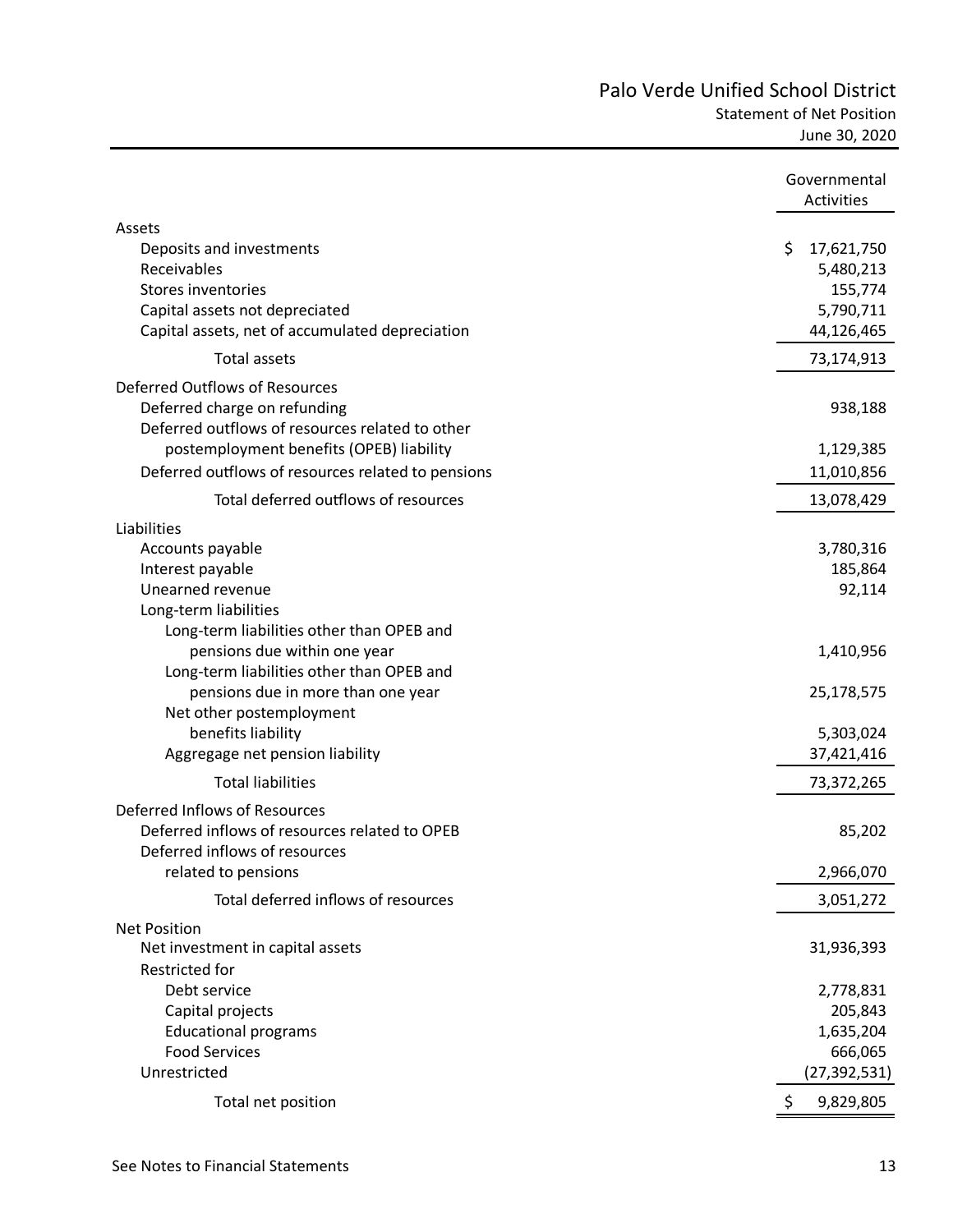## Palo Verde Unified School District Statement of Net Position June 30, 2020

|                                                                                                                                                               | Governmental<br>Activities                                          |
|---------------------------------------------------------------------------------------------------------------------------------------------------------------|---------------------------------------------------------------------|
| Assets                                                                                                                                                        |                                                                     |
| Deposits and investments<br>Receivables<br><b>Stores inventories</b><br>Capital assets not depreciated<br>Capital assets, net of accumulated depreciation     | \$<br>17,621,750<br>5,480,213<br>155,774<br>5,790,711<br>44,126,465 |
| <b>Total assets</b>                                                                                                                                           | 73,174,913                                                          |
| Deferred Outflows of Resources<br>Deferred charge on refunding<br>Deferred outflows of resources related to other<br>postemployment benefits (OPEB) liability | 938,188<br>1,129,385                                                |
| Deferred outflows of resources related to pensions                                                                                                            | 11,010,856                                                          |
| Total deferred outflows of resources                                                                                                                          | 13,078,429                                                          |
| Liabilities                                                                                                                                                   |                                                                     |
| Accounts payable<br>Interest payable<br>Unearned revenue<br>Long-term liabilities                                                                             | 3,780,316<br>185,864<br>92,114                                      |
| Long-term liabilities other than OPEB and<br>pensions due within one year<br>Long-term liabilities other than OPEB and                                        | 1,410,956                                                           |
| pensions due in more than one year<br>Net other postemployment<br>benefits liability                                                                          | 25,178,575<br>5,303,024                                             |
| Aggregage net pension liability                                                                                                                               | 37,421,416                                                          |
| <b>Total liabilities</b>                                                                                                                                      | 73,372,265                                                          |
| Deferred Inflows of Resources<br>Deferred inflows of resources related to OPEB<br>Deferred inflows of resources                                               | 85,202                                                              |
| related to pensions                                                                                                                                           | 2,966,070                                                           |
| Total deferred inflows of resources                                                                                                                           | 3,051,272                                                           |
| <b>Net Position</b><br>Net investment in capital assets<br>Restricted for                                                                                     | 31,936,393                                                          |
| Debt service<br>Capital projects<br><b>Educational programs</b><br><b>Food Services</b><br>Unrestricted                                                       | 2,778,831<br>205,843<br>1,635,204<br>666,065<br>(27, 392, 531)      |
|                                                                                                                                                               |                                                                     |
| Total net position                                                                                                                                            | 9,829,805<br>\$                                                     |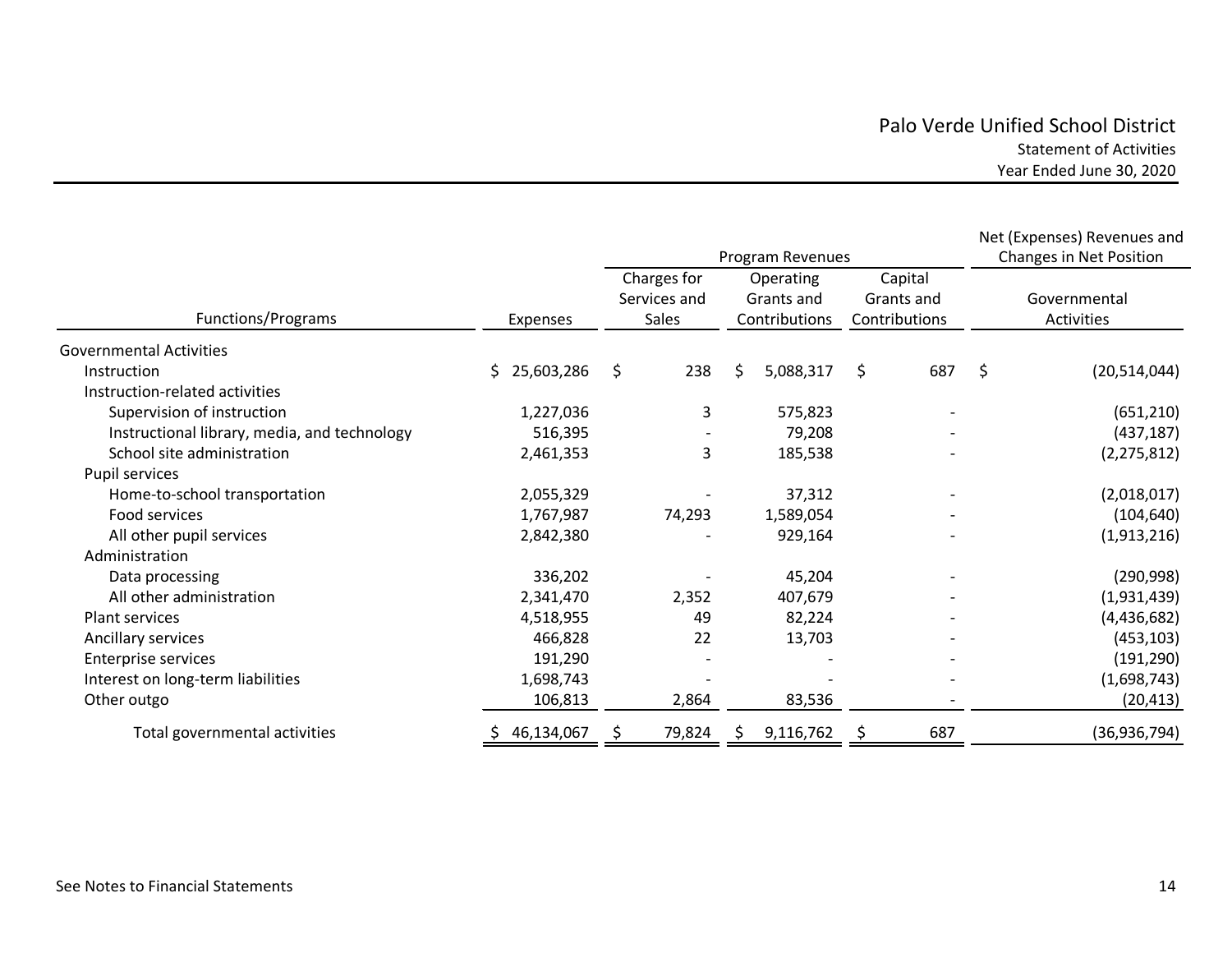## Palo Verde Unified School District Statement of Activities Year Ended June 30, 2020

|                                              |                  |              | Program Revenues | Net (Expenses) Revenues and<br>Changes in Net Position |                      |
|----------------------------------------------|------------------|--------------|------------------|--------------------------------------------------------|----------------------|
|                                              |                  | Charges for  | Operating        | Capital                                                |                      |
|                                              |                  | Services and | Grants and       | Grants and                                             | Governmental         |
| Functions/Programs                           | Expenses         | Sales        | Contributions    | Contributions                                          | Activities           |
| <b>Governmental Activities</b>               |                  |              |                  |                                                        |                      |
| Instruction                                  | 25,603,286<br>S. | 238<br>\$.   | Ŝ.<br>5,088,317  | 687<br>\$                                              | \$<br>(20, 514, 044) |
| Instruction-related activities               |                  |              |                  |                                                        |                      |
| Supervision of instruction                   | 1,227,036        | 3            | 575,823          |                                                        | (651, 210)           |
| Instructional library, media, and technology | 516,395          |              | 79,208           |                                                        | (437, 187)           |
| School site administration                   | 2,461,353        | 3            | 185,538          |                                                        | (2, 275, 812)        |
| Pupil services                               |                  |              |                  |                                                        |                      |
| Home-to-school transportation                | 2,055,329        |              | 37,312           |                                                        | (2,018,017)          |
| Food services                                | 1,767,987        | 74,293       | 1,589,054        |                                                        | (104, 640)           |
| All other pupil services                     | 2,842,380        |              | 929,164          |                                                        | (1,913,216)          |
| Administration                               |                  |              |                  |                                                        |                      |
| Data processing                              | 336,202          |              | 45,204           |                                                        | (290, 998)           |
| All other administration                     | 2,341,470        | 2,352        | 407,679          |                                                        | (1,931,439)          |
| Plant services                               | 4,518,955        | 49           | 82,224           |                                                        | (4,436,682)          |
| Ancillary services                           | 466,828          | 22           | 13,703           |                                                        | (453, 103)           |
| <b>Enterprise services</b>                   | 191,290          |              |                  |                                                        | (191, 290)           |
| Interest on long-term liabilities            | 1,698,743        |              |                  |                                                        | (1,698,743)          |
| Other outgo                                  | 106,813          | 2,864        | 83,536           |                                                        | (20, 413)            |
| Total governmental activities                | 46,134,067       | 79,824       | 9,116,762        | 687                                                    | (36, 936, 794)       |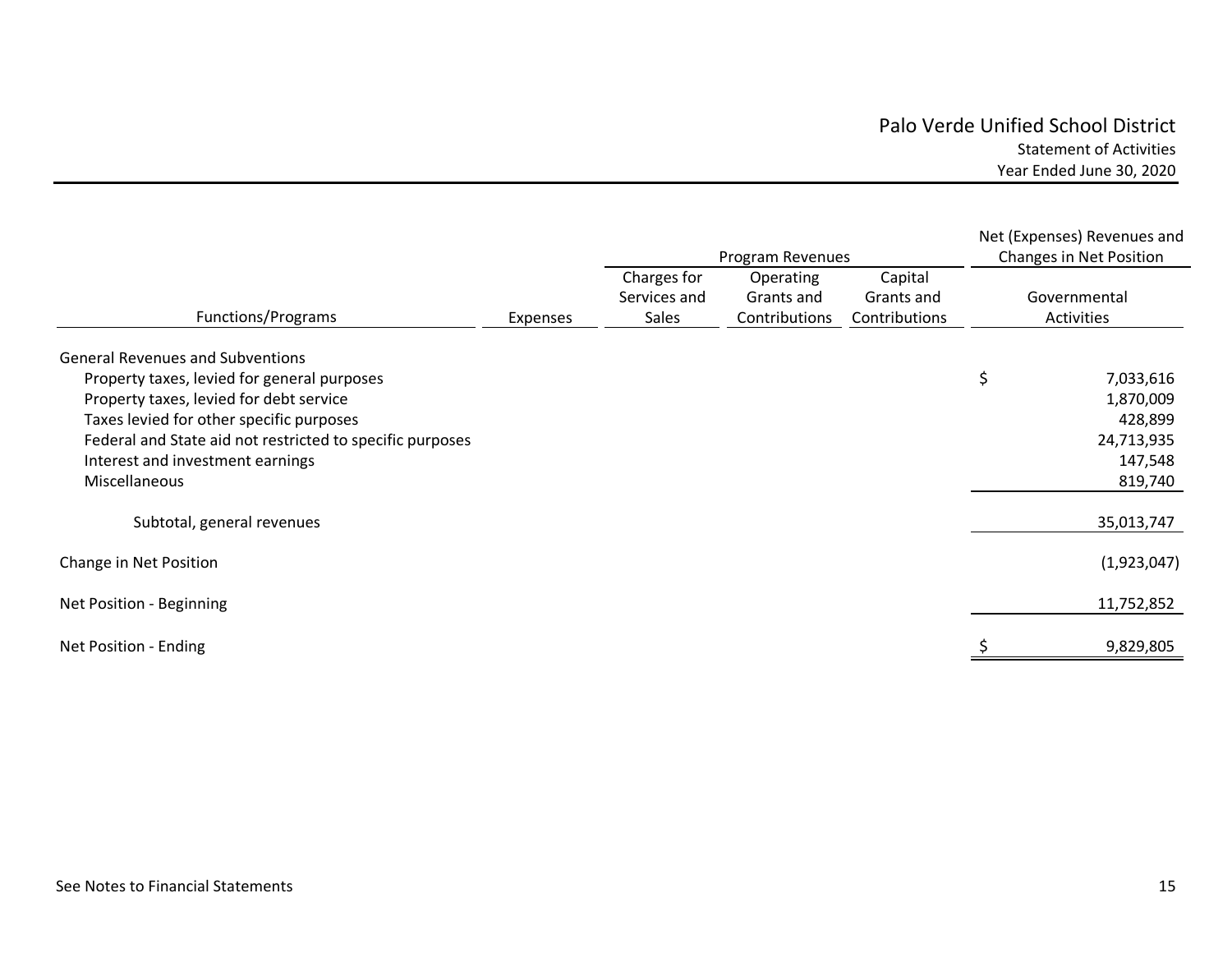## Palo Verde Unified School District Statement of Activities Year Ended June 30, 2020

|                                                                                                                                                                                                                                                                                                 |          |                                             | Program Revenues                         | Net (Expenses) Revenues and<br><b>Changes in Net Position</b> |    |                                                                       |
|-------------------------------------------------------------------------------------------------------------------------------------------------------------------------------------------------------------------------------------------------------------------------------------------------|----------|---------------------------------------------|------------------------------------------|---------------------------------------------------------------|----|-----------------------------------------------------------------------|
| Functions/Programs                                                                                                                                                                                                                                                                              | Expenses | Charges for<br>Services and<br><b>Sales</b> | Operating<br>Grants and<br>Contributions | Capital<br>Grants and<br>Contributions                        |    | Governmental<br>Activities                                            |
| <b>General Revenues and Subventions</b><br>Property taxes, levied for general purposes<br>Property taxes, levied for debt service<br>Taxes levied for other specific purposes<br>Federal and State aid not restricted to specific purposes<br>Interest and investment earnings<br>Miscellaneous |          |                                             |                                          |                                                               | \$ | 7,033,616<br>1,870,009<br>428,899<br>24,713,935<br>147,548<br>819,740 |
| Subtotal, general revenues                                                                                                                                                                                                                                                                      |          |                                             |                                          |                                                               |    | 35,013,747                                                            |
| Change in Net Position                                                                                                                                                                                                                                                                          |          |                                             |                                          |                                                               |    | (1,923,047)                                                           |
| Net Position - Beginning                                                                                                                                                                                                                                                                        |          |                                             |                                          |                                                               |    | 11,752,852                                                            |
| Net Position - Ending                                                                                                                                                                                                                                                                           |          |                                             |                                          |                                                               |    | 9,829,805                                                             |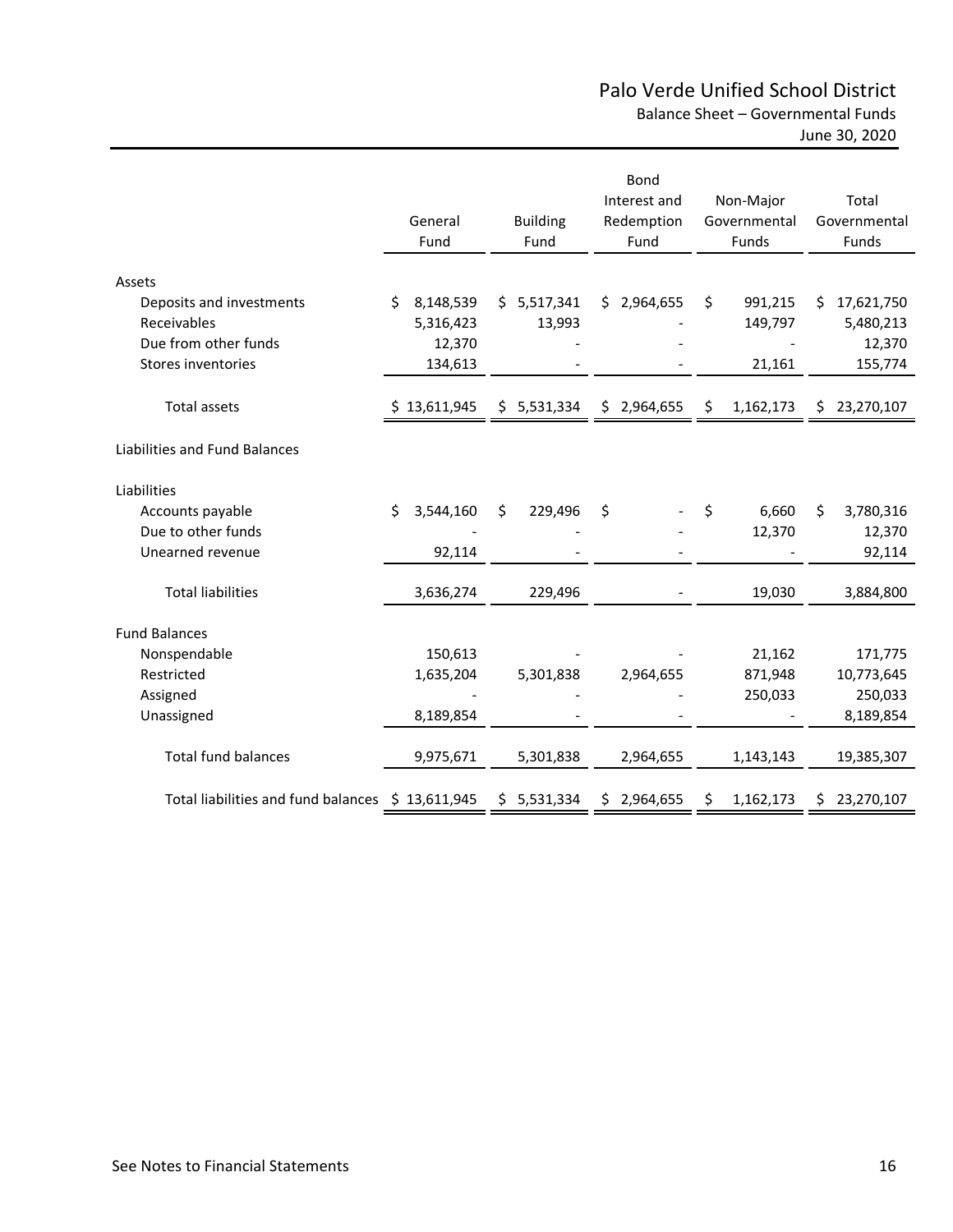## Balance Sheet – Governmental Funds

June 30, 2020

|                                                  | General<br>Fund | <b>Building</b><br>Fund | Bond<br>Interest and<br>Redemption<br>Fund | Non-Major<br>Governmental<br><b>Funds</b> | Total<br>Governmental<br>Funds |
|--------------------------------------------------|-----------------|-------------------------|--------------------------------------------|-------------------------------------------|--------------------------------|
| Assets                                           |                 |                         |                                            |                                           |                                |
| Deposits and investments                         | 8,148,539<br>Ś. | \$5,517,341             | \$2,964,655                                | \$<br>991,215                             | \$.<br>17,621,750              |
| Receivables                                      | 5,316,423       | 13,993                  |                                            | 149,797                                   | 5,480,213                      |
| Due from other funds                             | 12,370          |                         |                                            |                                           | 12,370                         |
| Stores inventories                               | 134,613         |                         |                                            | 21,161                                    | 155,774                        |
|                                                  |                 |                         |                                            |                                           |                                |
| <b>Total assets</b>                              | 13,611,945      | \$5,531,334             | \$2,964,655                                | 1,162,173<br>\$                           | 23,270,107<br>\$.              |
| Liabilities and Fund Balances                    |                 |                         |                                            |                                           |                                |
| Liabilities                                      |                 |                         |                                            |                                           |                                |
| Accounts payable                                 | \$<br>3,544,160 | \$<br>229,496           | \$                                         | \$<br>6,660                               | \$<br>3,780,316                |
| Due to other funds                               |                 |                         |                                            | 12,370                                    | 12,370                         |
| Unearned revenue                                 | 92,114          |                         |                                            |                                           | 92,114                         |
| <b>Total liabilities</b>                         | 3,636,274       | 229,496                 |                                            | 19,030                                    | 3,884,800                      |
| <b>Fund Balances</b>                             |                 |                         |                                            |                                           |                                |
| Nonspendable                                     | 150,613         |                         |                                            | 21,162                                    | 171,775                        |
| Restricted                                       | 1,635,204       | 5,301,838               | 2,964,655                                  | 871,948                                   | 10,773,645                     |
| Assigned                                         |                 |                         |                                            | 250,033                                   | 250,033                        |
| Unassigned                                       | 8,189,854       |                         |                                            |                                           | 8,189,854                      |
| <b>Total fund balances</b>                       | 9,975,671       | 5,301,838               | 2,964,655                                  | 1,143,143                                 | 19,385,307                     |
| Total liabilities and fund balances \$13,611,945 |                 | \$5,531,334             | \$2,964,655                                | 1,162,173<br>S                            | 23,270,107<br>\$               |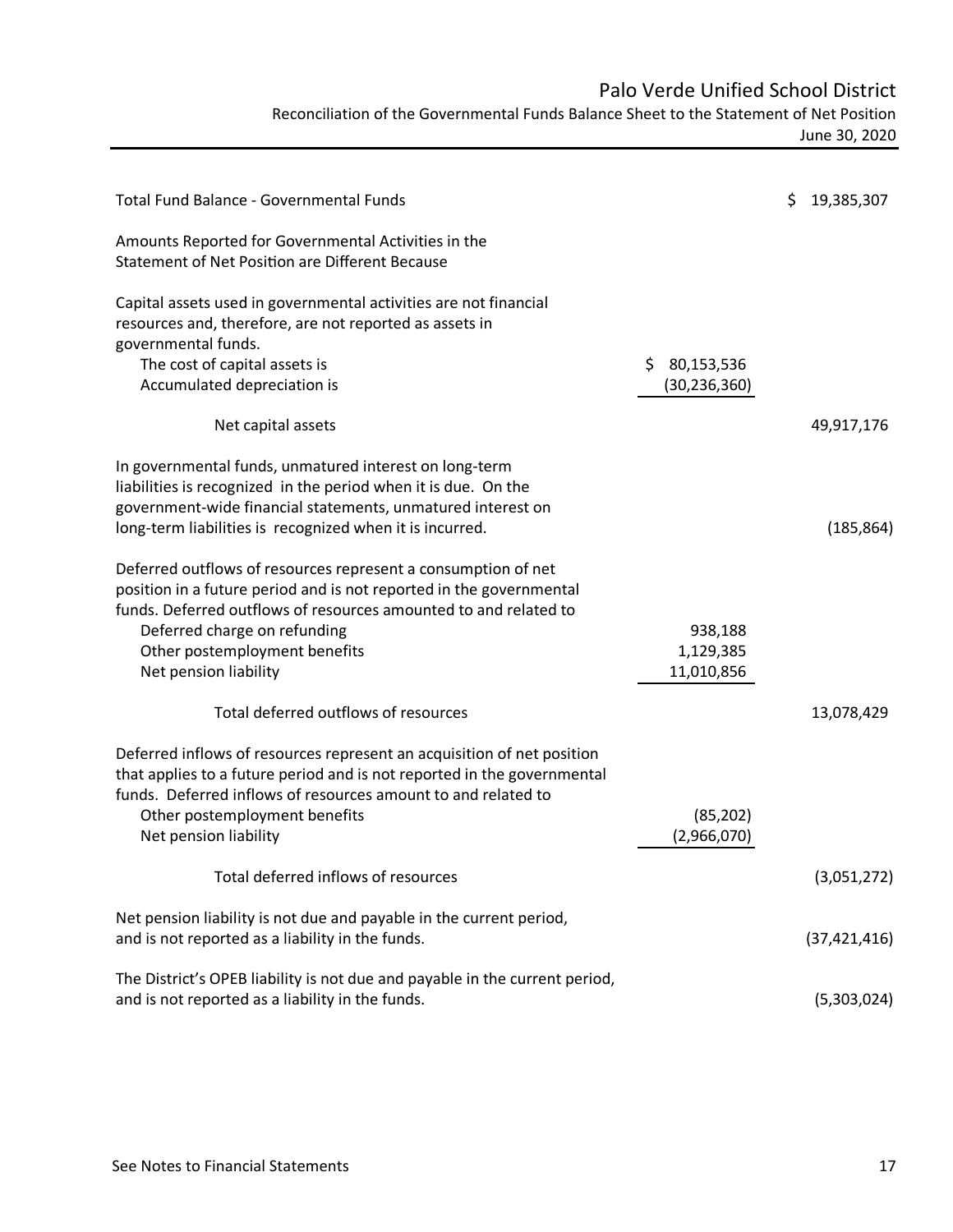Reconciliation of the Governmental Funds Balance Sheet to the Statement of Net Position

June 30, 2020

| <b>Total Fund Balance - Governmental Funds</b>                                                                                                                                                                                                                                                     |                                    | S. | 19,385,307     |
|----------------------------------------------------------------------------------------------------------------------------------------------------------------------------------------------------------------------------------------------------------------------------------------------------|------------------------------------|----|----------------|
| Amounts Reported for Governmental Activities in the<br>Statement of Net Position are Different Because                                                                                                                                                                                             |                                    |    |                |
| Capital assets used in governmental activities are not financial<br>resources and, therefore, are not reported as assets in                                                                                                                                                                        |                                    |    |                |
| governmental funds.<br>The cost of capital assets is<br>Accumulated depreciation is                                                                                                                                                                                                                | \$80,153,536<br>(30, 236, 360)     |    |                |
| Net capital assets                                                                                                                                                                                                                                                                                 |                                    |    | 49,917,176     |
| In governmental funds, unmatured interest on long-term<br>liabilities is recognized in the period when it is due. On the<br>government-wide financial statements, unmatured interest on<br>long-term liabilities is recognized when it is incurred.                                                |                                    |    | (185, 864)     |
| Deferred outflows of resources represent a consumption of net<br>position in a future period and is not reported in the governmental<br>funds. Deferred outflows of resources amounted to and related to<br>Deferred charge on refunding<br>Other postemployment benefits<br>Net pension liability | 938,188<br>1,129,385<br>11,010,856 |    |                |
| Total deferred outflows of resources                                                                                                                                                                                                                                                               |                                    |    | 13,078,429     |
| Deferred inflows of resources represent an acquisition of net position<br>that applies to a future period and is not reported in the governmental<br>funds. Deferred inflows of resources amount to and related to<br>Other postemployment benefits<br>Net pension liability                       | (85, 202)<br>(2,966,070)           |    |                |
| Total deferred inflows of resources                                                                                                                                                                                                                                                                |                                    |    | (3,051,272)    |
| Net pension liability is not due and payable in the current period,<br>and is not reported as a liability in the funds.                                                                                                                                                                            |                                    |    | (37, 421, 416) |
| The District's OPEB liability is not due and payable in the current period,<br>and is not reported as a liability in the funds.                                                                                                                                                                    |                                    |    | (5,303,024)    |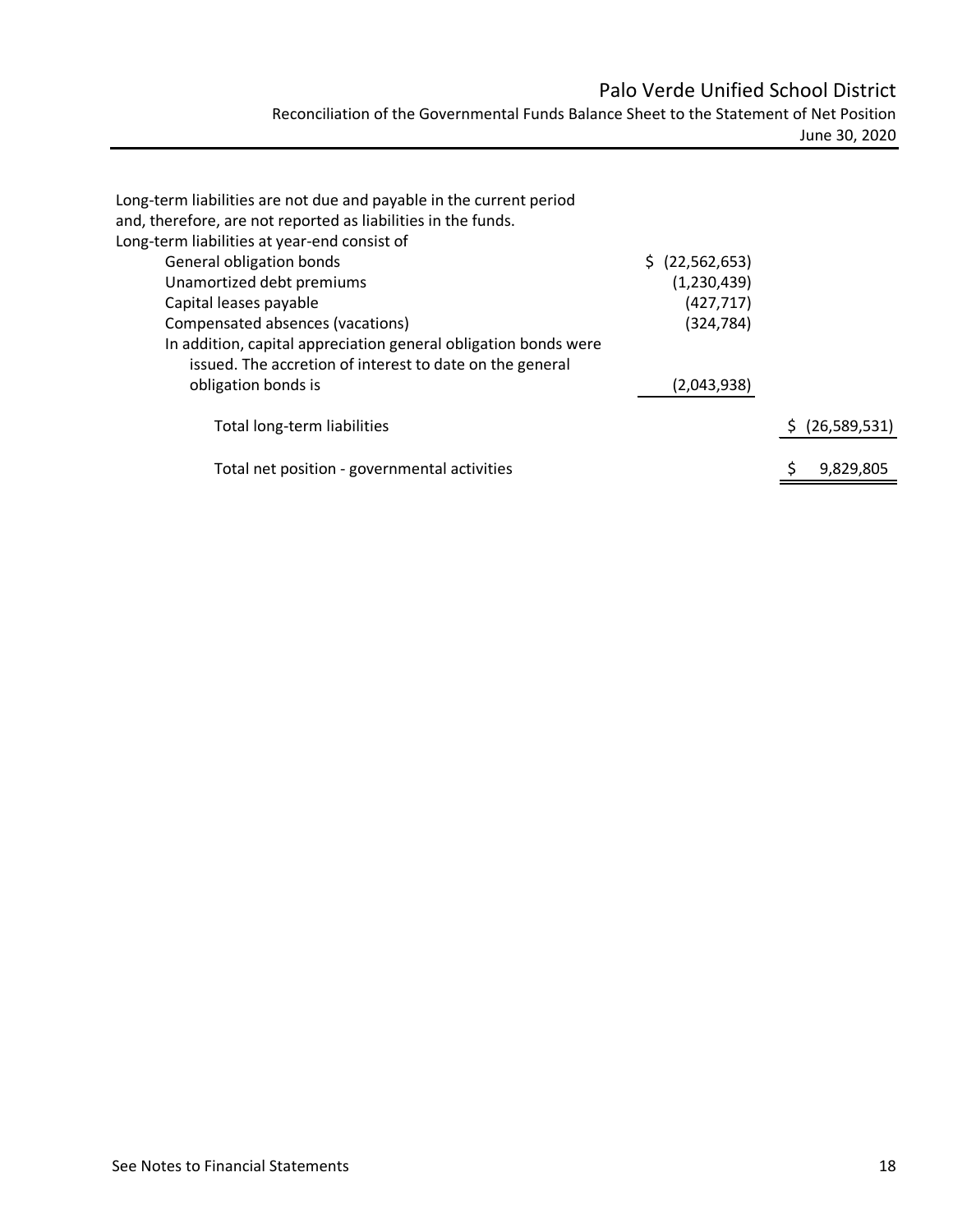Reconciliation of the Governmental Funds Balance Sheet to the Statement of Net Position June 30, 2020

| Long-term liabilities are not due and payable in the current period<br>and, therefore, are not reported as liabilities in the funds. |                   |                |
|--------------------------------------------------------------------------------------------------------------------------------------|-------------------|----------------|
| Long-term liabilities at year-end consist of                                                                                         |                   |                |
| General obligation bonds                                                                                                             | \$ (22, 562, 653) |                |
| Unamortized debt premiums                                                                                                            | (1,230,439)       |                |
| Capital leases payable                                                                                                               | (427, 717)        |                |
| Compensated absences (vacations)                                                                                                     | (324, 784)        |                |
| In addition, capital appreciation general obligation bonds were<br>issued. The accretion of interest to date on the general          |                   |                |
| obligation bonds is                                                                                                                  | (2,043,938)       |                |
| Total long-term liabilities                                                                                                          |                   | \$(26,589,531) |
| Total net position - governmental activities                                                                                         |                   | 9.829.805      |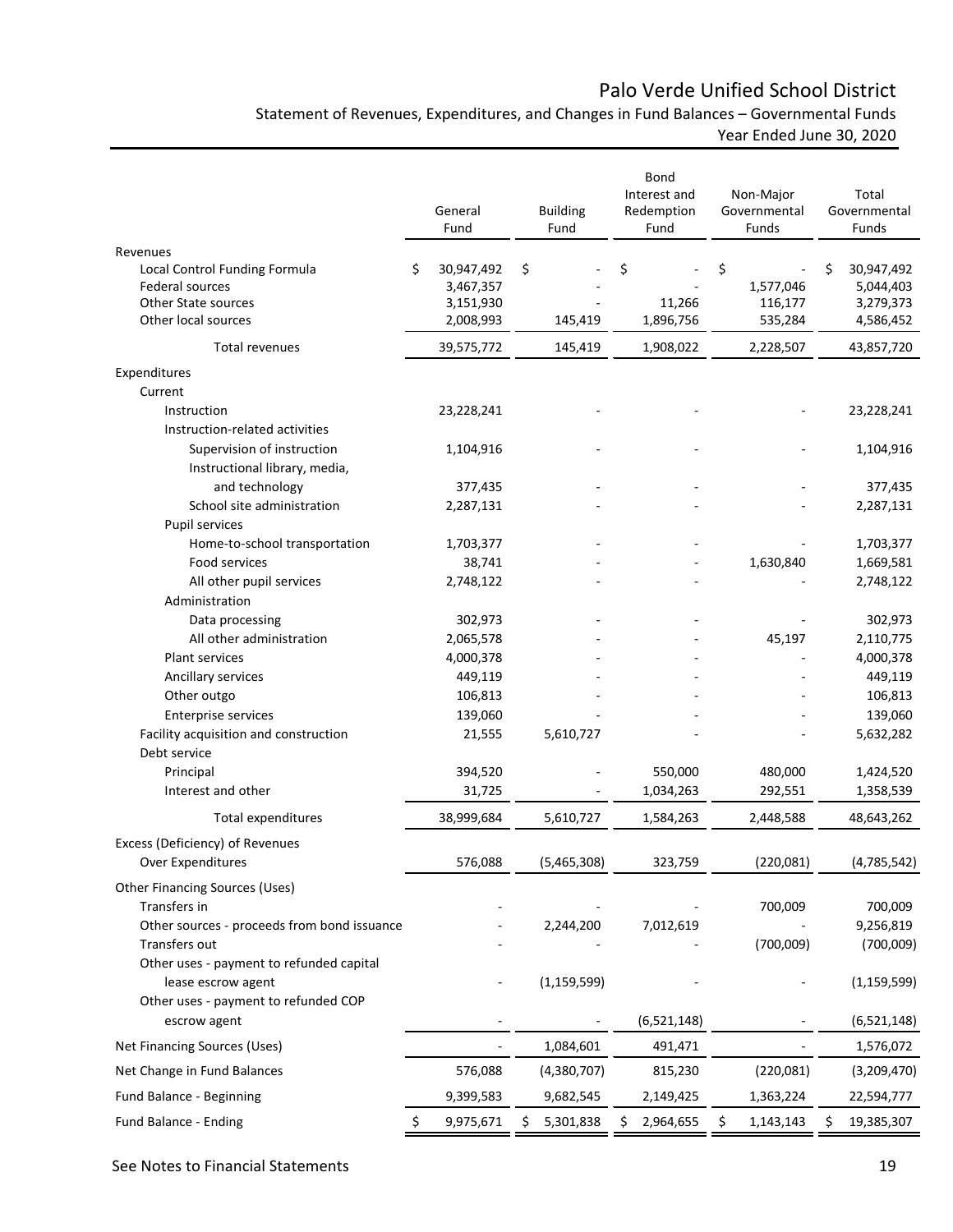Statement of Revenues, Expenditures, and Changes in Fund Balances – Governmental Funds

Year Ended June 30, 2020

|                                                                                                                   | General<br>Fund                                        | <b>Building</b><br>Fund | Bond<br>Interest and<br>Redemption<br>Fund | Non-Major<br>Governmental<br><b>Funds</b> | Total<br>Governmental<br>Funds                          |
|-------------------------------------------------------------------------------------------------------------------|--------------------------------------------------------|-------------------------|--------------------------------------------|-------------------------------------------|---------------------------------------------------------|
| Revenues<br>Local Control Funding Formula<br>Federal sources<br><b>Other State sources</b><br>Other local sources | Ś<br>30,947,492<br>3,467,357<br>3,151,930<br>2,008,993 | \$<br>145,419           | \$<br>11,266<br>1,896,756                  | \$<br>1,577,046<br>116,177<br>535,284     | \$<br>30,947,492<br>5,044,403<br>3,279,373<br>4,586,452 |
| Total revenues                                                                                                    | 39,575,772                                             | 145,419                 | 1,908,022                                  | 2,228,507                                 | 43,857,720                                              |
| Expenditures                                                                                                      |                                                        |                         |                                            |                                           |                                                         |
| Current                                                                                                           |                                                        |                         |                                            |                                           |                                                         |
| Instruction                                                                                                       | 23,228,241                                             |                         |                                            |                                           | 23,228,241                                              |
| Instruction-related activities                                                                                    |                                                        |                         |                                            |                                           |                                                         |
| Supervision of instruction                                                                                        | 1,104,916                                              |                         |                                            |                                           | 1,104,916                                               |
| Instructional library, media,                                                                                     |                                                        |                         |                                            |                                           |                                                         |
| and technology                                                                                                    | 377,435                                                |                         |                                            |                                           | 377,435                                                 |
| School site administration                                                                                        | 2,287,131                                              |                         |                                            |                                           | 2,287,131                                               |
| Pupil services                                                                                                    |                                                        |                         |                                            |                                           |                                                         |
| Home-to-school transportation                                                                                     | 1,703,377                                              |                         |                                            |                                           | 1,703,377                                               |
| Food services                                                                                                     | 38,741<br>2,748,122                                    |                         |                                            | 1,630,840                                 | 1,669,581                                               |
| All other pupil services<br>Administration                                                                        |                                                        |                         |                                            |                                           | 2,748,122                                               |
| Data processing                                                                                                   | 302,973                                                |                         |                                            |                                           | 302,973                                                 |
| All other administration                                                                                          | 2,065,578                                              |                         |                                            | 45,197                                    | 2,110,775                                               |
| Plant services                                                                                                    | 4,000,378                                              |                         |                                            |                                           | 4,000,378                                               |
| Ancillary services                                                                                                | 449,119                                                |                         |                                            |                                           | 449,119                                                 |
| Other outgo                                                                                                       | 106,813                                                |                         |                                            |                                           | 106,813                                                 |
| Enterprise services                                                                                               | 139,060                                                |                         |                                            |                                           | 139,060                                                 |
| Facility acquisition and construction                                                                             | 21,555                                                 | 5,610,727               |                                            |                                           | 5,632,282                                               |
| Debt service                                                                                                      |                                                        |                         |                                            |                                           |                                                         |
| Principal                                                                                                         | 394,520                                                |                         | 550,000                                    | 480,000                                   | 1,424,520                                               |
| Interest and other                                                                                                | 31,725                                                 |                         | 1,034,263                                  | 292,551                                   | 1,358,539                                               |
| Total expenditures                                                                                                | 38,999,684                                             | 5,610,727               | 1,584,263                                  | 2,448,588                                 | 48,643,262                                              |
| Excess (Deficiency) of Revenues                                                                                   |                                                        |                         |                                            |                                           |                                                         |
| Over Expenditures                                                                                                 |                                                        |                         |                                            | (220,081)                                 | (4,785,542)                                             |
|                                                                                                                   | 576,088                                                | (5,465,308)             | 323,759                                    |                                           |                                                         |
| Other Financing Sources (Uses)                                                                                    |                                                        |                         |                                            |                                           |                                                         |
| Transfers in                                                                                                      |                                                        |                         |                                            | 700,009                                   | 700,009                                                 |
| Other sources - proceeds from bond issuance                                                                       |                                                        | 2,244,200               | 7,012,619                                  |                                           | 9,256,819                                               |
| Transfers out                                                                                                     |                                                        |                         |                                            | (700,009)                                 | (700,009)                                               |
| Other uses - payment to refunded capital                                                                          |                                                        |                         |                                            |                                           |                                                         |
| lease escrow agent<br>Other uses - payment to refunded COP                                                        |                                                        | (1, 159, 599)           |                                            |                                           | (1, 159, 599)                                           |
| escrow agent                                                                                                      |                                                        |                         | (6,521,148)                                |                                           | (6,521,148)                                             |
| Net Financing Sources (Uses)                                                                                      |                                                        | 1,084,601               | 491,471                                    |                                           | 1,576,072                                               |
| Net Change in Fund Balances                                                                                       | 576,088                                                | (4,380,707)             | 815,230                                    | (220,081)                                 | (3,209,470)                                             |
| Fund Balance - Beginning                                                                                          | 9,399,583                                              | 9,682,545               | 2,149,425                                  | 1,363,224                                 | 22,594,777                                              |
| Fund Balance - Ending                                                                                             | 9,975,671<br>\$.                                       | \$5,301,838             | 2,964,655<br>\$                            | \$<br>1,143,143                           | 19,385,307<br>Ş.                                        |

See Notes to Financial Statements 19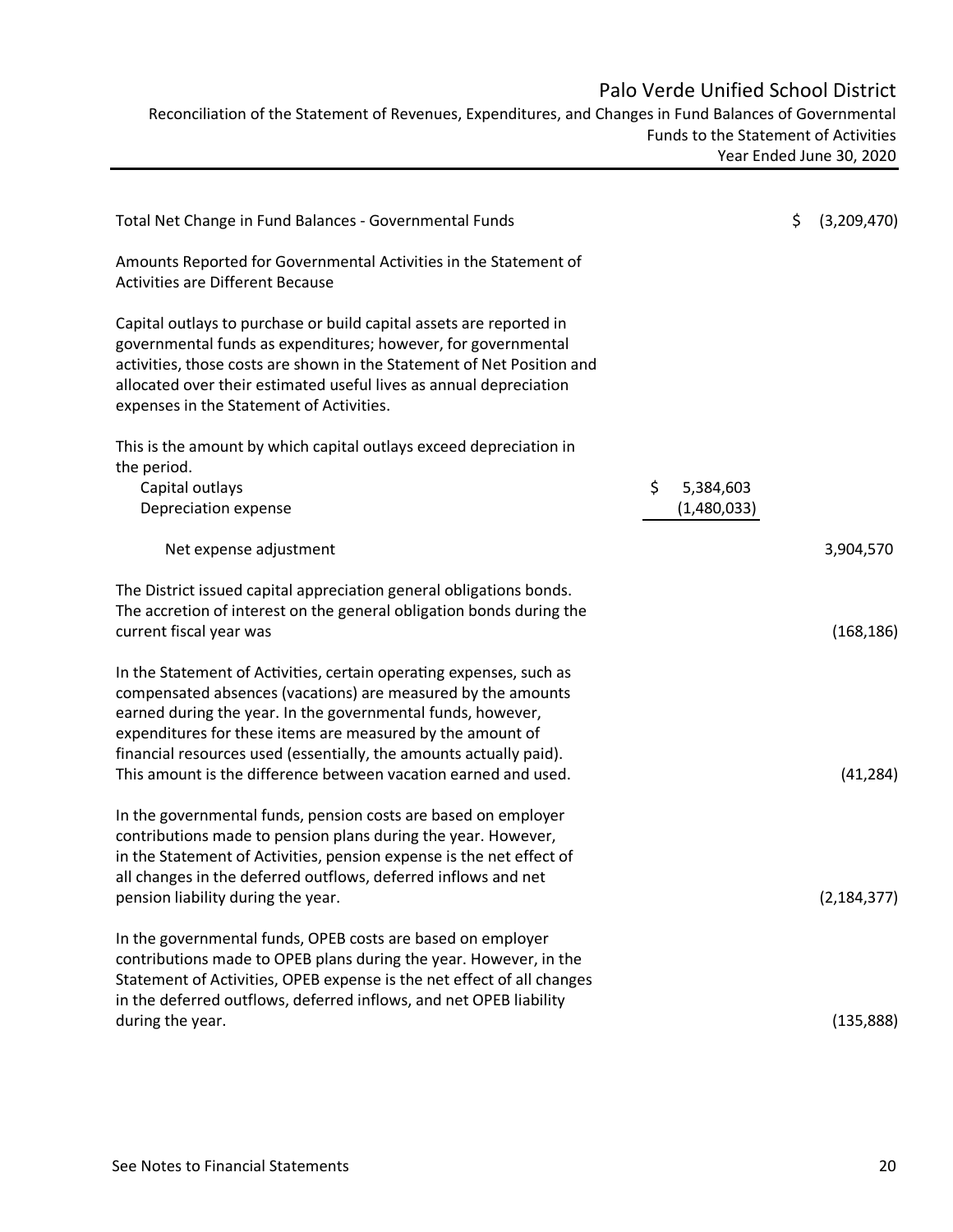Reconciliation of the Statement of Revenues, Expenditures, and Changes in Fund Balances of Governmental Funds to the Statement of Activities Year Ended June 30, 2020

| Total Net Change in Fund Balances - Governmental Funds                                                                                                                                                                                                                                                                                                                                                    |                                | \$ | (3,209,470)   |
|-----------------------------------------------------------------------------------------------------------------------------------------------------------------------------------------------------------------------------------------------------------------------------------------------------------------------------------------------------------------------------------------------------------|--------------------------------|----|---------------|
| Amounts Reported for Governmental Activities in the Statement of<br><b>Activities are Different Because</b>                                                                                                                                                                                                                                                                                               |                                |    |               |
| Capital outlays to purchase or build capital assets are reported in<br>governmental funds as expenditures; however, for governmental<br>activities, those costs are shown in the Statement of Net Position and<br>allocated over their estimated useful lives as annual depreciation<br>expenses in the Statement of Activities.                                                                          |                                |    |               |
| This is the amount by which capital outlays exceed depreciation in<br>the period.<br>Capital outlays<br>Depreciation expense                                                                                                                                                                                                                                                                              | \$<br>5,384,603<br>(1,480,033) |    |               |
| Net expense adjustment                                                                                                                                                                                                                                                                                                                                                                                    |                                |    | 3,904,570     |
| The District issued capital appreciation general obligations bonds.<br>The accretion of interest on the general obligation bonds during the<br>current fiscal year was                                                                                                                                                                                                                                    |                                |    | (168, 186)    |
| In the Statement of Activities, certain operating expenses, such as<br>compensated absences (vacations) are measured by the amounts<br>earned during the year. In the governmental funds, however,<br>expenditures for these items are measured by the amount of<br>financial resources used (essentially, the amounts actually paid).<br>This amount is the difference between vacation earned and used. |                                |    | (41, 284)     |
| In the governmental funds, pension costs are based on employer<br>contributions made to pension plans during the year. However,<br>in the Statement of Activities, pension expense is the net effect of<br>all changes in the deferred outflows, deferred inflows and net<br>pension liability during the year.                                                                                           |                                |    | (2, 184, 377) |
| In the governmental funds, OPEB costs are based on employer<br>contributions made to OPEB plans during the year. However, in the<br>Statement of Activities, OPEB expense is the net effect of all changes<br>in the deferred outflows, deferred inflows, and net OPEB liability                                                                                                                          |                                |    |               |
| during the year.                                                                                                                                                                                                                                                                                                                                                                                          |                                |    | (135,888)     |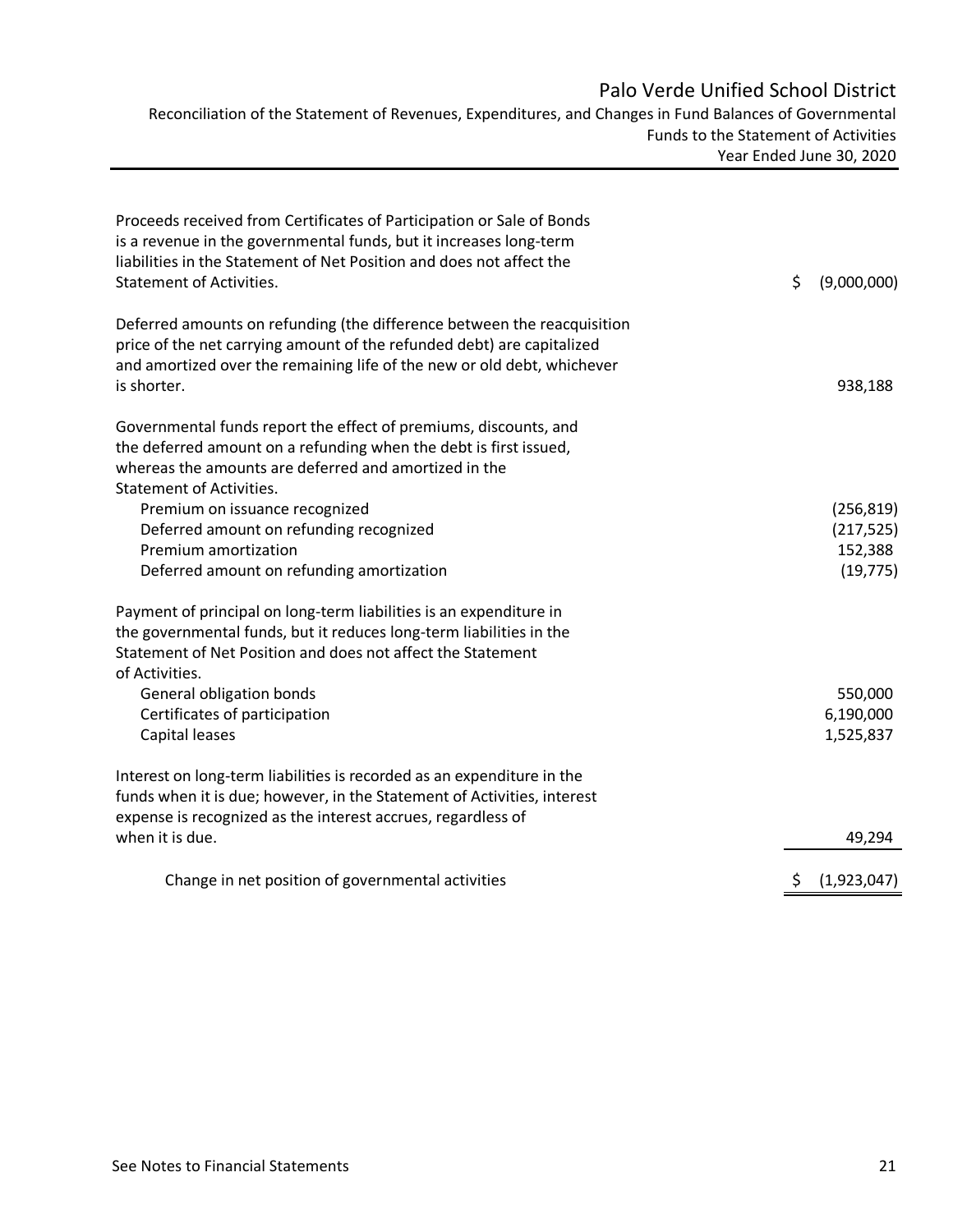| Reconciliation of the Statement of Revenues, Expenditures, and Changes in Fund Balances of Governmental |
|---------------------------------------------------------------------------------------------------------|
| <b>Funds to the Statement of Activities</b>                                                             |
| Year Ended June 30, 2020                                                                                |

| Proceeds received from Certificates of Participation or Sale of Bonds<br>is a revenue in the governmental funds, but it increases long-term<br>liabilities in the Statement of Net Position and does not affect the<br><b>Statement of Activities.</b> | \$<br>(9,000,000)                                |
|--------------------------------------------------------------------------------------------------------------------------------------------------------------------------------------------------------------------------------------------------------|--------------------------------------------------|
| Deferred amounts on refunding (the difference between the reacquisition<br>price of the net carrying amount of the refunded debt) are capitalized<br>and amortized over the remaining life of the new or old debt, whichever<br>is shorter.            | 938,188                                          |
| Governmental funds report the effect of premiums, discounts, and<br>the deferred amount on a refunding when the debt is first issued,<br>whereas the amounts are deferred and amortized in the<br><b>Statement of Activities.</b>                      |                                                  |
| Premium on issuance recognized<br>Deferred amount on refunding recognized<br>Premium amortization<br>Deferred amount on refunding amortization                                                                                                         | (256, 819)<br>(217, 525)<br>152,388<br>(19, 775) |
| Payment of principal on long-term liabilities is an expenditure in<br>the governmental funds, but it reduces long-term liabilities in the<br>Statement of Net Position and does not affect the Statement                                               |                                                  |
| of Activities.<br>General obligation bonds<br>Certificates of participation<br>Capital leases                                                                                                                                                          | 550,000<br>6,190,000<br>1,525,837                |
| Interest on long-term liabilities is recorded as an expenditure in the<br>funds when it is due; however, in the Statement of Activities, interest<br>expense is recognized as the interest accrues, regardless of<br>when it is due.                   | 49,294                                           |
| Change in net position of governmental activities                                                                                                                                                                                                      | (1,923,047)                                      |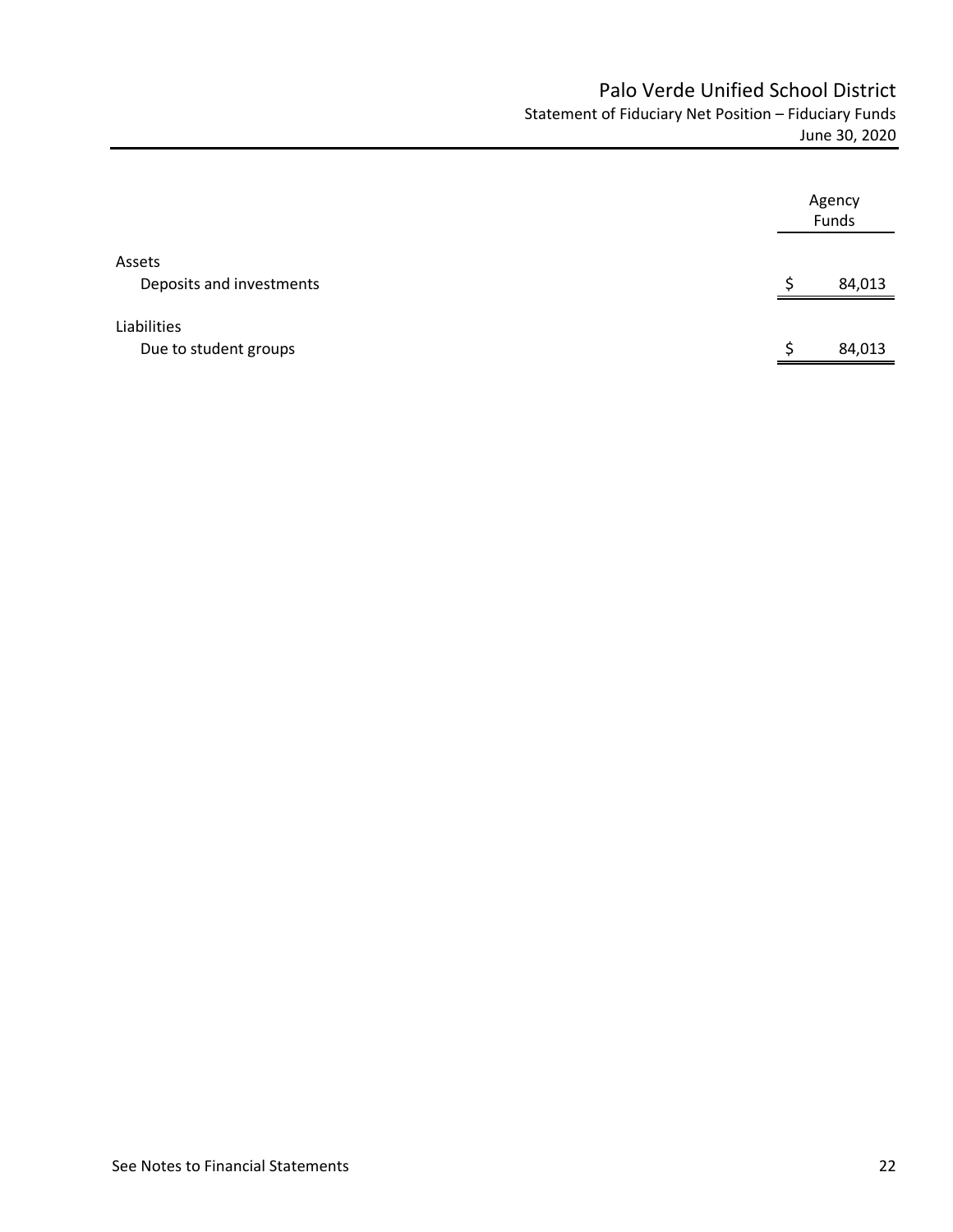## Palo Verde Unified School District Statement of Fiduciary Net Position – Fiduciary Funds June 30, 2020

|                                      | Agency<br>Funds |        |
|--------------------------------------|-----------------|--------|
| Assets<br>Deposits and investments   | Ś               | 84,013 |
| Liabilities<br>Due to student groups | Ś               | 84,013 |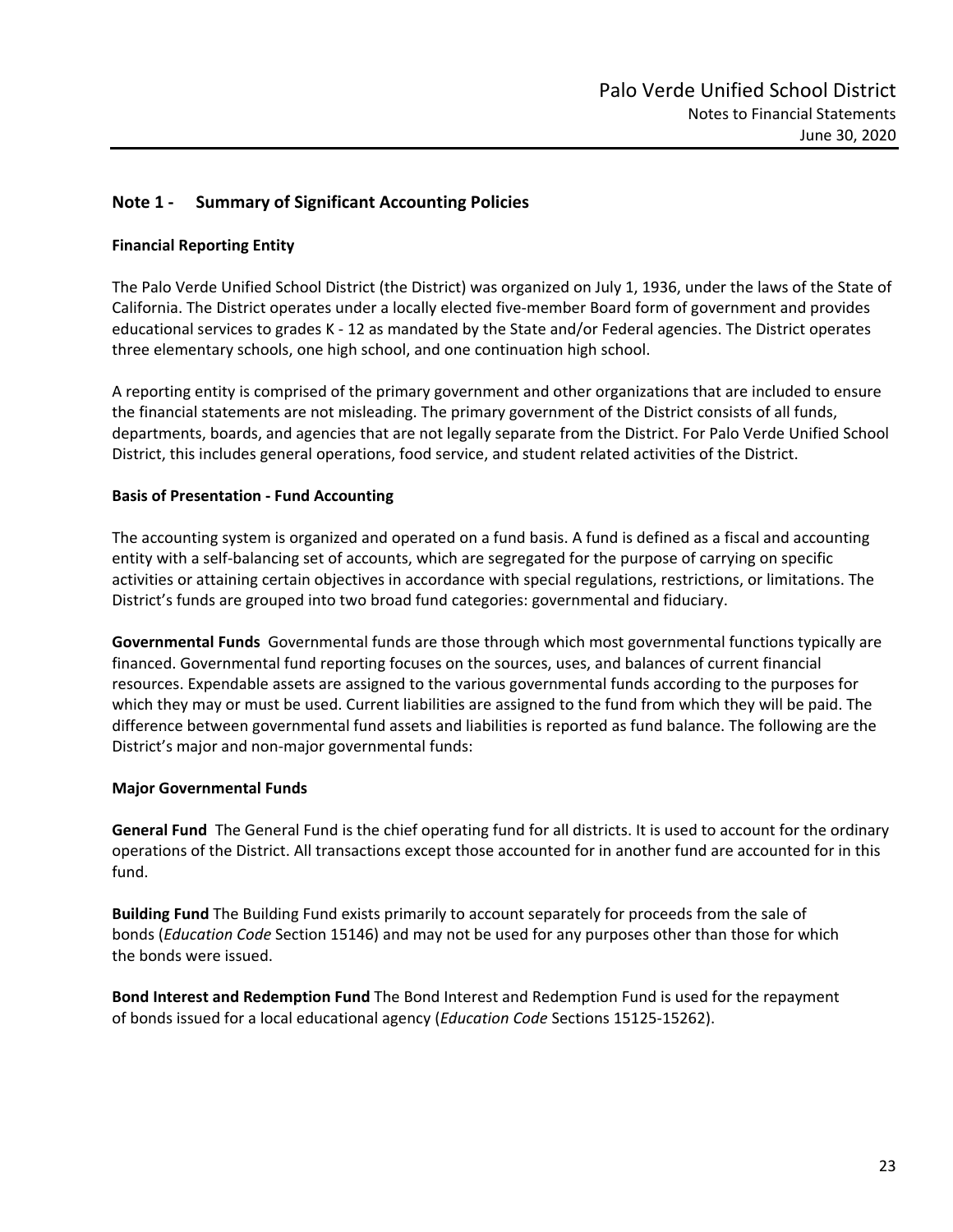## **Note 1 ‐ Summary of Significant Accounting Policies**

## **Financial Reporting Entity**

The Palo Verde Unified School District (the District) was organized on July 1, 1936, under the laws of the State of California. The District operates under a locally elected five‐member Board form of government and provides educational services to grades K ‐ 12 as mandated by the State and/or Federal agencies. The District operates three elementary schools, one high school, and one continuation high school.

A reporting entity is comprised of the primary government and other organizations that are included to ensure the financial statements are not misleading. The primary government of the District consists of all funds, departments, boards, and agencies that are not legally separate from the District. For Palo Verde Unified School District, this includes general operations, food service, and student related activities of the District.

## **Basis of Presentation ‐ Fund Accounting**

The accounting system is organized and operated on a fund basis. A fund is defined as a fiscal and accounting entity with a self‐balancing set of accounts, which are segregated for the purpose of carrying on specific activities or attaining certain objectives in accordance with special regulations, restrictions, or limitations. The District's funds are grouped into two broad fund categories: governmental and fiduciary.

**Governmental Funds** Governmental funds are those through which most governmental functions typically are financed. Governmental fund reporting focuses on the sources, uses, and balances of current financial resources. Expendable assets are assigned to the various governmental funds according to the purposes for which they may or must be used. Current liabilities are assigned to the fund from which they will be paid. The difference between governmental fund assets and liabilities is reported as fund balance. The following are the District's major and non‐major governmental funds:

### **Major Governmental Funds**

**General Fund** The General Fund is the chief operating fund for all districts. It is used to account for the ordinary operations of the District. All transactions except those accounted for in another fund are accounted for in this fund.

**Building Fund** The Building Fund exists primarily to account separately for proceeds from the sale of bonds (*Education Code* Section 15146) and may not be used for any purposes other than those for which the bonds were issued.

**Bond Interest and Redemption Fund** The Bond Interest and Redemption Fund is used for the repayment of bonds issued for a local educational agency (*Education Code* Sections 15125‐15262).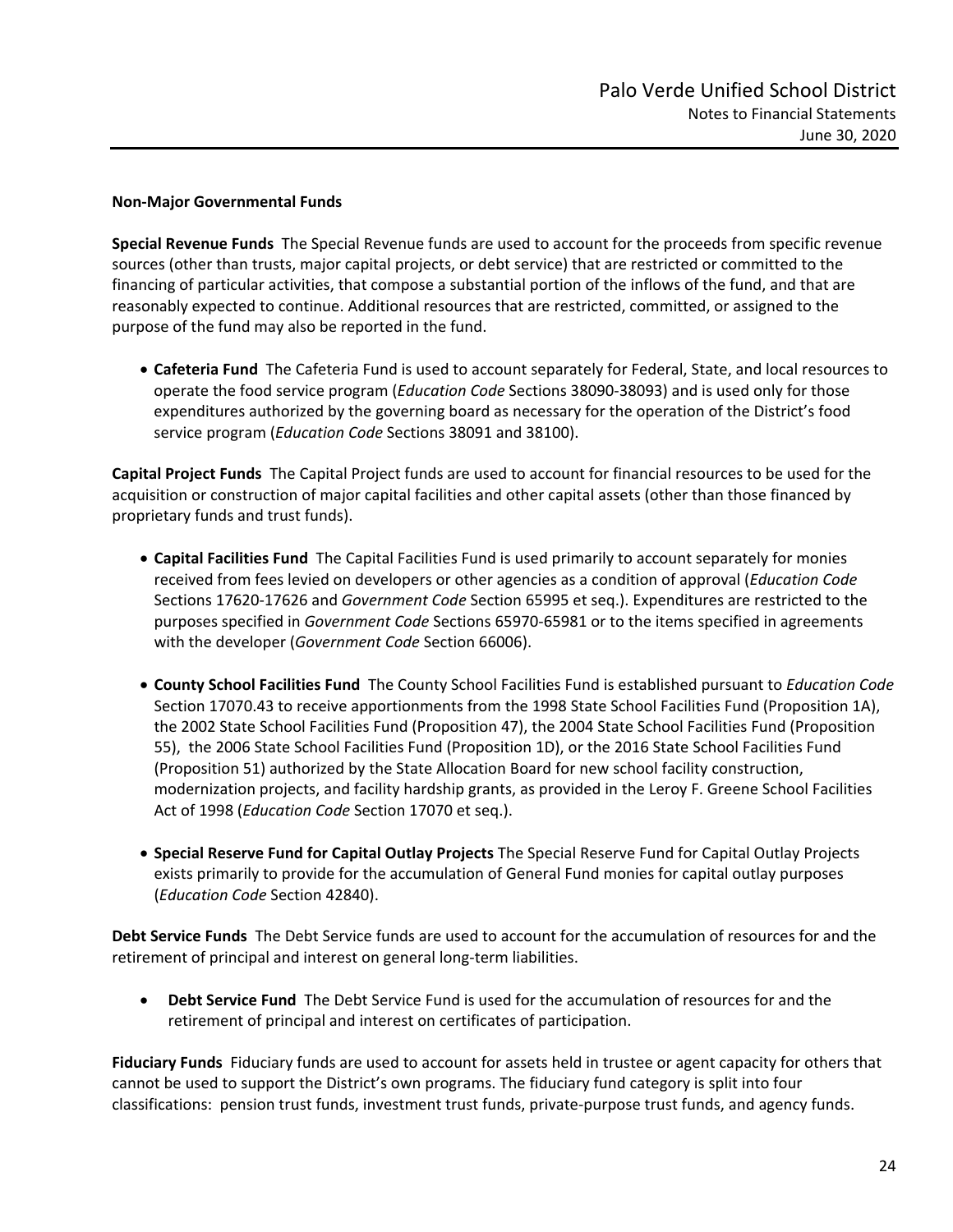## **Non‐Major Governmental Funds**

**Special Revenue Funds** The Special Revenue funds are used to account for the proceeds from specific revenue sources (other than trusts, major capital projects, or debt service) that are restricted or committed to the financing of particular activities, that compose a substantial portion of the inflows of the fund, and that are reasonably expected to continue. Additional resources that are restricted, committed, or assigned to the purpose of the fund may also be reported in the fund.

 **Cafeteria Fund** The Cafeteria Fund is used to account separately for Federal, State, and local resources to operate the food service program (*Education Code* Sections 38090‐38093) and is used only for those expenditures authorized by the governing board as necessary for the operation of the District's food service program (*Education Code* Sections 38091 and 38100).

**Capital Project Funds** The Capital Project funds are used to account for financial resources to be used for the acquisition or construction of major capital facilities and other capital assets (other than those financed by proprietary funds and trust funds).

- **Capital Facilities Fund** The Capital Facilities Fund is used primarily to account separately for monies received from fees levied on developers or other agencies as a condition of approval (*Education Code*  Sections 17620‐17626 and *Government Code* Section 65995 et seq.). Expenditures are restricted to the purposes specified in *Government Code* Sections 65970‐65981 or to the items specified in agreements with the developer (*Government Code* Section 66006).
- **County School Facilities Fund** The County School Facilities Fund is established pursuant to *Education Code*  Section 17070.43 to receive apportionments from the 1998 State School Facilities Fund (Proposition 1A), the 2002 State School Facilities Fund (Proposition 47), the 2004 State School Facilities Fund (Proposition 55), the 2006 State School Facilities Fund (Proposition 1D), or the 2016 State School Facilities Fund (Proposition 51) authorized by the State Allocation Board for new school facility construction, modernization projects, and facility hardship grants, as provided in the Leroy F. Greene School Facilities Act of 1998 (*Education Code* Section 17070 et seq.).
- **Special Reserve Fund for Capital Outlay Projects** The Special Reserve Fund for Capital Outlay Projects exists primarily to provide for the accumulation of General Fund monies for capital outlay purposes (*Education Code* Section 42840).

**Debt Service Funds** The Debt Service funds are used to account for the accumulation of resources for and the retirement of principal and interest on general long‐term liabilities.

**• Debt Service Fund** The Debt Service Fund is used for the accumulation of resources for and the retirement of principal and interest on certificates of participation.

**Fiduciary Funds** Fiduciary funds are used to account for assets held in trustee or agent capacity for others that cannot be used to support the District's own programs. The fiduciary fund category is split into four classifications: pension trust funds, investment trust funds, private‐purpose trust funds, and agency funds.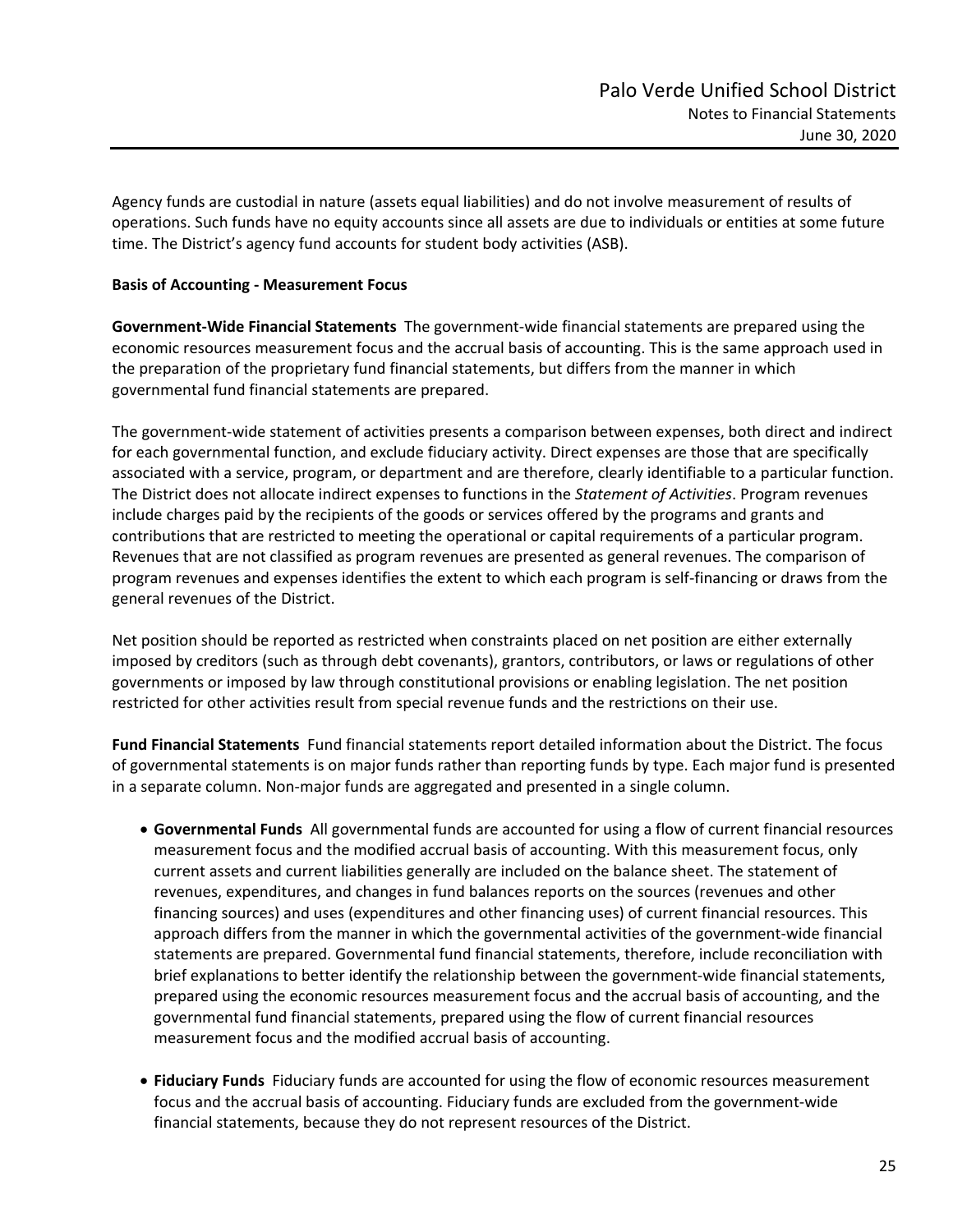Agency funds are custodial in nature (assets equal liabilities) and do not involve measurement of results of operations. Such funds have no equity accounts since all assets are due to individuals or entities at some future time. The District's agency fund accounts for student body activities (ASB).

## **Basis of Accounting ‐ Measurement Focus**

**Government‐Wide Financial Statements** The government‐wide financial statements are prepared using the economic resources measurement focus and the accrual basis of accounting. This is the same approach used in the preparation of the proprietary fund financial statements, but differs from the manner in which governmental fund financial statements are prepared.

The government‐wide statement of activities presents a comparison between expenses, both direct and indirect for each governmental function, and exclude fiduciary activity. Direct expenses are those that are specifically associated with a service, program, or department and are therefore, clearly identifiable to a particular function. The District does not allocate indirect expenses to functions in the *Statement of Activities*. Program revenues include charges paid by the recipients of the goods or services offered by the programs and grants and contributions that are restricted to meeting the operational or capital requirements of a particular program. Revenues that are not classified as program revenues are presented as general revenues. The comparison of program revenues and expenses identifies the extent to which each program is self‐financing or draws from the general revenues of the District.

Net position should be reported as restricted when constraints placed on net position are either externally imposed by creditors (such as through debt covenants), grantors, contributors, or laws or regulations of other governments or imposed by law through constitutional provisions or enabling legislation. The net position restricted for other activities result from special revenue funds and the restrictions on their use.

**Fund Financial Statements** Fund financial statements report detailed information about the District. The focus of governmental statements is on major funds rather than reporting funds by type. Each major fund is presented in a separate column. Non‐major funds are aggregated and presented in a single column.

- **Governmental Funds** All governmental funds are accounted for using a flow of current financial resources measurement focus and the modified accrual basis of accounting. With this measurement focus, only current assets and current liabilities generally are included on the balance sheet. The statement of revenues, expenditures, and changes in fund balances reports on the sources (revenues and other financing sources) and uses (expenditures and other financing uses) of current financial resources. This approach differs from the manner in which the governmental activities of the government‐wide financial statements are prepared. Governmental fund financial statements, therefore, include reconciliation with brief explanations to better identify the relationship between the government-wide financial statements, prepared using the economic resources measurement focus and the accrual basis of accounting, and the governmental fund financial statements, prepared using the flow of current financial resources measurement focus and the modified accrual basis of accounting.
- **Fiduciary Funds** Fiduciary funds are accounted for using the flow of economic resources measurement focus and the accrual basis of accounting. Fiduciary funds are excluded from the government‐wide financial statements, because they do not represent resources of the District.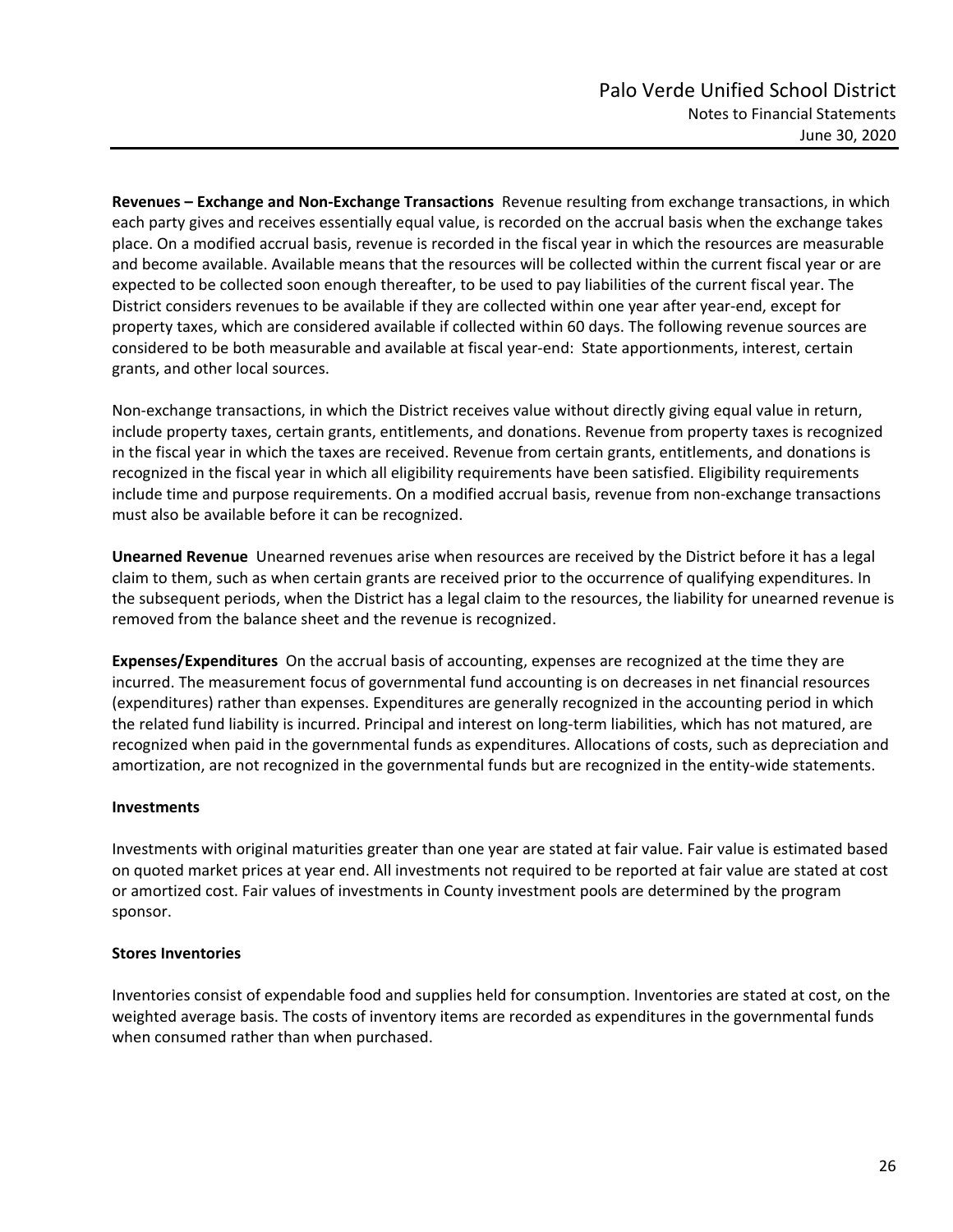**Revenues – Exchange and Non‐Exchange Transactions** Revenue resulting from exchange transactions, in which each party gives and receives essentially equal value, is recorded on the accrual basis when the exchange takes place. On a modified accrual basis, revenue is recorded in the fiscal year in which the resources are measurable and become available. Available means that the resources will be collected within the current fiscal year or are expected to be collected soon enough thereafter, to be used to pay liabilities of the current fiscal year. The District considers revenues to be available if they are collected within one year after year-end, except for property taxes, which are considered available if collected within 60 days. The following revenue sources are considered to be both measurable and available at fiscal year‐end: State apportionments, interest, certain grants, and other local sources.

Non‐exchange transactions, in which the District receives value without directly giving equal value in return, include property taxes, certain grants, entitlements, and donations. Revenue from property taxes is recognized in the fiscal year in which the taxes are received. Revenue from certain grants, entitlements, and donations is recognized in the fiscal year in which all eligibility requirements have been satisfied. Eligibility requirements include time and purpose requirements. On a modified accrual basis, revenue from non‐exchange transactions must also be available before it can be recognized.

**Unearned Revenue** Unearned revenues arise when resources are received by the District before it has a legal claim to them, such as when certain grants are received prior to the occurrence of qualifying expenditures. In the subsequent periods, when the District has a legal claim to the resources, the liability for unearned revenue is removed from the balance sheet and the revenue is recognized.

**Expenses/Expenditures** On the accrual basis of accounting, expenses are recognized at the time they are incurred. The measurement focus of governmental fund accounting is on decreases in net financial resources (expenditures) rather than expenses. Expenditures are generally recognized in the accounting period in which the related fund liability is incurred. Principal and interest on long‐term liabilities, which has not matured, are recognized when paid in the governmental funds as expenditures. Allocations of costs, such as depreciation and amortization, are not recognized in the governmental funds but are recognized in the entity-wide statements.

## **Investments**

Investments with original maturities greater than one year are stated at fair value. Fair value is estimated based on quoted market prices at year end. All investments not required to be reported at fair value are stated at cost or amortized cost. Fair values of investments in County investment pools are determined by the program sponsor.

## **Stores Inventories**

Inventories consist of expendable food and supplies held for consumption. Inventories are stated at cost, on the weighted average basis. The costs of inventory items are recorded as expenditures in the governmental funds when consumed rather than when purchased.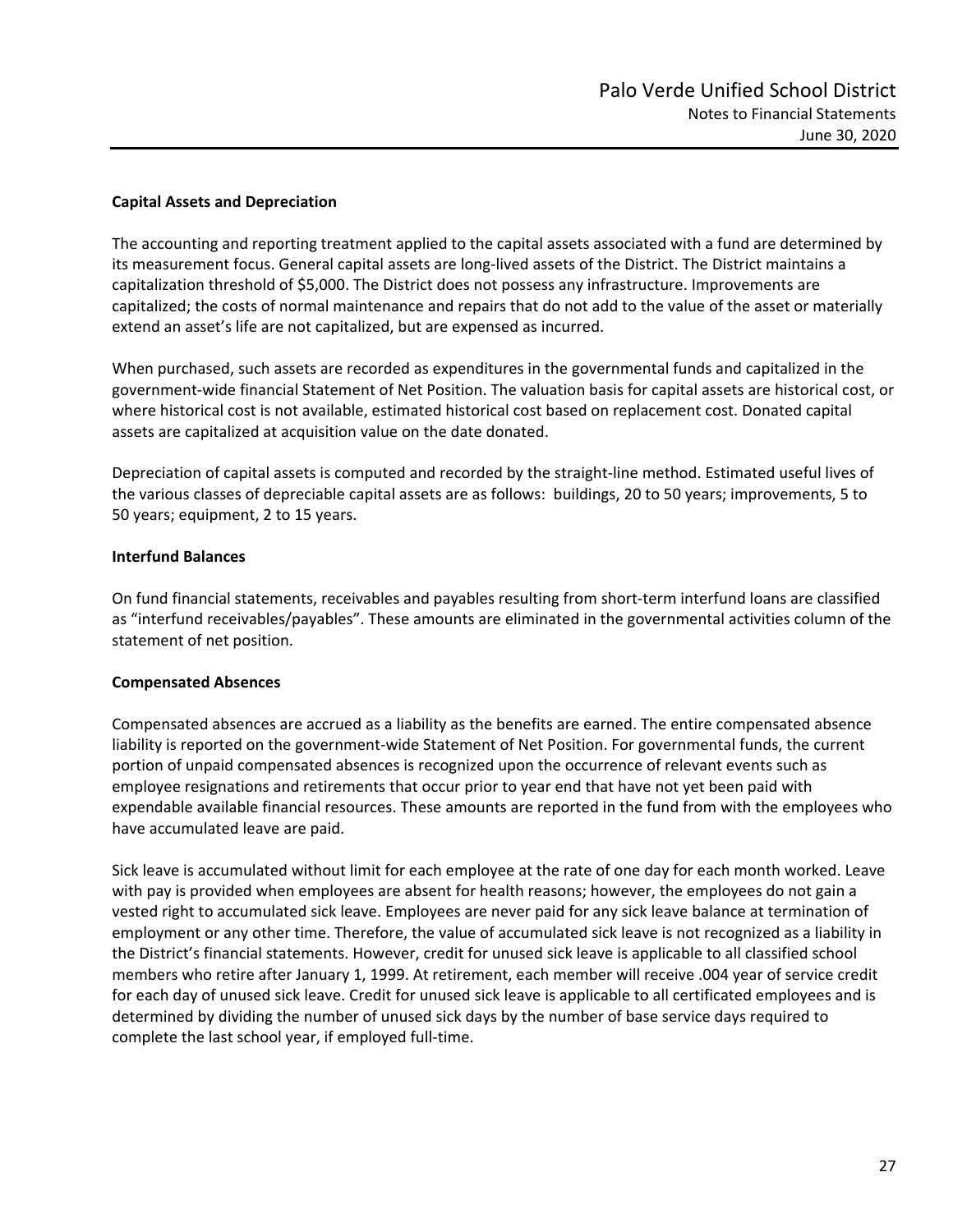## **Capital Assets and Depreciation**

The accounting and reporting treatment applied to the capital assets associated with a fund are determined by its measurement focus. General capital assets are long‐lived assets of the District. The District maintains a capitalization threshold of \$5,000. The District does not possess any infrastructure. Improvements are capitalized; the costs of normal maintenance and repairs that do not add to the value of the asset or materially extend an asset's life are not capitalized, but are expensed as incurred.

When purchased, such assets are recorded as expenditures in the governmental funds and capitalized in the government‐wide financial Statement of Net Position. The valuation basis for capital assets are historical cost, or where historical cost is not available, estimated historical cost based on replacement cost. Donated capital assets are capitalized at acquisition value on the date donated.

Depreciation of capital assets is computed and recorded by the straight‐line method. Estimated useful lives of the various classes of depreciable capital assets are as follows: buildings, 20 to 50 years; improvements, 5 to 50 years; equipment, 2 to 15 years.

## **Interfund Balances**

On fund financial statements, receivables and payables resulting from short‐term interfund loans are classified as "interfund receivables/payables". These amounts are eliminated in the governmental activities column of the statement of net position.

## **Compensated Absences**

Compensated absences are accrued as a liability as the benefits are earned. The entire compensated absence liability is reported on the government‐wide Statement of Net Position. For governmental funds, the current portion of unpaid compensated absences is recognized upon the occurrence of relevant events such as employee resignations and retirements that occur prior to year end that have not yet been paid with expendable available financial resources. These amounts are reported in the fund from with the employees who have accumulated leave are paid.

Sick leave is accumulated without limit for each employee at the rate of one day for each month worked. Leave with pay is provided when employees are absent for health reasons; however, the employees do not gain a vested right to accumulated sick leave. Employees are never paid for any sick leave balance at termination of employment or any other time. Therefore, the value of accumulated sick leave is not recognized as a liability in the District's financial statements. However, credit for unused sick leave is applicable to all classified school members who retire after January 1, 1999. At retirement, each member will receive .004 year of service credit for each day of unused sick leave. Credit for unused sick leave is applicable to all certificated employees and is determined by dividing the number of unused sick days by the number of base service days required to complete the last school year, if employed full‐time.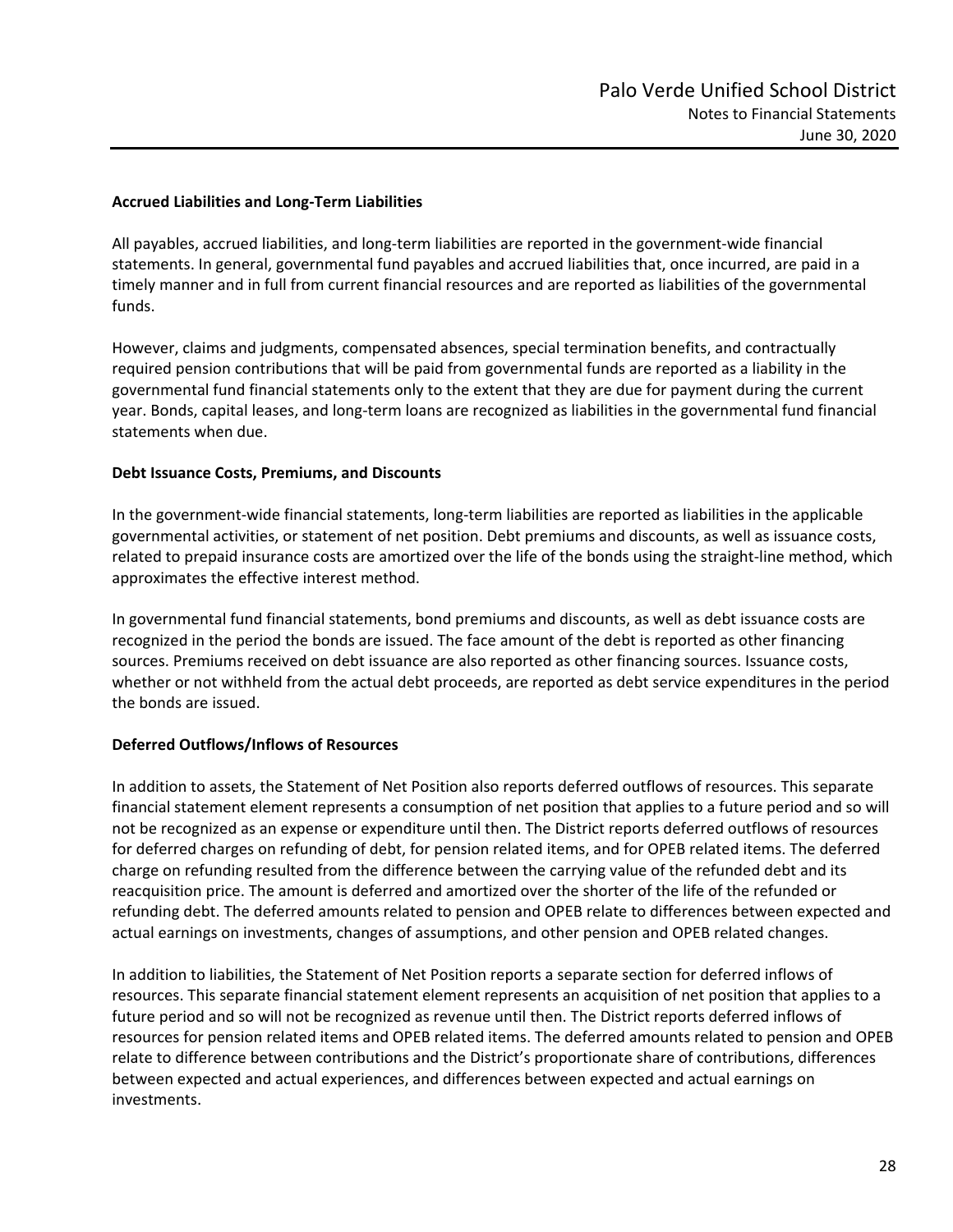## **Accrued Liabilities and Long‐Term Liabilities**

All payables, accrued liabilities, and long-term liabilities are reported in the government-wide financial statements. In general, governmental fund payables and accrued liabilities that, once incurred, are paid in a timely manner and in full from current financial resources and are reported as liabilities of the governmental funds.

However, claims and judgments, compensated absences, special termination benefits, and contractually required pension contributions that will be paid from governmental funds are reported as a liability in the governmental fund financial statements only to the extent that they are due for payment during the current year. Bonds, capital leases, and long‐term loans are recognized as liabilities in the governmental fund financial statements when due.

## **Debt Issuance Costs, Premiums, and Discounts**

In the government-wide financial statements, long-term liabilities are reported as liabilities in the applicable governmental activities, or statement of net position. Debt premiums and discounts, as well as issuance costs, related to prepaid insurance costs are amortized over the life of the bonds using the straight‐line method, which approximates the effective interest method.

In governmental fund financial statements, bond premiums and discounts, as well as debt issuance costs are recognized in the period the bonds are issued. The face amount of the debt is reported as other financing sources. Premiums received on debt issuance are also reported as other financing sources. Issuance costs, whether or not withheld from the actual debt proceeds, are reported as debt service expenditures in the period the bonds are issued.

## **Deferred Outflows/Inflows of Resources**

In addition to assets, the Statement of Net Position also reports deferred outflows of resources. This separate financial statement element represents a consumption of net position that applies to a future period and so will not be recognized as an expense or expenditure until then. The District reports deferred outflows of resources for deferred charges on refunding of debt, for pension related items, and for OPEB related items. The deferred charge on refunding resulted from the difference between the carrying value of the refunded debt and its reacquisition price. The amount is deferred and amortized over the shorter of the life of the refunded or refunding debt. The deferred amounts related to pension and OPEB relate to differences between expected and actual earnings on investments, changes of assumptions, and other pension and OPEB related changes.

In addition to liabilities, the Statement of Net Position reports a separate section for deferred inflows of resources. This separate financial statement element represents an acquisition of net position that applies to a future period and so will not be recognized as revenue until then. The District reports deferred inflows of resources for pension related items and OPEB related items. The deferred amounts related to pension and OPEB relate to difference between contributions and the District's proportionate share of contributions, differences between expected and actual experiences, and differences between expected and actual earnings on investments.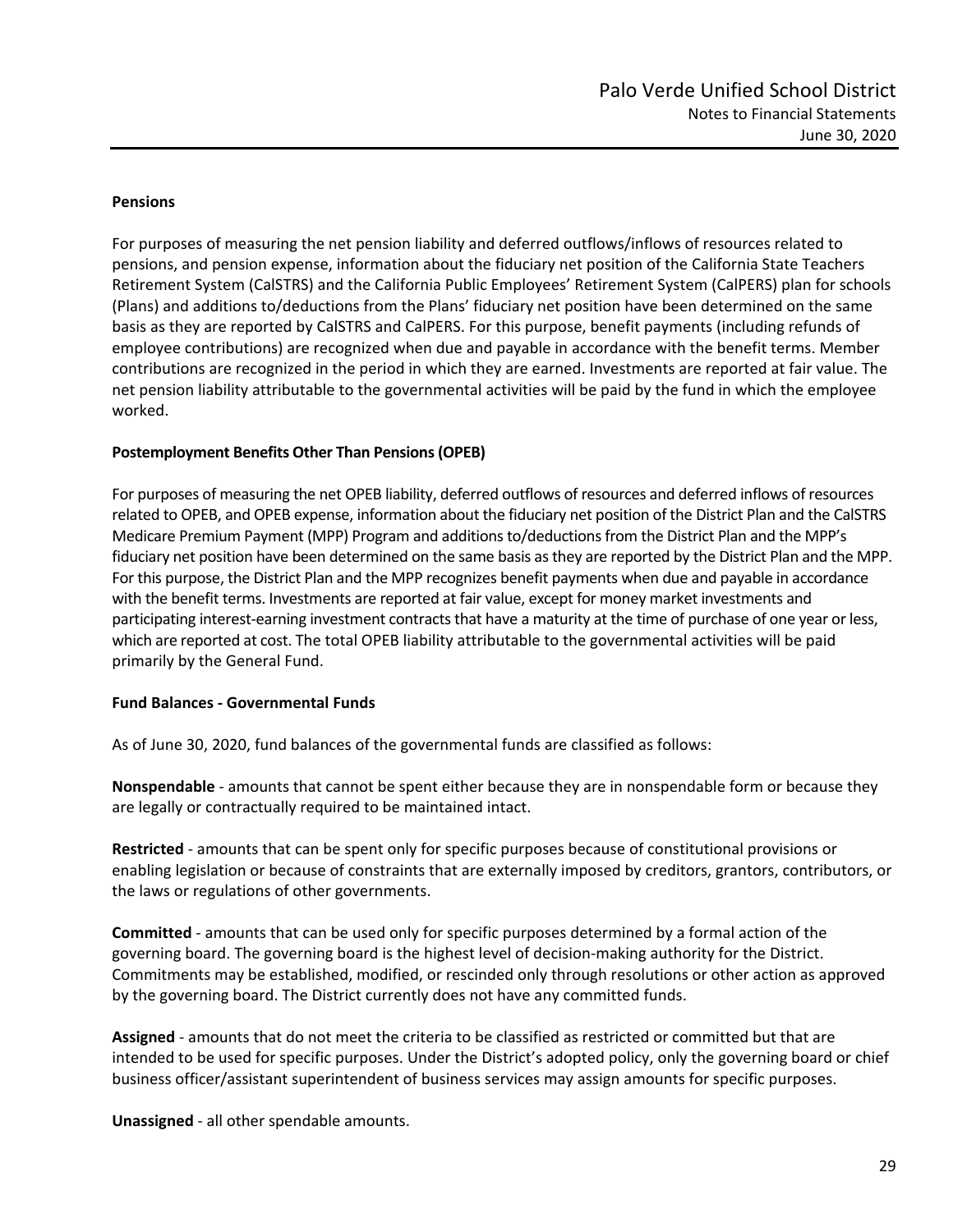## **Pensions**

For purposes of measuring the net pension liability and deferred outflows/inflows of resources related to pensions, and pension expense, information about the fiduciary net position of the California State Teachers Retirement System (CalSTRS) and the California Public Employees' Retirement System (CalPERS) plan for schools (Plans) and additions to/deductions from the Plans' fiduciary net position have been determined on the same basis as they are reported by CalSTRS and CalPERS. For this purpose, benefit payments (including refunds of employee contributions) are recognized when due and payable in accordance with the benefit terms. Member contributions are recognized in the period in which they are earned. Investments are reported at fair value. The net pension liability attributable to the governmental activities will be paid by the fund in which the employee worked.

## **Postemployment Benefits Other Than Pensions (OPEB)**

For purposes of measuring the net OPEB liability, deferred outflows of resources and deferred inflows of resources related to OPEB, and OPEB expense, information about the fiduciary net position of the District Plan and the CalSTRS Medicare Premium Payment (MPP) Program and additions to/deductions from the District Plan and the MPP's fiduciary net position have been determined on the same basis as they are reported by the District Plan and the MPP. For this purpose, the District Plan and the MPP recognizes benefit payments when due and payable in accordance with the benefit terms. Investments are reported at fair value, except for money market investments and participating interest‐earning investment contracts that have a maturity at the time of purchase of one year or less, which are reported at cost. The total OPEB liability attributable to the governmental activities will be paid primarily by the General Fund.

## **Fund Balances ‐ Governmental Funds**

As of June 30, 2020, fund balances of the governmental funds are classified as follows:

**Nonspendable** ‐ amounts that cannot be spent either because they are in nonspendable form or because they are legally or contractually required to be maintained intact.

**Restricted** ‐ amounts that can be spent only for specific purposes because of constitutional provisions or enabling legislation or because of constraints that are externally imposed by creditors, grantors, contributors, or the laws or regulations of other governments.

**Committed** ‐ amounts that can be used only for specific purposes determined by a formal action of the governing board. The governing board is the highest level of decision‐making authority for the District. Commitments may be established, modified, or rescinded only through resolutions or other action as approved by the governing board. The District currently does not have any committed funds.

**Assigned** ‐ amounts that do not meet the criteria to be classified as restricted or committed but that are intended to be used for specific purposes. Under the District's adopted policy, only the governing board or chief business officer/assistant superintendent of business services may assign amounts for specific purposes.

**Unassigned** ‐ all other spendable amounts.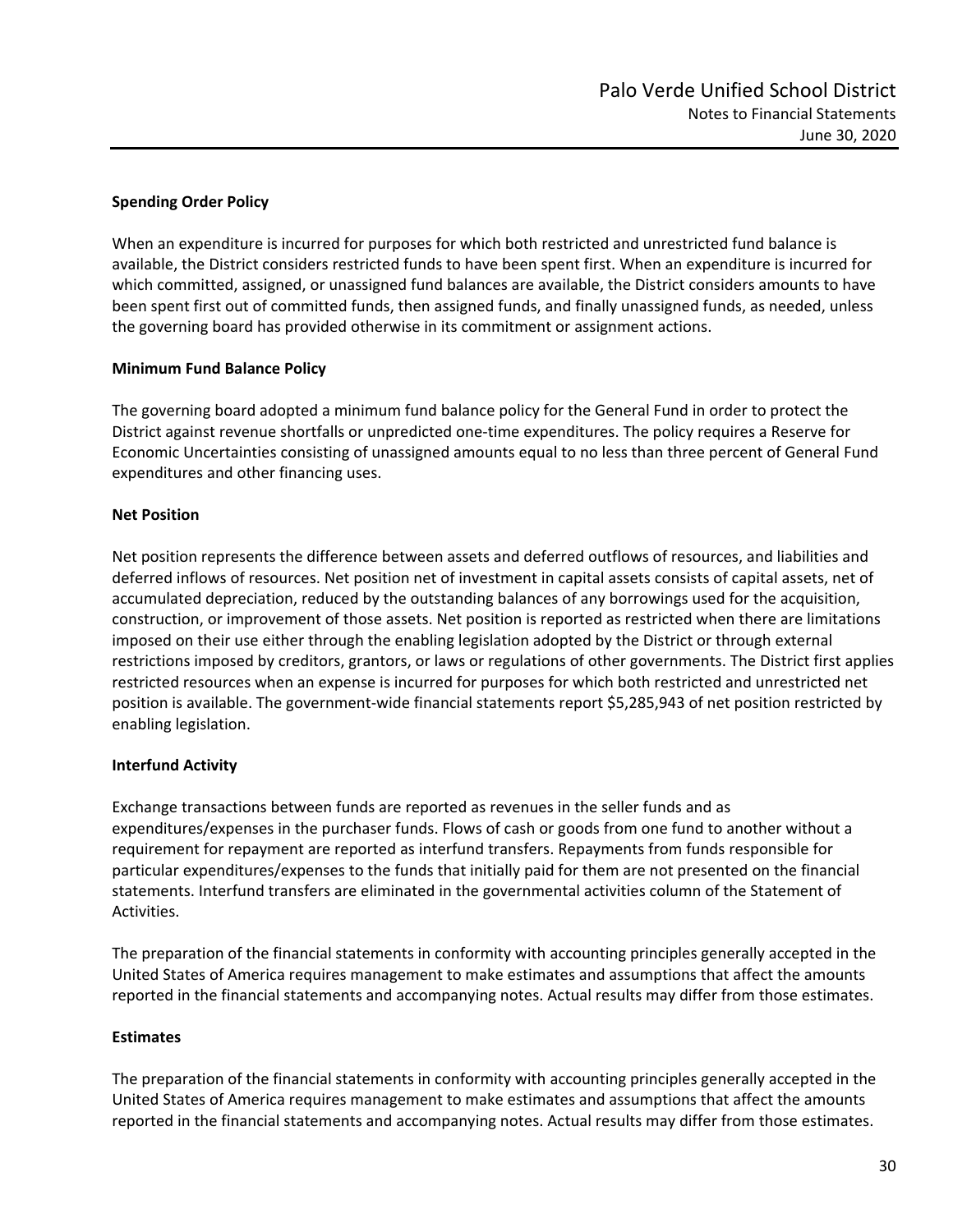## **Spending Order Policy**

When an expenditure is incurred for purposes for which both restricted and unrestricted fund balance is available, the District considers restricted funds to have been spent first. When an expenditure is incurred for which committed, assigned, or unassigned fund balances are available, the District considers amounts to have been spent first out of committed funds, then assigned funds, and finally unassigned funds, as needed, unless the governing board has provided otherwise in its commitment or assignment actions.

## **Minimum Fund Balance Policy**

The governing board adopted a minimum fund balance policy for the General Fund in order to protect the District against revenue shortfalls or unpredicted one‐time expenditures. The policy requires a Reserve for Economic Uncertainties consisting of unassigned amounts equal to no less than three percent of General Fund expenditures and other financing uses.

## **Net Position**

Net position represents the difference between assets and deferred outflows of resources, and liabilities and deferred inflows of resources. Net position net of investment in capital assets consists of capital assets, net of accumulated depreciation, reduced by the outstanding balances of any borrowings used for the acquisition, construction, or improvement of those assets. Net position is reported as restricted when there are limitations imposed on their use either through the enabling legislation adopted by the District or through external restrictions imposed by creditors, grantors, or laws or regulations of other governments. The District first applies restricted resources when an expense is incurred for purposes for which both restricted and unrestricted net position is available. The government‐wide financial statements report \$5,285,943 of net position restricted by enabling legislation.

## **Interfund Activity**

Exchange transactions between funds are reported as revenues in the seller funds and as expenditures/expenses in the purchaser funds. Flows of cash or goods from one fund to another without a requirement for repayment are reported as interfund transfers. Repayments from funds responsible for particular expenditures/expenses to the funds that initially paid for them are not presented on the financial statements. Interfund transfers are eliminated in the governmental activities column of the Statement of Activities.

The preparation of the financial statements in conformity with accounting principles generally accepted in the United States of America requires management to make estimates and assumptions that affect the amounts reported in the financial statements and accompanying notes. Actual results may differ from those estimates.

## **Estimates**

The preparation of the financial statements in conformity with accounting principles generally accepted in the United States of America requires management to make estimates and assumptions that affect the amounts reported in the financial statements and accompanying notes. Actual results may differ from those estimates.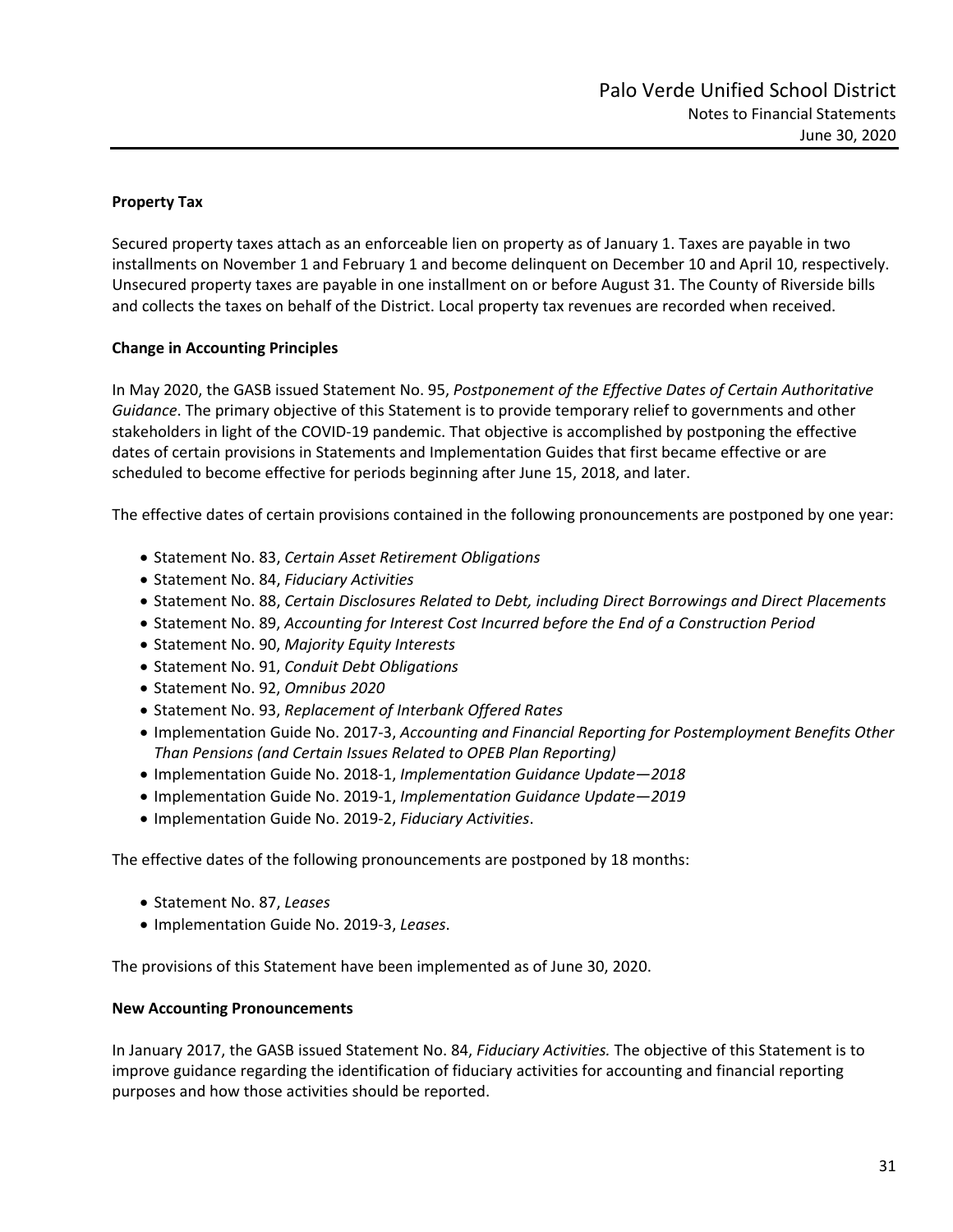## **Property Tax**

Secured property taxes attach as an enforceable lien on property as of January 1. Taxes are payable in two installments on November 1 and February 1 and become delinquent on December 10 and April 10, respectively. Unsecured property taxes are payable in one installment on or before August 31. The County of Riverside bills and collects the taxes on behalf of the District. Local property tax revenues are recorded when received.

## **Change in Accounting Principles**

In May 2020, the GASB issued Statement No. 95, *Postponement of the Effective Dates of Certain Authoritative Guidance*. The primary objective of this Statement is to provide temporary relief to governments and other stakeholders in light of the COVID‐19 pandemic. That objective is accomplished by postponing the effective dates of certain provisions in Statements and Implementation Guides that first became effective or are scheduled to become effective for periods beginning after June 15, 2018, and later.

The effective dates of certain provisions contained in the following pronouncements are postponed by one year:

- Statement No. 83, *Certain Asset Retirement Obligations*
- Statement No. 84, *Fiduciary Activities*
- Statement No. 88, *Certain Disclosures Related to Debt, including Direct Borrowings and Direct Placements*
- Statement No. 89, *Accounting for Interest Cost Incurred before the End of a Construction Period*
- Statement No. 90, *Majority Equity Interests*
- Statement No. 91, *Conduit Debt Obligations*
- Statement No. 92, *Omnibus 2020*
- Statement No. 93, *Replacement of Interbank Offered Rates*
- Implementation Guide No. 2017‐3, *Accounting and Financial Reporting for Postemployment Benefits Other Than Pensions (and Certain Issues Related to OPEB Plan Reporting)*
- Implementation Guide No. 2018‐1, *Implementation Guidance Update—2018*
- Implementation Guide No. 2019‐1, *Implementation Guidance Update—2019*
- Implementation Guide No. 2019‐2, *Fiduciary Activities*.

The effective dates of the following pronouncements are postponed by 18 months:

- Statement No. 87, *Leases*
- Implementation Guide No. 2019‐3, *Leases*.

The provisions of this Statement have been implemented as of June 30, 2020.

### **New Accounting Pronouncements**

In January 2017, the GASB issued Statement No. 84, *Fiduciary Activities.* The objective of this Statement is to improve guidance regarding the identification of fiduciary activities for accounting and financial reporting purposes and how those activities should be reported.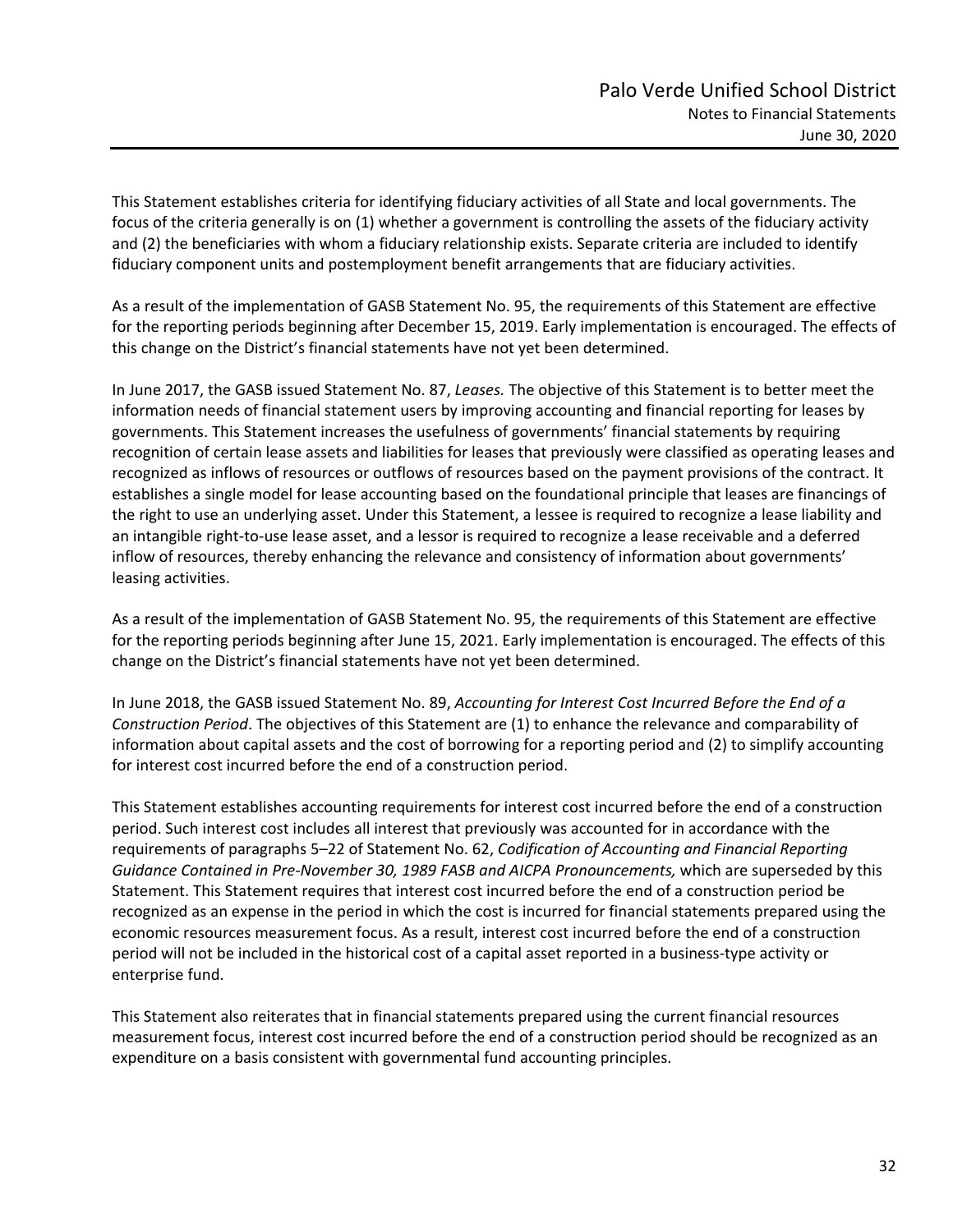This Statement establishes criteria for identifying fiduciary activities of all State and local governments. The focus of the criteria generally is on (1) whether a government is controlling the assets of the fiduciary activity and (2) the beneficiaries with whom a fiduciary relationship exists. Separate criteria are included to identify fiduciary component units and postemployment benefit arrangements that are fiduciary activities.

As a result of the implementation of GASB Statement No. 95, the requirements of this Statement are effective for the reporting periods beginning after December 15, 2019. Early implementation is encouraged. The effects of this change on the District's financial statements have not yet been determined.

In June 2017, the GASB issued Statement No. 87, *Leases.* The objective of this Statement is to better meet the information needs of financial statement users by improving accounting and financial reporting for leases by governments. This Statement increases the usefulness of governments' financial statements by requiring recognition of certain lease assets and liabilities for leases that previously were classified as operating leases and recognized as inflows of resources or outflows of resources based on the payment provisions of the contract. It establishes a single model for lease accounting based on the foundational principle that leases are financings of the right to use an underlying asset. Under this Statement, a lessee is required to recognize a lease liability and an intangible right‐to‐use lease asset, and a lessor is required to recognize a lease receivable and a deferred inflow of resources, thereby enhancing the relevance and consistency of information about governments' leasing activities.

As a result of the implementation of GASB Statement No. 95, the requirements of this Statement are effective for the reporting periods beginning after June 15, 2021. Early implementation is encouraged. The effects of this change on the District's financial statements have not yet been determined.

In June 2018, the GASB issued Statement No. 89, *Accounting for Interest Cost Incurred Before the End of a Construction Period*. The objectives of this Statement are (1) to enhance the relevance and comparability of information about capital assets and the cost of borrowing for a reporting period and (2) to simplify accounting for interest cost incurred before the end of a construction period.

This Statement establishes accounting requirements for interest cost incurred before the end of a construction period. Such interest cost includes all interest that previously was accounted for in accordance with the requirements of paragraphs 5–22 of Statement No. 62, *Codification of Accounting and Financial Reporting*  Guidance Contained in Pre-November 30, 1989 FASB and AICPA Pronouncements, which are superseded by this Statement. This Statement requires that interest cost incurred before the end of a construction period be recognized as an expense in the period in which the cost is incurred for financial statements prepared using the economic resources measurement focus. As a result, interest cost incurred before the end of a construction period will not be included in the historical cost of a capital asset reported in a business‐type activity or enterprise fund.

This Statement also reiterates that in financial statements prepared using the current financial resources measurement focus, interest cost incurred before the end of a construction period should be recognized as an expenditure on a basis consistent with governmental fund accounting principles.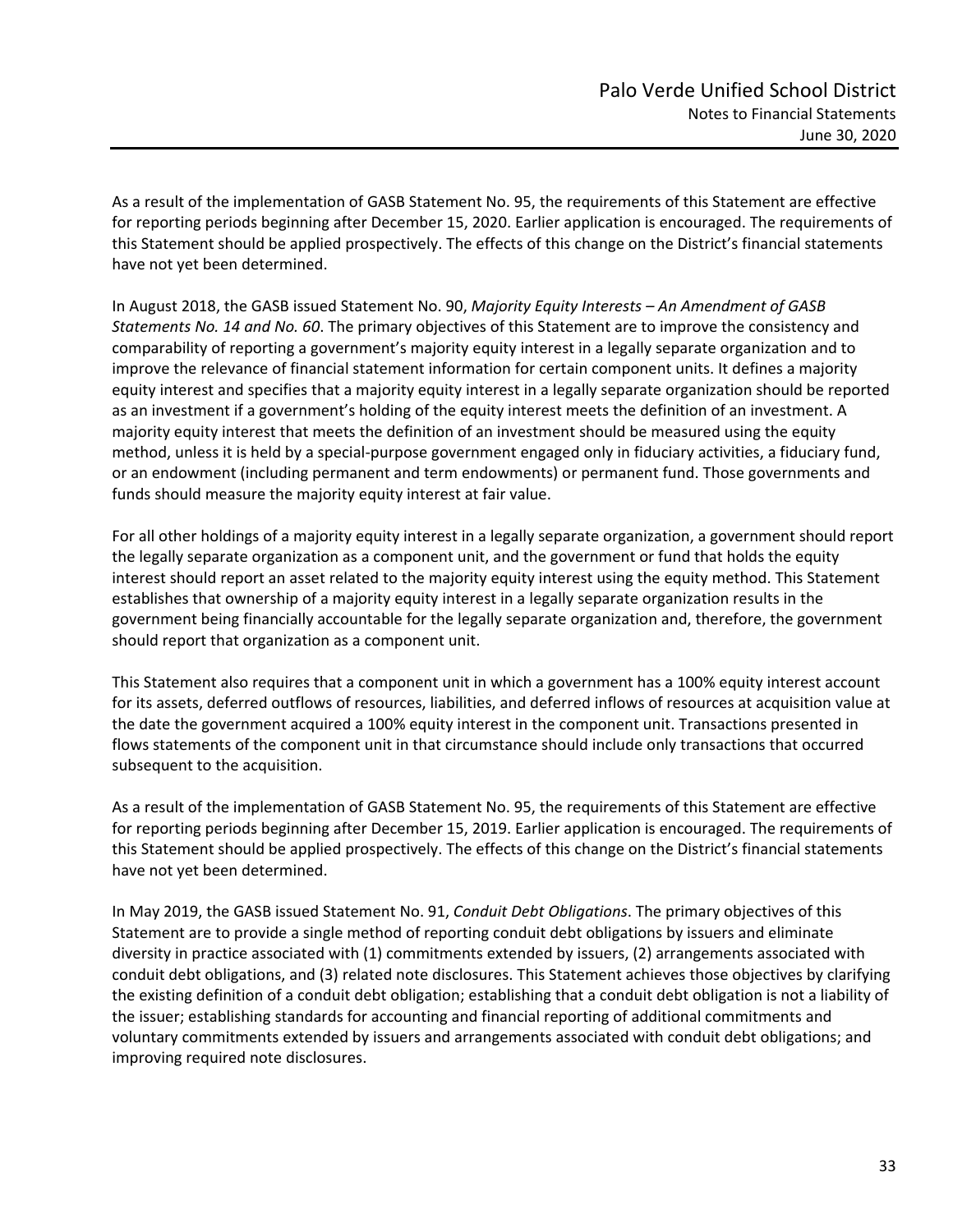As a result of the implementation of GASB Statement No. 95, the requirements of this Statement are effective for reporting periods beginning after December 15, 2020. Earlier application is encouraged. The requirements of this Statement should be applied prospectively. The effects of this change on the District's financial statements have not yet been determined.

In August 2018, the GASB issued Statement No. 90, *Majority Equity Interests – An Amendment of GASB Statements No. 14 and No. 60*. The primary objectives of this Statement are to improve the consistency and comparability of reporting a government's majority equity interest in a legally separate organization and to improve the relevance of financial statement information for certain component units. It defines a majority equity interest and specifies that a majority equity interest in a legally separate organization should be reported as an investment if a government's holding of the equity interest meets the definition of an investment. A majority equity interest that meets the definition of an investment should be measured using the equity method, unless it is held by a special-purpose government engaged only in fiduciary activities, a fiduciary fund, or an endowment (including permanent and term endowments) or permanent fund. Those governments and funds should measure the majority equity interest at fair value.

For all other holdings of a majority equity interest in a legally separate organization, a government should report the legally separate organization as a component unit, and the government or fund that holds the equity interest should report an asset related to the majority equity interest using the equity method. This Statement establishes that ownership of a majority equity interest in a legally separate organization results in the government being financially accountable for the legally separate organization and, therefore, the government should report that organization as a component unit.

This Statement also requires that a component unit in which a government has a 100% equity interest account for its assets, deferred outflows of resources, liabilities, and deferred inflows of resources at acquisition value at the date the government acquired a 100% equity interest in the component unit. Transactions presented in flows statements of the component unit in that circumstance should include only transactions that occurred subsequent to the acquisition.

As a result of the implementation of GASB Statement No. 95, the requirements of this Statement are effective for reporting periods beginning after December 15, 2019. Earlier application is encouraged. The requirements of this Statement should be applied prospectively. The effects of this change on the District's financial statements have not yet been determined.

In May 2019, the GASB issued Statement No. 91, *Conduit Debt Obligations*. The primary objectives of this Statement are to provide a single method of reporting conduit debt obligations by issuers and eliminate diversity in practice associated with (1) commitments extended by issuers, (2) arrangements associated with conduit debt obligations, and (3) related note disclosures. This Statement achieves those objectives by clarifying the existing definition of a conduit debt obligation; establishing that a conduit debt obligation is not a liability of the issuer; establishing standards for accounting and financial reporting of additional commitments and voluntary commitments extended by issuers and arrangements associated with conduit debt obligations; and improving required note disclosures.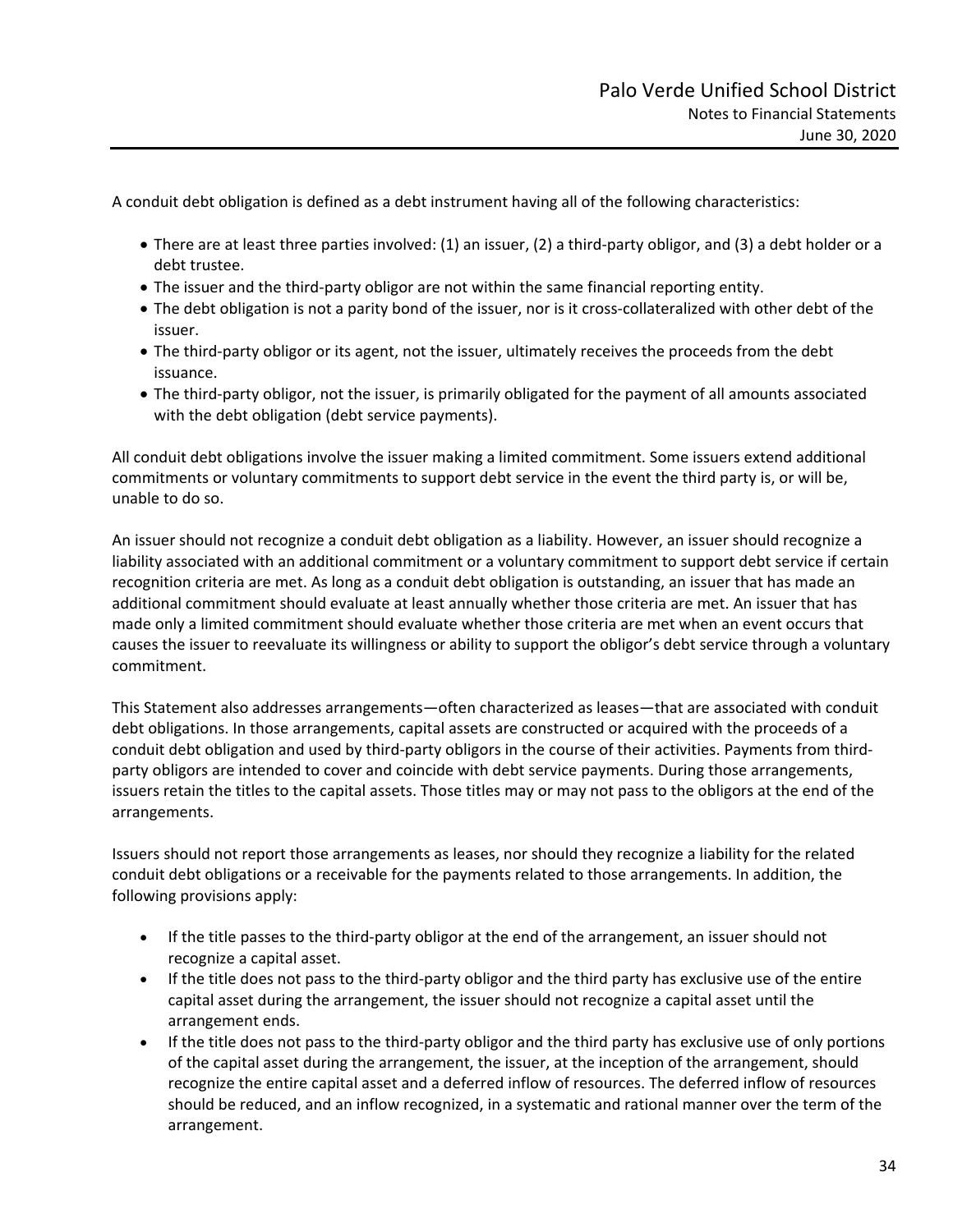A conduit debt obligation is defined as a debt instrument having all of the following characteristics:

- There are at least three parties involved: (1) an issuer, (2) a third‐party obligor, and (3) a debt holder or a debt trustee.
- The issuer and the third-party obligor are not within the same financial reporting entity.
- The debt obligation is not a parity bond of the issuer, nor is it cross‐collateralized with other debt of the issuer.
- The third-party obligor or its agent, not the issuer, ultimately receives the proceeds from the debt issuance.
- The third-party obligor, not the issuer, is primarily obligated for the payment of all amounts associated with the debt obligation (debt service payments).

All conduit debt obligations involve the issuer making a limited commitment. Some issuers extend additional commitments or voluntary commitments to support debt service in the event the third party is, or will be, unable to do so.

An issuer should not recognize a conduit debt obligation as a liability. However, an issuer should recognize a liability associated with an additional commitment or a voluntary commitment to support debt service if certain recognition criteria are met. As long as a conduit debt obligation is outstanding, an issuer that has made an additional commitment should evaluate at least annually whether those criteria are met. An issuer that has made only a limited commitment should evaluate whether those criteria are met when an event occurs that causes the issuer to reevaluate its willingness or ability to support the obligor's debt service through a voluntary commitment.

This Statement also addresses arrangements—often characterized as leases—that are associated with conduit debt obligations. In those arrangements, capital assets are constructed or acquired with the proceeds of a conduit debt obligation and used by third‐party obligors in the course of their activities. Payments from third‐ party obligors are intended to cover and coincide with debt service payments. During those arrangements, issuers retain the titles to the capital assets. Those titles may or may not pass to the obligors at the end of the arrangements.

Issuers should not report those arrangements as leases, nor should they recognize a liability for the related conduit debt obligations or a receivable for the payments related to those arrangements. In addition, the following provisions apply:

- If the title passes to the third-party obligor at the end of the arrangement, an issuer should not recognize a capital asset.
- If the title does not pass to the third-party obligor and the third party has exclusive use of the entire capital asset during the arrangement, the issuer should not recognize a capital asset until the arrangement ends.
- If the title does not pass to the third-party obligor and the third party has exclusive use of only portions of the capital asset during the arrangement, the issuer, at the inception of the arrangement, should recognize the entire capital asset and a deferred inflow of resources. The deferred inflow of resources should be reduced, and an inflow recognized, in a systematic and rational manner over the term of the arrangement.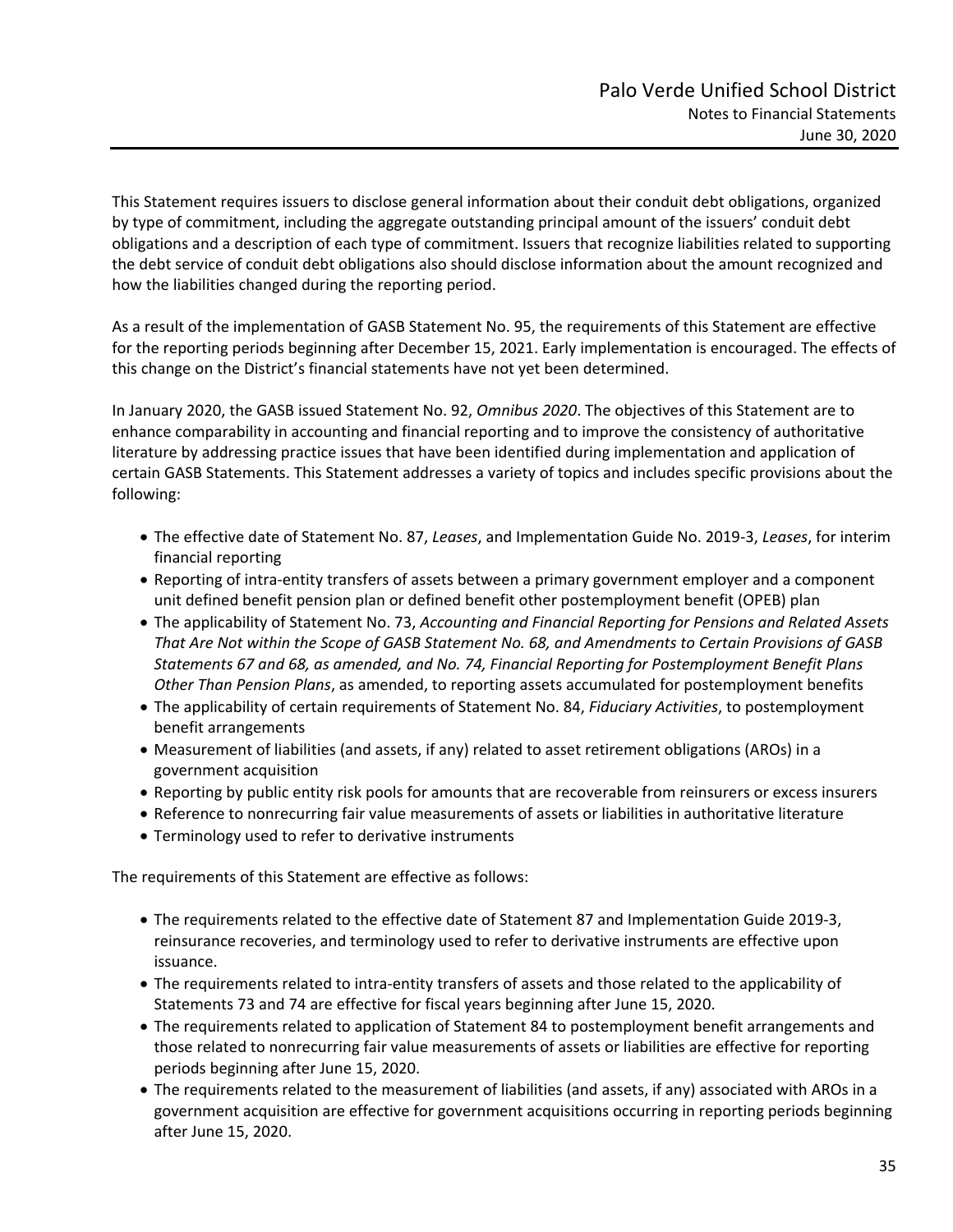This Statement requires issuers to disclose general information about their conduit debt obligations, organized by type of commitment, including the aggregate outstanding principal amount of the issuers' conduit debt obligations and a description of each type of commitment. Issuers that recognize liabilities related to supporting the debt service of conduit debt obligations also should disclose information about the amount recognized and how the liabilities changed during the reporting period.

As a result of the implementation of GASB Statement No. 95, the requirements of this Statement are effective for the reporting periods beginning after December 15, 2021. Early implementation is encouraged. The effects of this change on the District's financial statements have not yet been determined.

In January 2020, the GASB issued Statement No. 92, *Omnibus 2020*. The objectives of this Statement are to enhance comparability in accounting and financial reporting and to improve the consistency of authoritative literature by addressing practice issues that have been identified during implementation and application of certain GASB Statements. This Statement addresses a variety of topics and includes specific provisions about the following:

- The effective date of Statement No. 87, *Leases*, and Implementation Guide No. 2019‐3, *Leases*, for interim financial reporting
- Reporting of intra-entity transfers of assets between a primary government employer and a component unit defined benefit pension plan or defined benefit other postemployment benefit (OPEB) plan
- The applicability of Statement No. 73, *Accounting and Financial Reporting for Pensions and Related Assets That Are Not within the Scope of GASB Statement No. 68, and Amendments to Certain Provisions of GASB Statements 67 and 68, as amended, and No. 74, Financial Reporting for Postemployment Benefit Plans Other Than Pension Plans*, as amended, to reporting assets accumulated for postemployment benefits
- The applicability of certain requirements of Statement No. 84, *Fiduciary Activities*, to postemployment benefit arrangements
- Measurement of liabilities (and assets, if any) related to asset retirement obligations (AROs) in a government acquisition
- Reporting by public entity risk pools for amounts that are recoverable from reinsurers or excess insurers
- Reference to nonrecurring fair value measurements of assets or liabilities in authoritative literature
- Terminology used to refer to derivative instruments

The requirements of this Statement are effective as follows:

- The requirements related to the effective date of Statement 87 and Implementation Guide 2019‐3, reinsurance recoveries, and terminology used to refer to derivative instruments are effective upon issuance.
- The requirements related to intra‐entity transfers of assets and those related to the applicability of Statements 73 and 74 are effective for fiscal years beginning after June 15, 2020.
- The requirements related to application of Statement 84 to postemployment benefit arrangements and those related to nonrecurring fair value measurements of assets or liabilities are effective for reporting periods beginning after June 15, 2020.
- The requirements related to the measurement of liabilities (and assets, if any) associated with AROs in a government acquisition are effective for government acquisitions occurring in reporting periods beginning after June 15, 2020.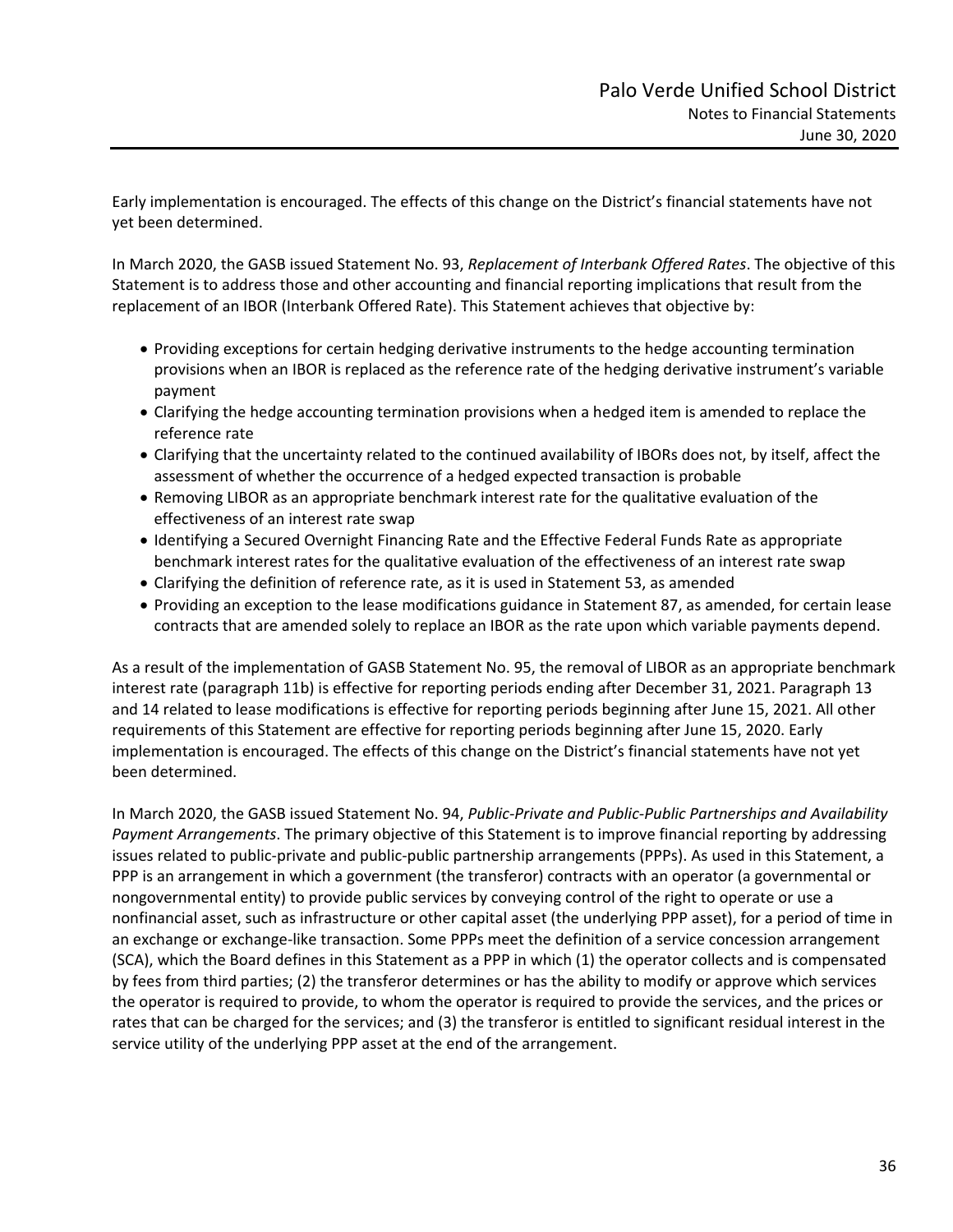Early implementation is encouraged. The effects of this change on the District's financial statements have not yet been determined.

In March 2020, the GASB issued Statement No. 93, *Replacement of Interbank Offered Rates*. The objective of this Statement is to address those and other accounting and financial reporting implications that result from the replacement of an IBOR (Interbank Offered Rate). This Statement achieves that objective by:

- Providing exceptions for certain hedging derivative instruments to the hedge accounting termination provisions when an IBOR is replaced as the reference rate of the hedging derivative instrument's variable payment
- Clarifying the hedge accounting termination provisions when a hedged item is amended to replace the reference rate
- Clarifying that the uncertainty related to the continued availability of IBORs does not, by itself, affect the assessment of whether the occurrence of a hedged expected transaction is probable
- Removing LIBOR as an appropriate benchmark interest rate for the qualitative evaluation of the effectiveness of an interest rate swap
- Identifying a Secured Overnight Financing Rate and the Effective Federal Funds Rate as appropriate benchmark interest rates for the qualitative evaluation of the effectiveness of an interest rate swap
- Clarifying the definition of reference rate, as it is used in Statement 53, as amended
- Providing an exception to the lease modifications guidance in Statement 87, as amended, for certain lease contracts that are amended solely to replace an IBOR as the rate upon which variable payments depend.

As a result of the implementation of GASB Statement No. 95, the removal of LIBOR as an appropriate benchmark interest rate (paragraph 11b) is effective for reporting periods ending after December 31, 2021. Paragraph 13 and 14 related to lease modifications is effective for reporting periods beginning after June 15, 2021. All other requirements of this Statement are effective for reporting periods beginning after June 15, 2020. Early implementation is encouraged. The effects of this change on the District's financial statements have not yet been determined.

In March 2020, the GASB issued Statement No. 94, *Public‐Private and Public‐Public Partnerships and Availability Payment Arrangements*. The primary objective of this Statement is to improve financial reporting by addressing issues related to public‐private and public‐public partnership arrangements (PPPs). As used in this Statement, a PPP is an arrangement in which a government (the transferor) contracts with an operator (a governmental or nongovernmental entity) to provide public services by conveying control of the right to operate or use a nonfinancial asset, such as infrastructure or other capital asset (the underlying PPP asset), for a period of time in an exchange or exchange‐like transaction. Some PPPs meet the definition of a service concession arrangement (SCA), which the Board defines in this Statement as a PPP in which (1) the operator collects and is compensated by fees from third parties; (2) the transferor determines or has the ability to modify or approve which services the operator is required to provide, to whom the operator is required to provide the services, and the prices or rates that can be charged for the services; and (3) the transferor is entitled to significant residual interest in the service utility of the underlying PPP asset at the end of the arrangement.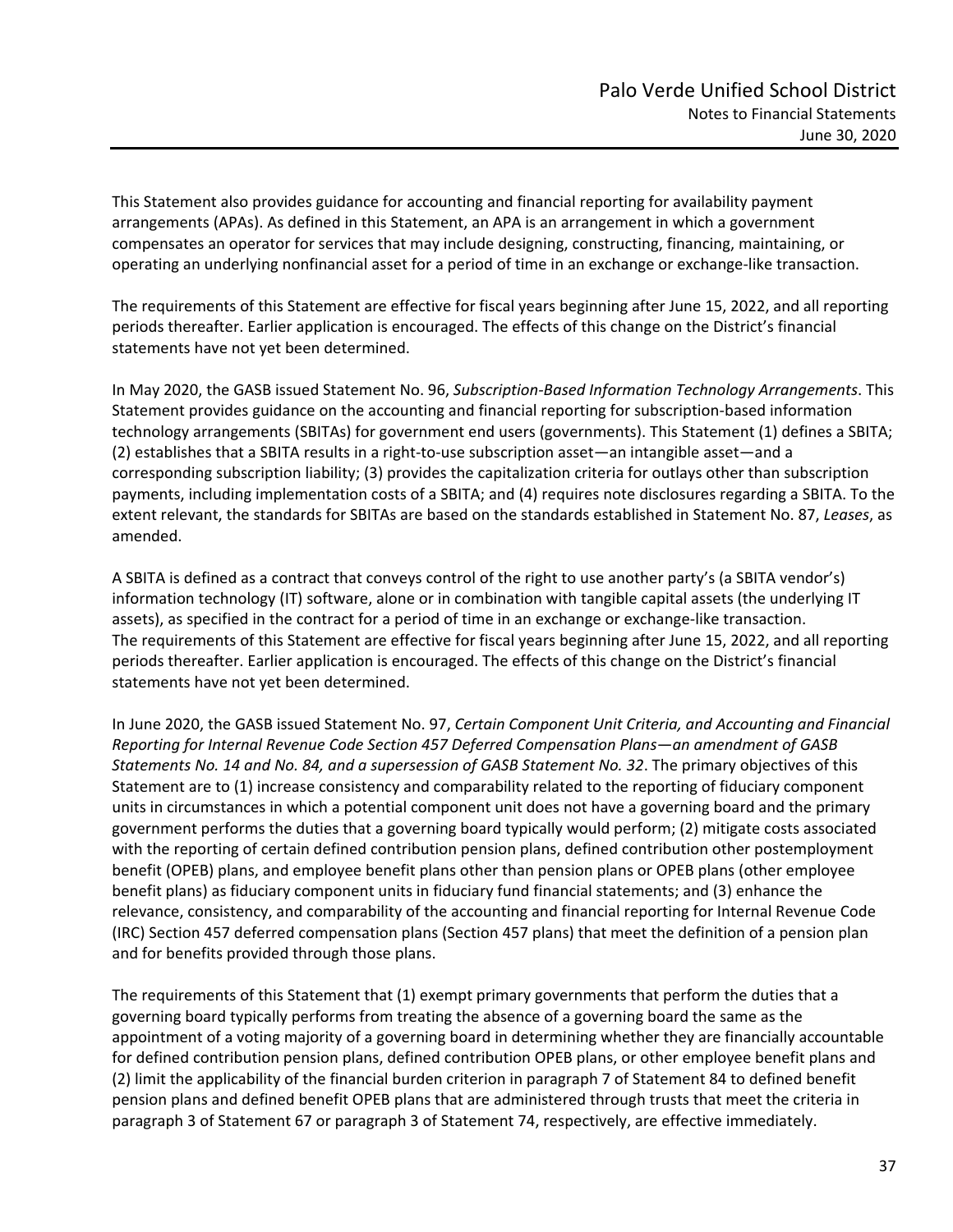This Statement also provides guidance for accounting and financial reporting for availability payment arrangements (APAs). As defined in this Statement, an APA is an arrangement in which a government compensates an operator for services that may include designing, constructing, financing, maintaining, or operating an underlying nonfinancial asset for a period of time in an exchange or exchange‐like transaction.

The requirements of this Statement are effective for fiscal years beginning after June 15, 2022, and all reporting periods thereafter. Earlier application is encouraged. The effects of this change on the District's financial statements have not yet been determined.

In May 2020, the GASB issued Statement No. 96, *Subscription‐Based Information Technology Arrangements*. This Statement provides guidance on the accounting and financial reporting for subscription‐based information technology arrangements (SBITAs) for government end users (governments). This Statement (1) defines a SBITA; (2) establishes that a SBITA results in a right‐to‐use subscription asset—an intangible asset—and a corresponding subscription liability; (3) provides the capitalization criteria for outlays other than subscription payments, including implementation costs of a SBITA; and (4) requires note disclosures regarding a SBITA. To the extent relevant, the standards for SBITAs are based on the standards established in Statement No. 87, *Leases*, as amended.

A SBITA is defined as a contract that conveys control of the right to use another party's (a SBITA vendor's) information technology (IT) software, alone or in combination with tangible capital assets (the underlying IT assets), as specified in the contract for a period of time in an exchange or exchange‐like transaction. The requirements of this Statement are effective for fiscal years beginning after June 15, 2022, and all reporting periods thereafter. Earlier application is encouraged. The effects of this change on the District's financial statements have not yet been determined.

In June 2020, the GASB issued Statement No. 97, *Certain Component Unit Criteria, and Accounting and Financial Reporting for Internal Revenue Code Section 457 Deferred Compensation Plans—an amendment of GASB Statements No. 14 and No. 84, and a supersession of GASB Statement No. 32*. The primary objectives of this Statement are to (1) increase consistency and comparability related to the reporting of fiduciary component units in circumstances in which a potential component unit does not have a governing board and the primary government performs the duties that a governing board typically would perform; (2) mitigate costs associated with the reporting of certain defined contribution pension plans, defined contribution other postemployment benefit (OPEB) plans, and employee benefit plans other than pension plans or OPEB plans (other employee benefit plans) as fiduciary component units in fiduciary fund financial statements; and (3) enhance the relevance, consistency, and comparability of the accounting and financial reporting for Internal Revenue Code (IRC) Section 457 deferred compensation plans (Section 457 plans) that meet the definition of a pension plan and for benefits provided through those plans.

The requirements of this Statement that (1) exempt primary governments that perform the duties that a governing board typically performs from treating the absence of a governing board the same as the appointment of a voting majority of a governing board in determining whether they are financially accountable for defined contribution pension plans, defined contribution OPEB plans, or other employee benefit plans and (2) limit the applicability of the financial burden criterion in paragraph 7 of Statement 84 to defined benefit pension plans and defined benefit OPEB plans that are administered through trusts that meet the criteria in paragraph 3 of Statement 67 or paragraph 3 of Statement 74, respectively, are effective immediately.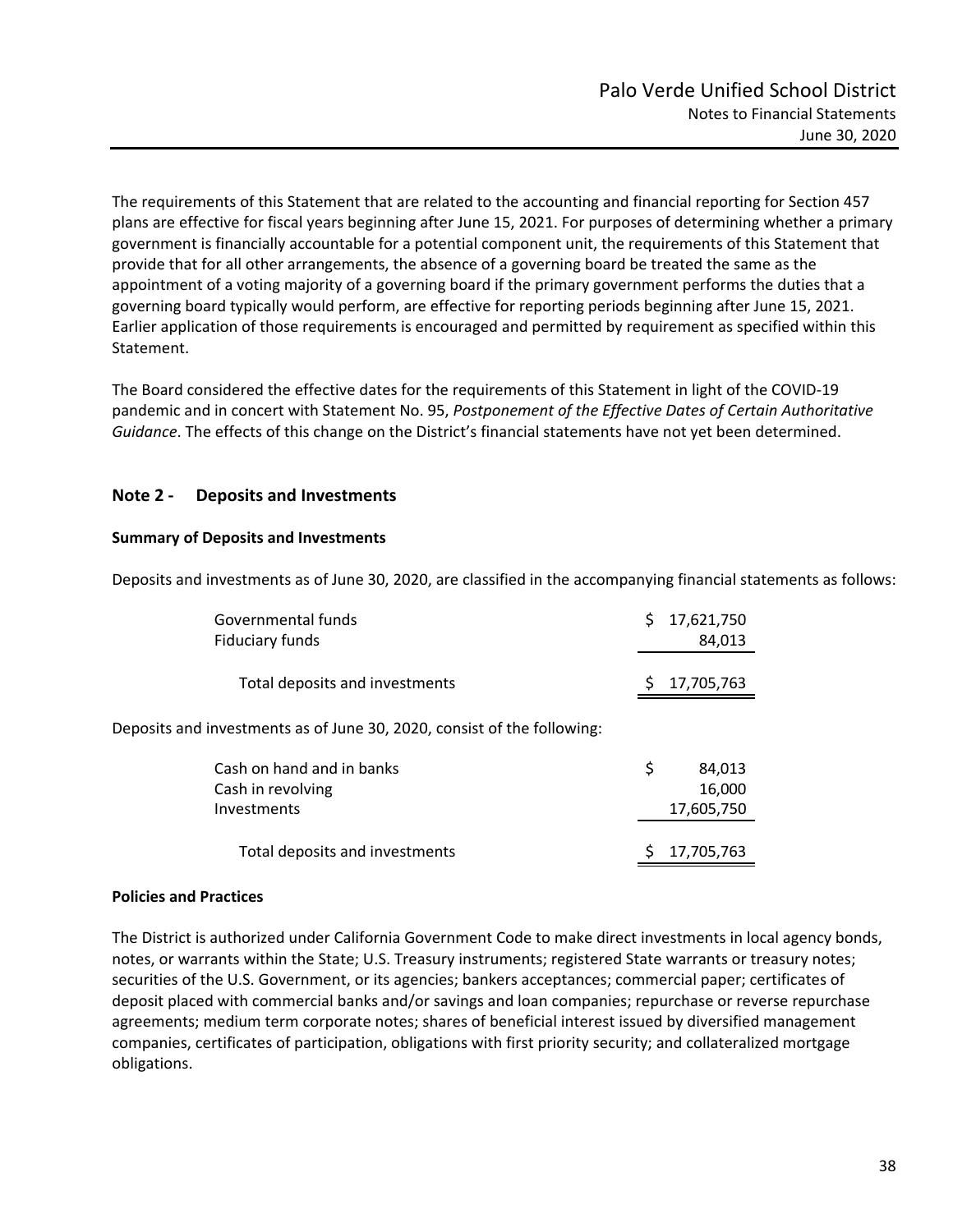The requirements of this Statement that are related to the accounting and financial reporting for Section 457 plans are effective for fiscal years beginning after June 15, 2021. For purposes of determining whether a primary government is financially accountable for a potential component unit, the requirements of this Statement that provide that for all other arrangements, the absence of a governing board be treated the same as the appointment of a voting majority of a governing board if the primary government performs the duties that a governing board typically would perform, are effective for reporting periods beginning after June 15, 2021. Earlier application of those requirements is encouraged and permitted by requirement as specified within this Statement.

The Board considered the effective dates for the requirements of this Statement in light of the COVID‐19 pandemic and in concert with Statement No. 95, *Postponement of the Effective Dates of Certain Authoritative Guidance*. The effects of this change on the District's financial statements have not yet been determined.

# **Note 2 ‐ Deposits and Investments**

### **Summary of Deposits and Investments**

Deposits and investments as of June 30, 2020, are classified in the accompanying financial statements as follows:

| Governmental funds<br>Fiduciary funds                                   | 17,621,750<br>84,013   |
|-------------------------------------------------------------------------|------------------------|
| Total deposits and investments                                          | 17,705,763             |
| Deposits and investments as of June 30, 2020, consist of the following: |                        |
| Cash on hand and in banks<br>Cash in revolving                          | \$<br>84,013<br>16,000 |
| Invoctmontc                                                             | 17 GAE 7EA             |

| Investments                    | 17,605,750   |
|--------------------------------|--------------|
| Total deposits and investments | \$17,705,763 |

### **Policies and Practices**

The District is authorized under California Government Code to make direct investments in local agency bonds, notes, or warrants within the State; U.S. Treasury instruments; registered State warrants or treasury notes; securities of the U.S. Government, or its agencies; bankers acceptances; commercial paper; certificates of deposit placed with commercial banks and/or savings and loan companies; repurchase or reverse repurchase agreements; medium term corporate notes; shares of beneficial interest issued by diversified management companies, certificates of participation, obligations with first priority security; and collateralized mortgage obligations.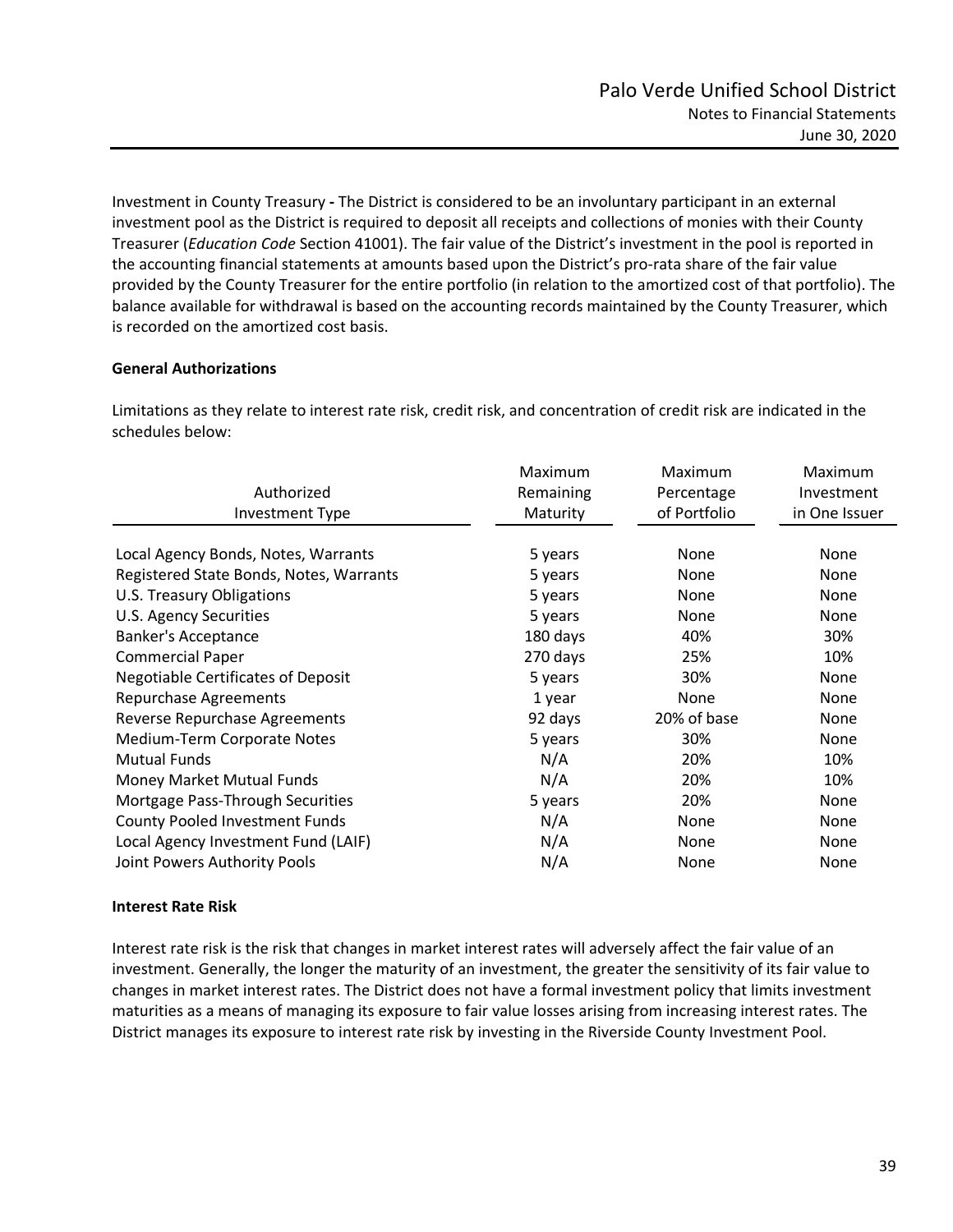Investment in County Treasury **‐** The District is considered to be an involuntary participant in an external investment pool as the District is required to deposit all receipts and collections of monies with their County Treasurer (*Education Code* Section 41001). The fair value of the District's investment in the pool is reported in the accounting financial statements at amounts based upon the District's pro-rata share of the fair value provided by the County Treasurer for the entire portfolio (in relation to the amortized cost of that portfolio). The balance available for withdrawal is based on the accounting records maintained by the County Treasurer, which is recorded on the amortized cost basis.

## **General Authorizations**

Limitations as they relate to interest rate risk, credit risk, and concentration of credit risk are indicated in the schedules below:

|                                           | Maximum   | Maximum      | Maximum       |
|-------------------------------------------|-----------|--------------|---------------|
| Authorized                                | Remaining | Percentage   | Investment    |
| <b>Investment Type</b>                    | Maturity  | of Portfolio | in One Issuer |
|                                           |           |              |               |
| Local Agency Bonds, Notes, Warrants       | 5 years   | None         | None          |
| Registered State Bonds, Notes, Warrants   | 5 years   | <b>None</b>  | None          |
| U.S. Treasury Obligations                 | 5 years   | None         | None          |
| <b>U.S. Agency Securities</b>             | 5 years   | <b>None</b>  | None          |
| <b>Banker's Acceptance</b>                | 180 days  | 40%          | 30%           |
| <b>Commercial Paper</b>                   | 270 days  | 25%          | 10%           |
| <b>Negotiable Certificates of Deposit</b> | 5 years   | 30%          | None          |
| <b>Repurchase Agreements</b>              | 1 year    | None         | None          |
| Reverse Repurchase Agreements             | 92 days   | 20% of base  | None          |
| Medium-Term Corporate Notes               | 5 years   | 30%          | None          |
| <b>Mutual Funds</b>                       | N/A       | 20%          | 10%           |
| Money Market Mutual Funds                 | N/A       | 20%          | 10%           |
| Mortgage Pass-Through Securities          | 5 years   | 20%          | None          |
| County Pooled Investment Funds            | N/A       | None         | None          |
| Local Agency Investment Fund (LAIF)       | N/A       | <b>None</b>  | None          |
| Joint Powers Authority Pools              | N/A       | None         | None          |

# **Interest Rate Risk**

Interest rate risk is the risk that changes in market interest rates will adversely affect the fair value of an investment. Generally, the longer the maturity of an investment, the greater the sensitivity of its fair value to changes in market interest rates. The District does not have a formal investment policy that limits investment maturities as a means of managing its exposure to fair value losses arising from increasing interest rates. The District manages its exposure to interest rate risk by investing in the Riverside County Investment Pool.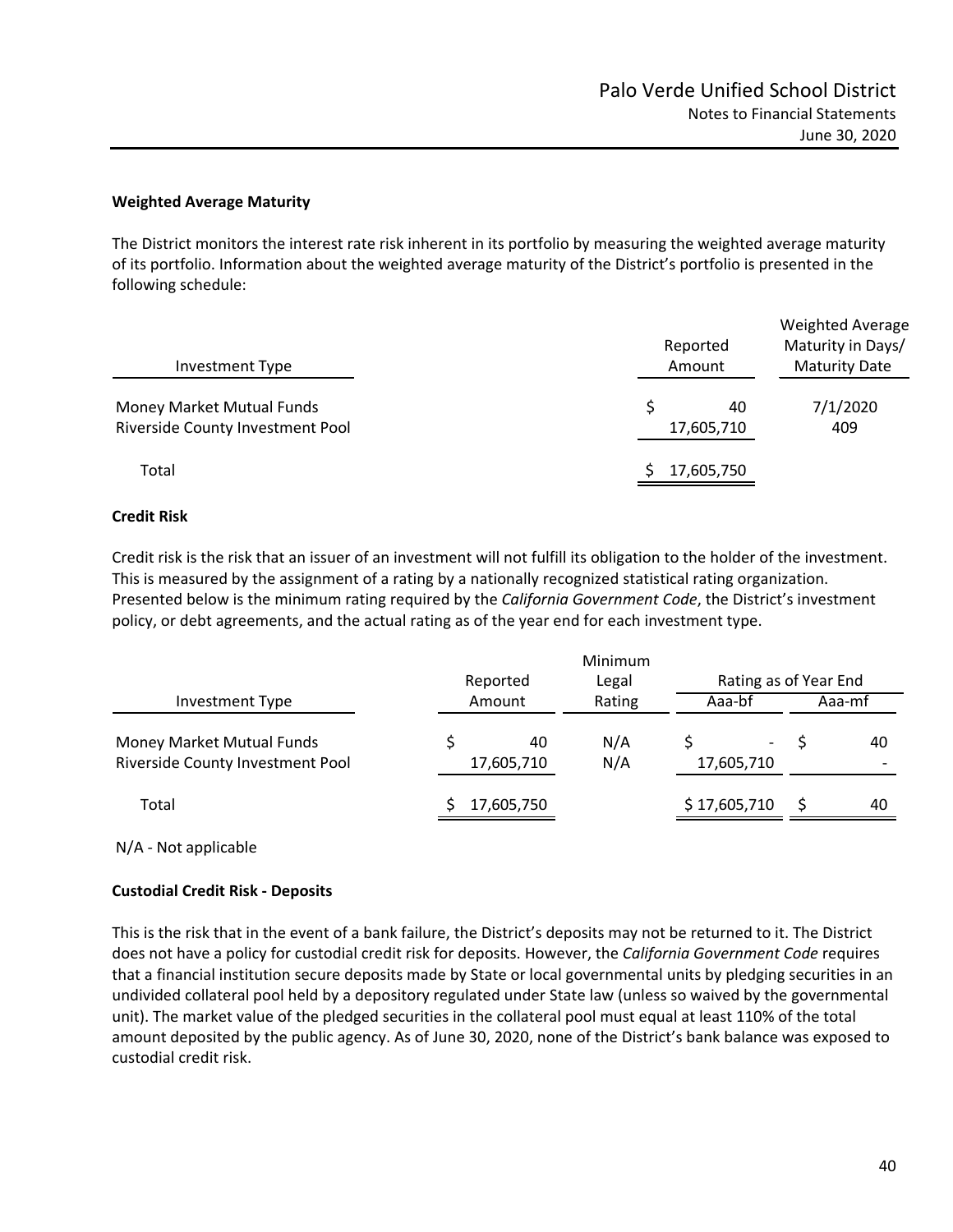#### **Weighted Average Maturity**

The District monitors the interest rate risk inherent in its portfolio by measuring the weighted average maturity of its portfolio. Information about the weighted average maturity of the District's portfolio is presented in the following schedule:

| Investment Type                                               | Reported<br>Amount    |                 |
|---------------------------------------------------------------|-----------------------|-----------------|
| Money Market Mutual Funds<br>Riverside County Investment Pool | Ś<br>40<br>17,605,710 | 7/1/2020<br>409 |
| Total                                                         | 17,605,750            |                 |

#### **Credit Risk**

Credit risk is the risk that an issuer of an investment will not fulfill its obligation to the holder of the investment. This is measured by the assignment of a rating by a nationally recognized statistical rating organization. Presented below is the minimum rating required by the *California Government Code*, the District's investment policy, or debt agreements, and the actual rating as of the year end for each investment type.

|                                                               |                  |                  | Minimum    |                       |            |  |    |        |
|---------------------------------------------------------------|------------------|------------------|------------|-----------------------|------------|--|----|--------|
|                                                               | Reported         |                  | Legal      | Rating as of Year End |            |  |    |        |
| Investment Type                                               | Rating<br>Amount |                  |            |                       | Aaa-bf     |  |    | Aaa-mf |
| Money Market Mutual Funds<br>Riverside County Investment Pool |                  | 40<br>17,605,710 | N/A<br>N/A |                       | 17,605,710 |  | 40 |        |
| Total                                                         |                  | 17,605,750       |            | \$17,605,710          |            |  | 40 |        |

### N/A ‐ Not applicable

### **Custodial Credit Risk ‐ Deposits**

This is the risk that in the event of a bank failure, the District's deposits may not be returned to it. The District does not have a policy for custodial credit risk for deposits. However, the *California Government Code* requires that a financial institution secure deposits made by State or local governmental units by pledging securities in an undivided collateral pool held by a depository regulated under State law (unless so waived by the governmental unit). The market value of the pledged securities in the collateral pool must equal at least 110% of the total amount deposited by the public agency. As of June 30, 2020, none of the District's bank balance was exposed to custodial credit risk.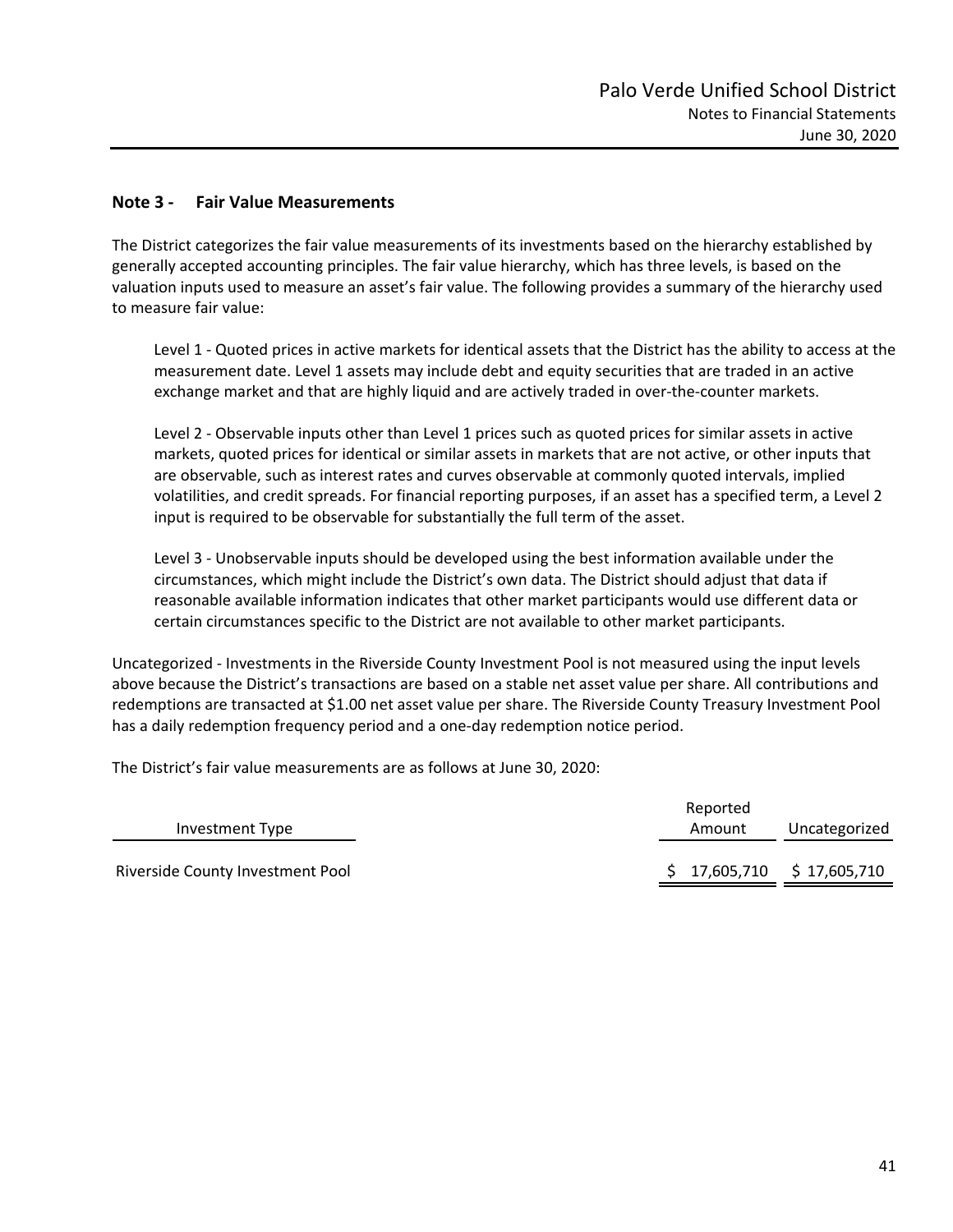# **Note 3 ‐ Fair Value Measurements**

The District categorizes the fair value measurements of its investments based on the hierarchy established by generally accepted accounting principles. The fair value hierarchy, which has three levels, is based on the valuation inputs used to measure an asset's fair value. The following provides a summary of the hierarchy used to measure fair value:

Level 1 - Quoted prices in active markets for identical assets that the District has the ability to access at the measurement date. Level 1 assets may include debt and equity securities that are traded in an active exchange market and that are highly liquid and are actively traded in over-the-counter markets.

Level 2 - Observable inputs other than Level 1 prices such as quoted prices for similar assets in active markets, quoted prices for identical or similar assets in markets that are not active, or other inputs that are observable, such as interest rates and curves observable at commonly quoted intervals, implied volatilities, and credit spreads. For financial reporting purposes, if an asset has a specified term, a Level 2 input is required to be observable for substantially the full term of the asset.

Level 3 - Unobservable inputs should be developed using the best information available under the circumstances, which might include the District's own data. The District should adjust that data if reasonable available information indicates that other market participants would use different data or certain circumstances specific to the District are not available to other market participants.

Uncategorized ‐ Investments in the Riverside County Investment Pool is not measured using the input levels above because the District's transactions are based on a stable net asset value per share. All contributions and redemptions are transacted at \$1.00 net asset value per share. The Riverside County Treasury Investment Pool has a daily redemption frequency period and a one‐day redemption notice period.

The District's fair value measurements are as follows at June 30, 2020:

|                                  | Reported                    |               |
|----------------------------------|-----------------------------|---------------|
| Investment Type                  | Amount                      | Uncategorized |
| Riverside County Investment Pool | $$17,605,710 \t$17,605,710$ |               |
|                                  |                             |               |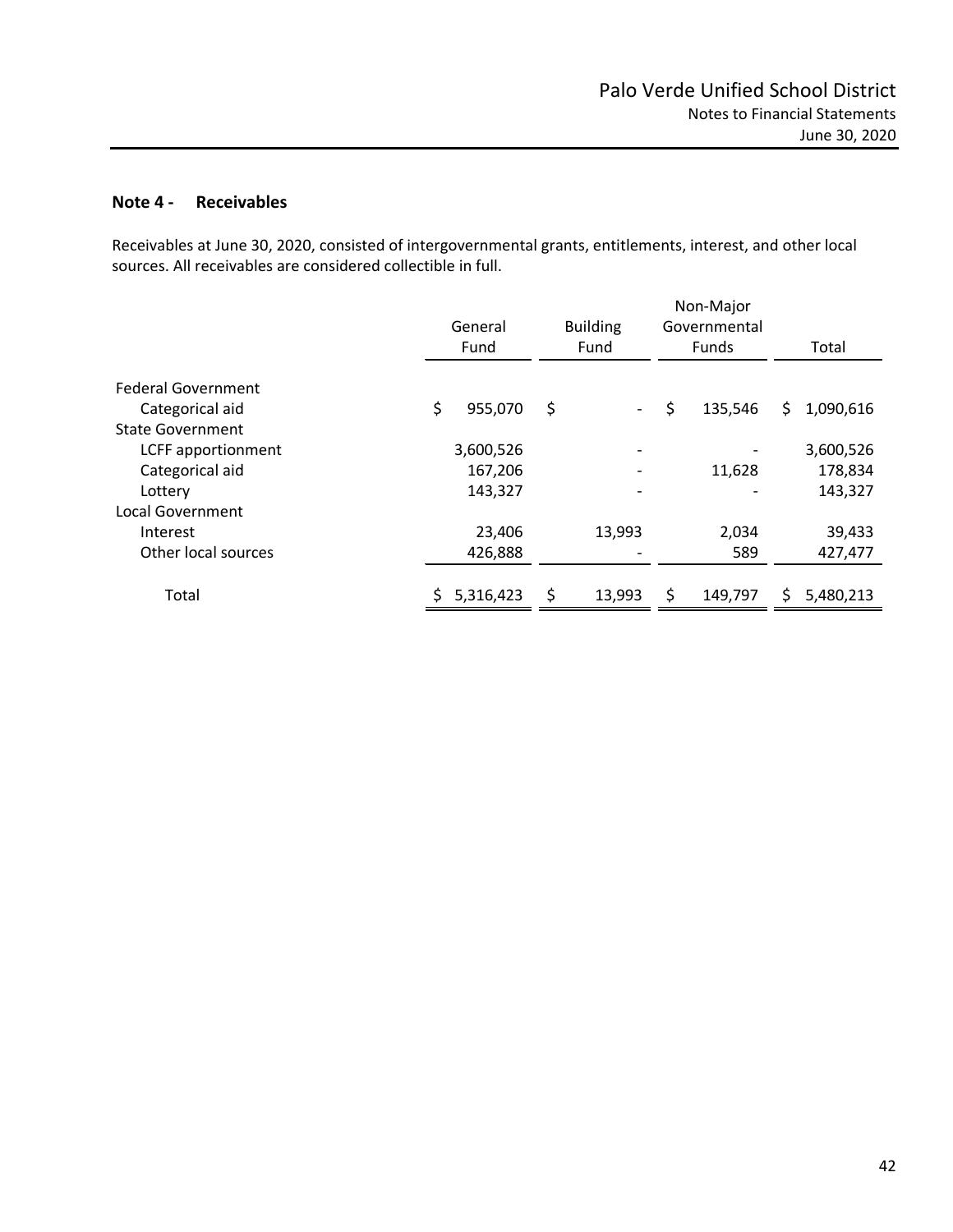# **Note 4 ‐ Receivables**

Receivables at June 30, 2020, consisted of intergovernmental grants, entitlements, interest, and other local sources. All receivables are considered collectible in full.

|                           | General<br>Fund | <b>Building</b><br>Fund        | Non-Major<br>Governmental<br><b>Funds</b> | Total          |
|---------------------------|-----------------|--------------------------------|-------------------------------------------|----------------|
|                           |                 |                                |                                           |                |
| <b>Federal Government</b> |                 |                                |                                           |                |
| Categorical aid           | \$<br>955,070   | \$<br>$\overline{\phantom{0}}$ | \$<br>135,546                             | Ś<br>1,090,616 |
| <b>State Government</b>   |                 |                                |                                           |                |
| LCFF apportionment        | 3,600,526       |                                |                                           | 3,600,526      |
| Categorical aid           | 167,206         |                                | 11,628                                    | 178,834        |
| Lottery                   | 143,327         |                                |                                           | 143,327        |
| Local Government          |                 |                                |                                           |                |
| Interest                  | 23,406          | 13,993                         | 2,034                                     | 39,433         |
| Other local sources       | 426,888         |                                | 589                                       | 427,477        |
|                           |                 |                                |                                           |                |
| Total                     | \$5,316,423     | \$<br>13,993                   | \$<br>149,797                             | 5,480,213<br>S |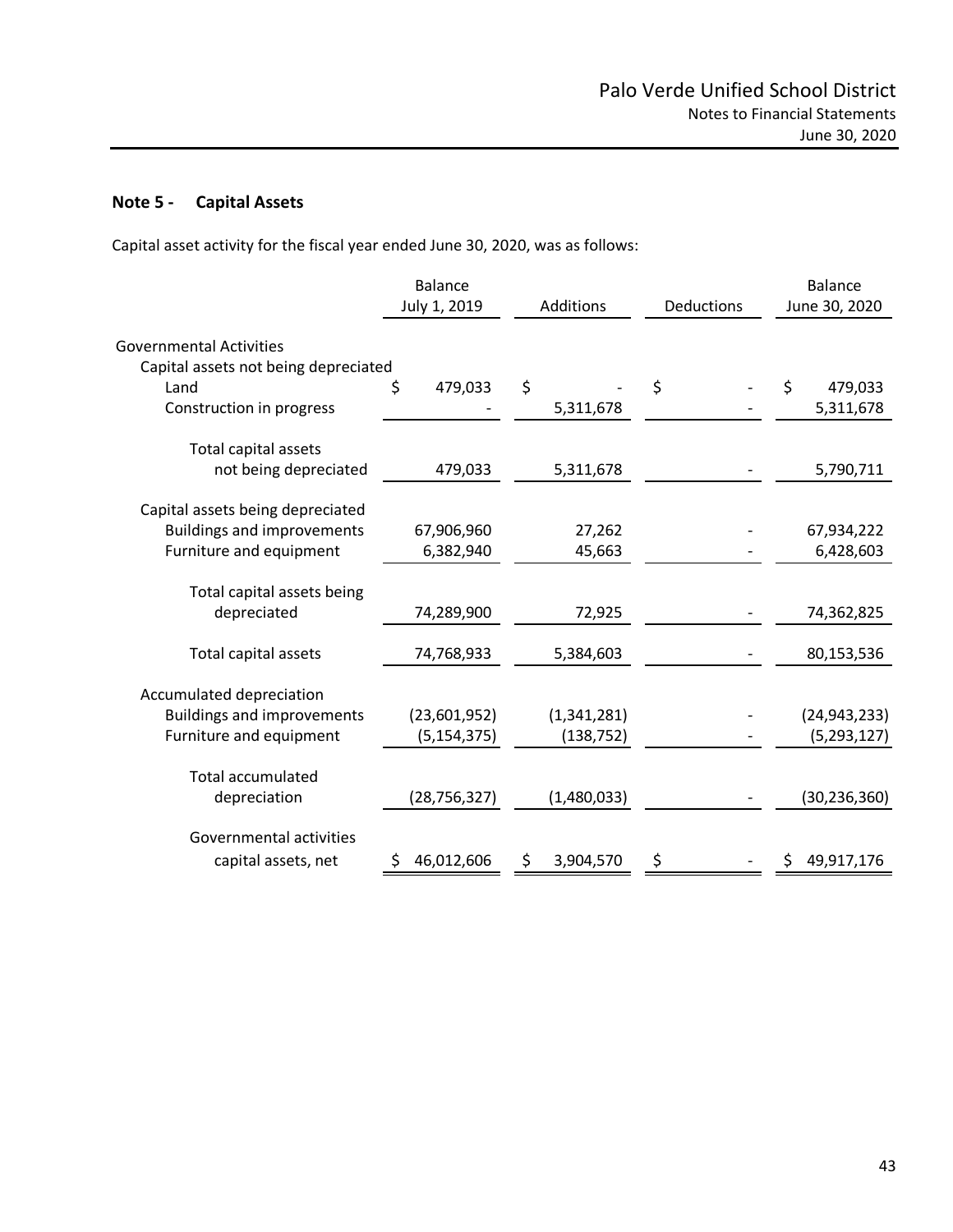# **Note 5 ‐ Capital Assets**

Capital asset activity for the fiscal year ended June 30, 2020, was as follows:

|                                      | <b>Balance</b><br>July 1, 2019 | Deductions<br>Additions |    | <b>Balance</b><br>June 30, 2020 |
|--------------------------------------|--------------------------------|-------------------------|----|---------------------------------|
| <b>Governmental Activities</b>       |                                |                         |    |                                 |
|                                      |                                |                         |    |                                 |
| Capital assets not being depreciated | \$<br>479,033                  | \$                      | \$ | \$                              |
| Land                                 |                                |                         |    | 479,033                         |
| Construction in progress             |                                | 5,311,678               |    | 5,311,678                       |
| Total capital assets                 |                                |                         |    |                                 |
| not being depreciated                | 479,033                        | 5,311,678               |    | 5,790,711                       |
|                                      |                                |                         |    |                                 |
| Capital assets being depreciated     |                                |                         |    |                                 |
| <b>Buildings and improvements</b>    | 67,906,960                     | 27,262                  |    | 67,934,222                      |
| Furniture and equipment              | 6,382,940                      | 45,663                  |    | 6,428,603                       |
| Total capital assets being           |                                |                         |    |                                 |
| depreciated                          | 74,289,900                     | 72,925                  |    | 74,362,825                      |
|                                      |                                |                         |    |                                 |
| Total capital assets                 | 74,768,933                     | 5,384,603               |    | 80,153,536                      |
| Accumulated depreciation             |                                |                         |    |                                 |
| <b>Buildings and improvements</b>    | (23,601,952)                   | (1,341,281)             |    | (24, 943, 233)                  |
| Furniture and equipment              | (5, 154, 375)                  | (138, 752)              |    | (5, 293, 127)                   |
|                                      |                                |                         |    |                                 |
| <b>Total accumulated</b>             |                                |                         |    |                                 |
| depreciation                         | (28,756,327)                   | (1,480,033)             |    | (30, 236, 360)                  |
| Governmental activities              |                                |                         |    |                                 |
| capital assets, net                  | 46,012,606                     | 3,904,570<br>S          | \$ | 49,917,176<br>S                 |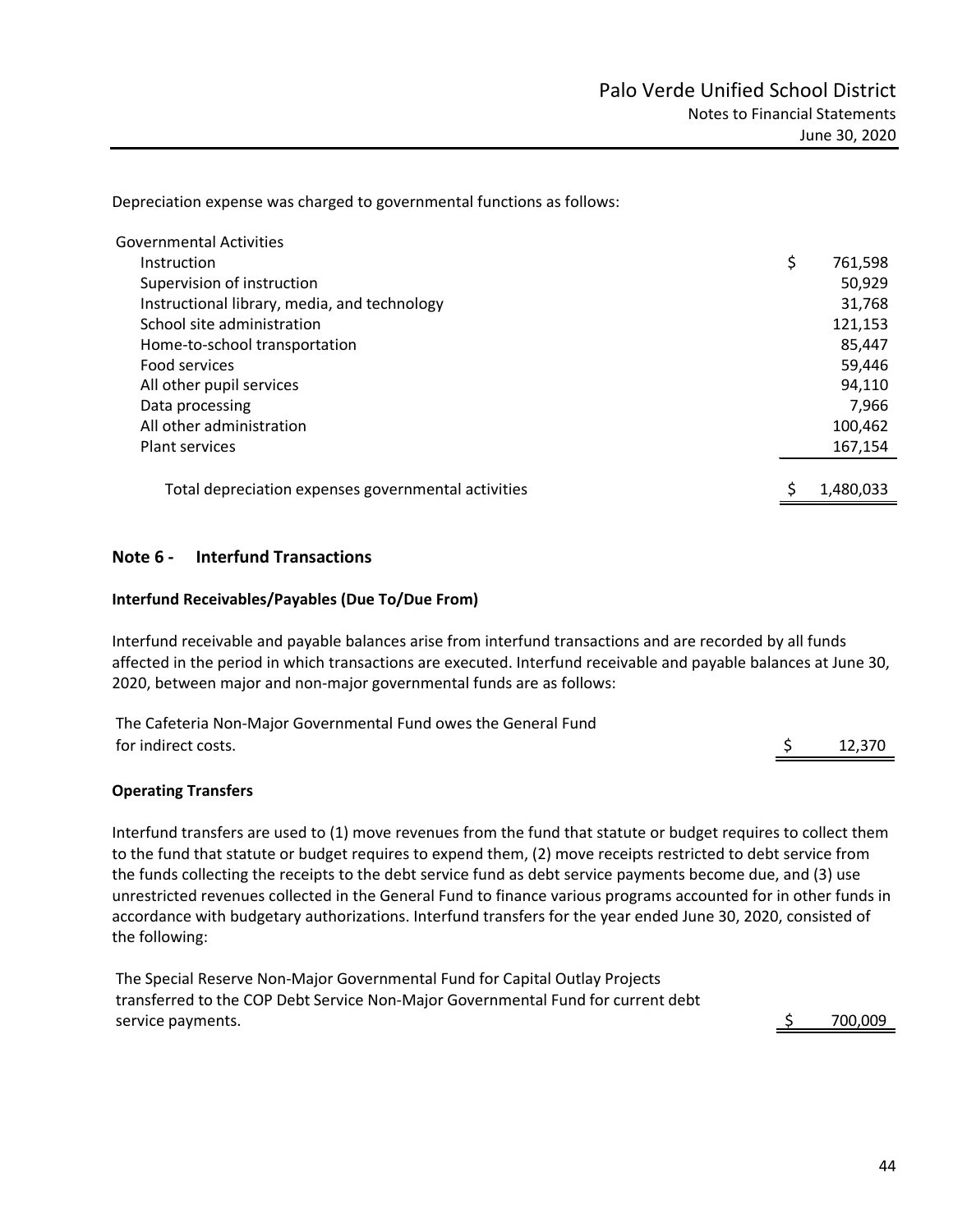Depreciation expense was charged to governmental functions as follows:

| Governmental Activities                             |               |
|-----------------------------------------------------|---------------|
| Instruction                                         | \$<br>761,598 |
| Supervision of instruction                          | 50,929        |
| Instructional library, media, and technology        | 31,768        |
| School site administration                          | 121,153       |
| Home-to-school transportation                       | 85,447        |
| Food services                                       | 59,446        |
| All other pupil services                            | 94,110        |
| Data processing                                     | 7,966         |
| All other administration                            | 100,462       |
| <b>Plant services</b>                               | 167,154       |
| Total depreciation expenses governmental activities | 1.480.033     |

### **Note 6 ‐ Interfund Transactions**

#### **Interfund Receivables/Payables (Due To/Due From)**

Interfund receivable and payable balances arise from interfund transactions and are recorded by all funds affected in the period in which transactions are executed. Interfund receivable and payable balances at June 30, 2020, between major and non‐major governmental funds are as follows:

| The Cafeteria Non-Major Governmental Fund owes the General Fund |        |
|-----------------------------------------------------------------|--------|
| for indirect costs.                                             | 12.370 |

### **Operating Transfers**

Interfund transfers are used to (1) move revenues from the fund that statute or budget requires to collect them to the fund that statute or budget requires to expend them, (2) move receipts restricted to debt service from the funds collecting the receipts to the debt service fund as debt service payments become due, and (3) use unrestricted revenues collected in the General Fund to finance various programs accounted for in other funds in accordance with budgetary authorizations. Interfund transfers for the year ended June 30, 2020, consisted of the following:

transferred to the COP Debt Service Non‐Major Governmental Fund for current debt service payments. \$ 700,009 The Special Reserve Non‐Major Governmental Fund for Capital Outlay Projects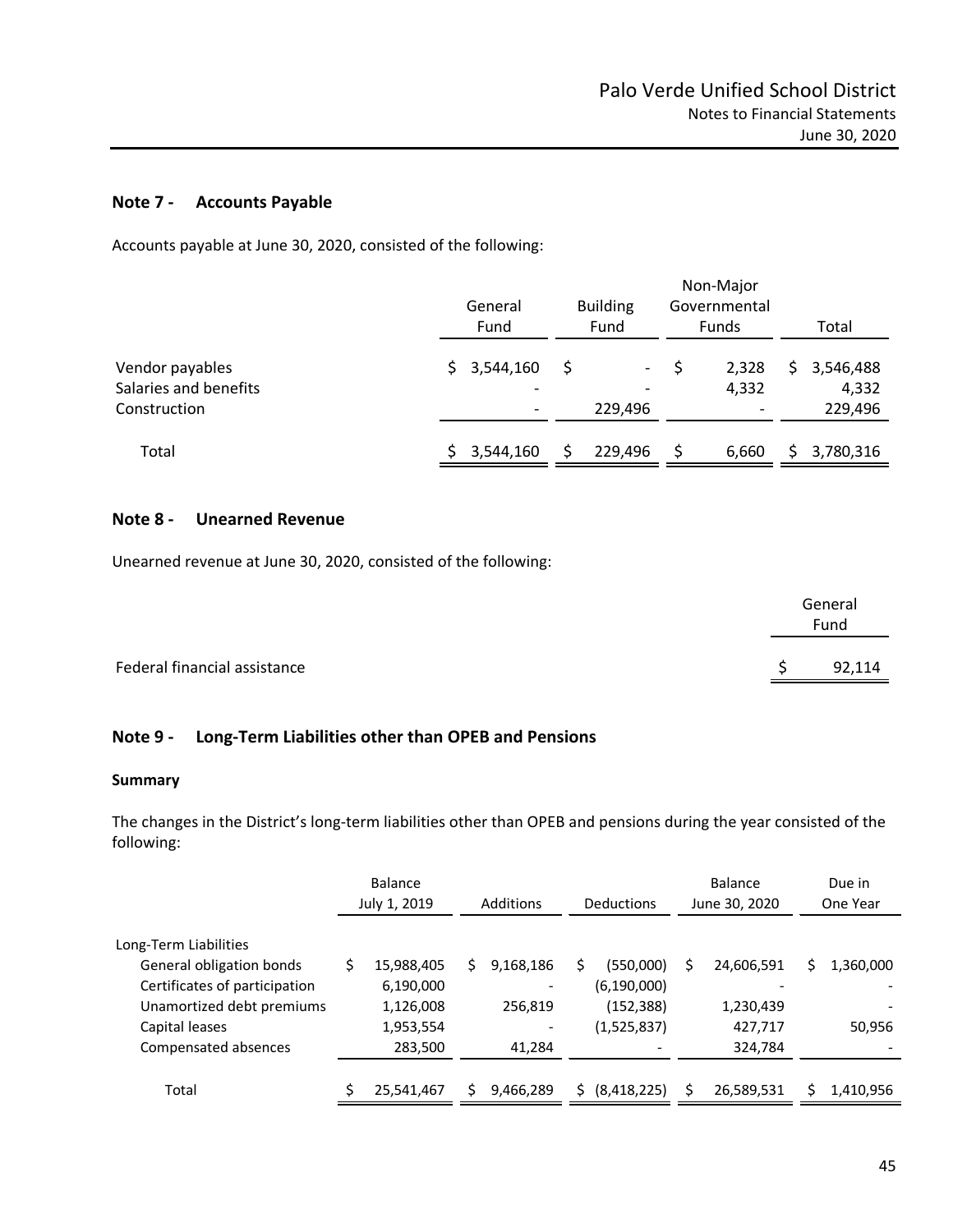### **Note 7 ‐ Accounts Payable**

Accounts payable at June 30, 2020, consisted of the following:

|                                                          | General<br>Fund | <b>Building</b><br>Fund                                              | Non-Major<br>Governmental<br><b>Funds</b>  | Total                               |
|----------------------------------------------------------|-----------------|----------------------------------------------------------------------|--------------------------------------------|-------------------------------------|
| Vendor payables<br>Salaries and benefits<br>Construction | 3,544,160       | Ŝ<br>$\overline{\phantom{a}}$<br>$\overline{\phantom{a}}$<br>229.496 | 2,328<br>4,332<br>$\overline{\phantom{0}}$ | 3,546,488<br>S.<br>4,332<br>229,496 |
| Total                                                    | 3,544,160       | 229,496                                                              | 6,660                                      | 3,780,316                           |

## **Note 8 ‐ Unearned Revenue**

Unearned revenue at June 30, 2020, consisted of the following:

|                              |    | General<br>Fund |  |
|------------------------------|----|-----------------|--|
| Federal financial assistance | c. | 92,114          |  |

# **Note 9 ‐ Long‐Term Liabilities other than OPEB and Pensions**

#### **Summary**

The changes in the District's long-term liabilities other than OPEB and pensions during the year consisted of the following:

|                               | <b>Balance</b><br>July 1, 2019 |            |    | Additions |    | Deductions    |   | <b>Balance</b><br>June 30, 2020 |    | Due in<br>One Year |
|-------------------------------|--------------------------------|------------|----|-----------|----|---------------|---|---------------------------------|----|--------------------|
| Long-Term Liabilities         |                                |            |    |           |    |               |   |                                 |    |                    |
| General obligation bonds      | Ś                              | 15,988,405 | S  | 9,168,186 | Ś  | (550,000)     | S | 24,606,591                      | Ś  | 1,360,000          |
| Certificates of participation |                                | 6,190,000  |    |           |    | (6, 190, 000) |   |                                 |    |                    |
| Unamortized debt premiums     |                                | 1,126,008  |    | 256.819   |    | (152, 388)    |   | 1,230,439                       |    |                    |
| Capital leases                |                                | 1,953,554  |    |           |    | (1,525,837)   |   | 427,717                         |    | 50,956             |
| Compensated absences          |                                | 283,500    |    | 41,284    |    |               |   | 324,784                         |    |                    |
|                               |                                |            |    |           |    |               |   |                                 |    |                    |
| Total                         |                                | 25.541.467 | S. | 9.466.289 | Ś. | (8,418,225)   |   | 26,589,531                      | ς. | 1,410,956          |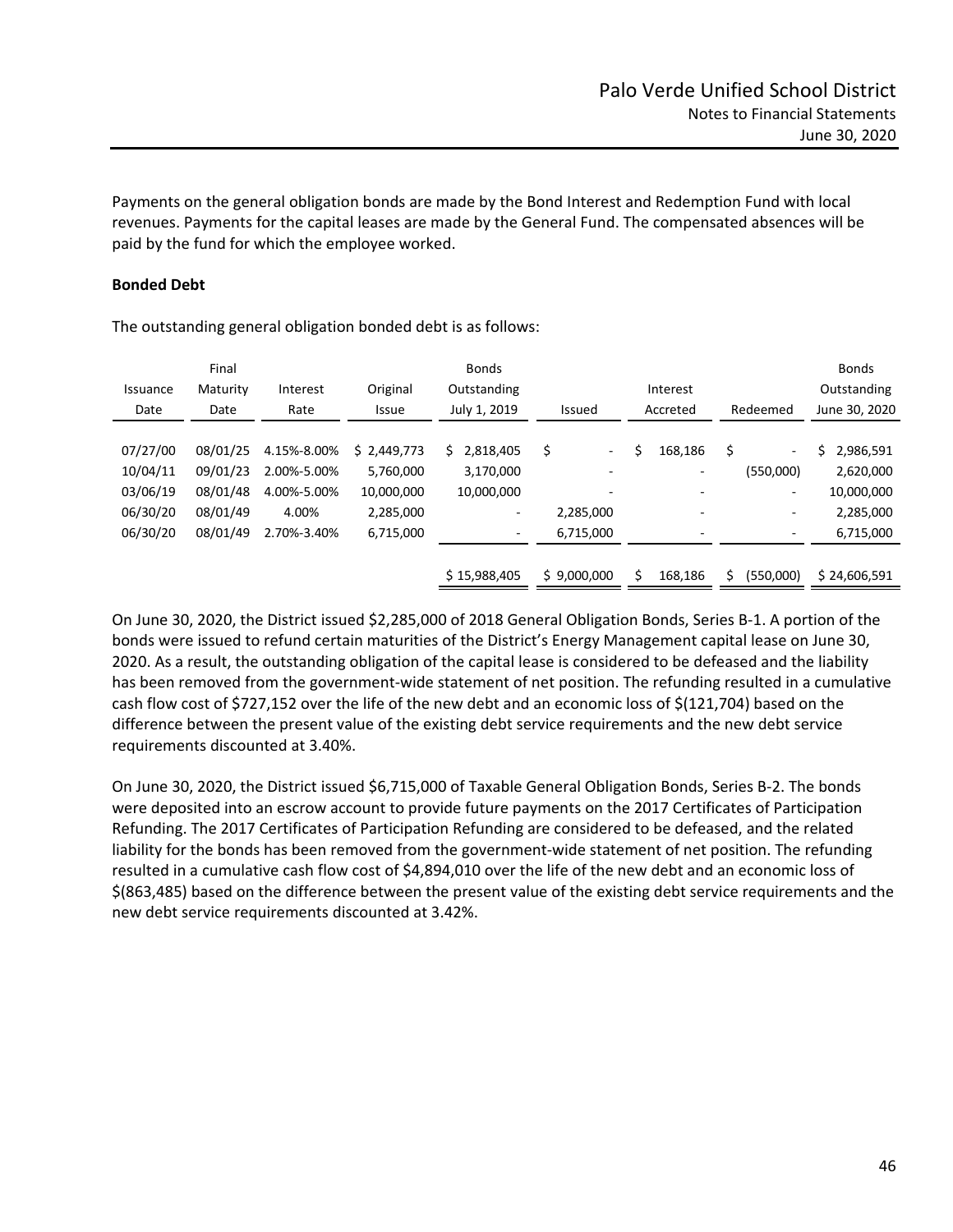Payments on the general obligation bonds are made by the Bond Interest and Redemption Fund with local revenues. Payments for the capital leases are made by the General Fund. The compensated absences will be paid by the fund for which the employee worked.

### **Bonded Debt**

|          | Final    |             |             | <b>Bonds</b>                 |             |               |                          | <b>Bonds</b>  |
|----------|----------|-------------|-------------|------------------------------|-------------|---------------|--------------------------|---------------|
| Issuance | Maturity | Interest    | Original    | Outstanding                  |             | Interest      |                          | Outstanding   |
| Date     | Date     | Rate        | Issue       | July 1, 2019                 | Issued      | Accreted      | Redeemed                 | June 30, 2020 |
|          |          |             |             |                              |             |               |                          |               |
| 07/27/00 | 08/01/25 | 4.15%-8.00% | \$2,449,773 | 2,818,405<br>Ś.              | S<br>٠      | Ś<br>168,186  | \$<br>$\sim$             | 2,986,591     |
| 10/04/11 | 09/01/23 | 2.00%-5.00% | 5,760,000   | 3,170,000                    |             |               | (550,000)                | 2,620,000     |
| 03/06/19 | 08/01/48 | 4.00%-5.00% | 10,000,000  | 10,000,000                   |             |               | $\overline{\phantom{a}}$ | 10,000,000    |
| 06/30/20 | 08/01/49 | 4.00%       | 2,285,000   | $\qquad \qquad \blacksquare$ | 2,285,000   |               | ٠                        | 2,285,000     |
| 06/30/20 | 08/01/49 | 2.70%-3.40% | 6,715,000   | -                            | 6,715,000   |               |                          | 6,715,000     |
|          |          |             |             |                              |             |               |                          |               |
|          |          |             |             | \$15,988,405                 | \$9,000,000 | Š.<br>168.186 | (550,000)<br>Ś           | \$24,606.591  |

The outstanding general obligation bonded debt is as follows:

On June 30, 2020, the District issued \$2,285,000 of 2018 General Obligation Bonds, Series B‐1. A portion of the bonds were issued to refund certain maturities of the District's Energy Management capital lease on June 30, 2020. As a result, the outstanding obligation of the capital lease is considered to be defeased and the liability has been removed from the government-wide statement of net position. The refunding resulted in a cumulative cash flow cost of \$727,152 over the life of the new debt and an economic loss of \$(121,704) based on the difference between the present value of the existing debt service requirements and the new debt service requirements discounted at 3.40%.

On June 30, 2020, the District issued \$6,715,000 of Taxable General Obligation Bonds, Series B‐2. The bonds were deposited into an escrow account to provide future payments on the 2017 Certificates of Participation Refunding. The 2017 Certificates of Participation Refunding are considered to be defeased, and the related liability for the bonds has been removed from the government‐wide statement of net position. The refunding resulted in a cumulative cash flow cost of \$4,894,010 over the life of the new debt and an economic loss of \$(863,485) based on the difference between the present value of the existing debt service requirements and the new debt service requirements discounted at 3.42%.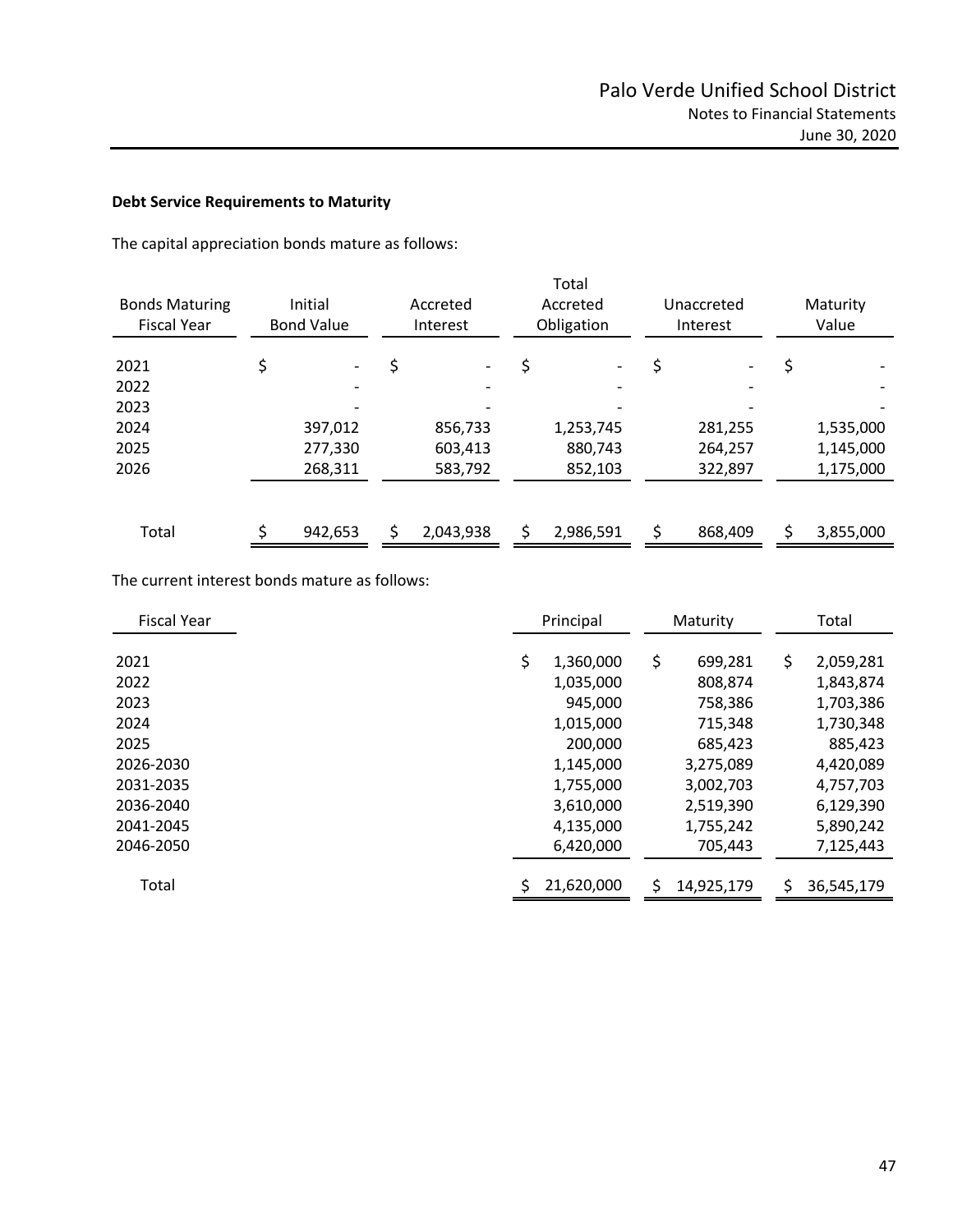# **Debt Service Requirements to Maturity**

The capital appreciation bonds mature as follows:

| <b>Bonds Maturing</b><br><b>Fiscal Year</b> |    | Initial<br><b>Bond Value</b> |    | Accreted<br>Interest | Total<br>Accreted<br>Obligation |    | Unaccreted<br>Interest |    | Maturity<br>Value |
|---------------------------------------------|----|------------------------------|----|----------------------|---------------------------------|----|------------------------|----|-------------------|
| 2021                                        | \$ |                              | \$ |                      | \$                              | \$ |                        | \$ |                   |
| 2022                                        |    |                              |    |                      |                                 |    |                        |    |                   |
| 2023                                        |    |                              |    |                      |                                 |    |                        |    |                   |
| 2024                                        |    | 397,012                      |    | 856,733              | 1,253,745                       |    | 281,255                |    | 1,535,000         |
| 2025                                        |    | 277,330                      |    | 603,413              | 880,743                         |    | 264,257                |    | 1,145,000         |
| 2026                                        |    | 268,311                      |    | 583,792              | 852,103                         |    | 322,897                |    | 1,175,000         |
|                                             |    |                              |    |                      |                                 |    |                        |    |                   |
| Total                                       | ς  | 942,653                      | Ś. | 2,043,938            | 2,986,591                       | Ś. | 868,409                | Ś  | 3,855,000         |
|                                             |    |                              |    |                      |                                 |    |                        |    |                   |

The current interest bonds mature as follows:

| <b>Fiscal Year</b> | Principal       |    | Maturity   |    | Total      |  |
|--------------------|-----------------|----|------------|----|------------|--|
| 2021               | \$<br>1,360,000 | \$ | 699,281    | \$ | 2,059,281  |  |
| 2022               | 1,035,000       |    | 808,874    |    | 1,843,874  |  |
| 2023               | 945,000         |    | 758,386    |    | 1,703,386  |  |
| 2024               | 1,015,000       |    | 715,348    |    | 1,730,348  |  |
| 2025               | 200,000         |    | 685,423    |    | 885,423    |  |
| 2026-2030          | 1,145,000       |    | 3,275,089  |    | 4,420,089  |  |
| 2031-2035          | 1,755,000       |    | 3,002,703  |    | 4,757,703  |  |
| 2036-2040          | 3,610,000       |    | 2,519,390  |    | 6,129,390  |  |
| 2041-2045          | 4,135,000       |    | 1,755,242  |    | 5,890,242  |  |
| 2046-2050          | 6,420,000       |    | 705,443    |    | 7,125,443  |  |
| Total              | 21,620,000      | Ś  | 14,925,179 | S. | 36,545,179 |  |
|                    |                 |    |            |    |            |  |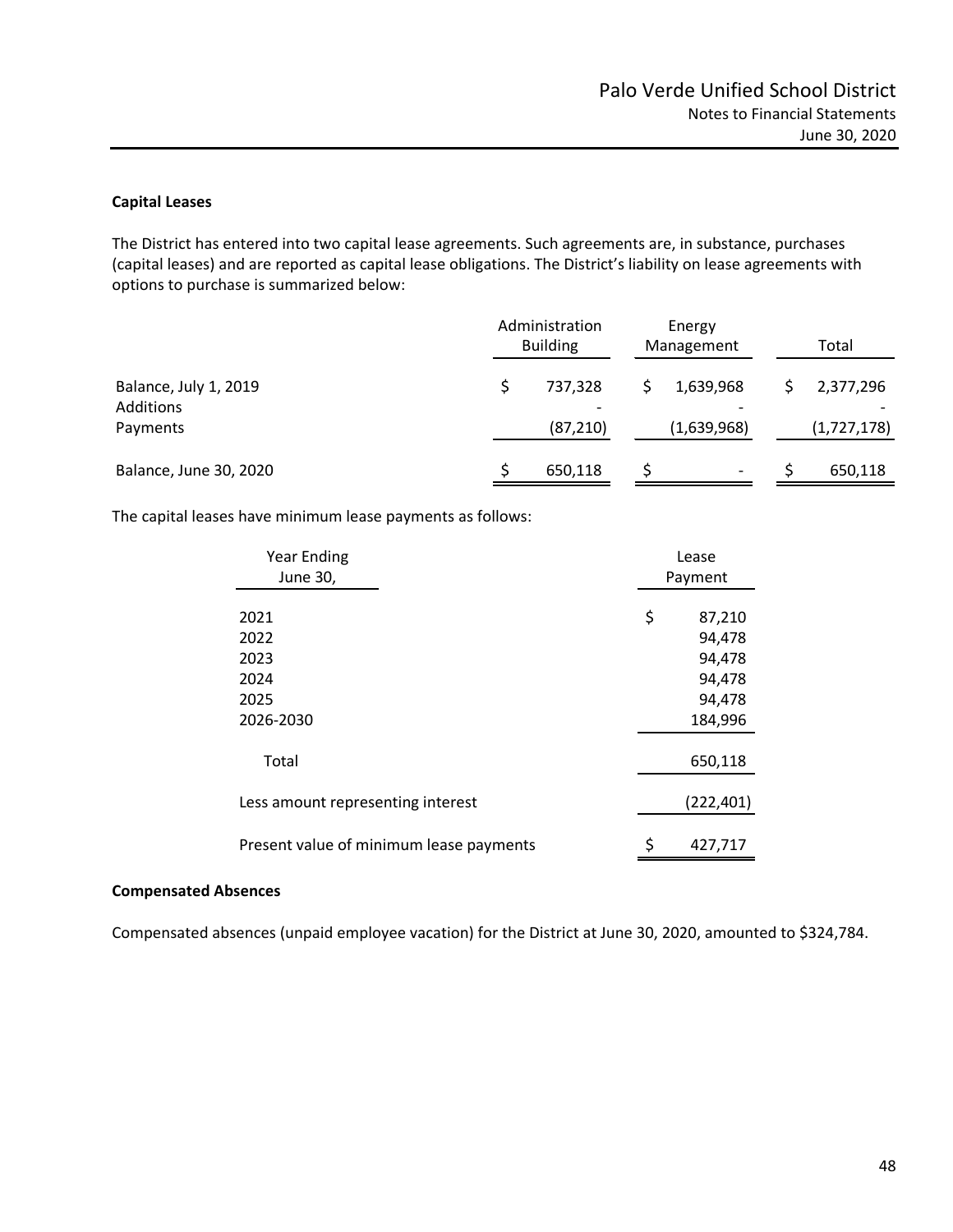### **Capital Leases**

The District has entered into two capital lease agreements. Such agreements are, in substance, purchases (capital leases) and are reported as capital lease obligations. The District's liability on lease agreements with options to purchase is summarized below:

|                                                | Administration<br><b>Building</b> |                      | Energy<br>Management     | Total |                          |  |
|------------------------------------------------|-----------------------------------|----------------------|--------------------------|-------|--------------------------|--|
| Balance, July 1, 2019<br>Additions<br>Payments |                                   | 737,328<br>(87, 210) | 1,639,968<br>(1,639,968) |       | 2,377,296<br>(1,727,178) |  |
| Balance, June 30, 2020                         |                                   | 650,118              | $\overline{\phantom{a}}$ |       | 650,118                  |  |

The capital leases have minimum lease payments as follows:

| <b>Year Ending</b><br>June 30,          | Lease<br>Payment |  |  |  |
|-----------------------------------------|------------------|--|--|--|
| 2021                                    | \$<br>87,210     |  |  |  |
| 2022                                    | 94,478           |  |  |  |
| 2023                                    | 94,478           |  |  |  |
| 2024                                    | 94,478           |  |  |  |
| 2025                                    | 94,478           |  |  |  |
| 2026-2030                               | 184,996          |  |  |  |
| Total                                   | 650,118          |  |  |  |
| Less amount representing interest       | (222, 401)       |  |  |  |
| Present value of minimum lease payments | \$<br>427,717    |  |  |  |

### **Compensated Absences**

Compensated absences (unpaid employee vacation) for the District at June 30, 2020, amounted to \$324,784.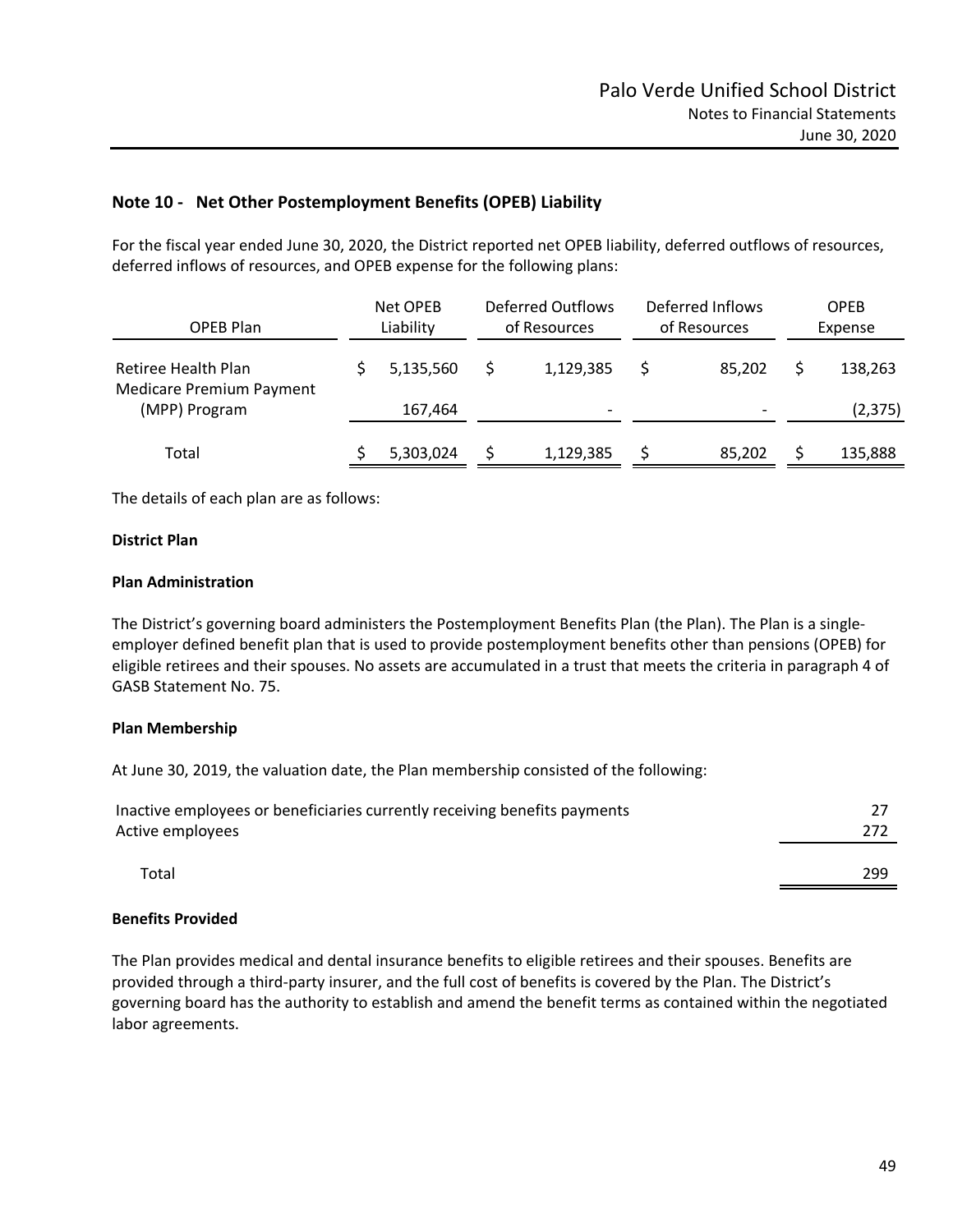# **Note 10 ‐ Net Other Postemployment Benefits (OPEB) Liability**

For the fiscal year ended June 30, 2020, the District reported net OPEB liability, deferred outflows of resources, deferred inflows of resources, and OPEB expense for the following plans:

| OPEB Plan                                              | Net OPEB<br>Liability |           | Deferred Outflows<br>of Resources |                          | Deferred Inflows<br>of Resources |                          | <b>OPEB</b><br>Expense |          |
|--------------------------------------------------------|-----------------------|-----------|-----------------------------------|--------------------------|----------------------------------|--------------------------|------------------------|----------|
| Retiree Health Plan<br><b>Medicare Premium Payment</b> |                       | 5,135,560 | Ś                                 | 1,129,385                | \$                               | 85.202                   |                        | 138,263  |
| (MPP) Program                                          |                       | 167,464   |                                   | $\overline{\phantom{0}}$ |                                  | $\overline{\phantom{0}}$ |                        | (2, 375) |
| Total                                                  |                       | 5,303,024 |                                   | 1,129,385                | \$                               | 85.202                   |                        | 135,888  |

The details of each plan are as follows:

#### **District Plan**

#### **Plan Administration**

The District's governing board administers the Postemployment Benefits Plan (the Plan). The Plan is a single‐ employer defined benefit plan that is used to provide postemployment benefits other than pensions (OPEB) for eligible retirees and their spouses. No assets are accumulated in a trust that meets the criteria in paragraph 4 of GASB Statement No. 75.

#### **Plan Membership**

At June 30, 2019, the valuation date, the Plan membership consisted of the following:

| Inactive employees or beneficiaries currently receiving benefits payments<br>Active employees | 272 |
|-----------------------------------------------------------------------------------------------|-----|
| Total                                                                                         | 299 |

### **Benefits Provided**

The Plan provides medical and dental insurance benefits to eligible retirees and their spouses. Benefits are provided through a third‐party insurer, and the full cost of benefits is covered by the Plan. The District's governing board has the authority to establish and amend the benefit terms as contained within the negotiated labor agreements.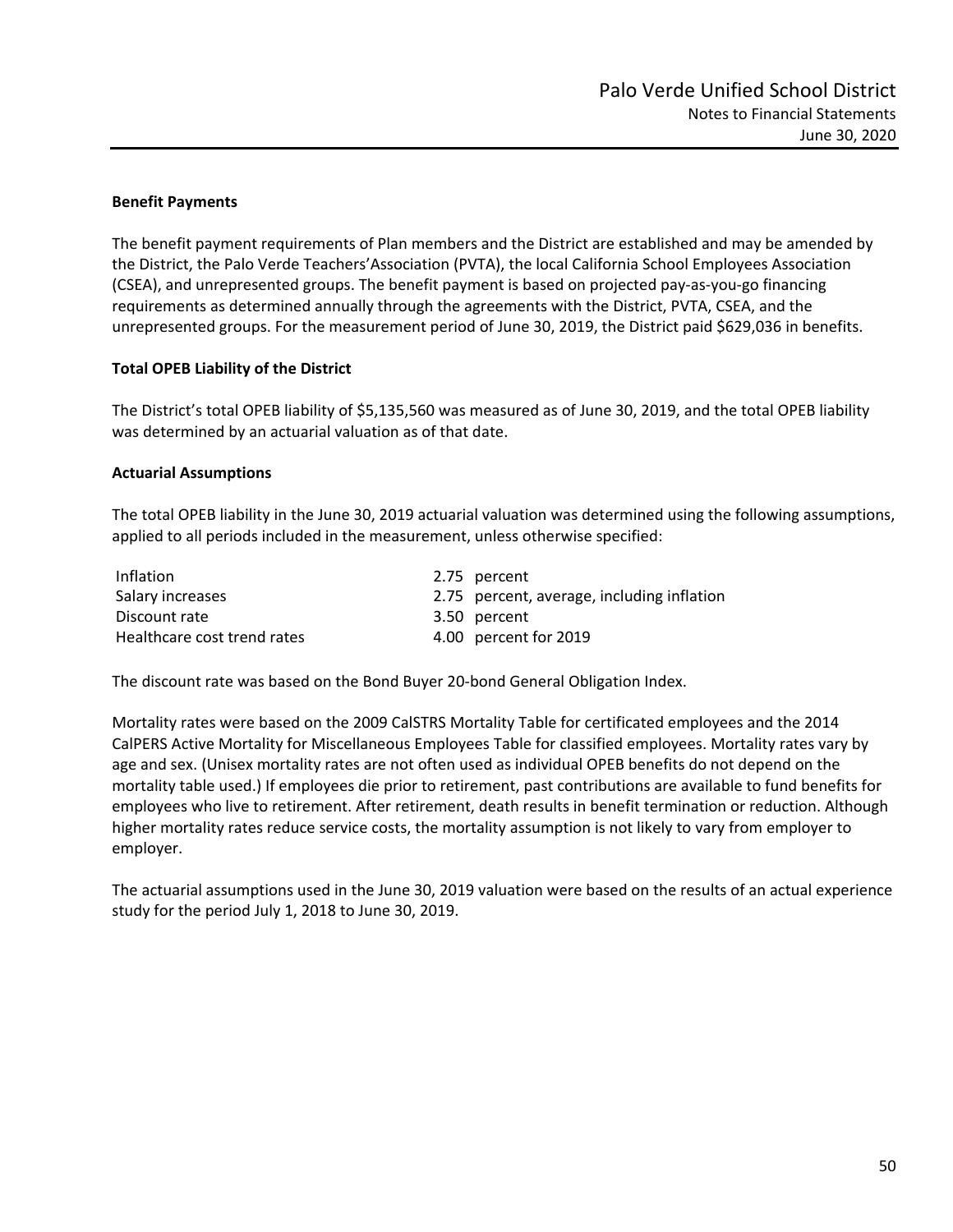### **Benefit Payments**

The benefit payment requirements of Plan members and the District are established and may be amended by the District, the Palo Verde Teachers'Association (PVTA), the local California School Employees Association (CSEA), and unrepresented groups. The benefit payment is based on projected pay‐as‐you‐go financing requirements as determined annually through the agreements with the District, PVTA, CSEA, and the unrepresented groups. For the measurement period of June 30, 2019, the District paid \$629,036 in benefits.

#### **Total OPEB Liability of the District**

The District's total OPEB liability of \$5,135,560 was measured as of June 30, 2019, and the total OPEB liability was determined by an actuarial valuation as of that date.

#### **Actuarial Assumptions**

The total OPEB liability in the June 30, 2019 actuarial valuation was determined using the following assumptions, applied to all periods included in the measurement, unless otherwise specified:

| Inflation                   | 2.75 percent                               |
|-----------------------------|--------------------------------------------|
| Salary increases            | 2.75 percent, average, including inflation |
| Discount rate               | 3.50 percent                               |
| Healthcare cost trend rates | 4.00 percent for 2019                      |

The discount rate was based on the Bond Buyer 20‐bond General Obligation Index.

Mortality rates were based on the 2009 CalSTRS Mortality Table for certificated employees and the 2014 CalPERS Active Mortality for Miscellaneous Employees Table for classified employees. Mortality rates vary by age and sex. (Unisex mortality rates are not often used as individual OPEB benefits do not depend on the mortality table used.) If employees die prior to retirement, past contributions are available to fund benefits for employees who live to retirement. After retirement, death results in benefit termination or reduction. Although higher mortality rates reduce service costs, the mortality assumption is not likely to vary from employer to employer.

The actuarial assumptions used in the June 30, 2019 valuation were based on the results of an actual experience study for the period July 1, 2018 to June 30, 2019.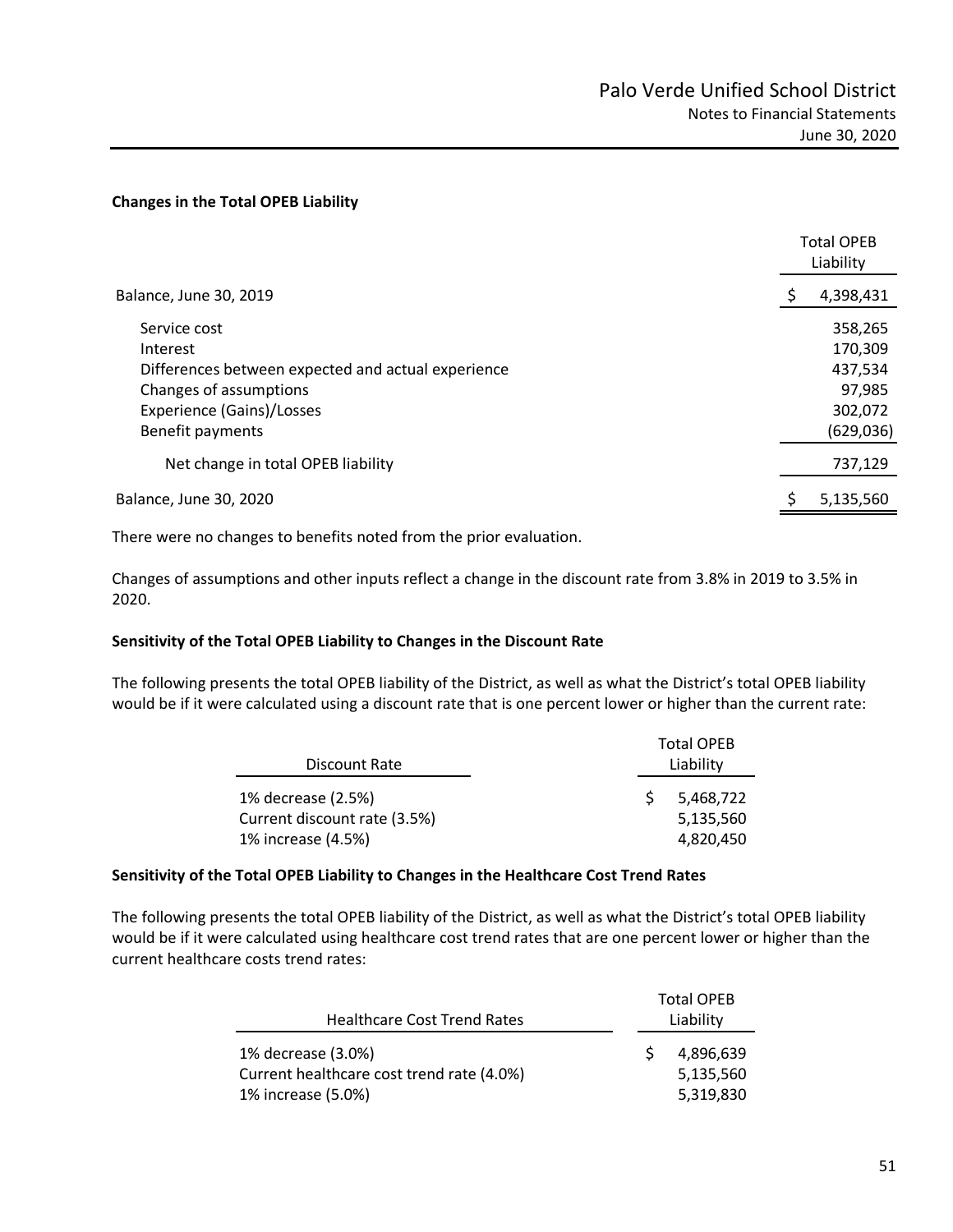#### **Changes in the Total OPEB Liability**

|                                                    | <b>Total OPEB</b><br>Liability |
|----------------------------------------------------|--------------------------------|
| Balance, June 30, 2019                             | 4,398,431                      |
| Service cost                                       | 358,265                        |
| Interest                                           | 170,309                        |
| Differences between expected and actual experience | 437,534                        |
| Changes of assumptions                             | 97,985                         |
| Experience (Gains)/Losses                          | 302,072                        |
| Benefit payments                                   | (629, 036)                     |
| Net change in total OPEB liability                 | 737,129                        |
| Balance, June 30, 2020                             | 5,135,560                      |
|                                                    |                                |

There were no changes to benefits noted from the prior evaluation.

Changes of assumptions and other inputs reflect a change in the discount rate from 3.8% in 2019 to 3.5% in 2020.

### **Sensitivity of the Total OPEB Liability to Changes in the Discount Rate**

The following presents the total OPEB liability of the District, as well as what the District's total OPEB liability would be if it were calculated using a discount rate that is one percent lower or higher than the current rate:

|                                                                          | <b>Total OPEB</b>                   |  |  |  |
|--------------------------------------------------------------------------|-------------------------------------|--|--|--|
| Discount Rate                                                            | Liability                           |  |  |  |
| 1% decrease (2.5%)<br>Current discount rate (3.5%)<br>1% increase (4.5%) | 5,468,722<br>5,135,560<br>4,820,450 |  |  |  |

#### **Sensitivity of the Total OPEB Liability to Changes in the Healthcare Cost Trend Rates**

The following presents the total OPEB liability of the District, as well as what the District's total OPEB liability would be if it were calculated using healthcare cost trend rates that are one percent lower or higher than the current healthcare costs trend rates:

| <b>Healthcare Cost Trend Rates</b>        | <b>Total OPEB</b><br>Liability |
|-------------------------------------------|--------------------------------|
|                                           |                                |
| 1% decrease (3.0%)                        | 4.896.639                      |
| Current healthcare cost trend rate (4.0%) | 5,135,560                      |
| 1% increase (5.0%)                        | 5,319,830                      |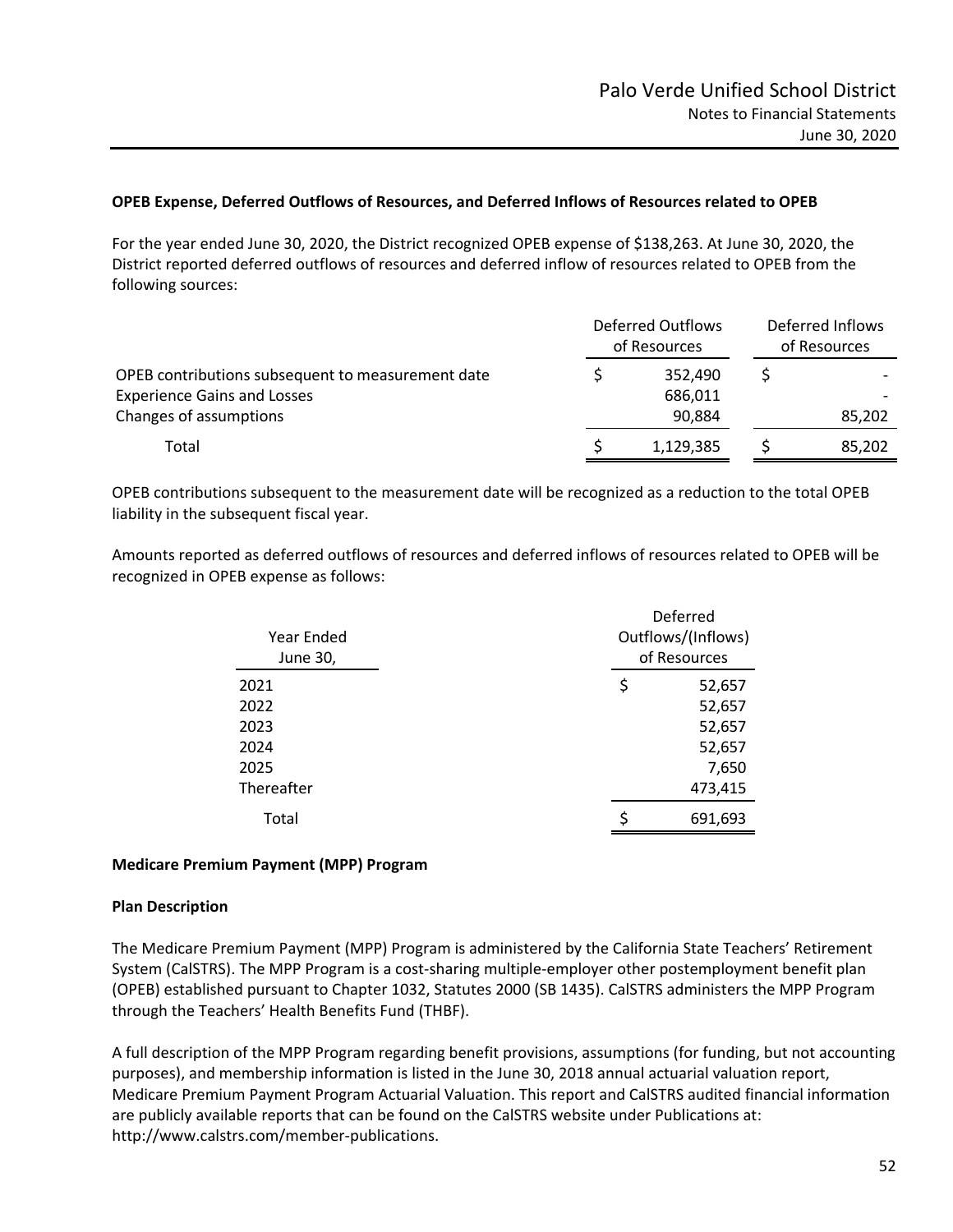### **OPEB Expense, Deferred Outflows of Resources, and Deferred Inflows of Resources related to OPEB**

For the year ended June 30, 2020, the District recognized OPEB expense of \$138,263. At June 30, 2020, the District reported deferred outflows of resources and deferred inflow of resources related to OPEB from the following sources:

|                                                   | Deferred Outflows<br>of Resources | Deferred Inflows<br>of Resources |  |  |
|---------------------------------------------------|-----------------------------------|----------------------------------|--|--|
| OPEB contributions subsequent to measurement date | 352,490                           |                                  |  |  |
| <b>Experience Gains and Losses</b>                | 686,011                           |                                  |  |  |
| Changes of assumptions                            | 90,884                            | 85,202                           |  |  |
| Total                                             | 1,129,385                         | 85,202                           |  |  |

OPEB contributions subsequent to the measurement date will be recognized as a reduction to the total OPEB liability in the subsequent fiscal year.

Amounts reported as deferred outflows of resources and deferred inflows of resources related to OPEB will be recognized in OPEB expense as follows:

| Year Ended<br>June 30, |    | Deferred<br>Outflows/(Inflows)<br>of Resources |  |  |  |
|------------------------|----|------------------------------------------------|--|--|--|
| 2021                   | \$ | 52,657                                         |  |  |  |
| 2022                   |    | 52,657                                         |  |  |  |
| 2023                   |    | 52,657                                         |  |  |  |
| 2024                   |    | 52,657                                         |  |  |  |
| 2025                   |    | 7,650                                          |  |  |  |
| Thereafter             |    | 473,415                                        |  |  |  |
| Total                  | ς  | 691,693                                        |  |  |  |

#### **Medicare Premium Payment (MPP) Program**

#### **Plan Description**

The Medicare Premium Payment (MPP) Program is administered by the California State Teachers' Retirement System (CalSTRS). The MPP Program is a cost-sharing multiple-employer other postemployment benefit plan (OPEB) established pursuant to Chapter 1032, Statutes 2000 (SB 1435). CalSTRS administers the MPP Program through the Teachers' Health Benefits Fund (THBF).

A full description of the MPP Program regarding benefit provisions, assumptions (for funding, but not accounting purposes), and membership information is listed in the June 30, 2018 annual actuarial valuation report, Medicare Premium Payment Program Actuarial Valuation. This report and CalSTRS audited financial information are publicly available reports that can be found on the CalSTRS website under Publications at: http://www.calstrs.com/member‐publications.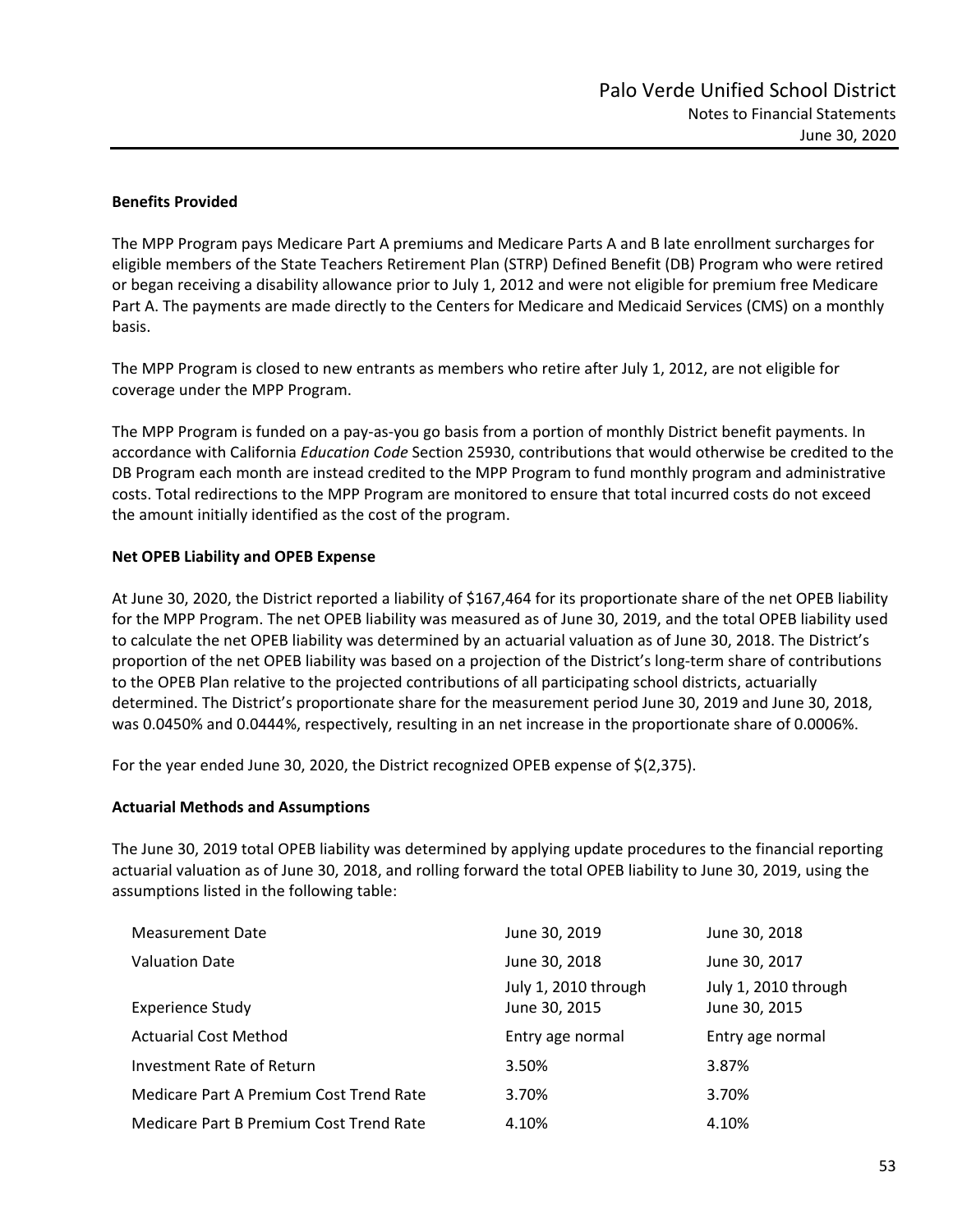### **Benefits Provided**

The MPP Program pays Medicare Part A premiums and Medicare Parts A and B late enrollment surcharges for eligible members of the State Teachers Retirement Plan (STRP) Defined Benefit (DB) Program who were retired or began receiving a disability allowance prior to July 1, 2012 and were not eligible for premium free Medicare Part A. The payments are made directly to the Centers for Medicare and Medicaid Services (CMS) on a monthly basis.

The MPP Program is closed to new entrants as members who retire after July 1, 2012, are not eligible for coverage under the MPP Program.

The MPP Program is funded on a pay‐as‐you go basis from a portion of monthly District benefit payments. In accordance with California *Education Code* Section 25930, contributions that would otherwise be credited to the DB Program each month are instead credited to the MPP Program to fund monthly program and administrative costs. Total redirections to the MPP Program are monitored to ensure that total incurred costs do not exceed the amount initially identified as the cost of the program.

## **Net OPEB Liability and OPEB Expense**

At June 30, 2020, the District reported a liability of \$167,464 for its proportionate share of the net OPEB liability for the MPP Program. The net OPEB liability was measured as of June 30, 2019, and the total OPEB liability used to calculate the net OPEB liability was determined by an actuarial valuation as of June 30, 2018. The District's proportion of the net OPEB liability was based on a projection of the District's long‐term share of contributions to the OPEB Plan relative to the projected contributions of all participating school districts, actuarially determined. The District's proportionate share for the measurement period June 30, 2019 and June 30, 2018, was 0.0450% and 0.0444%, respectively, resulting in an net increase in the proportionate share of 0.0006%.

For the year ended June 30, 2020, the District recognized OPEB expense of \$(2,375).

### **Actuarial Methods and Assumptions**

The June 30, 2019 total OPEB liability was determined by applying update procedures to the financial reporting actuarial valuation as of June 30, 2018, and rolling forward the total OPEB liability to June 30, 2019, using the assumptions listed in the following table:

| <b>Measurement Date</b>                 | June 30, 2019                         | June 30, 2018                         |
|-----------------------------------------|---------------------------------------|---------------------------------------|
| <b>Valuation Date</b>                   | June 30, 2018                         | June 30, 2017                         |
| <b>Experience Study</b>                 | July 1, 2010 through<br>June 30, 2015 | July 1, 2010 through<br>June 30, 2015 |
| <b>Actuarial Cost Method</b>            | Entry age normal                      | Entry age normal                      |
| Investment Rate of Return               | 3.50%                                 | 3.87%                                 |
| Medicare Part A Premium Cost Trend Rate | 3.70%                                 | 3.70%                                 |
| Medicare Part B Premium Cost Trend Rate | 4.10%                                 | 4.10%                                 |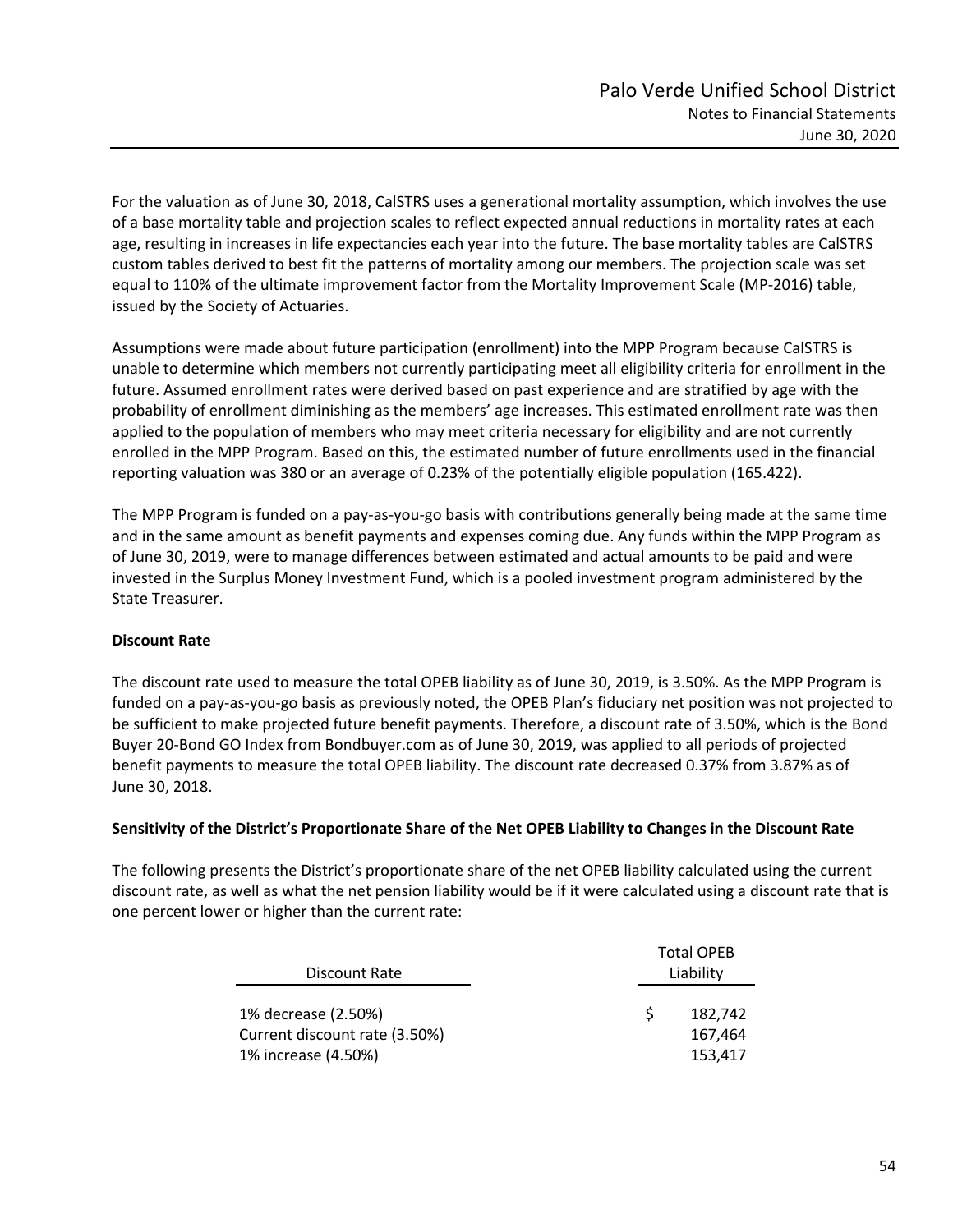For the valuation as of June 30, 2018, CalSTRS uses a generational mortality assumption, which involves the use of a base mortality table and projection scales to reflect expected annual reductions in mortality rates at each age, resulting in increases in life expectancies each year into the future. The base mortality tables are CalSTRS custom tables derived to best fit the patterns of mortality among our members. The projection scale was set equal to 110% of the ultimate improvement factor from the Mortality Improvement Scale (MP‐2016) table, issued by the Society of Actuaries.

Assumptions were made about future participation (enrollment) into the MPP Program because CalSTRS is unable to determine which members not currently participating meet all eligibility criteria for enrollment in the future. Assumed enrollment rates were derived based on past experience and are stratified by age with the probability of enrollment diminishing as the members' age increases. This estimated enrollment rate was then applied to the population of members who may meet criteria necessary for eligibility and are not currently enrolled in the MPP Program. Based on this, the estimated number of future enrollments used in the financial reporting valuation was 380 or an average of 0.23% of the potentially eligible population (165.422).

The MPP Program is funded on a pay‐as‐you‐go basis with contributions generally being made at the same time and in the same amount as benefit payments and expenses coming due. Any funds within the MPP Program as of June 30, 2019, were to manage differences between estimated and actual amounts to be paid and were invested in the Surplus Money Investment Fund, which is a pooled investment program administered by the State Treasurer.

# **Discount Rate**

The discount rate used to measure the total OPEB liability as of June 30, 2019, is 3.50%. As the MPP Program is funded on a pay‐as‐you‐go basis as previously noted, the OPEB Plan's fiduciary net position was not projected to be sufficient to make projected future benefit payments. Therefore, a discount rate of 3.50%, which is the Bond Buyer 20‐Bond GO Index from Bondbuyer.com as of June 30, 2019, was applied to all periods of projected benefit payments to measure the total OPEB liability. The discount rate decreased 0.37% from 3.87% as of June 30, 2018.

# **Sensitivity of the District's Proportionate Share of the Net OPEB Liability to Changes in the Discount Rate**

The following presents the District's proportionate share of the net OPEB liability calculated using the current discount rate, as well as what the net pension liability would be if it were calculated using a discount rate that is one percent lower or higher than the current rate:

|                               |   | <b>Total OPEB</b> |
|-------------------------------|---|-------------------|
| Discount Rate                 |   | Liability         |
|                               |   |                   |
| 1% decrease (2.50%)           | S | 182.742           |
| Current discount rate (3.50%) |   | 167.464           |
| 1% increase (4.50%)           |   | 153,417           |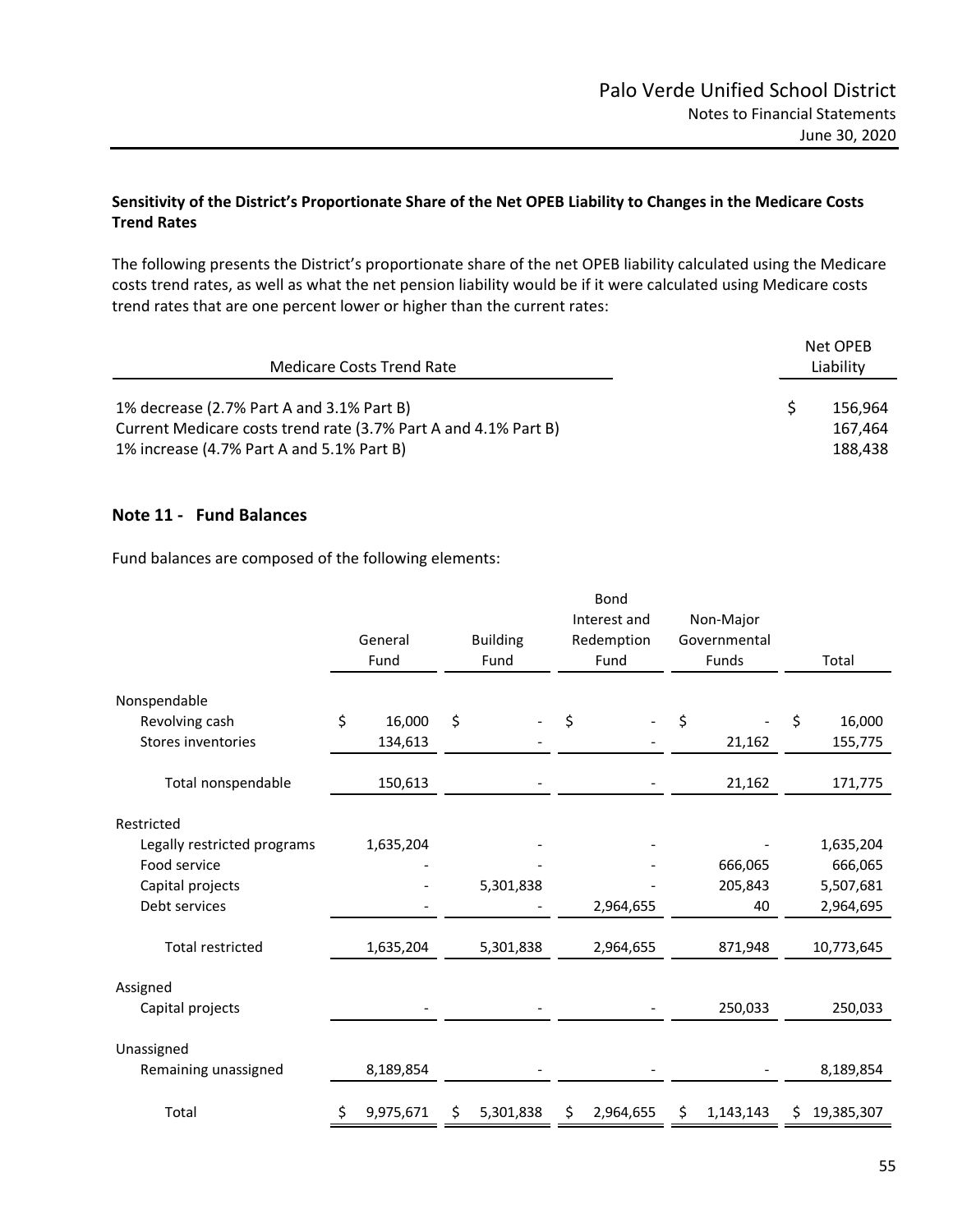# **Sensitivity of the District's Proportionate Share of the Net OPEB Liability to Changes in the Medicare Costs Trend Rates**

The following presents the District's proportionate share of the net OPEB liability calculated using the Medicare costs trend rates, as well as what the net pension liability would be if it were calculated using Medicare costs trend rates that are one percent lower or higher than the current rates:

| <b>Medicare Costs Trend Rate</b>                                                                                                                          | Net OPEB<br>Liability         |
|-----------------------------------------------------------------------------------------------------------------------------------------------------------|-------------------------------|
| 1% decrease (2.7% Part A and 3.1% Part B)<br>Current Medicare costs trend rate (3.7% Part A and 4.1% Part B)<br>1% increase (4.7% Part A and 5.1% Part B) | 156.964<br>167.464<br>188.438 |

# **Note 11 ‐ Fund Balances**

Fund balances are composed of the following elements:

|                             |                 |     |                 | Bond<br>Interest and | Non-Major       |                  |
|-----------------------------|-----------------|-----|-----------------|----------------------|-----------------|------------------|
|                             | General         |     | <b>Building</b> | Redemption           | Governmental    |                  |
|                             | Fund            |     | Fund            | Fund                 | Funds           | Total            |
|                             |                 |     |                 |                      |                 |                  |
| Nonspendable                |                 |     |                 |                      |                 |                  |
| Revolving cash              | \$<br>16,000    | \$  |                 | \$                   | \$              | \$<br>16,000     |
| Stores inventories          | 134,613         |     |                 |                      | 21,162          | 155,775          |
|                             |                 |     |                 |                      |                 |                  |
| Total nonspendable          | 150,613         |     |                 |                      | 21,162          | 171,775          |
|                             |                 |     |                 |                      |                 |                  |
| Restricted                  |                 |     |                 |                      |                 |                  |
| Legally restricted programs | 1,635,204       |     |                 |                      |                 | 1,635,204        |
| Food service                |                 |     |                 |                      | 666,065         | 666,065          |
| Capital projects            |                 |     | 5,301,838       |                      | 205,843         | 5,507,681        |
| Debt services               |                 |     |                 | 2,964,655            | 40              | 2,964,695        |
|                             |                 |     |                 |                      |                 |                  |
| <b>Total restricted</b>     | 1,635,204       |     | 5,301,838       | 2,964,655            | 871,948         | 10,773,645       |
|                             |                 |     |                 |                      |                 |                  |
| Assigned                    |                 |     |                 |                      |                 |                  |
| Capital projects            |                 |     |                 |                      | 250,033         | 250,033          |
|                             |                 |     |                 |                      |                 |                  |
| Unassigned                  |                 |     |                 |                      |                 |                  |
| Remaining unassigned        | 8,189,854       |     |                 |                      |                 | 8,189,854        |
|                             |                 |     |                 |                      |                 |                  |
| Total                       | \$<br>9,975,671 | \$. | 5,301,838       | \$<br>2,964,655      | \$<br>1,143,143 | \$<br>19,385,307 |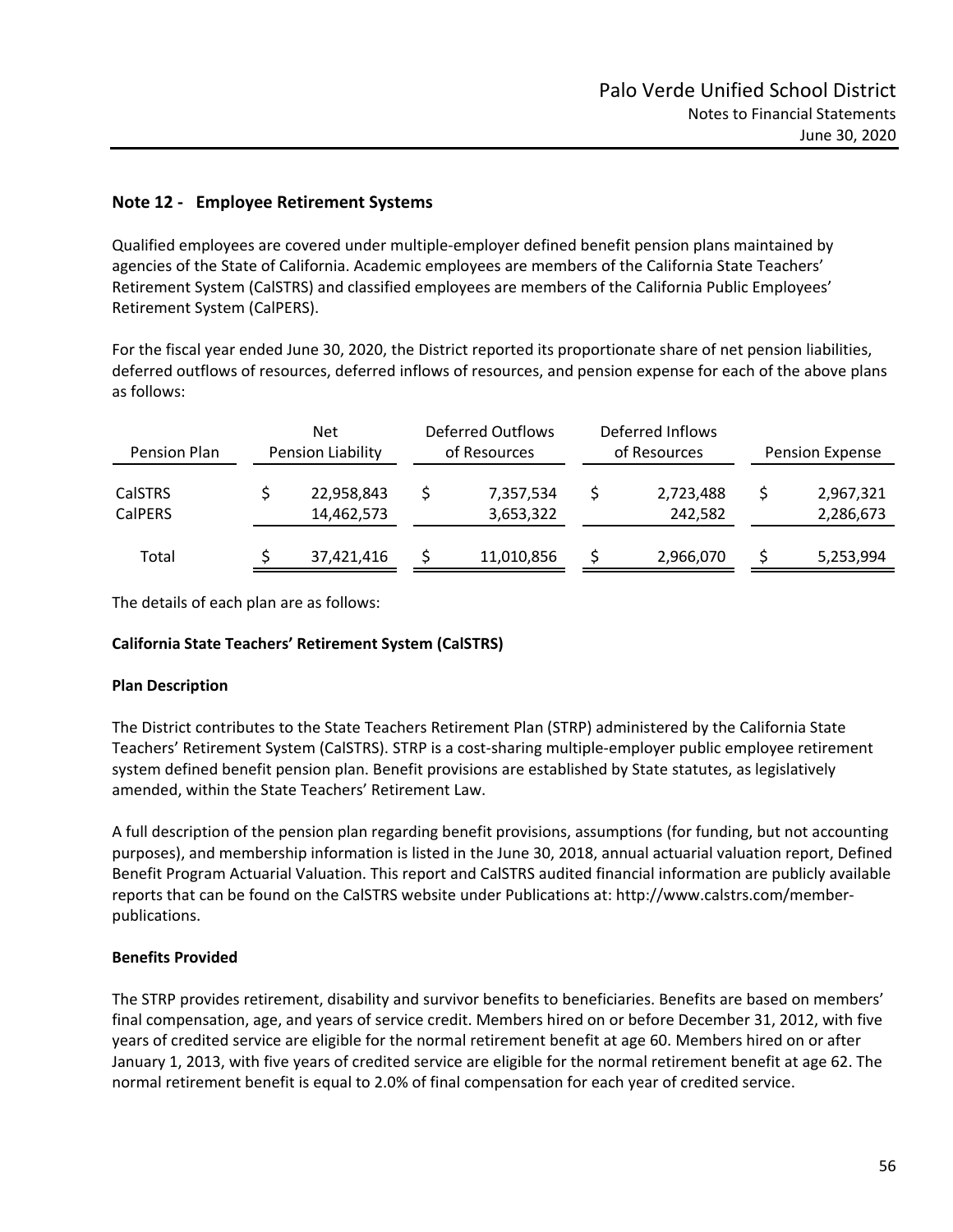# **Note 12 ‐ Employee Retirement Systems**

Qualified employees are covered under multiple‐employer defined benefit pension plans maintained by agencies of the State of California. Academic employees are members of the California State Teachers' Retirement System (CalSTRS) and classified employees are members of the California Public Employees' Retirement System (CalPERS).

For the fiscal year ended June 30, 2020, the District reported its proportionate share of net pension liabilities, deferred outflows of resources, deferred inflows of resources, and pension expense for each of the above plans as follows:

| Pension Plan              | Net<br>Pension Liability | Deferred Outflows<br>of Resources |  | Deferred Inflows<br>of Resources |  | <b>Pension Expense</b> |
|---------------------------|--------------------------|-----------------------------------|--|----------------------------------|--|------------------------|
| <b>CalSTRS</b><br>CalPERS | 22,958,843<br>14,462,573 | 7,357,534<br>3,653,322            |  | 2,723,488<br>242,582             |  | 2,967,321<br>2,286,673 |
| Total                     | 37,421,416               | 11,010,856                        |  | 2,966,070                        |  | 5,253,994              |

The details of each plan are as follows:

### **California State Teachers' Retirement System (CalSTRS)**

#### **Plan Description**

The District contributes to the State Teachers Retirement Plan (STRP) administered by the California State Teachers' Retirement System (CalSTRS). STRP is a cost‐sharing multiple‐employer public employee retirement system defined benefit pension plan. Benefit provisions are established by State statutes, as legislatively amended, within the State Teachers' Retirement Law.

A full description of the pension plan regarding benefit provisions, assumptions (for funding, but not accounting purposes), and membership information is listed in the June 30, 2018, annual actuarial valuation report, Defined Benefit Program Actuarial Valuation. This report and CalSTRS audited financial information are publicly available reports that can be found on the CalSTRS website under Publications at: http://www.calstrs.com/member‐ publications.

### **Benefits Provided**

The STRP provides retirement, disability and survivor benefits to beneficiaries. Benefits are based on members' final compensation, age, and years of service credit. Members hired on or before December 31, 2012, with five years of credited service are eligible for the normal retirement benefit at age 60. Members hired on or after January 1, 2013, with five years of credited service are eligible for the normal retirement benefit at age 62. The normal retirement benefit is equal to 2.0% of final compensation for each year of credited service.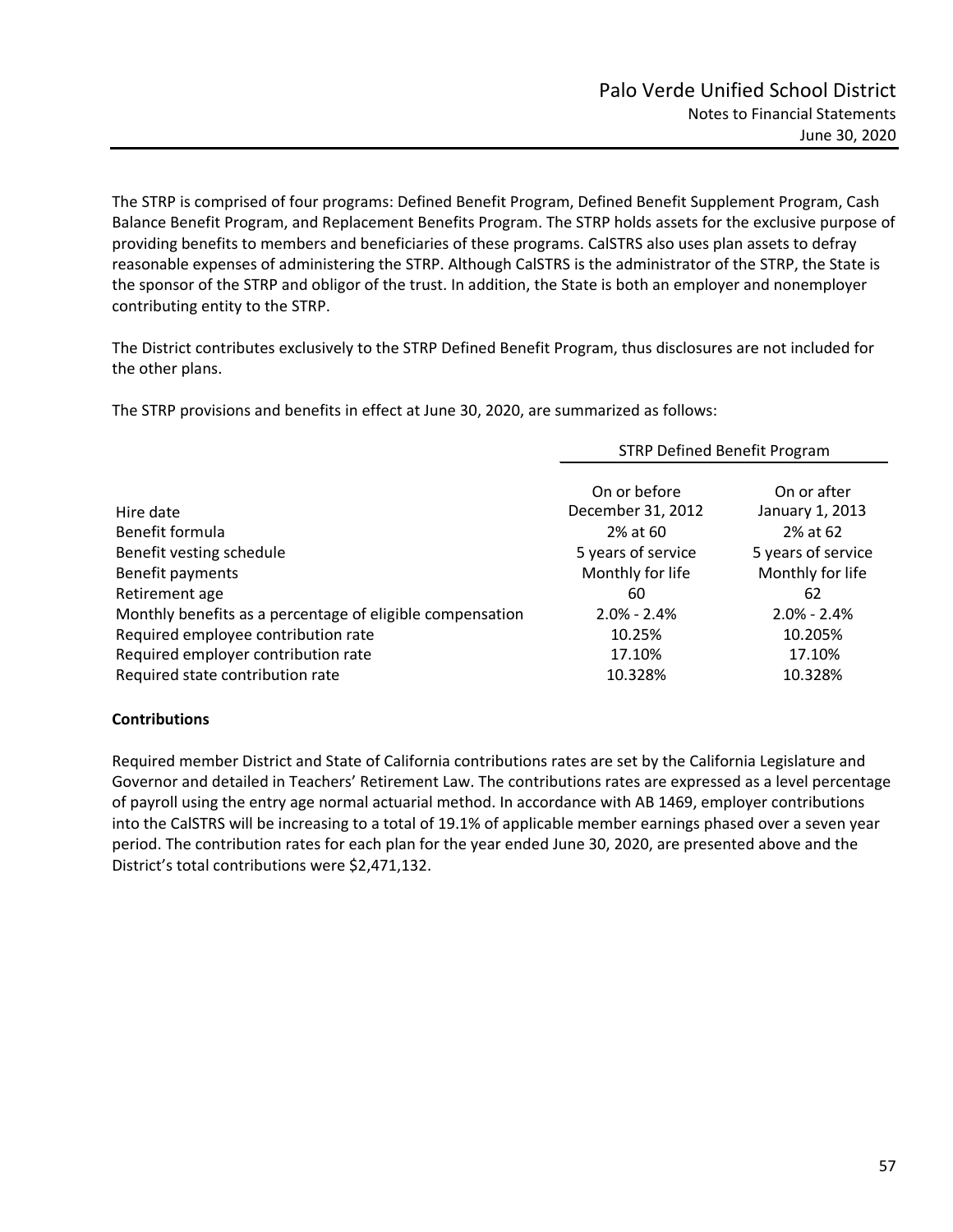The STRP is comprised of four programs: Defined Benefit Program, Defined Benefit Supplement Program, Cash Balance Benefit Program, and Replacement Benefits Program. The STRP holds assets for the exclusive purpose of providing benefits to members and beneficiaries of these programs. CalSTRS also uses plan assets to defray reasonable expenses of administering the STRP. Although CalSTRS is the administrator of the STRP, the State is the sponsor of the STRP and obligor of the trust. In addition, the State is both an employer and nonemployer contributing entity to the STRP.

The District contributes exclusively to the STRP Defined Benefit Program, thus disclosures are not included for the other plans.

The STRP provisions and benefits in effect at June 30, 2020, are summarized as follows:

#### STRP Defined Benefit Program

|                                                           | On or before       | On or after        |
|-----------------------------------------------------------|--------------------|--------------------|
| Hire date                                                 | December 31, 2012  | January 1, 2013    |
| Benefit formula                                           | 2% at 60           | 2% at 62           |
| Benefit vesting schedule                                  | 5 years of service | 5 years of service |
| Benefit payments                                          | Monthly for life   | Monthly for life   |
| Retirement age                                            | 60                 | 62                 |
| Monthly benefits as a percentage of eligible compensation | $2.0\% - 2.4\%$    | $2.0\% - 2.4\%$    |
| Required employee contribution rate                       | 10.25%             | 10.205%            |
| Required employer contribution rate                       | 17.10%             | 17.10%             |
| Required state contribution rate                          | 10.328%            | 10.328%            |

### **Contributions**

Required member District and State of California contributions rates are set by the California Legislature and Governor and detailed in Teachers' Retirement Law. The contributions rates are expressed as a level percentage of payroll using the entry age normal actuarial method. In accordance with AB 1469, employer contributions into the CalSTRS will be increasing to a total of 19.1% of applicable member earnings phased over a seven year period. The contribution rates for each plan for the year ended June 30, 2020, are presented above and the District's total contributions were \$2,471,132.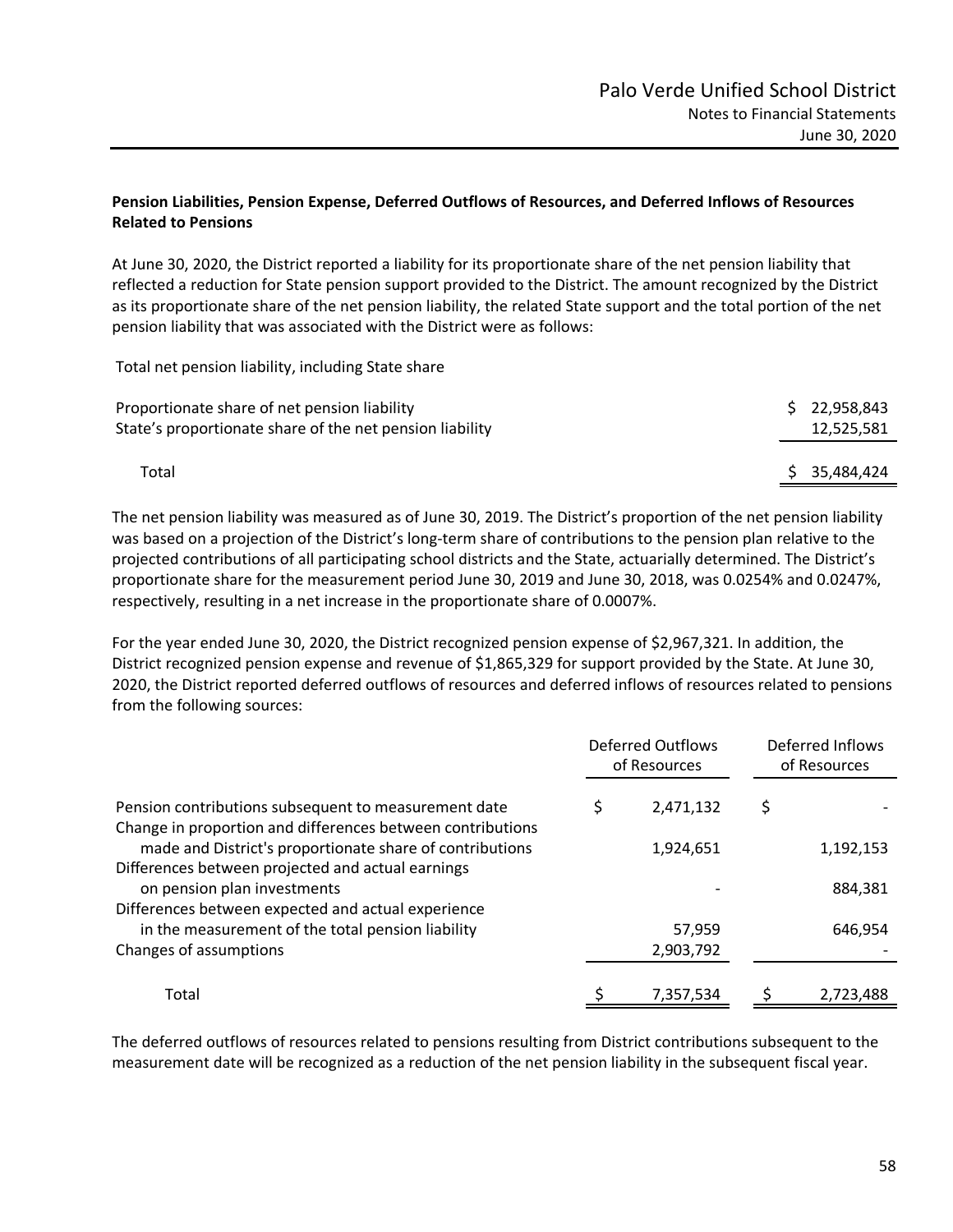### **Pension Liabilities, Pension Expense, Deferred Outflows of Resources, and Deferred Inflows of Resources Related to Pensions**

At June 30, 2020, the District reported a liability for its proportionate share of the net pension liability that reflected a reduction for State pension support provided to the District. The amount recognized by the District as its proportionate share of the net pension liability, the related State support and the total portion of the net pension liability that was associated with the District were as follows:

Total net pension liability, including State share

| Proportionate share of net pension liability             | \$22,958,843 |
|----------------------------------------------------------|--------------|
| State's proportionate share of the net pension liability | 12.525.581   |
|                                                          |              |
| Total                                                    | \$35,484,424 |
|                                                          |              |

The net pension liability was measured as of June 30, 2019. The District's proportion of the net pension liability was based on a projection of the District's long-term share of contributions to the pension plan relative to the projected contributions of all participating school districts and the State, actuarially determined. The District's proportionate share for the measurement period June 30, 2019 and June 30, 2018, was 0.0254% and 0.0247%, respectively, resulting in a net increase in the proportionate share of 0.0007%.

For the year ended June 30, 2020, the District recognized pension expense of \$2,967,321. In addition, the District recognized pension expense and revenue of \$1,865,329 for support provided by the State. At June 30, 2020, the District reported deferred outflows of resources and deferred inflows of resources related to pensions from the following sources:

|                                                                                                                    | <b>Deferred Outflows</b><br>of Resources |                     | Deferred Inflows<br>of Resources |           |
|--------------------------------------------------------------------------------------------------------------------|------------------------------------------|---------------------|----------------------------------|-----------|
| Pension contributions subsequent to measurement date<br>Change in proportion and differences between contributions | \$                                       | 2,471,132           | S                                |           |
| made and District's proportionate share of contributions                                                           |                                          | 1,924,651           |                                  | 1,192,153 |
| Differences between projected and actual earnings<br>on pension plan investments                                   |                                          |                     |                                  | 884,381   |
| Differences between expected and actual experience                                                                 |                                          |                     |                                  |           |
| in the measurement of the total pension liability<br>Changes of assumptions                                        |                                          | 57,959<br>2,903,792 |                                  | 646,954   |
| Total                                                                                                              |                                          | 7,357,534           |                                  | 2,723,488 |

The deferred outflows of resources related to pensions resulting from District contributions subsequent to the measurement date will be recognized as a reduction of the net pension liability in the subsequent fiscal year.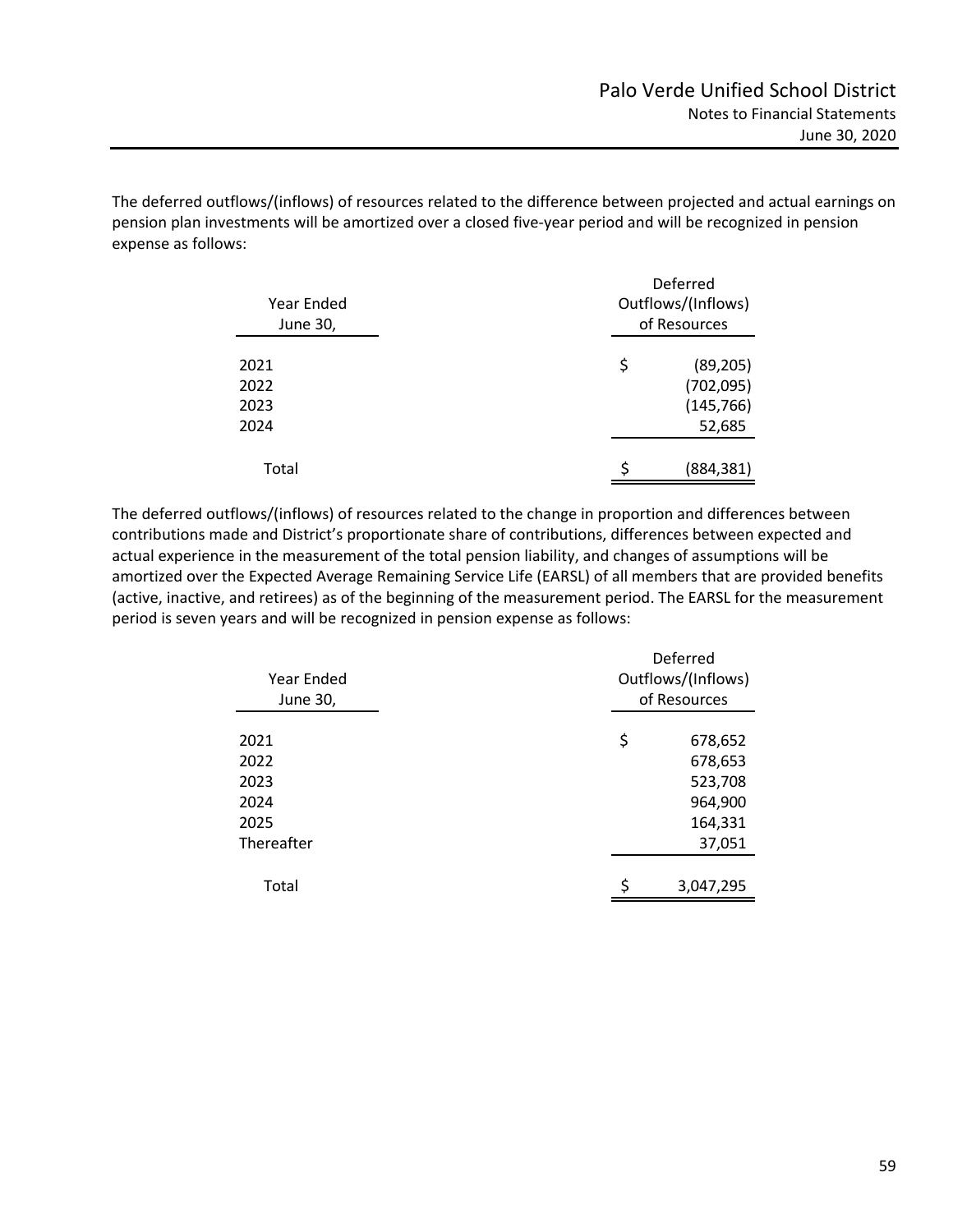The deferred outflows/(inflows) of resources related to the difference between projected and actual earnings on pension plan investments will be amortized over a closed five‐year period and will be recognized in pension expense as follows:

| Year Ended<br>June 30, | Deferred<br>Outflows/(Inflows)<br>of Resources |
|------------------------|------------------------------------------------|
| 2021                   | \$<br>(89, 205)                                |
| 2022                   | (702,095)                                      |
| 2023                   | (145, 766)                                     |
| 2024                   | 52,685                                         |
|                        |                                                |
| Total                  | \$<br>(884, 381)                               |

The deferred outflows/(inflows) of resources related to the change in proportion and differences between contributions made and District's proportionate share of contributions, differences between expected and actual experience in the measurement of the total pension liability, and changes of assumptions will be amortized over the Expected Average Remaining Service Life (EARSL) of all members that are provided benefits (active, inactive, and retirees) as of the beginning of the measurement period. The EARSL for the measurement period is seven years and will be recognized in pension expense as follows:

| Year Ended<br>June 30,                             | Deferred<br>Outflows/(Inflows)<br>of Resources |                                                               |  |
|----------------------------------------------------|------------------------------------------------|---------------------------------------------------------------|--|
| 2021<br>2022<br>2023<br>2024<br>2025<br>Thereafter | \$                                             | 678,652<br>678,653<br>523,708<br>964,900<br>164,331<br>37,051 |  |
| Total                                              | ¢                                              | 3,047,295                                                     |  |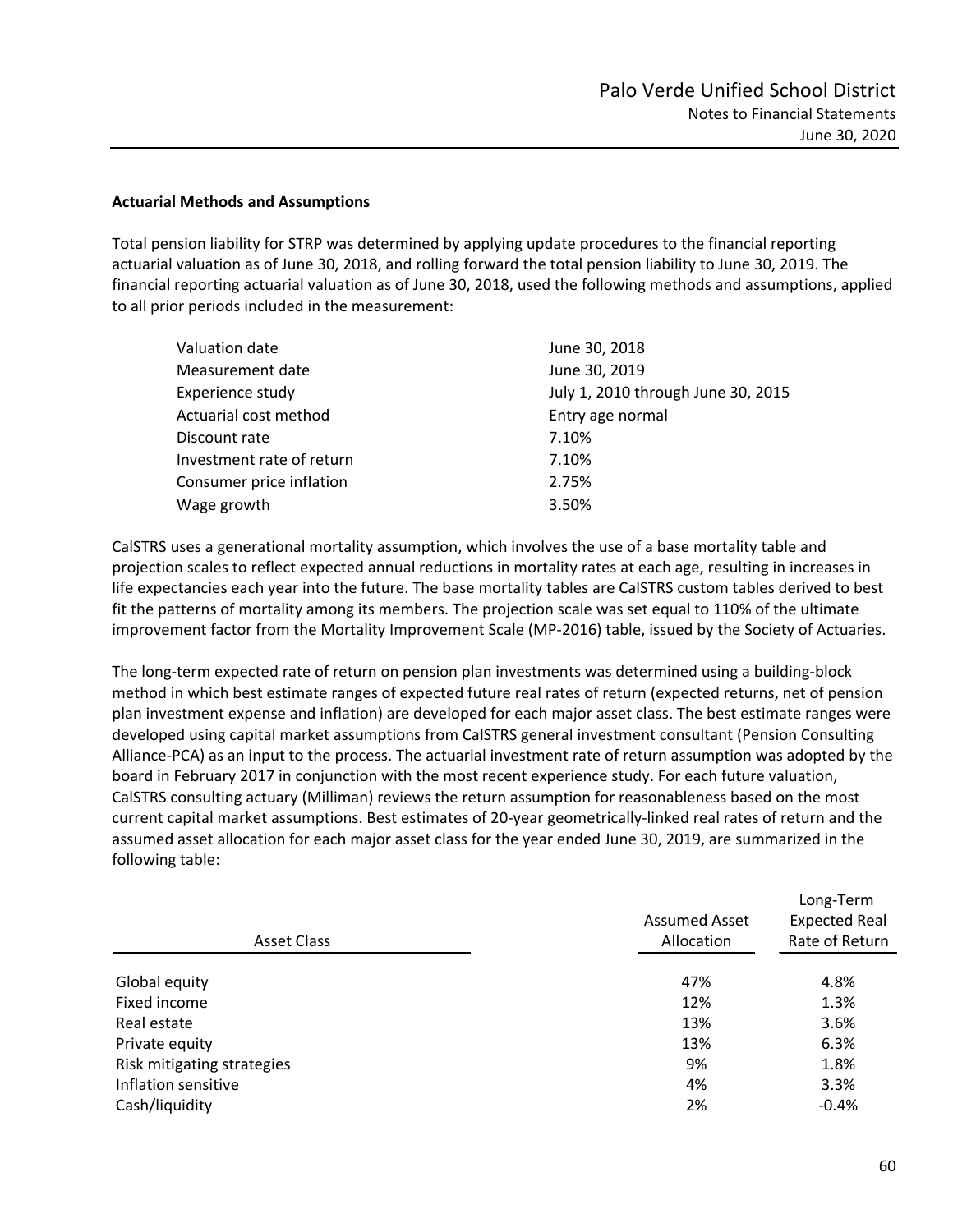### **Actuarial Methods and Assumptions**

Total pension liability for STRP was determined by applying update procedures to the financial reporting actuarial valuation as of June 30, 2018, and rolling forward the total pension liability to June 30, 2019. The financial reporting actuarial valuation as of June 30, 2018, used the following methods and assumptions, applied to all prior periods included in the measurement:

| Valuation date            | June 30, 2018                      |
|---------------------------|------------------------------------|
| Measurement date          | June 30, 2019                      |
| Experience study          | July 1, 2010 through June 30, 2015 |
| Actuarial cost method     | Entry age normal                   |
| Discount rate             | 7.10%                              |
| Investment rate of return | 7.10%                              |
| Consumer price inflation  | 2.75%                              |
| Wage growth               | 3.50%                              |

CalSTRS uses a generational mortality assumption, which involves the use of a base mortality table and projection scales to reflect expected annual reductions in mortality rates at each age, resulting in increases in life expectancies each year into the future. The base mortality tables are CalSTRS custom tables derived to best fit the patterns of mortality among its members. The projection scale was set equal to 110% of the ultimate improvement factor from the Mortality Improvement Scale (MP‐2016) table, issued by the Society of Actuaries.

The long‐term expected rate of return on pension plan investments was determined using a building‐block method in which best estimate ranges of expected future real rates of return (expected returns, net of pension plan investment expense and inflation) are developed for each major asset class. The best estimate ranges were developed using capital market assumptions from CalSTRS general investment consultant (Pension Consulting Alliance‐PCA) as an input to the process. The actuarial investment rate of return assumption was adopted by the board in February 2017 in conjunction with the most recent experience study. For each future valuation, CalSTRS consulting actuary (Milliman) reviews the return assumption for reasonableness based on the most current capital market assumptions. Best estimates of 20‐year geometrically‐linked real rates of return and the assumed asset allocation for each major asset class for the year ended June 30, 2019, are summarized in the following table:

|                            |                      | Long-Term            |
|----------------------------|----------------------|----------------------|
|                            | <b>Assumed Asset</b> | <b>Expected Real</b> |
| <b>Asset Class</b>         | Allocation           | Rate of Return       |
| Global equity              | 47%                  | 4.8%                 |
| Fixed income               | 12%                  | 1.3%                 |
| Real estate                | 13%                  | 3.6%                 |
| Private equity             | 13%                  | 6.3%                 |
| Risk mitigating strategies | 9%                   | 1.8%                 |
| Inflation sensitive        | 4%                   | 3.3%                 |
| Cash/liquidity             | 2%                   | $-0.4%$              |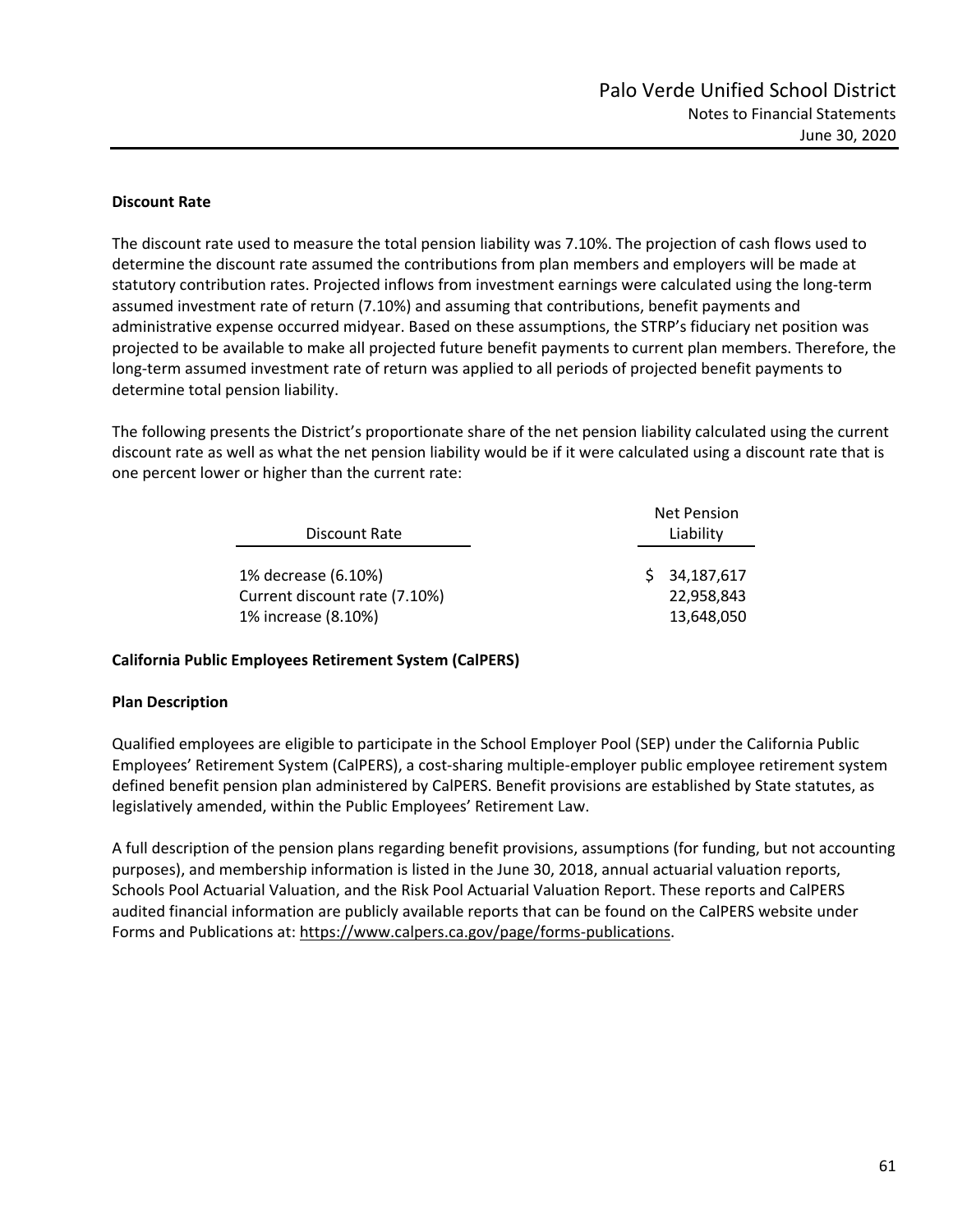## **Discount Rate**

The discount rate used to measure the total pension liability was 7.10%. The projection of cash flows used to determine the discount rate assumed the contributions from plan members and employers will be made at statutory contribution rates. Projected inflows from investment earnings were calculated using the long‐term assumed investment rate of return (7.10%) and assuming that contributions, benefit payments and administrative expense occurred midyear. Based on these assumptions, the STRP's fiduciary net position was projected to be available to make all projected future benefit payments to current plan members. Therefore, the long‐term assumed investment rate of return was applied to all periods of projected benefit payments to determine total pension liability.

The following presents the District's proportionate share of the net pension liability calculated using the current discount rate as well as what the net pension liability would be if it were calculated using a discount rate that is one percent lower or higher than the current rate:

| Discount Rate                                                               |  | <b>Net Pension</b><br>Liability |                                          |  |
|-----------------------------------------------------------------------------|--|---------------------------------|------------------------------------------|--|
| 1% decrease (6.10%)<br>Current discount rate (7.10%)<br>1% increase (8.10%) |  |                                 | \$34,187,617<br>22.958.843<br>13,648,050 |  |

### **California Public Employees Retirement System (CalPERS)**

### **Plan Description**

Qualified employees are eligible to participate in the School Employer Pool (SEP) under the California Public Employees' Retirement System (CalPERS), a cost‐sharing multiple‐employer public employee retirement system defined benefit pension plan administered by CalPERS. Benefit provisions are established by State statutes, as legislatively amended, within the Public Employees' Retirement Law.

A full description of the pension plans regarding benefit provisions, assumptions (for funding, but not accounting purposes), and membership information is listed in the June 30, 2018, annual actuarial valuation reports, Schools Pool Actuarial Valuation, and the Risk Pool Actuarial Valuation Report. These reports and CalPERS audited financial information are publicly available reports that can be found on the CalPERS website under Forms and Publications at: https://www.calpers.ca.gov/page/forms‐publications.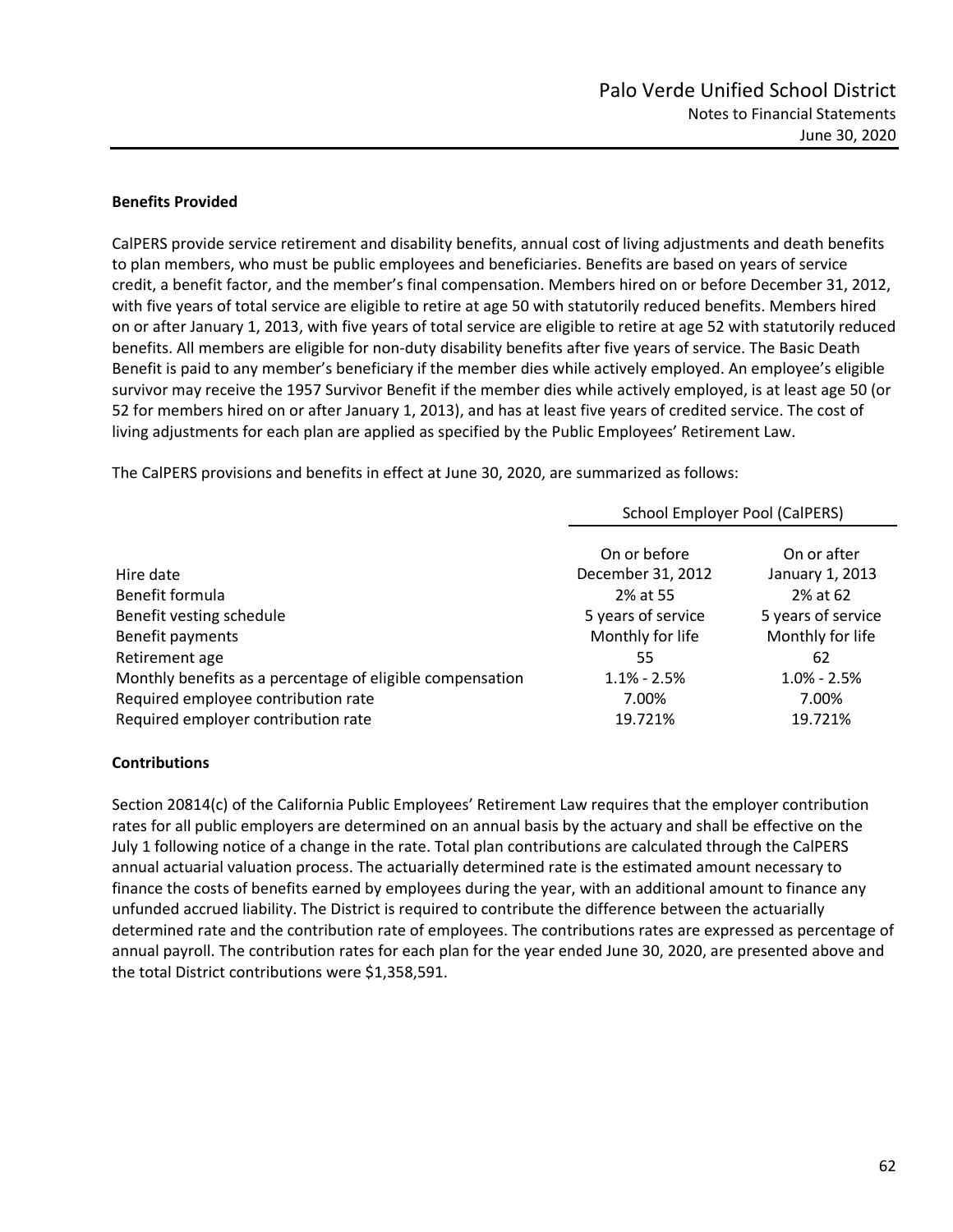### **Benefits Provided**

CalPERS provide service retirement and disability benefits, annual cost of living adjustments and death benefits to plan members, who must be public employees and beneficiaries. Benefits are based on years of service credit, a benefit factor, and the member's final compensation. Members hired on or before December 31, 2012, with five years of total service are eligible to retire at age 50 with statutorily reduced benefits. Members hired on or after January 1, 2013, with five years of total service are eligible to retire at age 52 with statutorily reduced benefits. All members are eligible for non‐duty disability benefits after five years of service. The Basic Death Benefit is paid to any member's beneficiary if the member dies while actively employed. An employee's eligible survivor may receive the 1957 Survivor Benefit if the member dies while actively employed, is at least age 50 (or 52 for members hired on or after January 1, 2013), and has at least five years of credited service. The cost of living adjustments for each plan are applied as specified by the Public Employees' Retirement Law.

The CalPERS provisions and benefits in effect at June 30, 2020, are summarized as follows:

|                                                           | School Employer Pool (CalPERS)    |                                |
|-----------------------------------------------------------|-----------------------------------|--------------------------------|
| Hire date                                                 | On or before<br>December 31, 2012 | On or after<br>January 1, 2013 |
| Benefit formula                                           | 2% at 55                          | 2% at 62                       |
| Benefit vesting schedule                                  | 5 years of service                | 5 years of service             |
| Benefit payments                                          | Monthly for life                  | Monthly for life               |
| Retirement age                                            | 55                                | 62                             |
| Monthly benefits as a percentage of eligible compensation | $1.1\% - 2.5\%$                   | $1.0\% - 2.5\%$                |
| Required employee contribution rate                       | 7.00%                             | 7.00%                          |
| Required employer contribution rate                       | 19.721%                           | 19.721%                        |

### **Contributions**

Section 20814(c) of the California Public Employees' Retirement Law requires that the employer contribution rates for all public employers are determined on an annual basis by the actuary and shall be effective on the July 1 following notice of a change in the rate. Total plan contributions are calculated through the CalPERS annual actuarial valuation process. The actuarially determined rate is the estimated amount necessary to finance the costs of benefits earned by employees during the year, with an additional amount to finance any unfunded accrued liability. The District is required to contribute the difference between the actuarially determined rate and the contribution rate of employees. The contributions rates are expressed as percentage of annual payroll. The contribution rates for each plan for the year ended June 30, 2020, are presented above and the total District contributions were \$1,358,591.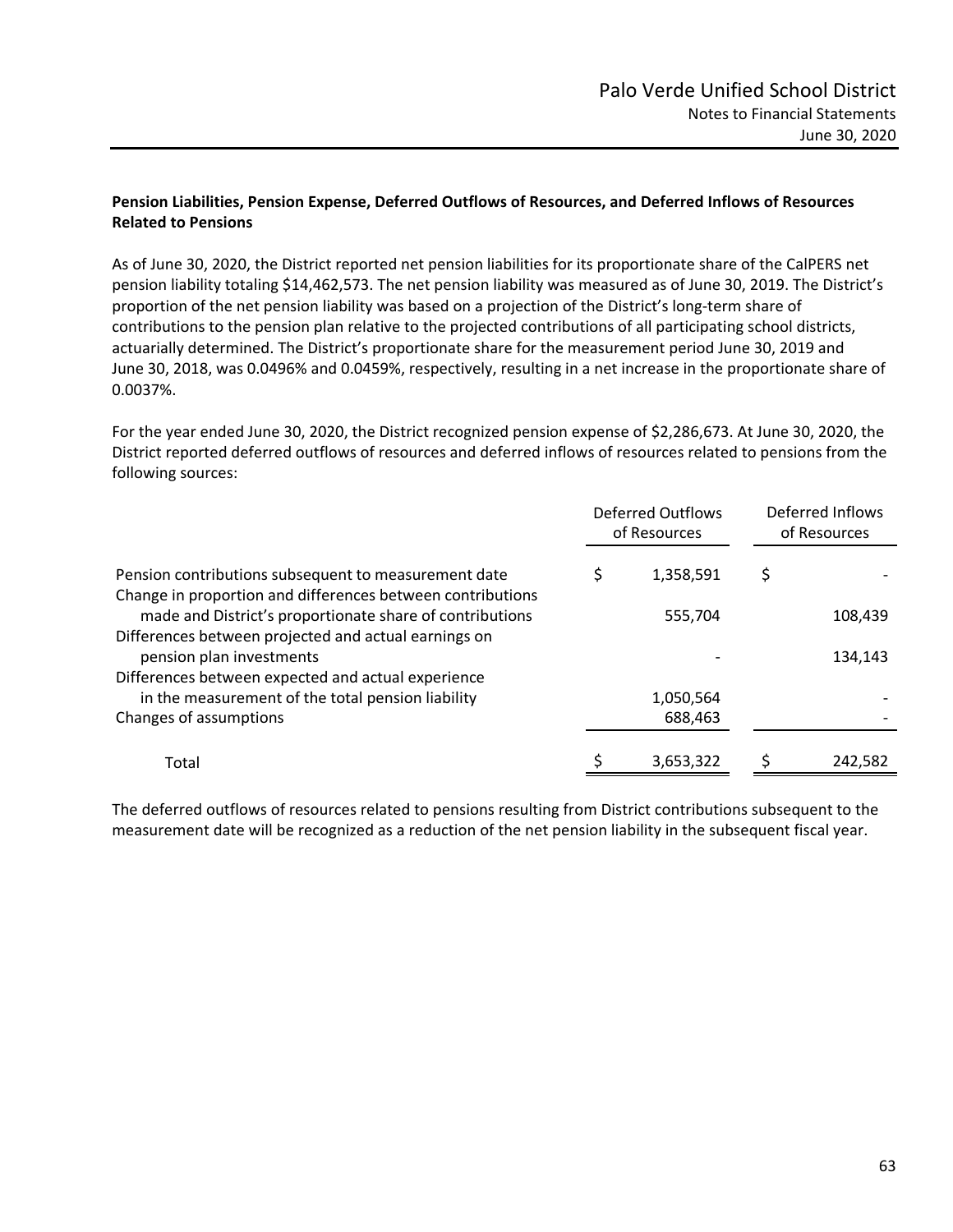## **Pension Liabilities, Pension Expense, Deferred Outflows of Resources, and Deferred Inflows of Resources Related to Pensions**

As of June 30, 2020, the District reported net pension liabilities for its proportionate share of the CalPERS net pension liability totaling \$14,462,573. The net pension liability was measured as of June 30, 2019. The District's proportion of the net pension liability was based on a projection of the District's long‐term share of contributions to the pension plan relative to the projected contributions of all participating school districts, actuarially determined. The District's proportionate share for the measurement period June 30, 2019 and June 30, 2018, was 0.0496% and 0.0459%, respectively, resulting in a net increase in the proportionate share of 0.0037%.

For the year ended June 30, 2020, the District recognized pension expense of \$2,286,673. At June 30, 2020, the District reported deferred outflows of resources and deferred inflows of resources related to pensions from the following sources:

|                                                                                                                    | Deferred Outflows<br>of Resources |   | Deferred Inflows<br>of Resources |
|--------------------------------------------------------------------------------------------------------------------|-----------------------------------|---|----------------------------------|
| Pension contributions subsequent to measurement date<br>Change in proportion and differences between contributions | \$<br>1,358,591                   | Ş |                                  |
| made and District's proportionate share of contributions                                                           | 555,704                           |   | 108,439                          |
| Differences between projected and actual earnings on<br>pension plan investments                                   |                                   |   | 134,143                          |
| Differences between expected and actual experience                                                                 |                                   |   |                                  |
| in the measurement of the total pension liability                                                                  | 1,050,564                         |   |                                  |
| Changes of assumptions                                                                                             | 688,463                           |   |                                  |
| Total                                                                                                              | 3,653,322                         |   | 242,582                          |
|                                                                                                                    |                                   |   |                                  |

The deferred outflows of resources related to pensions resulting from District contributions subsequent to the measurement date will be recognized as a reduction of the net pension liability in the subsequent fiscal year.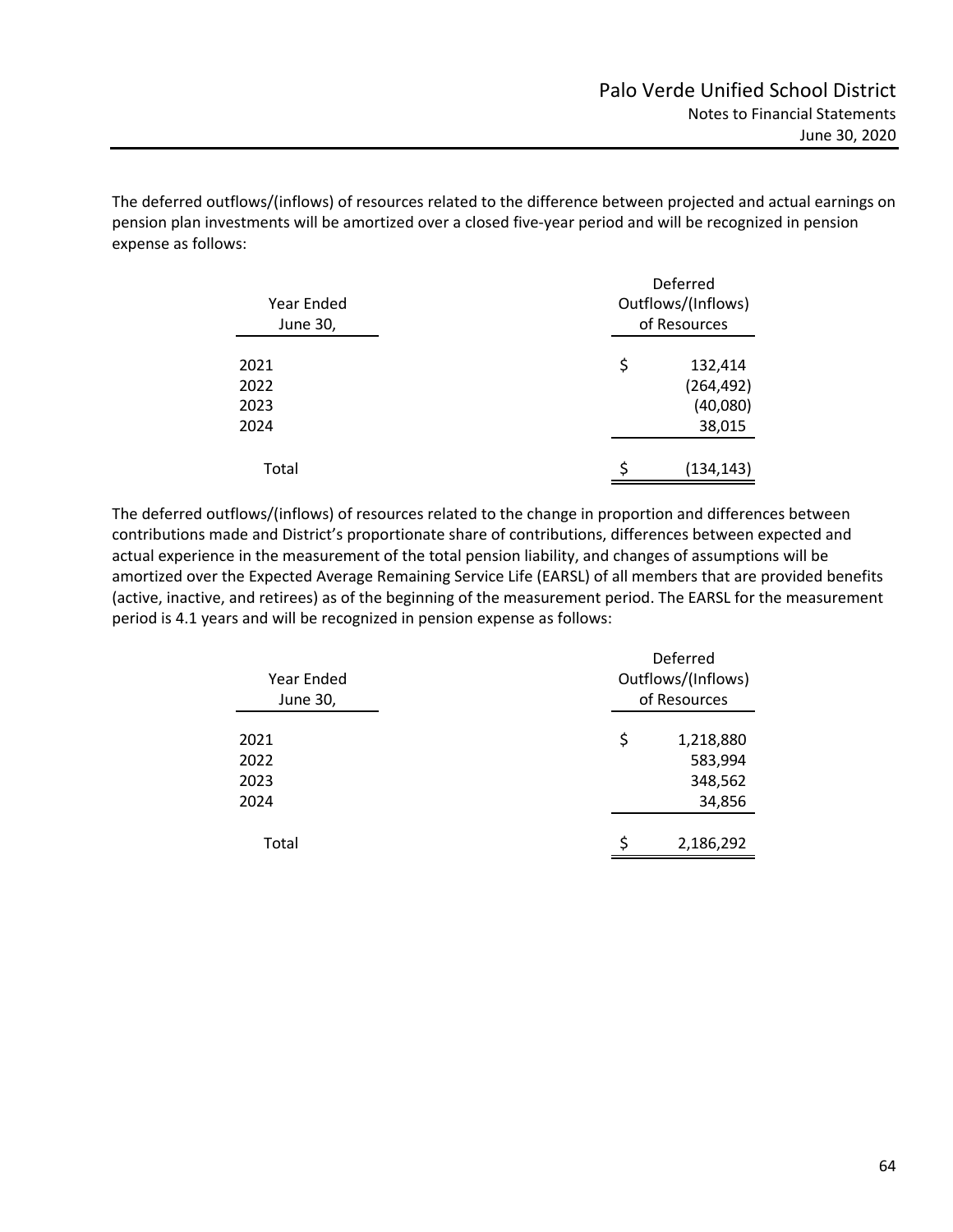The deferred outflows/(inflows) of resources related to the difference between projected and actual earnings on pension plan investments will be amortized over a closed five‐year period and will be recognized in pension expense as follows:

| Year Ended<br>June 30, | Deferred<br>Outflows/(Inflows)<br>of Resources |  |
|------------------------|------------------------------------------------|--|
| 2021                   | \$<br>132,414                                  |  |
| 2022                   | (264, 492)                                     |  |
| 2023                   | (40,080)                                       |  |
| 2024                   | 38,015                                         |  |
|                        |                                                |  |
| Total                  | \$<br>(134, 143)                               |  |

The deferred outflows/(inflows) of resources related to the change in proportion and differences between contributions made and District's proportionate share of contributions, differences between expected and actual experience in the measurement of the total pension liability, and changes of assumptions will be amortized over the Expected Average Remaining Service Life (EARSL) of all members that are provided benefits (active, inactive, and retirees) as of the beginning of the measurement period. The EARSL for the measurement period is 4.1 years and will be recognized in pension expense as follows:

| Year Ended<br>June 30, | Deferred                   | Outflows/(Inflows)<br>of Resources |  |  |
|------------------------|----------------------------|------------------------------------|--|--|
| 2021<br>2022           | \$<br>1,218,880<br>583,994 |                                    |  |  |
| 2023<br>2024           | 348,562<br>34,856          |                                    |  |  |
| Total                  | ς<br>2,186,292             |                                    |  |  |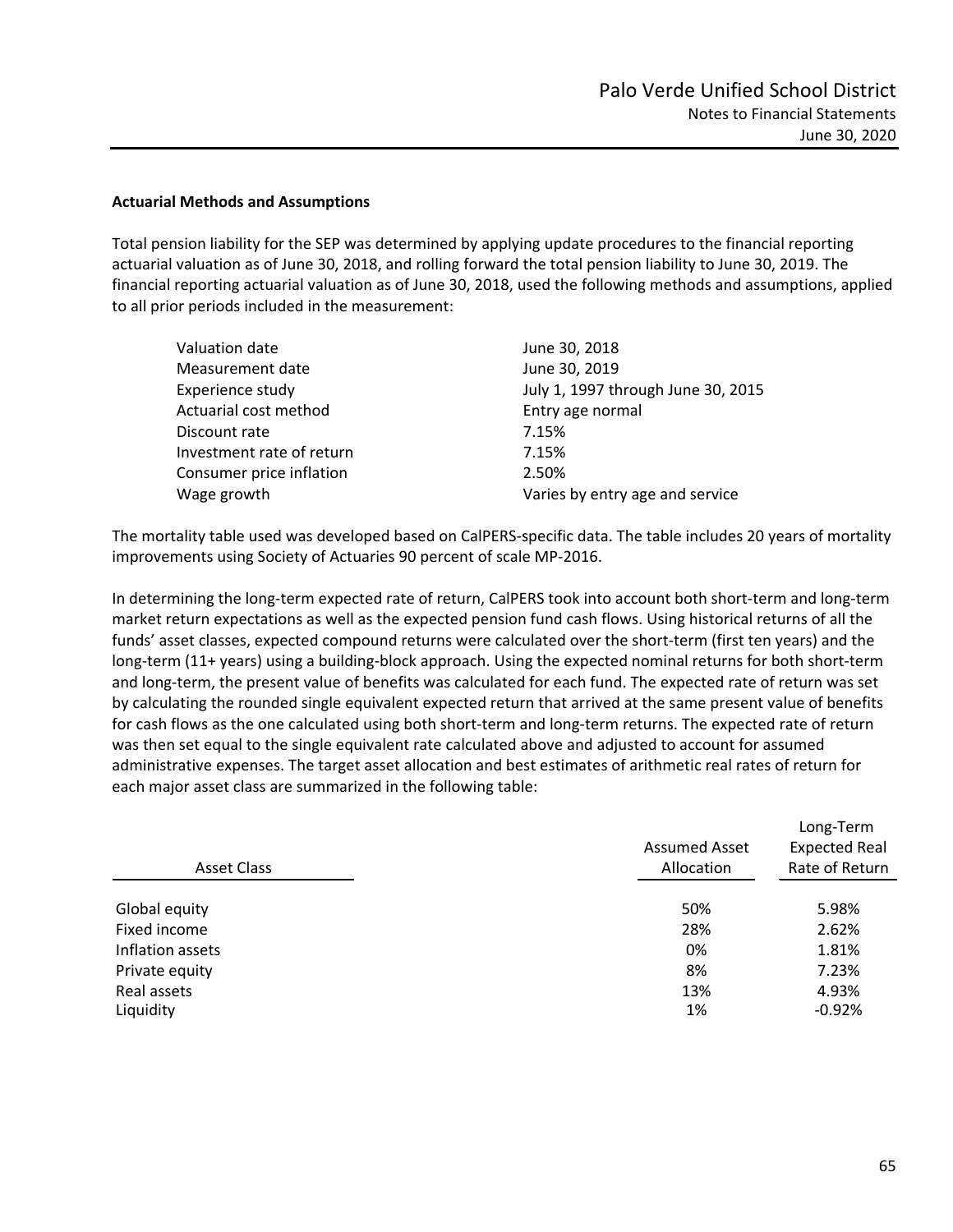### **Actuarial Methods and Assumptions**

Total pension liability for the SEP was determined by applying update procedures to the financial reporting actuarial valuation as of June 30, 2018, and rolling forward the total pension liability to June 30, 2019. The financial reporting actuarial valuation as of June 30, 2018, used the following methods and assumptions, applied to all prior periods included in the measurement:

| Valuation date            | June 30, 2018                      |
|---------------------------|------------------------------------|
| Measurement date          | June 30, 2019                      |
| Experience study          | July 1, 1997 through June 30, 2015 |
| Actuarial cost method     | Entry age normal                   |
| Discount rate             | 7.15%                              |
| Investment rate of return | 7.15%                              |
| Consumer price inflation  | 2.50%                              |
| Wage growth               | Varies by entry age and service    |

The mortality table used was developed based on CalPERS‐specific data. The table includes 20 years of mortality improvements using Society of Actuaries 90 percent of scale MP‐2016.

In determining the long‐term expected rate of return, CalPERS took into account both short‐term and long‐term market return expectations as well as the expected pension fund cash flows. Using historical returns of all the funds' asset classes, expected compound returns were calculated over the short-term (first ten years) and the long-term (11+ years) using a building-block approach. Using the expected nominal returns for both short-term and long‐term, the present value of benefits was calculated for each fund. The expected rate of return was set by calculating the rounded single equivalent expected return that arrived at the same present value of benefits for cash flows as the one calculated using both short-term and long-term returns. The expected rate of return was then set equal to the single equivalent rate calculated above and adjusted to account for assumed administrative expenses. The target asset allocation and best estimates of arithmetic real rates of return for each major asset class are summarized in the following table:

|                    | <b>Assumed Asset</b> | Long-Term<br><b>Expected Real</b> |
|--------------------|----------------------|-----------------------------------|
| <b>Asset Class</b> | Allocation           | Rate of Return                    |
| Global equity      | 50%                  | 5.98%                             |
| Fixed income       | 28%                  | 2.62%                             |
| Inflation assets   | 0%                   | 1.81%                             |
| Private equity     | 8%                   | 7.23%                             |
| Real assets        | 13%                  | 4.93%                             |
| Liquidity          | 1%                   | $-0.92%$                          |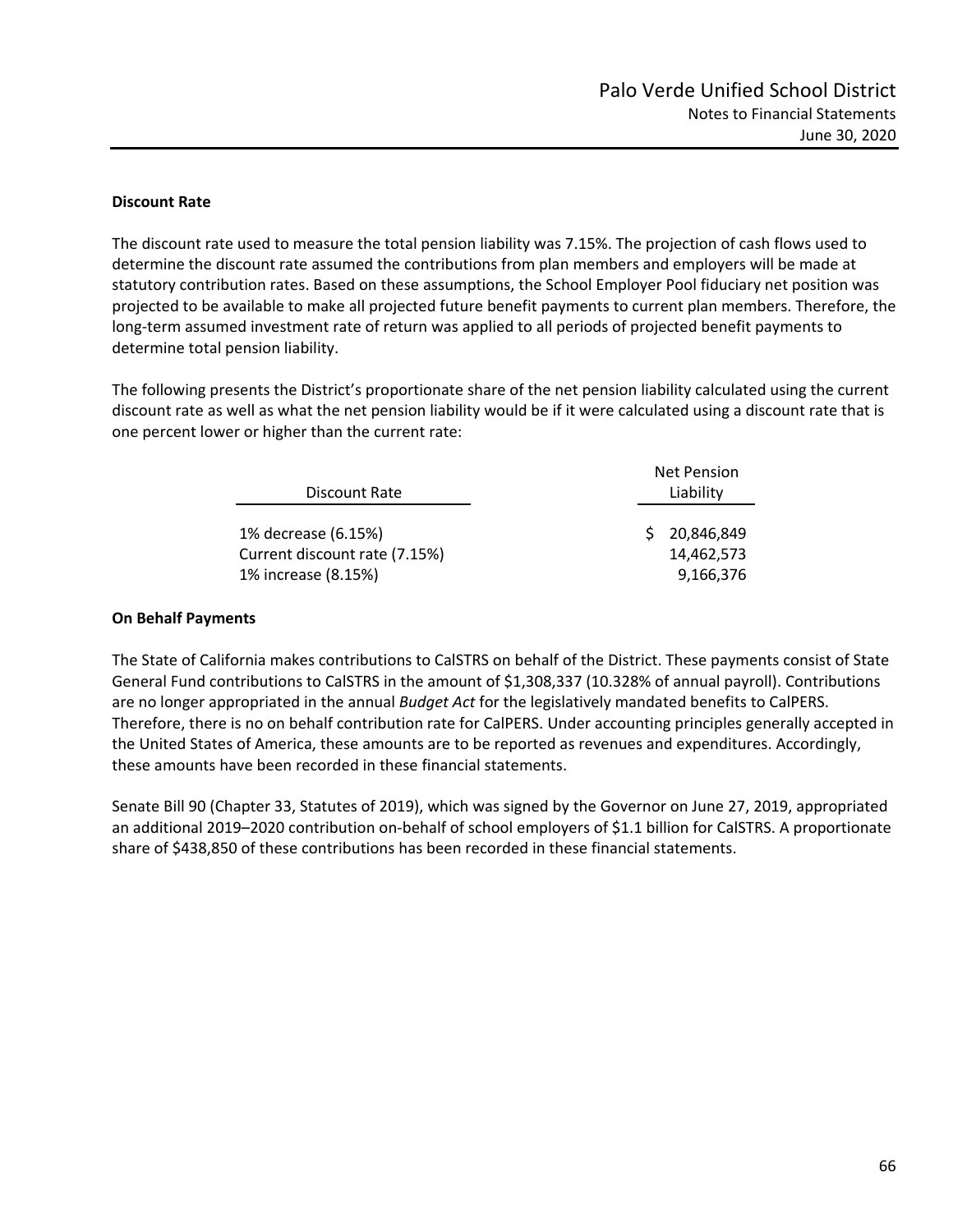## **Discount Rate**

The discount rate used to measure the total pension liability was 7.15%. The projection of cash flows used to determine the discount rate assumed the contributions from plan members and employers will be made at statutory contribution rates. Based on these assumptions, the School Employer Pool fiduciary net position was projected to be available to make all projected future benefit payments to current plan members. Therefore, the long‐term assumed investment rate of return was applied to all periods of projected benefit payments to determine total pension liability.

The following presents the District's proportionate share of the net pension liability calculated using the current discount rate as well as what the net pension liability would be if it were calculated using a discount rate that is one percent lower or higher than the current rate:

| Discount Rate                                                               | <b>Net Pension</b><br>Liability |                                       |
|-----------------------------------------------------------------------------|---------------------------------|---------------------------------------|
| 1% decrease (6.15%)<br>Current discount rate (7.15%)<br>1% increase (8.15%) | S.                              | 20,846,849<br>14,462,573<br>9,166,376 |

### **On Behalf Payments**

The State of California makes contributions to CalSTRS on behalf of the District. These payments consist of State General Fund contributions to CalSTRS in the amount of \$1,308,337 (10.328% of annual payroll). Contributions are no longer appropriated in the annual *Budget Act* for the legislatively mandated benefits to CalPERS. Therefore, there is no on behalf contribution rate for CalPERS. Under accounting principles generally accepted in the United States of America, these amounts are to be reported as revenues and expenditures. Accordingly, these amounts have been recorded in these financial statements.

Senate Bill 90 (Chapter 33, Statutes of 2019), which was signed by the Governor on June 27, 2019, appropriated an additional 2019–2020 contribution on‐behalf of school employers of \$1.1 billion for CalSTRS. A proportionate share of \$438,850 of these contributions has been recorded in these financial statements.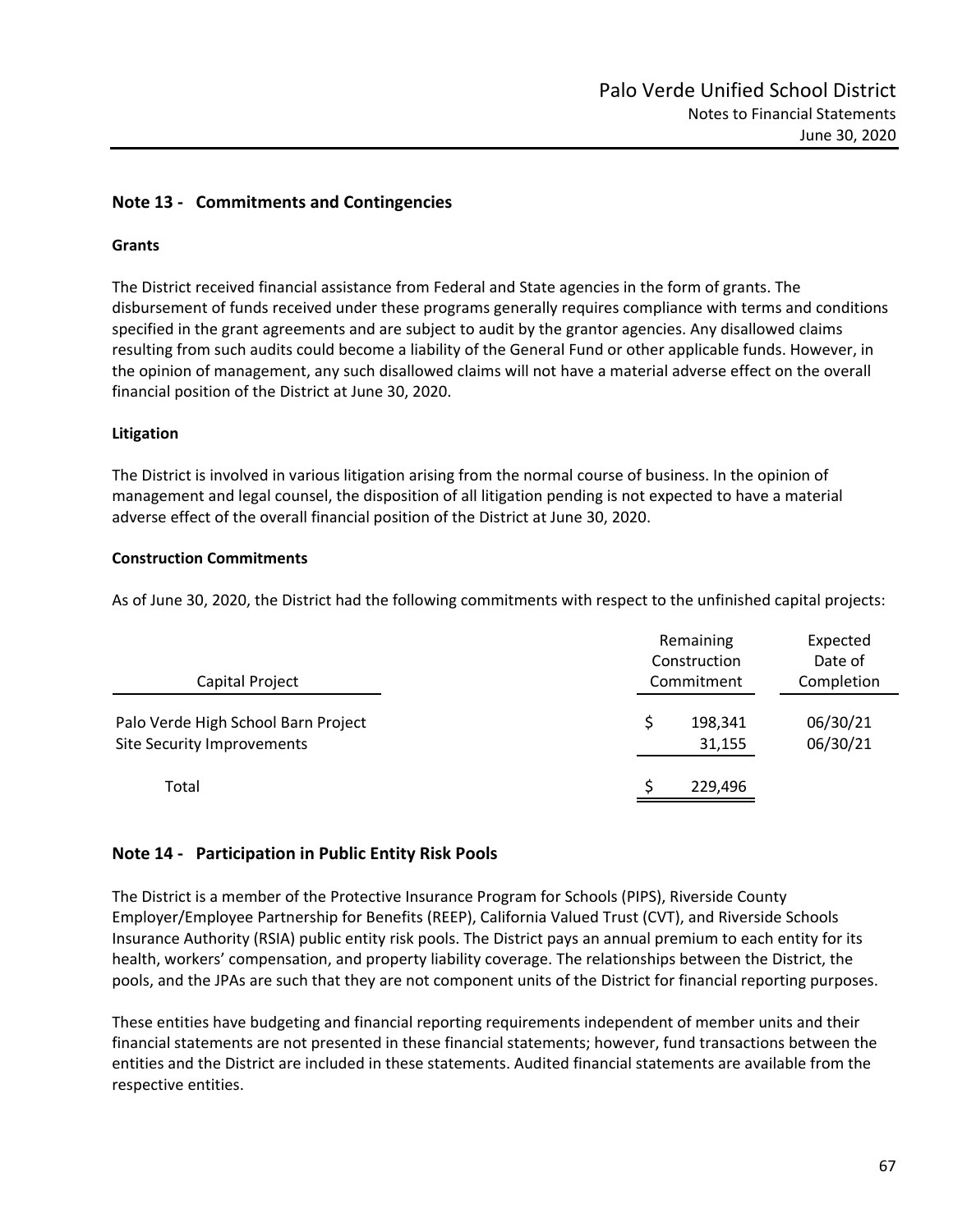# **Note 13 ‐ Commitments and Contingencies**

## **Grants**

The District received financial assistance from Federal and State agencies in the form of grants. The disbursement of funds received under these programs generally requires compliance with terms and conditions specified in the grant agreements and are subject to audit by the grantor agencies. Any disallowed claims resulting from such audits could become a liability of the General Fund or other applicable funds. However, in the opinion of management, any such disallowed claims will not have a material adverse effect on the overall financial position of the District at June 30, 2020.

## **Litigation**

The District is involved in various litigation arising from the normal course of business. In the opinion of management and legal counsel, the disposition of all litigation pending is not expected to have a material adverse effect of the overall financial position of the District at June 30, 2020.

## **Construction Commitments**

As of June 30, 2020, the District had the following commitments with respect to the unfinished capital projects:

| Capital Project                                                   | Remaining<br>Construction<br>Commitment | Expected<br>Date of<br>Completion |
|-------------------------------------------------------------------|-----------------------------------------|-----------------------------------|
| Palo Verde High School Barn Project<br>Site Security Improvements | 198,341<br>31,155                       | 06/30/21<br>06/30/21              |
| Total                                                             | 229,496                                 |                                   |

# **Note 14 ‐ Participation in Public Entity Risk Pools**

The District is a member of the Protective Insurance Program for Schools (PIPS), Riverside County Employer/Employee Partnership for Benefits (REEP), California Valued Trust (CVT), and Riverside Schools Insurance Authority (RSIA) public entity risk pools. The District pays an annual premium to each entity for its health, workers' compensation, and property liability coverage. The relationships between the District, the pools, and the JPAs are such that they are not component units of the District for financial reporting purposes.

These entities have budgeting and financial reporting requirements independent of member units and their financial statements are not presented in these financial statements; however, fund transactions between the entities and the District are included in these statements. Audited financial statements are available from the respective entities.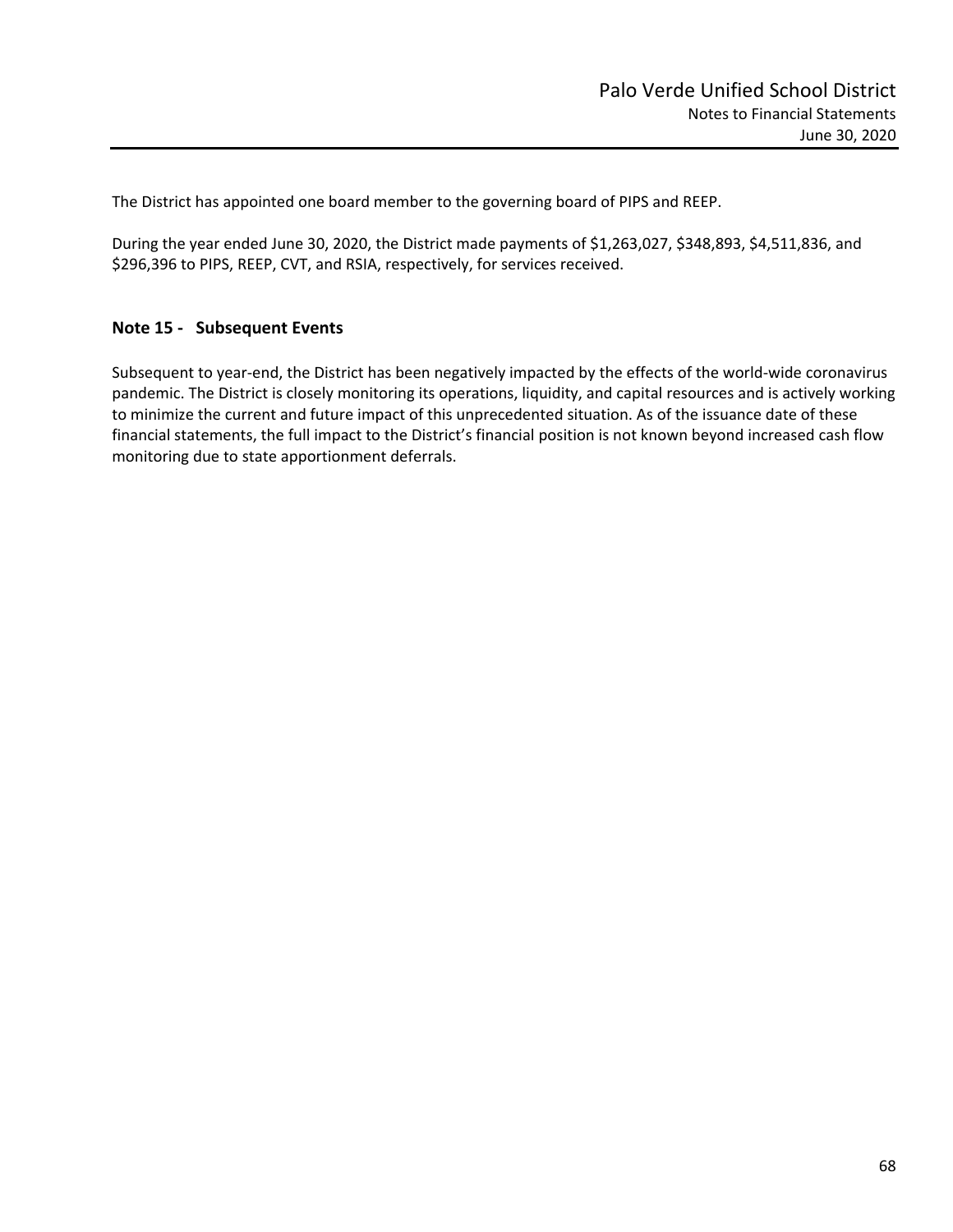The District has appointed one board member to the governing board of PIPS and REEP.

During the year ended June 30, 2020, the District made payments of \$1,263,027, \$348,893, \$4,511,836, and \$296,396 to PIPS, REEP, CVT, and RSIA, respectively, for services received.

## **Note 15 ‐ Subsequent Events**

Subsequent to year-end, the District has been negatively impacted by the effects of the world-wide coronavirus pandemic. The District is closely monitoring its operations, liquidity, and capital resources and is actively working to minimize the current and future impact of this unprecedented situation. As of the issuance date of these financial statements, the full impact to the District's financial position is not known beyond increased cash flow monitoring due to state apportionment deferrals.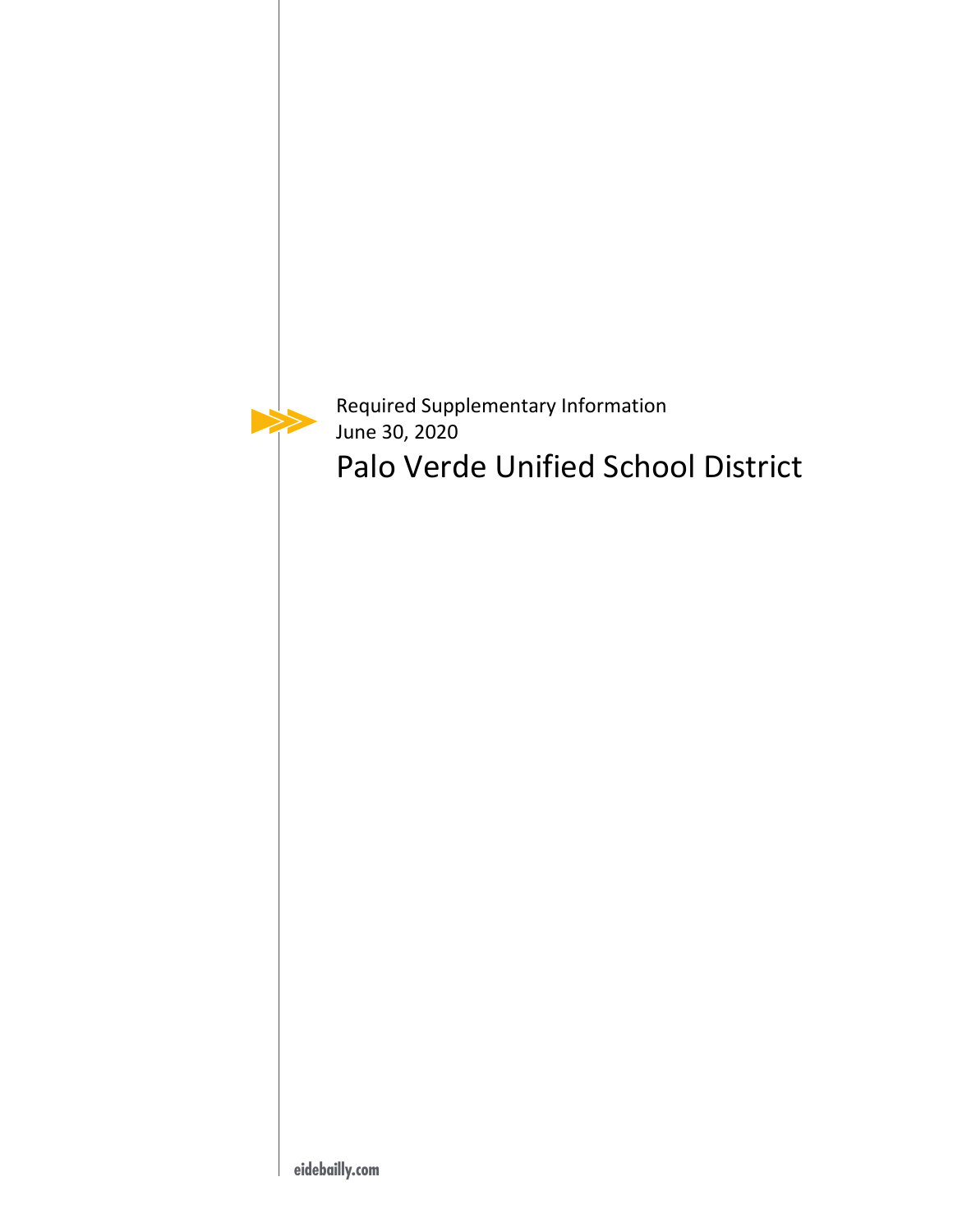

Required Supplementary Information June 30, 2020 Palo Verde Unified School District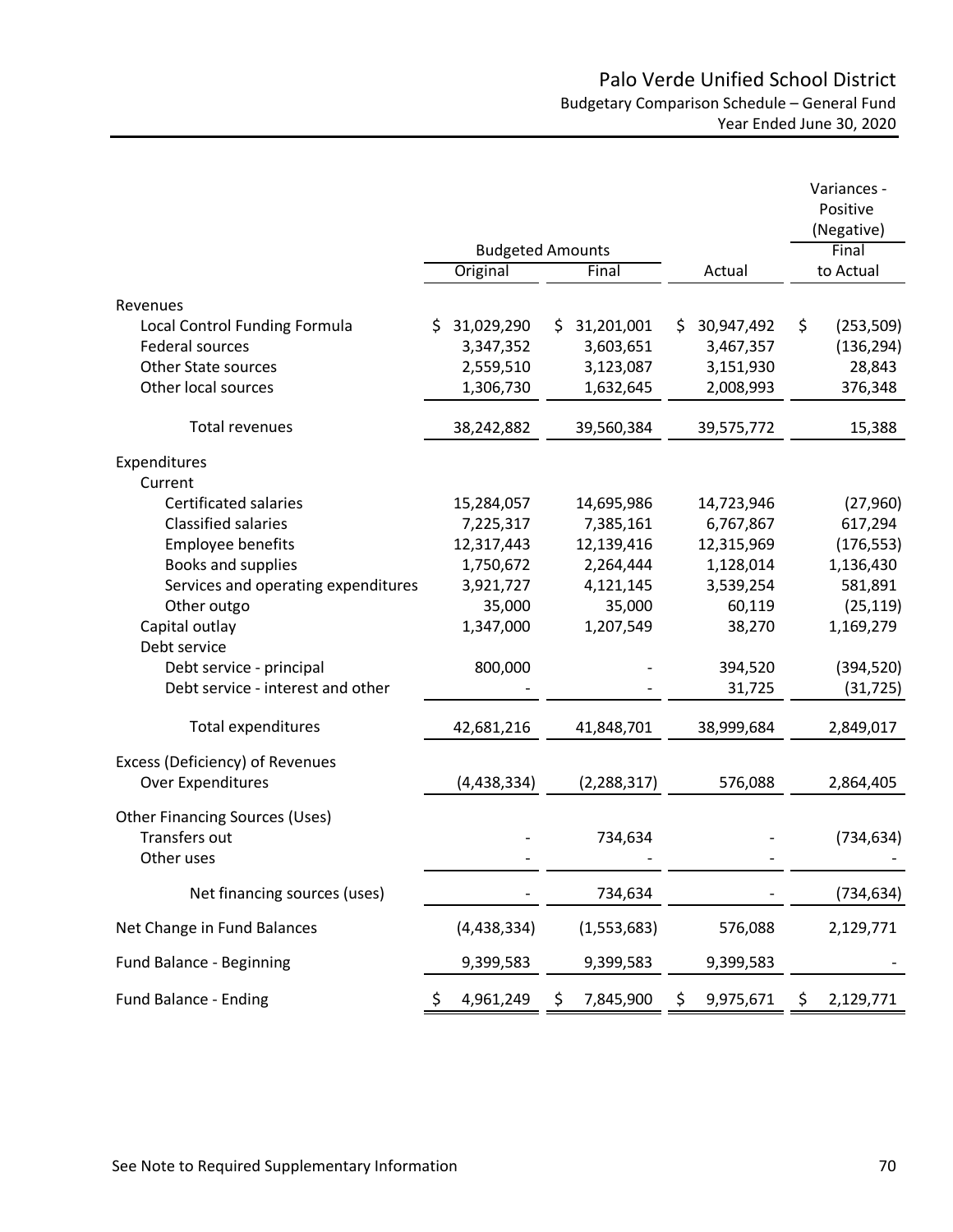|                                       |    |                         |     |               |         |            |            | Variances -<br>Positive<br>(Negative) |  |
|---------------------------------------|----|-------------------------|-----|---------------|---------|------------|------------|---------------------------------------|--|
|                                       |    | <b>Budgeted Amounts</b> |     |               |         |            |            | Final                                 |  |
|                                       |    | Original                |     | Final         |         | Actual     |            | to Actual                             |  |
| Revenues                              |    |                         |     |               |         |            |            |                                       |  |
| <b>Local Control Funding Formula</b>  | S. | 31,029,290              | \$. | 31,201,001    | \$.     | 30,947,492 | \$         | (253, 509)                            |  |
| Federal sources                       |    | 3,347,352               |     | 3,603,651     |         | 3,467,357  |            | (136, 294)                            |  |
| <b>Other State sources</b>            |    | 2,559,510               |     | 3,123,087     |         | 3,151,930  |            | 28,843                                |  |
| Other local sources                   |    | 1,306,730               |     | 1,632,645     |         | 2,008,993  |            | 376,348                               |  |
| <b>Total revenues</b>                 |    | 38,242,882              |     | 39,560,384    |         | 39,575,772 |            | 15,388                                |  |
| Expenditures                          |    |                         |     |               |         |            |            |                                       |  |
| Current                               |    |                         |     |               |         |            |            |                                       |  |
| <b>Certificated salaries</b>          |    | 15,284,057              |     | 14,695,986    |         | 14,723,946 | (27,960)   |                                       |  |
| <b>Classified salaries</b>            |    | 7,225,317               |     | 7,385,161     |         | 6,767,867  | 617,294    |                                       |  |
| Employee benefits                     |    | 12,317,443              |     | 12,139,416    |         | 12,315,969 | (176, 553) |                                       |  |
| Books and supplies                    |    | 1,750,672               |     | 2,264,444     |         | 1,128,014  |            | 1,136,430                             |  |
| Services and operating expenditures   |    | 3,921,727               |     | 4,121,145     |         | 3,539,254  |            | 581,891                               |  |
| Other outgo                           |    | 35,000                  |     | 35,000        |         | 60,119     |            | (25, 119)                             |  |
| Capital outlay                        |    | 1,347,000               |     | 1,207,549     |         | 38,270     |            | 1,169,279                             |  |
| Debt service                          |    |                         |     |               |         |            |            |                                       |  |
| Debt service - principal              |    | 800,000                 |     |               | 394,520 |            |            | (394, 520)                            |  |
| Debt service - interest and other     |    |                         |     |               |         | 31,725     |            | (31, 725)                             |  |
| <b>Total expenditures</b>             |    | 42,681,216              |     | 41,848,701    |         | 38,999,684 |            | 2,849,017                             |  |
| Excess (Deficiency) of Revenues       |    |                         |     |               |         |            |            |                                       |  |
| Over Expenditures                     |    | (4,438,334)             |     | (2, 288, 317) |         | 576,088    |            | 2,864,405                             |  |
| <b>Other Financing Sources (Uses)</b> |    |                         |     |               |         |            |            |                                       |  |
| Transfers out                         |    |                         |     | 734,634       |         |            |            | (734, 634)                            |  |
| Other uses                            |    |                         |     |               |         |            |            |                                       |  |
| Net financing sources (uses)          |    |                         |     | 734,634       |         |            |            | (734, 634)                            |  |
| Net Change in Fund Balances           |    | (4,438,334)             |     | (1,553,683)   |         | 576,088    |            | 2,129,771                             |  |
| Fund Balance - Beginning              |    | 9,399,583               |     | 9,399,583     |         | 9,399,583  |            |                                       |  |
| Fund Balance - Ending                 | \$ | 4,961,249               | \$  | 7,845,900     | \$.     | 9,975,671  | \$         | 2,129,771                             |  |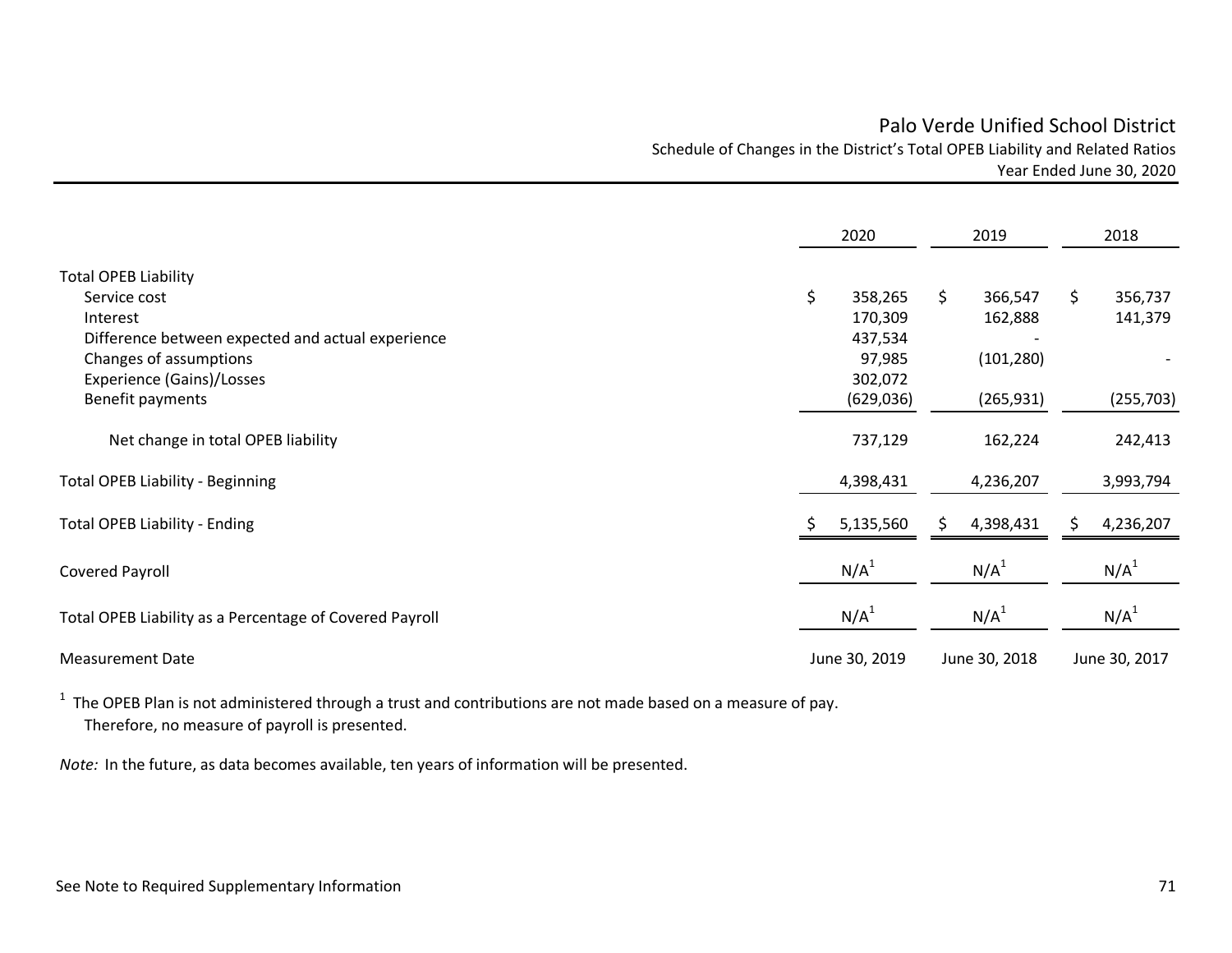Schedule of Changes in the District's Total OPEB Liability and Related Ratios Year Ended June 30, 2020

|                                                         | 2020<br>2019     |    |                  | 2018             |
|---------------------------------------------------------|------------------|----|------------------|------------------|
| <b>Total OPEB Liability</b>                             |                  |    |                  |                  |
| Service cost                                            | \$<br>358,265    | S. | 366,547          | \$<br>356,737    |
| Interest                                                | 170,309          |    | 162,888          | 141,379          |
| Difference between expected and actual experience       | 437,534          |    |                  |                  |
| Changes of assumptions                                  | 97,985           |    | (101, 280)       |                  |
| Experience (Gains)/Losses                               | 302,072          |    |                  |                  |
| Benefit payments                                        | (629, 036)       |    | (265, 931)       | (255, 703)       |
| Net change in total OPEB liability                      | 737,129          |    | 162,224          | 242,413          |
| <b>Total OPEB Liability - Beginning</b>                 | 4,398,431        |    | 4,236,207        | 3,993,794        |
| <b>Total OPEB Liability - Ending</b>                    | 5,135,560        | S  | 4,398,431        | 4,236,207        |
| <b>Covered Payroll</b>                                  | N/A <sup>1</sup> |    | N/A <sup>1</sup> | N/A <sup>1</sup> |
| Total OPEB Liability as a Percentage of Covered Payroll | N/A <sup>1</sup> |    | N/A <sup>1</sup> | N/A <sup>1</sup> |
| <b>Measurement Date</b>                                 | June 30, 2019    |    | June 30, 2018    | June 30, 2017    |

 $1$  The OPEB Plan is not administered through a trust and contributions are not made based on a measure of pay. Therefore, no measure of payroll is presented.

*Note:* In the future, as data becomes available, ten years of information will be presented.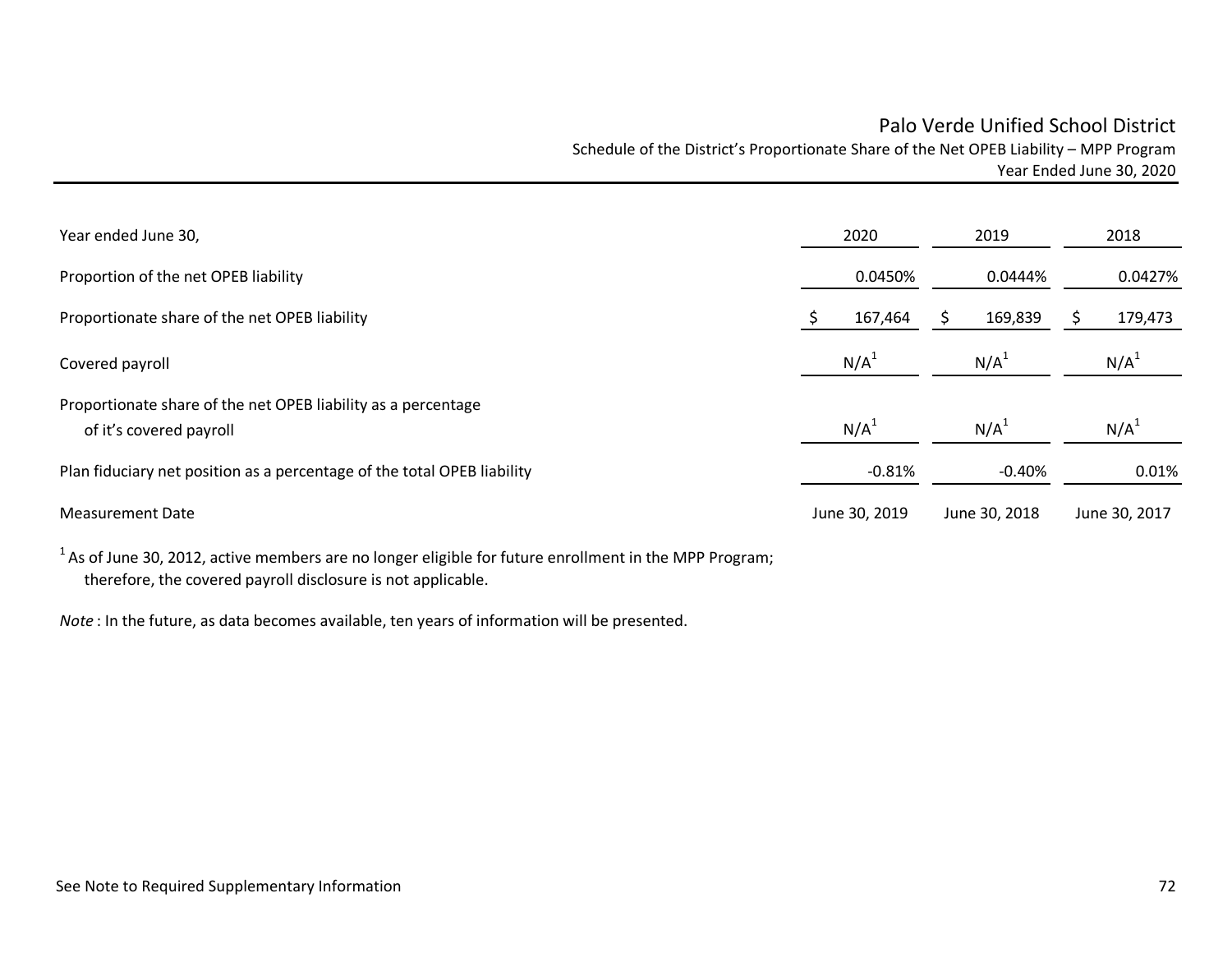Schedule of the District's Proportionate Share of the Net OPEB Liability – MPP Program Year Ended June 30, 2020

| Year ended June 30,                                                                      | 2020             | 2019             | 2018             |
|------------------------------------------------------------------------------------------|------------------|------------------|------------------|
| Proportion of the net OPEB liability                                                     | 0.0450%          | 0.0444%          | 0.0427%          |
| Proportionate share of the net OPEB liability                                            | 167,464          | 169,839          | 179,473          |
| Covered payroll                                                                          | N/A <sup>1</sup> | N/A <sup>1</sup> | N/A <sup>1</sup> |
| Proportionate share of the net OPEB liability as a percentage<br>of it's covered payroll | N/A <sup>1</sup> | N/A <sup>1</sup> | N/A <sup>1</sup> |
| Plan fiduciary net position as a percentage of the total OPEB liability                  | $-0.81%$         | $-0.40%$         | $0.01\%$         |
| <b>Measurement Date</b>                                                                  | June 30, 2019    | June 30, 2018    | June 30, 2017    |

 $1$ As of June 30, 2012, active members are no longer eligible for future enrollment in the MPP Program; therefore, the covered payroll disclosure is not applicable.

*Note* : In the future, as data becomes available, ten years of information will be presented.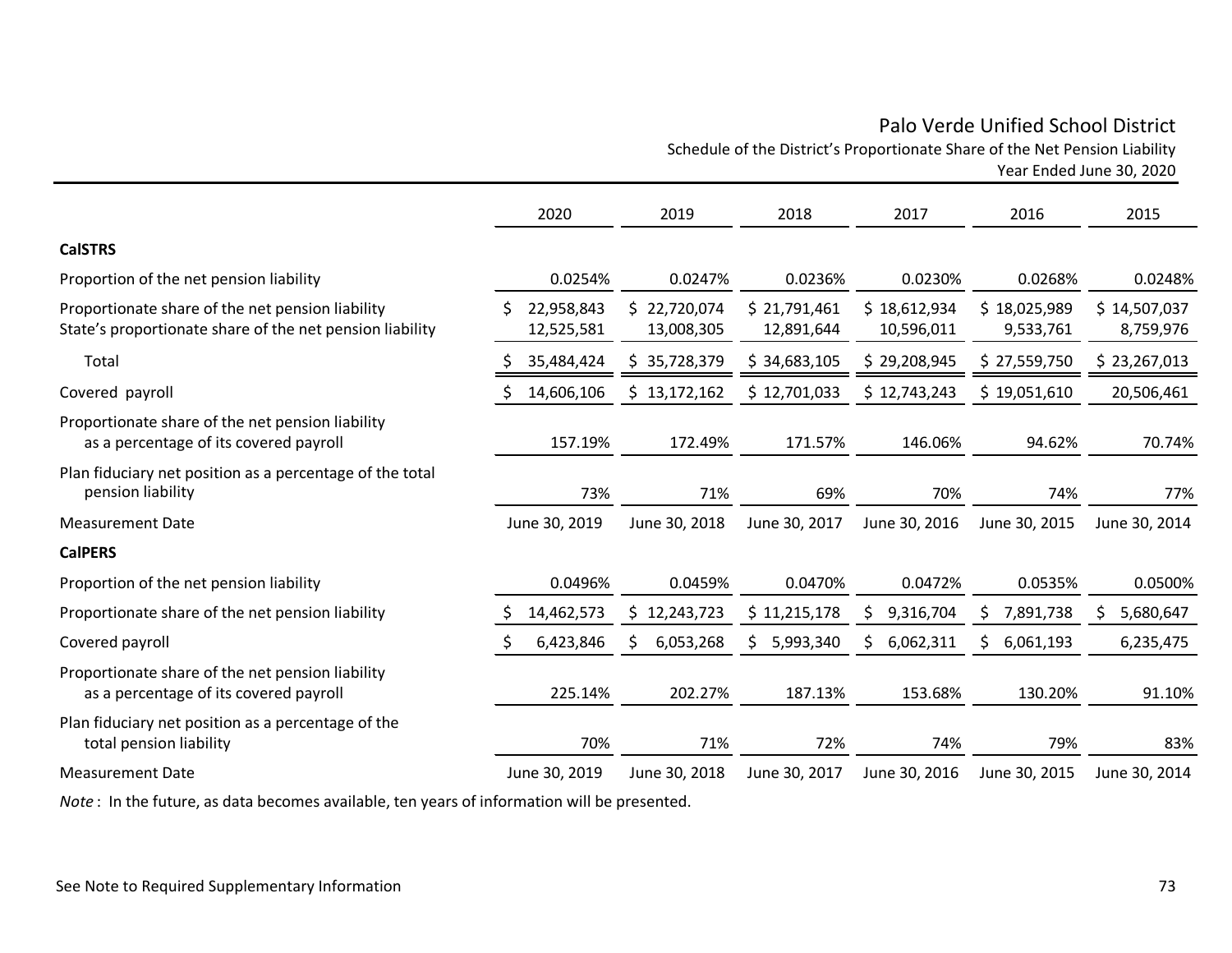Schedule of the District's Proportionate Share of the Net Pension Liability Year Ended June 30, 2020

|                                                                                                              | 2020                     | 2019                       | 2018                       | 2017                       | 2016                      | 2015                      |
|--------------------------------------------------------------------------------------------------------------|--------------------------|----------------------------|----------------------------|----------------------------|---------------------------|---------------------------|
| <b>CalSTRS</b>                                                                                               |                          |                            |                            |                            |                           |                           |
| Proportion of the net pension liability                                                                      | 0.0254%                  | 0.0247%                    | 0.0236%                    | 0.0230%                    | 0.0268%                   | 0.0248%                   |
| Proportionate share of the net pension liability<br>State's proportionate share of the net pension liability | 22,958,843<br>12,525,581 | \$22,720,074<br>13,008,305 | \$21,791,461<br>12,891,644 | \$18,612,934<br>10,596,011 | \$18,025,989<br>9,533,761 | \$14,507,037<br>8,759,976 |
| Total                                                                                                        | 35,484,424               | 35,728,379                 | \$34,683,105               | \$29,208,945               | \$27,559,750              | \$23,267,013              |
| Covered payroll                                                                                              | 14,606,106               | \$13,172,162               | \$12,701,033               | \$12,743,243               | \$19,051,610              | 20,506,461                |
| Proportionate share of the net pension liability<br>as a percentage of its covered payroll                   | 157.19%                  | 172.49%                    | 171.57%                    | 146.06%                    | 94.62%                    | 70.74%                    |
| Plan fiduciary net position as a percentage of the total<br>pension liability                                | 73%                      | 71%                        | 69%                        | 70%                        | 74%                       | 77%                       |
| <b>Measurement Date</b>                                                                                      | June 30, 2019            | June 30, 2018              | June 30, 2017              | June 30, 2016              | June 30, 2015             | June 30, 2014             |
| <b>CalPERS</b>                                                                                               |                          |                            |                            |                            |                           |                           |
| Proportion of the net pension liability                                                                      | 0.0496%                  | 0.0459%                    | 0.0470%                    | 0.0472%                    | 0.0535%                   | 0.0500%                   |
| Proportionate share of the net pension liability                                                             | 14,462,573               | \$12,243,723               | \$11,215,178               | 9,316,704<br>S             | 7,891,738                 | 5,680,647<br>S            |
| Covered payroll                                                                                              | 6,423,846                | 6,053,268                  | Ś.<br>5,993,340            | 6,062,311<br>S.            | 6,061,193                 | 6,235,475                 |
| Proportionate share of the net pension liability<br>as a percentage of its covered payroll                   | 225.14%                  | 202.27%                    | 187.13%                    | 153.68%                    | 130.20%                   | 91.10%                    |
| Plan fiduciary net position as a percentage of the<br>total pension liability                                | 70%                      | 71%                        | 72%                        | 74%                        | 79%                       | 83%                       |
| <b>Measurement Date</b>                                                                                      | June 30, 2019            | June 30, 2018              | June 30, 2017              | June 30, 2016              | June 30, 2015             | June 30, 2014             |

*Note* : In the future, as data becomes available, ten years of information will be presented.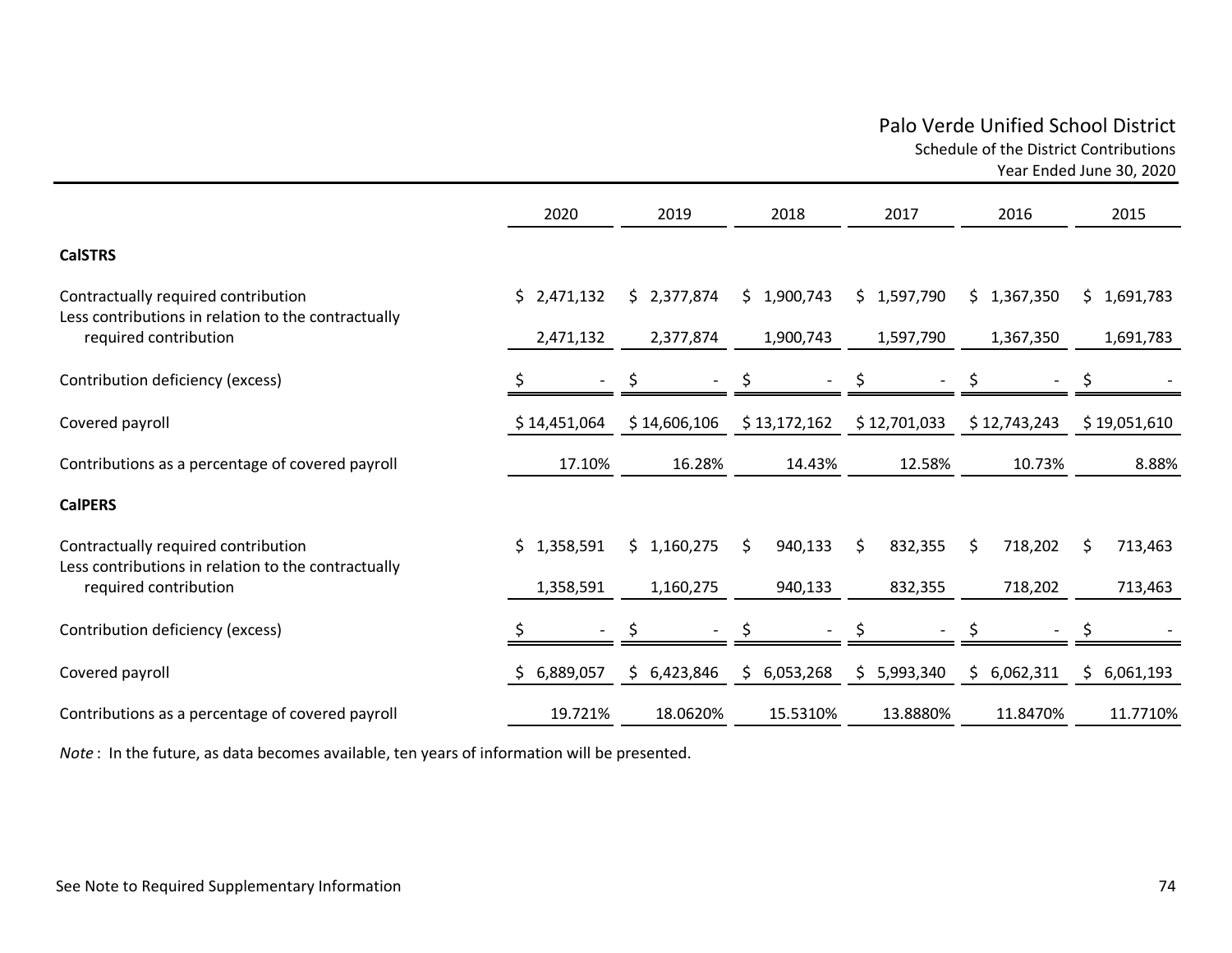# Palo Verde Unified School District Schedule of the District Contributions

Year Ended June 30, 2020

|                                                                                            | 2020         | 2019             | 2018             | 2017            | 2016          | 2015          |
|--------------------------------------------------------------------------------------------|--------------|------------------|------------------|-----------------|---------------|---------------|
| <b>CalSTRS</b>                                                                             |              |                  |                  |                 |               |               |
| Contractually required contribution<br>Less contributions in relation to the contractually | \$2,471,132  | \$2,377,874      | \$1,900,743      | \$1,597,790     | \$1,367,350   | \$1,691,783   |
| required contribution                                                                      | 2,471,132    | 2,377,874        | 1,900,743        | 1,597,790       | 1,367,350     | 1,691,783     |
| Contribution deficiency (excess)                                                           |              |                  |                  |                 |               |               |
| Covered payroll                                                                            | \$14,451,064 | \$14,606,106     | \$13,172,162     | \$12,701,033    | \$12,743,243  | \$19,051,610  |
| Contributions as a percentage of covered payroll                                           | 17.10%       | 16.28%           | 14.43%           | 12.58%          | 10.73%        | 8.88%         |
| <b>CalPERS</b>                                                                             |              |                  |                  |                 |               |               |
| Contractually required contribution<br>Less contributions in relation to the contractually | \$1,358,591  | \$1,160,275      | Ŝ.<br>940,133    | 832,355<br>\$   | 718,202<br>S. | \$<br>713,463 |
| required contribution                                                                      | 1,358,591    | 1,160,275        | 940,133          | 832,355         | 718,202       | 713,463       |
| Contribution deficiency (excess)                                                           |              |                  |                  |                 |               |               |
| Covered payroll                                                                            | 6,889,057    | \$.<br>6,423,846 | \$.<br>6,053,268 | 5,993,340<br>S. | \$6,062,311   | \$6,061,193   |
| Contributions as a percentage of covered payroll                                           | 19.721%      | 18.0620%         | 15.5310%         | 13.8880%        | 11.8470%      | 11.7710%      |

*Note* : In the future, as data becomes available, ten years of information will be presented.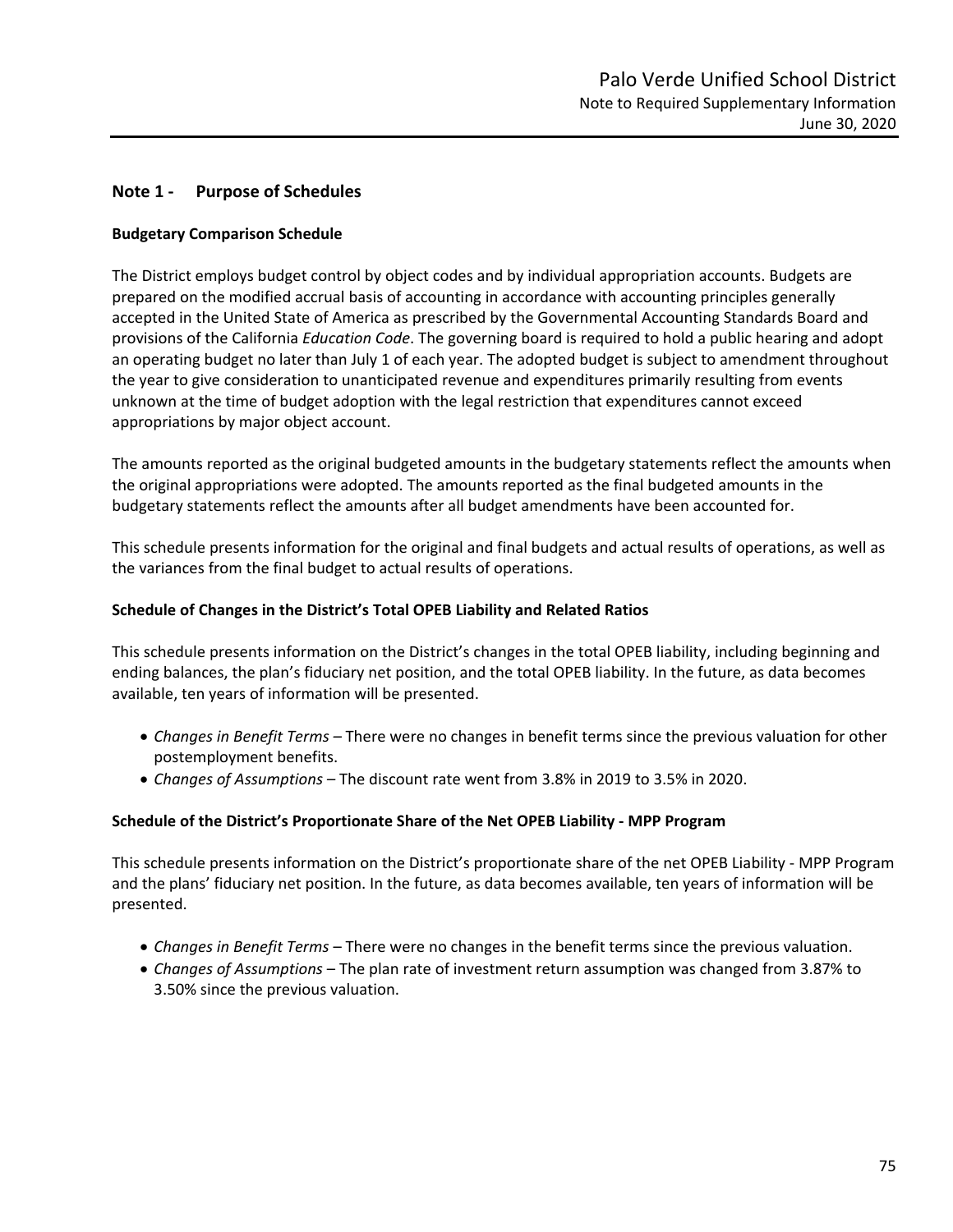# **Note 1 ‐ Purpose of Schedules**

### **Budgetary Comparison Schedule**

The District employs budget control by object codes and by individual appropriation accounts. Budgets are prepared on the modified accrual basis of accounting in accordance with accounting principles generally accepted in the United State of America as prescribed by the Governmental Accounting Standards Board and provisions of the California *Education Code*. The governing board is required to hold a public hearing and adopt an operating budget no later than July 1 of each year. The adopted budget is subject to amendment throughout the year to give consideration to unanticipated revenue and expenditures primarily resulting from events unknown at the time of budget adoption with the legal restriction that expenditures cannot exceed appropriations by major object account.

The amounts reported as the original budgeted amounts in the budgetary statements reflect the amounts when the original appropriations were adopted. The amounts reported as the final budgeted amounts in the budgetary statements reflect the amounts after all budget amendments have been accounted for.

This schedule presents information for the original and final budgets and actual results of operations, as well as the variances from the final budget to actual results of operations.

#### **Schedule of Changes in the District's Total OPEB Liability and Related Ratios**

This schedule presents information on the District's changes in the total OPEB liability, including beginning and ending balances, the plan's fiduciary net position, and the total OPEB liability. In the future, as data becomes available, ten years of information will be presented.

- *Changes in Benefit Terms –* There were no changes in benefit terms since the previous valuation for other postemployment benefits.
- *Changes of Assumptions –* The discount rate went from 3.8% in 2019 to 3.5% in 2020.

### **Schedule of the District's Proportionate Share of the Net OPEB Liability ‐ MPP Program**

This schedule presents information on the District's proportionate share of the net OPEB Liability ‐ MPP Program and the plans' fiduciary net position. In the future, as data becomes available, ten years of information will be presented.

- *Changes in Benefit Terms* There were no changes in the benefit terms since the previous valuation.
- *Changes of Assumptions* The plan rate of investment return assumption was changed from 3.87% to 3.50% since the previous valuation.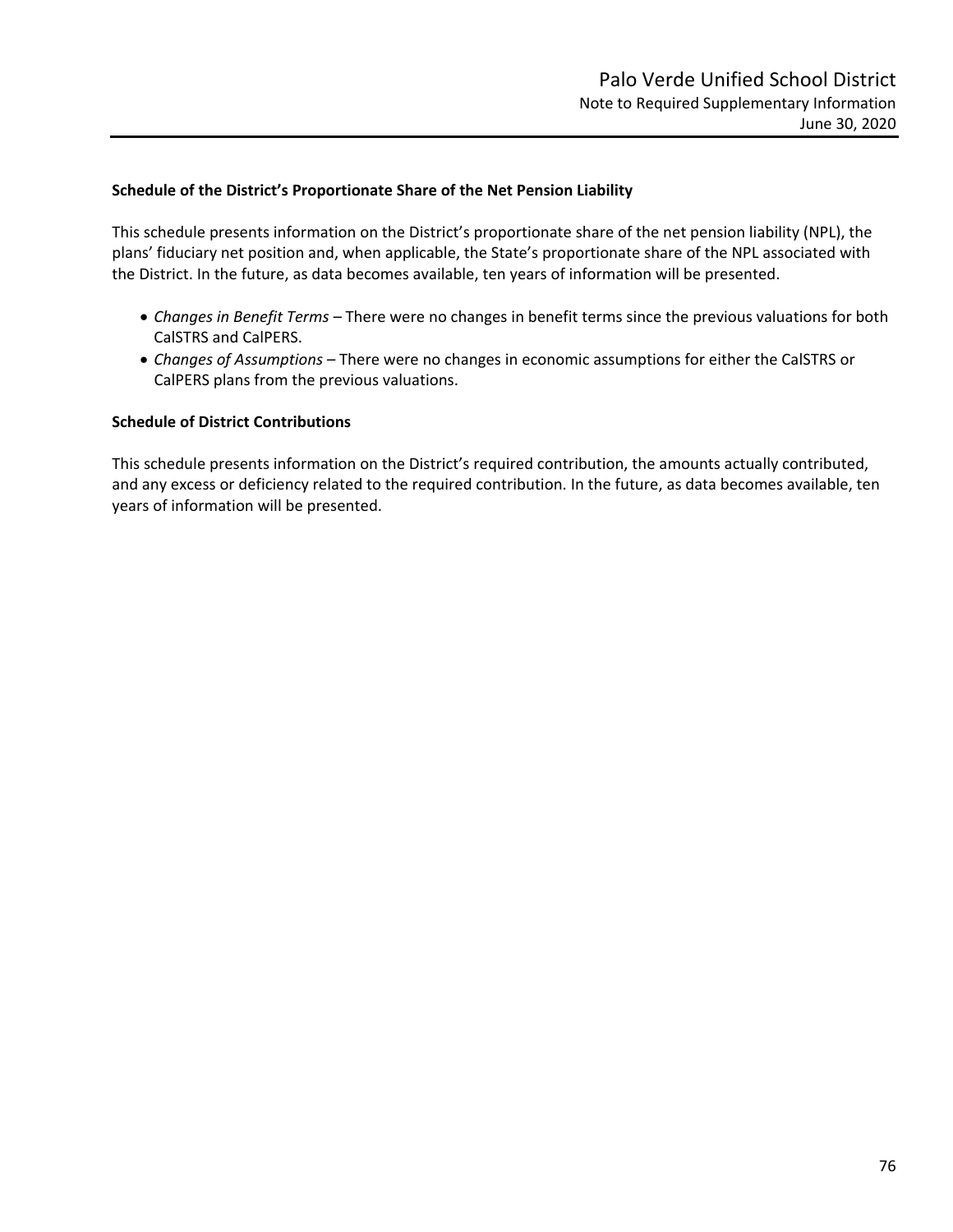### **Schedule of the District's Proportionate Share of the Net Pension Liability**

This schedule presents information on the District's proportionate share of the net pension liability (NPL), the plans' fiduciary net position and, when applicable, the State's proportionate share of the NPL associated with the District. In the future, as data becomes available, ten years of information will be presented.

- *Changes in Benefit Terms –* There were no changes in benefit terms since the previous valuations for both CalSTRS and CalPERS.
- *Changes of Assumptions –* There were no changes in economic assumptions for either the CalSTRS or CalPERS plans from the previous valuations.

#### **Schedule of District Contributions**

This schedule presents information on the District's required contribution, the amounts actually contributed, and any excess or deficiency related to the required contribution. In the future, as data becomes available, ten years of information will be presented.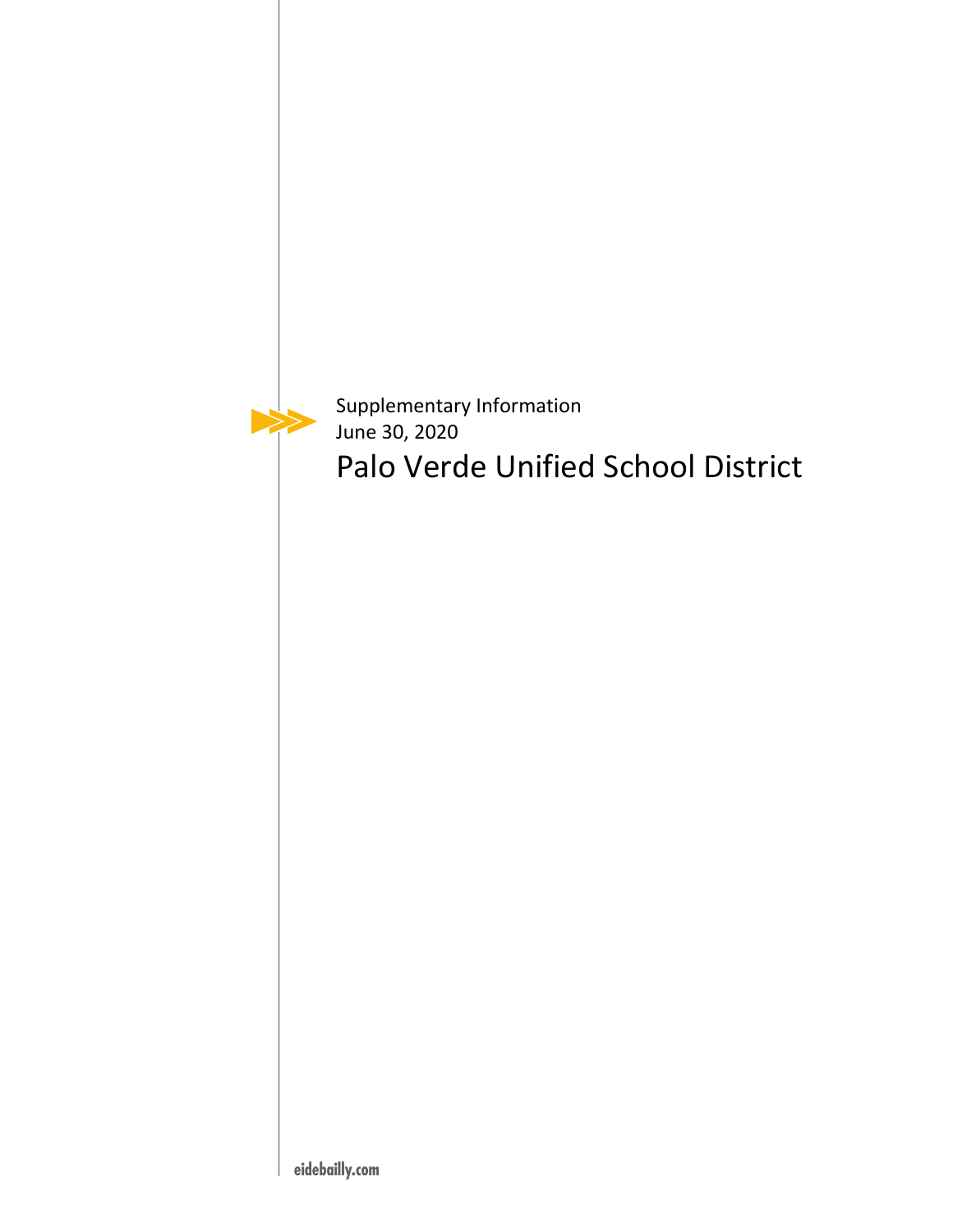$\blacktriangleright$ 

Supplementary Information June 30, 2020 Palo Verde Unified School District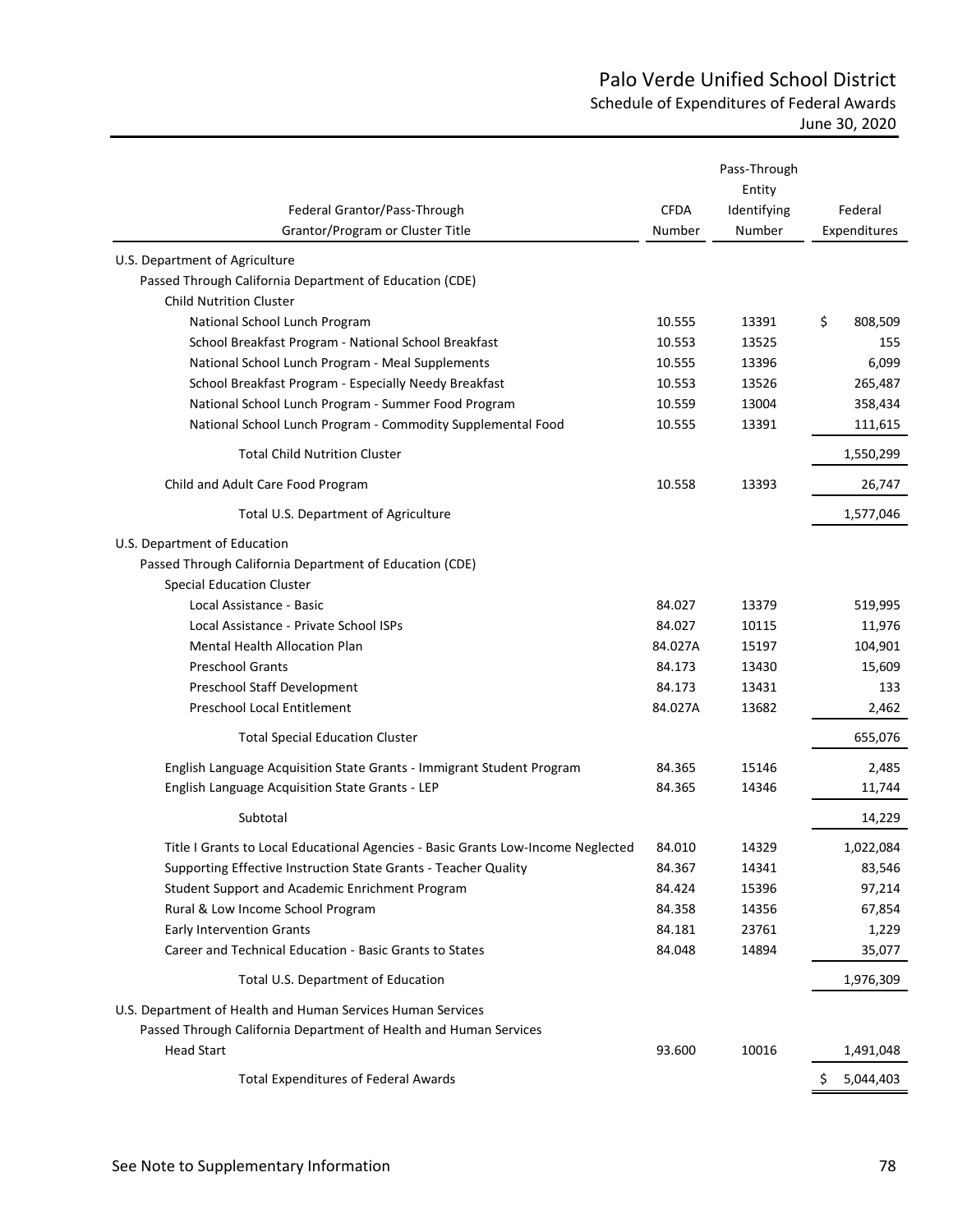# Palo Verde Unified School District Schedule of Expenditures of Federal Awards

June 30, 2020

| Federal Grantor/Pass-Through<br>Grantor/Program or Cluster Title                            | <b>CFDA</b><br>Number | Pass-Through<br>Entity<br>Identifying<br>Number | Federal<br>Expenditures |
|---------------------------------------------------------------------------------------------|-----------------------|-------------------------------------------------|-------------------------|
|                                                                                             |                       |                                                 |                         |
| U.S. Department of Agriculture<br>Passed Through California Department of Education (CDE)   |                       |                                                 |                         |
| <b>Child Nutrition Cluster</b>                                                              |                       |                                                 |                         |
| National School Lunch Program                                                               | 10.555                | 13391                                           | \$<br>808,509           |
| School Breakfast Program - National School Breakfast                                        | 10.553                | 13525                                           | 155                     |
| National School Lunch Program - Meal Supplements                                            | 10.555                | 13396                                           | 6,099                   |
| School Breakfast Program - Especially Needy Breakfast                                       | 10.553                | 13526                                           | 265,487                 |
| National School Lunch Program - Summer Food Program                                         | 10.559                | 13004                                           | 358,434                 |
| National School Lunch Program - Commodity Supplemental Food                                 | 10.555                | 13391                                           | 111,615                 |
| <b>Total Child Nutrition Cluster</b>                                                        |                       |                                                 | 1,550,299               |
| Child and Adult Care Food Program                                                           | 10.558                | 13393                                           | 26,747                  |
| Total U.S. Department of Agriculture                                                        |                       |                                                 | 1,577,046               |
| U.S. Department of Education                                                                |                       |                                                 |                         |
| Passed Through California Department of Education (CDE)<br><b>Special Education Cluster</b> |                       |                                                 |                         |
| Local Assistance - Basic                                                                    | 84.027                | 13379                                           | 519,995                 |
| Local Assistance - Private School ISPs                                                      | 84.027                | 10115                                           | 11,976                  |
| <b>Mental Health Allocation Plan</b>                                                        | 84.027A               | 15197                                           | 104,901                 |
| <b>Preschool Grants</b>                                                                     | 84.173                | 13430                                           | 15,609                  |
| Preschool Staff Development                                                                 | 84.173                | 13431                                           | 133                     |
| <b>Preschool Local Entitlement</b>                                                          | 84.027A               | 13682                                           | 2,462                   |
| <b>Total Special Education Cluster</b>                                                      |                       |                                                 | 655,076                 |
| English Language Acquisition State Grants - Immigrant Student Program                       | 84.365                | 15146                                           | 2,485                   |
| English Language Acquisition State Grants - LEP                                             | 84.365                | 14346                                           | 11,744                  |
| Subtotal                                                                                    |                       |                                                 | 14,229                  |
| Title I Grants to Local Educational Agencies - Basic Grants Low-Income Neglected            | 84.010                | 14329                                           | 1,022,084               |
| Supporting Effective Instruction State Grants - Teacher Quality                             | 84.367                | 14341                                           | 83,546                  |
| Student Support and Academic Enrichment Program                                             | 84.424                | 15396                                           | 97,214                  |
| Rural & Low Income School Program                                                           | 84.358                | 14356                                           | 67,854                  |
| <b>Early Intervention Grants</b>                                                            | 84.181                | 23761                                           | 1,229                   |
| Career and Technical Education - Basic Grants to States                                     | 84.048                | 14894                                           | 35,077                  |
| Total U.S. Department of Education                                                          |                       |                                                 | 1,976,309               |
| U.S. Department of Health and Human Services Human Services                                 |                       |                                                 |                         |
| Passed Through California Department of Health and Human Services                           |                       |                                                 |                         |
| <b>Head Start</b>                                                                           | 93.600                | 10016                                           | 1,491,048               |
| <b>Total Expenditures of Federal Awards</b>                                                 |                       |                                                 | 5,044,403<br>\$         |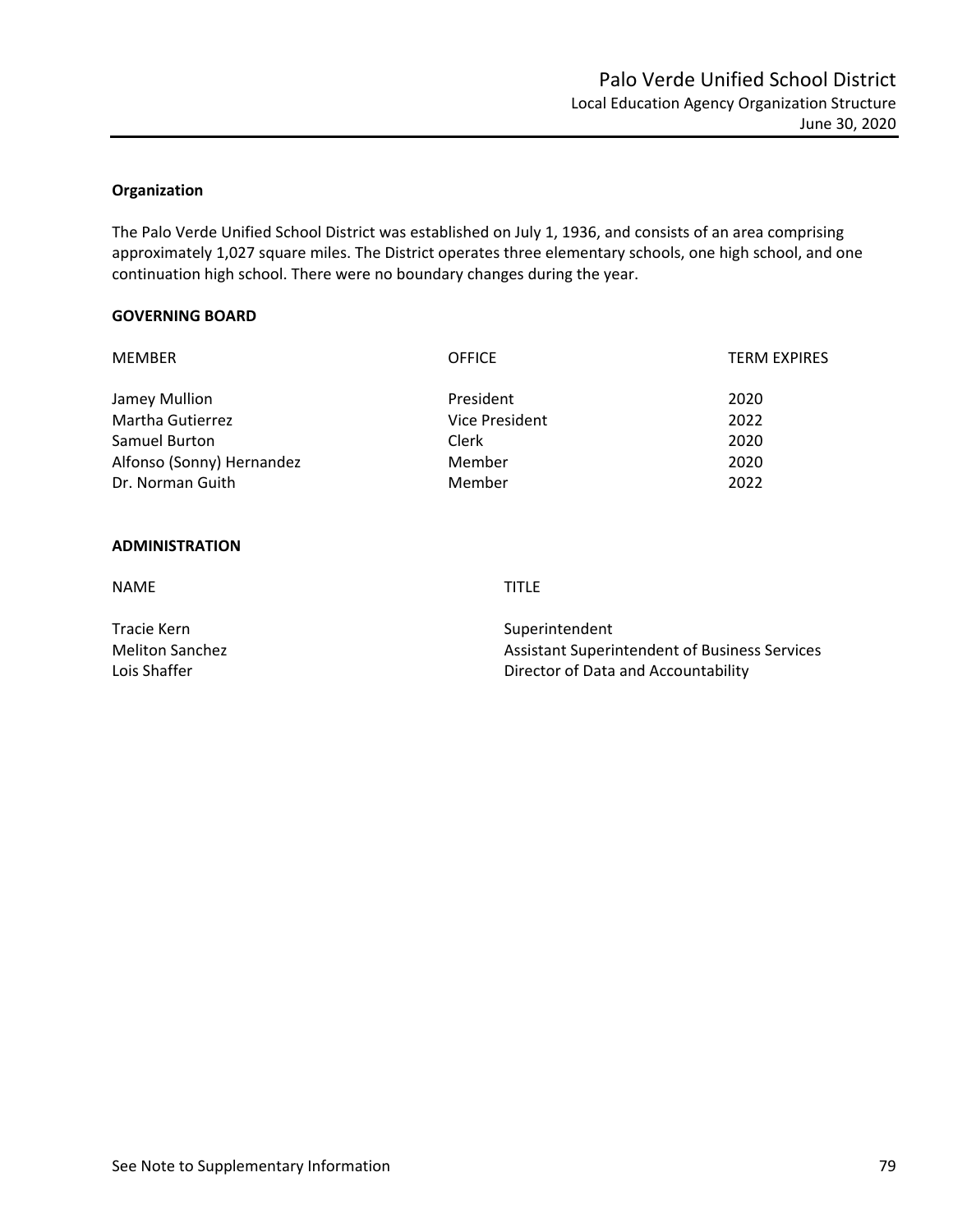## **Organization**

The Palo Verde Unified School District was established on July 1, 1936, and consists of an area comprising approximately 1,027 square miles. The District operates three elementary schools, one high school, and one continuation high school. There were no boundary changes during the year.

#### **GOVERNING BOARD**

| <b>OFFICE</b>         | <b>TERM EXPIRES</b> |
|-----------------------|---------------------|
| President             | 2020                |
| <b>Vice President</b> | 2022                |
| Clerk                 | 2020                |
| Member                | 2020                |
| Member                | 2022                |
|                       |                     |

#### **ADMINISTRATION**

NAME TITLE

Tracie Kern Superintendent Meliton Sanchez **Meliton Sanchez Assistant Superintendent of Business Services** Lois Shaffer *Director of Data and Accountability*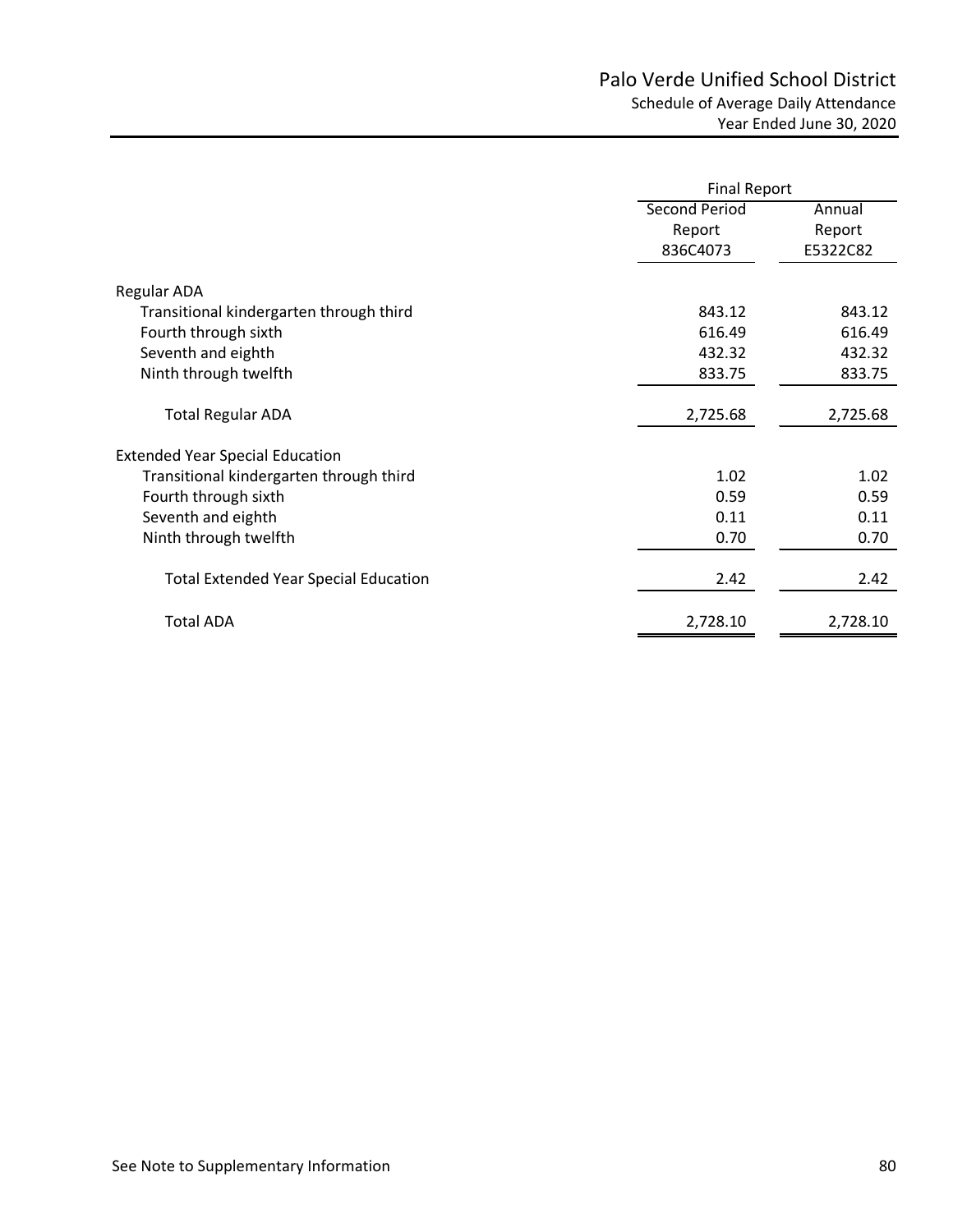|                                              |                      | <b>Final Report</b> |  |  |  |
|----------------------------------------------|----------------------|---------------------|--|--|--|
|                                              | <b>Second Period</b> | Annual              |  |  |  |
|                                              | Report               | Report              |  |  |  |
|                                              | 836C4073             | E5322C82            |  |  |  |
| Regular ADA                                  |                      |                     |  |  |  |
|                                              |                      |                     |  |  |  |
| Transitional kindergarten through third      | 843.12               | 843.12              |  |  |  |
| Fourth through sixth                         | 616.49               | 616.49              |  |  |  |
| Seventh and eighth                           | 432.32               | 432.32              |  |  |  |
| Ninth through twelfth                        | 833.75               | 833.75              |  |  |  |
|                                              |                      |                     |  |  |  |
| <b>Total Regular ADA</b>                     | 2,725.68             | 2,725.68            |  |  |  |
| <b>Extended Year Special Education</b>       |                      |                     |  |  |  |
| Transitional kindergarten through third      | 1.02                 | 1.02                |  |  |  |
| Fourth through sixth                         | 0.59                 | 0.59                |  |  |  |
| Seventh and eighth                           | 0.11                 | 0.11                |  |  |  |
| Ninth through twelfth                        | 0.70                 | 0.70                |  |  |  |
|                                              |                      |                     |  |  |  |
| <b>Total Extended Year Special Education</b> | 2.42                 | 2.42                |  |  |  |
|                                              |                      |                     |  |  |  |
| <b>Total ADA</b>                             | 2,728.10             | 2,728.10            |  |  |  |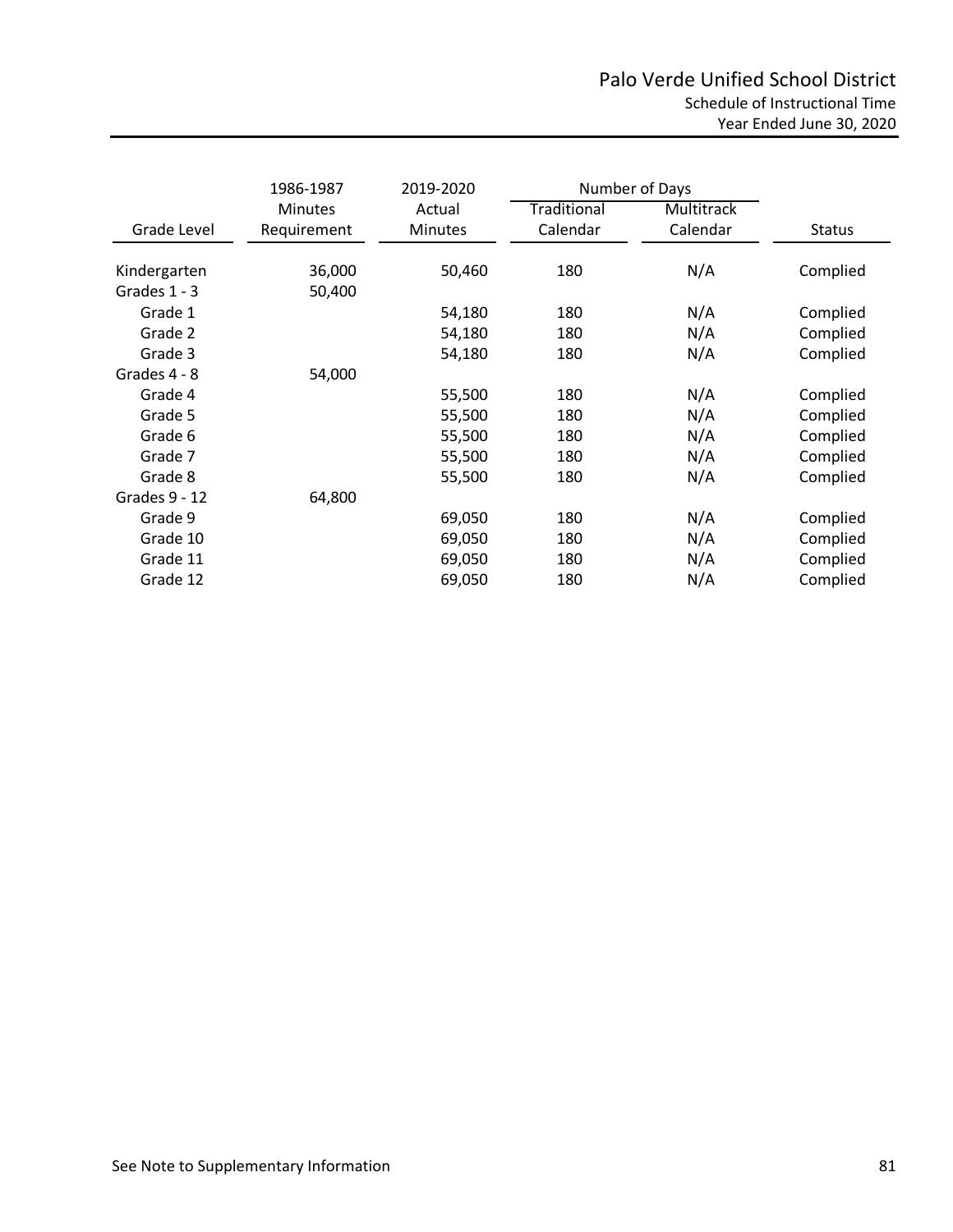|               | 1986-1987      | 2019-2020      |             | Number of Days |               |
|---------------|----------------|----------------|-------------|----------------|---------------|
|               | <b>Minutes</b> | Actual         | Traditional | Multitrack     |               |
| Grade Level   | Requirement    | <b>Minutes</b> | Calendar    | Calendar       | <b>Status</b> |
| Kindergarten  | 36,000         | 50,460         | 180         | N/A            | Complied      |
|               |                |                |             |                |               |
| Grades 1 - 3  | 50,400         |                |             |                |               |
| Grade 1       |                | 54,180         | 180         | N/A            | Complied      |
| Grade 2       |                | 54,180         | 180         | N/A            | Complied      |
| Grade 3       |                | 54,180         | 180         | N/A            | Complied      |
| Grades 4 - 8  | 54,000         |                |             |                |               |
| Grade 4       |                | 55,500         | 180         | N/A            | Complied      |
| Grade 5       |                | 55,500         | 180         | N/A            | Complied      |
| Grade 6       |                | 55,500         | 180         | N/A            | Complied      |
| Grade 7       |                | 55,500         | 180         | N/A            | Complied      |
| Grade 8       |                | 55,500         | 180         | N/A            | Complied      |
| Grades 9 - 12 | 64,800         |                |             |                |               |
| Grade 9       |                | 69,050         | 180         | N/A            | Complied      |
| Grade 10      |                | 69,050         | 180         | N/A            | Complied      |
| Grade 11      |                | 69,050         | 180         | N/A            | Complied      |
| Grade 12      |                | 69,050         | 180         | N/A            | Complied      |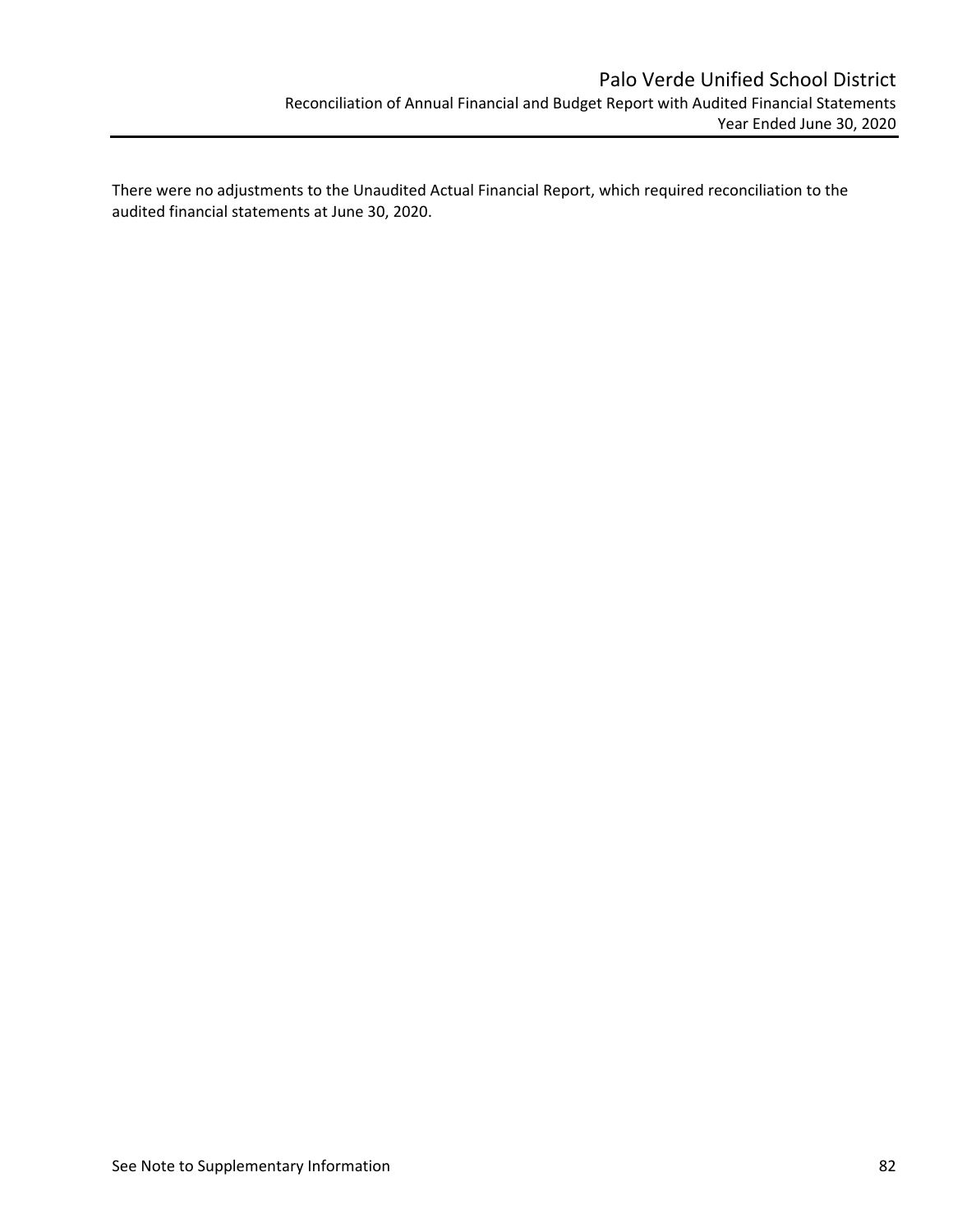There were no adjustments to the Unaudited Actual Financial Report, which required reconciliation to the audited financial statements at June 30, 2020.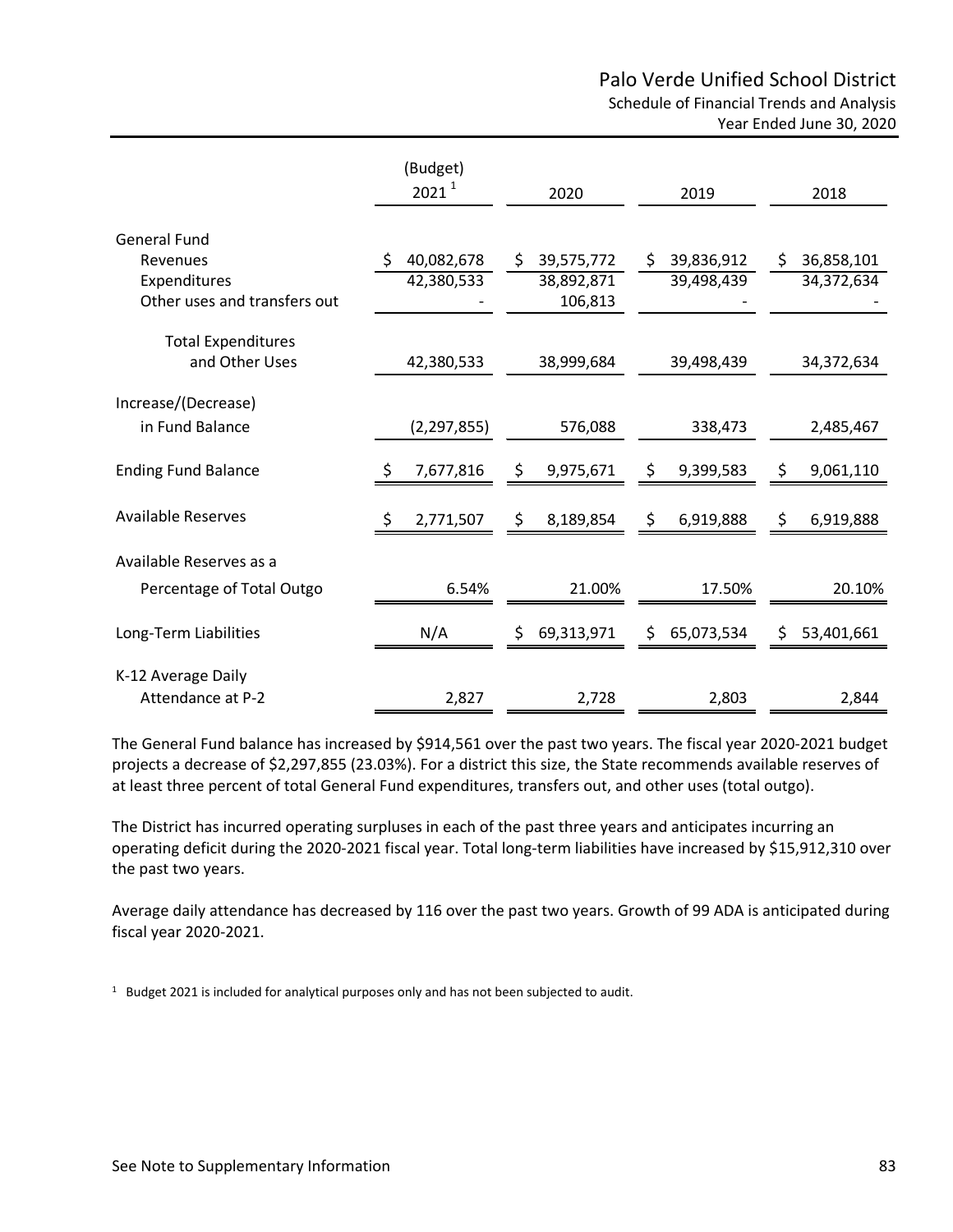# Palo Verde Unified School District Schedule of Financial Trends and Analysis

Year Ended June 30, 2020

|                                             | (Budget)<br>$2021^1$ | 2020              | 2019              | 2018             |
|---------------------------------------------|----------------------|-------------------|-------------------|------------------|
| <b>General Fund</b>                         |                      |                   |                   |                  |
| Revenues                                    | 40,082,678<br>\$     | 39,575,772<br>\$. | 39,836,912<br>\$. | \$<br>36,858,101 |
| Expenditures                                | 42,380,533           | 38,892,871        | 39,498,439        | 34,372,634       |
| Other uses and transfers out                |                      | 106,813           |                   |                  |
| <b>Total Expenditures</b><br>and Other Uses | 42,380,533           | 38,999,684        | 39,498,439        | 34,372,634       |
| Increase/(Decrease)                         |                      |                   |                   |                  |
| in Fund Balance                             | (2, 297, 855)        | 576,088           | 338,473           | 2,485,467        |
| <b>Ending Fund Balance</b>                  | 7,677,816<br>Ś       | \$<br>9,975,671   | \$<br>9,399,583   | \$<br>9,061,110  |
| <b>Available Reserves</b>                   | \$<br>2,771,507      | 8,189,854<br>\$   | 6,919,888<br>\$   | \$<br>6,919,888  |
| Available Reserves as a                     |                      |                   |                   |                  |
| Percentage of Total Outgo                   | 6.54%                | 21.00%            | 17.50%            | 20.10%           |
| Long-Term Liabilities                       | N/A                  | 69,313,971<br>\$  | 65,073,534<br>\$  | \$<br>53,401,661 |
| K-12 Average Daily                          |                      |                   |                   |                  |
| Attendance at P-2                           | 2,827                | 2,728             | 2,803             | 2,844            |

The General Fund balance has increased by \$914,561 over the past two years. The fiscal year 2020‐2021 budget projects a decrease of \$2,297,855 (23.03%). For a district this size, the State recommends available reserves of at least three percent of total General Fund expenditures, transfers out, and other uses (total outgo).

The District has incurred operating surpluses in each of the past three years and anticipates incurring an operating deficit during the 2020‐2021 fiscal year. Total long‐term liabilities have increased by \$15,912,310 over the past two years.

Average daily attendance has decreased by 116 over the past two years. Growth of 99 ADA is anticipated during fiscal year 2020‐2021.

 $1$  Budget 2021 is included for analytical purposes only and has not been subjected to audit.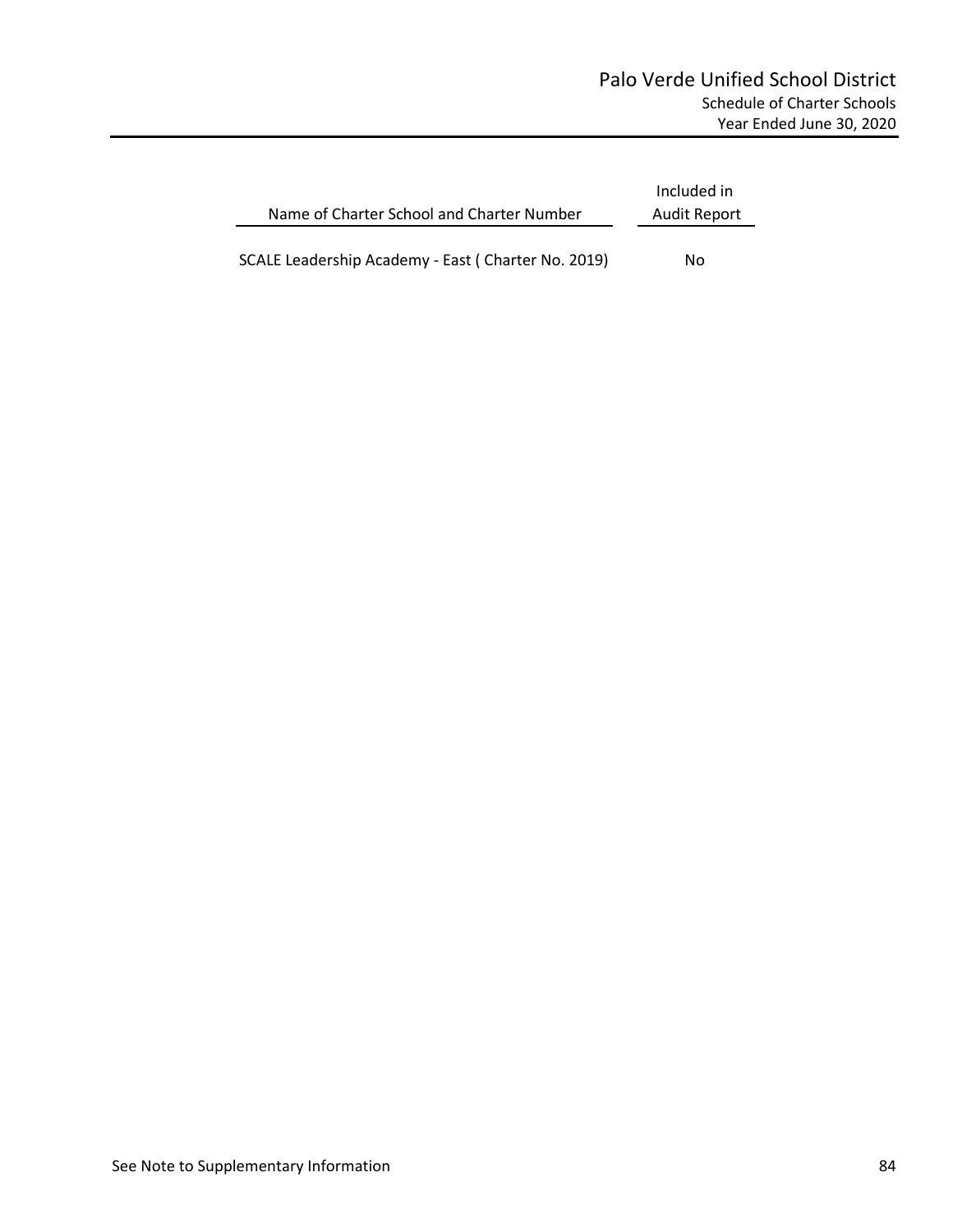|                                                    | Included in  |
|----------------------------------------------------|--------------|
| Name of Charter School and Charter Number          | Audit Report |
|                                                    |              |
| SCALE Leadership Academy - East (Charter No. 2019) | Nο           |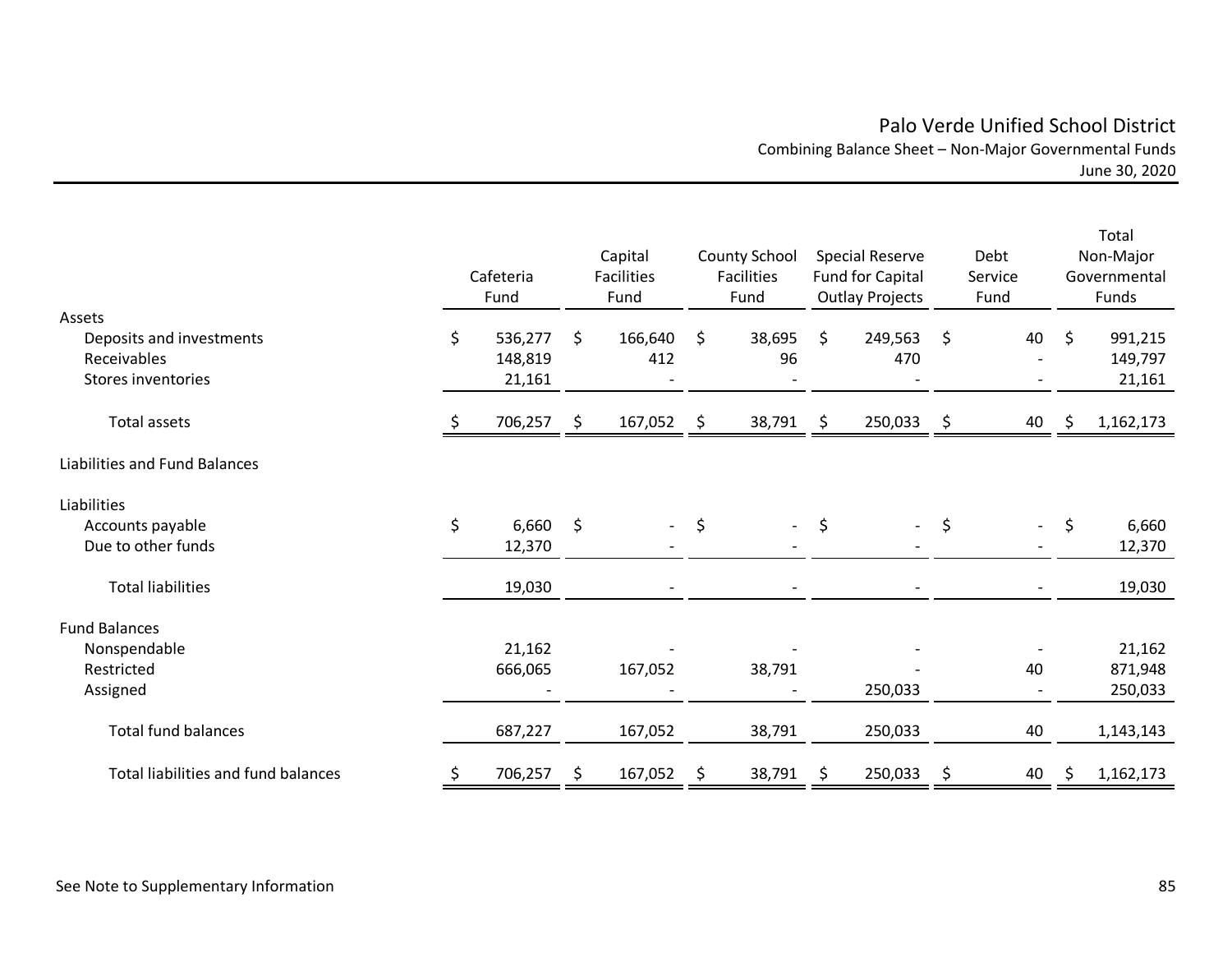Combining Balance Sheet – Non‐Major Governmental Funds June 30, 2020

|                                     |    | Cafeteria<br>Fund |                     | Capital<br><b>Facilities</b><br>Fund | <b>County School</b><br><b>Facilities</b><br>Fund |         | <b>Special Reserve</b><br>Fund for Capital<br><b>Outlay Projects</b> |                     | Debt<br>Service<br>Fund  | Total<br>Non-Major<br>Governmental<br>Funds |
|-------------------------------------|----|-------------------|---------------------|--------------------------------------|---------------------------------------------------|---------|----------------------------------------------------------------------|---------------------|--------------------------|---------------------------------------------|
| Assets                              |    |                   |                     |                                      |                                                   |         |                                                                      |                     |                          |                                             |
| Deposits and investments            | \$ | 536,277           | \$                  | 166,640                              | \$<br>38,695                                      | \$      | 249,563                                                              | \$                  | 40                       | \$<br>991,215                               |
| Receivables<br>Stores inventories   |    | 148,819<br>21,161 |                     | 412                                  | 96                                                |         | 470                                                                  |                     |                          | 149,797<br>21,161                           |
|                                     |    |                   |                     |                                      |                                                   |         |                                                                      |                     |                          |                                             |
| <b>Total assets</b>                 | S  | 706,257           | \$                  | 167,052                              | \$<br>38,791                                      | \$      | 250,033                                                              | \$                  | 40                       | \$<br>1,162,173                             |
| Liabilities and Fund Balances       |    |                   |                     |                                      |                                                   |         |                                                                      |                     |                          |                                             |
| Liabilities                         |    |                   |                     |                                      |                                                   |         |                                                                      |                     |                          |                                             |
| Accounts payable                    | \$ | 6,660             | $\ddot{\mathsf{s}}$ | $\omega_{\rm{eff}}$                  | \$<br>$\sim$                                      | $\zeta$ | $\blacksquare$                                                       | $\ddot{\mathsf{s}}$ | $\overline{\phantom{0}}$ | \$<br>6,660                                 |
| Due to other funds                  |    | 12,370            |                     |                                      |                                                   |         |                                                                      |                     |                          | 12,370                                      |
| <b>Total liabilities</b>            |    | 19,030            |                     |                                      |                                                   |         |                                                                      |                     |                          | 19,030                                      |
| <b>Fund Balances</b>                |    |                   |                     |                                      |                                                   |         |                                                                      |                     |                          |                                             |
| Nonspendable                        |    | 21,162            |                     |                                      |                                                   |         |                                                                      |                     |                          | 21,162                                      |
| Restricted                          |    | 666,065           |                     | 167,052                              | 38,791                                            |         |                                                                      |                     | 40                       | 871,948                                     |
| Assigned                            |    |                   |                     |                                      |                                                   |         | 250,033                                                              |                     |                          | 250,033                                     |
| <b>Total fund balances</b>          |    | 687,227           |                     | 167,052                              | 38,791                                            |         | 250,033                                                              |                     | 40                       | 1,143,143                                   |
| Total liabilities and fund balances | \$ | 706,257           | \$                  | 167,052                              | \$<br>38,791                                      | \$      | 250,033                                                              | \$                  | 40                       | \$<br>1,162,173                             |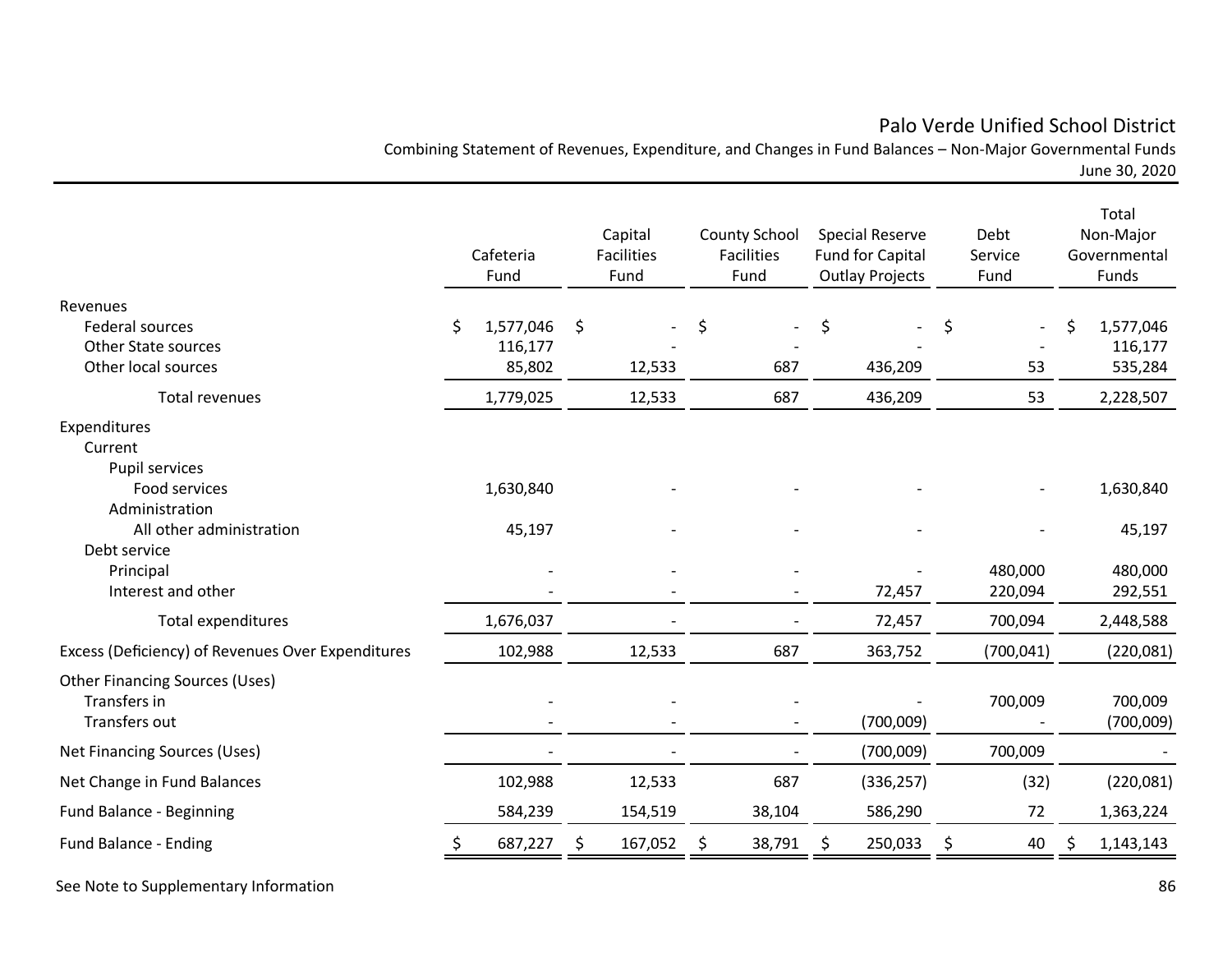Combining Statement of Revenues, Expenditure, and Changes in Fund Balances – Non‐Major Governmental Funds June 30, 2020

|                                                                        | Cafeteria<br>Fund |           | Capital<br><b>Facilities</b><br>Fund |         | <b>County School</b><br><b>Facilities</b><br>Fund |     | <b>Special Reserve</b><br><b>Fund for Capital</b><br><b>Outlay Projects</b> |     | Debt<br>Service<br>Fund |    | Total<br>Non-Major<br>Governmental<br>Funds |  |
|------------------------------------------------------------------------|-------------------|-----------|--------------------------------------|---------|---------------------------------------------------|-----|-----------------------------------------------------------------------------|-----|-------------------------|----|---------------------------------------------|--|
| Revenues                                                               |                   |           |                                      |         |                                                   |     |                                                                             |     |                         |    |                                             |  |
| Federal sources                                                        | \$                | 1,577,046 | \$                                   |         | \$                                                | \$  |                                                                             | \$  |                         | \$ | 1,577,046                                   |  |
| <b>Other State sources</b>                                             |                   | 116,177   |                                      |         |                                                   |     |                                                                             |     |                         |    | 116,177                                     |  |
| Other local sources                                                    |                   | 85,802    |                                      | 12,533  | 687                                               |     | 436,209                                                                     |     | 53                      |    | 535,284                                     |  |
| Total revenues                                                         |                   | 1,779,025 |                                      | 12,533  | 687                                               |     | 436,209                                                                     |     | 53                      |    | 2,228,507                                   |  |
| Expenditures<br>Current<br>Pupil services                              |                   |           |                                      |         |                                                   |     |                                                                             |     |                         |    |                                             |  |
| Food services<br>Administration                                        |                   | 1,630,840 |                                      |         |                                                   |     |                                                                             |     |                         |    | 1,630,840                                   |  |
| All other administration<br>Debt service                               |                   | 45,197    |                                      |         |                                                   |     |                                                                             |     |                         |    | 45,197                                      |  |
| Principal                                                              |                   |           |                                      |         |                                                   |     |                                                                             |     | 480,000                 |    | 480,000                                     |  |
| Interest and other                                                     |                   |           |                                      |         |                                                   |     | 72,457                                                                      |     | 220,094                 |    | 292,551                                     |  |
| Total expenditures                                                     |                   | 1,676,037 |                                      |         |                                                   |     | 72,457                                                                      |     | 700,094                 |    | 2,448,588                                   |  |
| Excess (Deficiency) of Revenues Over Expenditures                      |                   | 102,988   |                                      | 12,533  | 687                                               |     | 363,752                                                                     |     | (700, 041)              |    | (220, 081)                                  |  |
| <b>Other Financing Sources (Uses)</b><br>Transfers in<br>Transfers out |                   |           |                                      |         |                                                   |     | (700,009)                                                                   |     | 700,009                 |    | 700,009<br>(700,009)                        |  |
| <b>Net Financing Sources (Uses)</b>                                    |                   |           |                                      |         |                                                   |     | (700,009)                                                                   |     | 700,009                 |    |                                             |  |
| Net Change in Fund Balances                                            |                   | 102,988   |                                      | 12,533  | 687                                               |     | (336, 257)                                                                  |     | (32)                    |    | (220, 081)                                  |  |
| Fund Balance - Beginning                                               |                   | 584,239   |                                      | 154,519 | 38,104                                            |     | 586,290                                                                     |     | 72                      |    | 1,363,224                                   |  |
| Fund Balance - Ending                                                  |                   | 687,227   | \$                                   | 167,052 | \$<br>38,791                                      | -\$ | 250,033                                                                     | -\$ | 40                      |    | 1,143,143                                   |  |
|                                                                        |                   |           |                                      |         |                                                   |     |                                                                             |     |                         |    |                                             |  |

See Note to Supplementary Information 36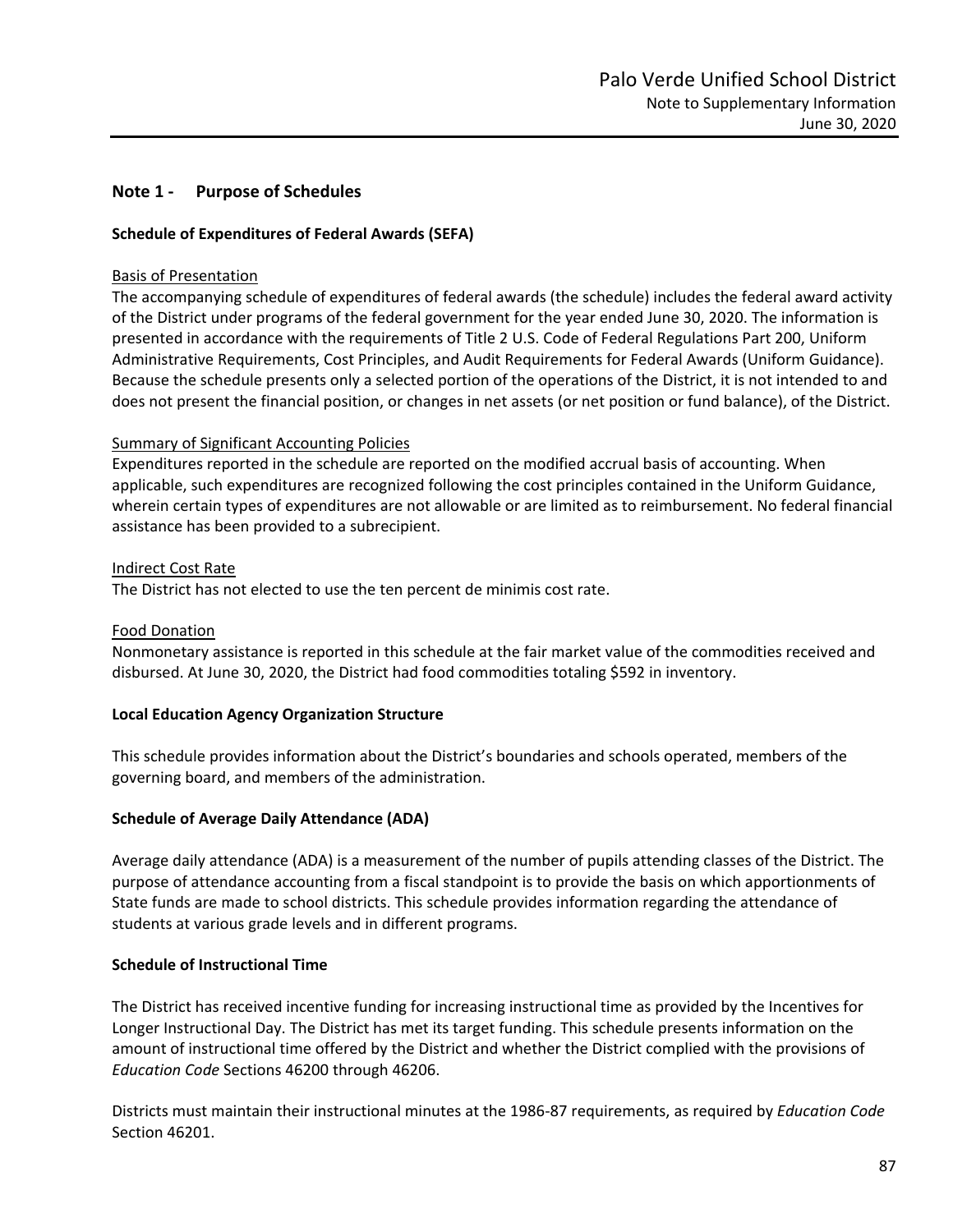## **Note 1 ‐ Purpose of Schedules**

### **Schedule of Expenditures of Federal Awards (SEFA)**

#### Basis of Presentation

The accompanying schedule of expenditures of federal awards (the schedule) includes the federal award activity of the District under programs of the federal government for the year ended June 30, 2020. The information is presented in accordance with the requirements of Title 2 U.S. Code of Federal Regulations Part 200, Uniform Administrative Requirements, Cost Principles, and Audit Requirements for Federal Awards (Uniform Guidance). Because the schedule presents only a selected portion of the operations of the District, it is not intended to and does not present the financial position, or changes in net assets (or net position or fund balance), of the District.

### Summary of Significant Accounting Policies

Expenditures reported in the schedule are reported on the modified accrual basis of accounting. When applicable, such expenditures are recognized following the cost principles contained in the Uniform Guidance, wherein certain types of expenditures are not allowable or are limited as to reimbursement. No federal financial assistance has been provided to a subrecipient.

#### Indirect Cost Rate

The District has not elected to use the ten percent de minimis cost rate.

### Food Donation

Nonmonetary assistance is reported in this schedule at the fair market value of the commodities received and disbursed. At June 30, 2020, the District had food commodities totaling \$592 in inventory.

### **Local Education Agency Organization Structure**

This schedule provides information about the District's boundaries and schools operated, members of the governing board, and members of the administration.

### **Schedule of Average Daily Attendance (ADA)**

Average daily attendance (ADA) is a measurement of the number of pupils attending classes of the District. The purpose of attendance accounting from a fiscal standpoint is to provide the basis on which apportionments of State funds are made to school districts. This schedule provides information regarding the attendance of students at various grade levels and in different programs.

### **Schedule of Instructional Time**

The District has received incentive funding for increasing instructional time as provided by the Incentives for Longer Instructional Day. The District has met its target funding. This schedule presents information on the amount of instructional time offered by the District and whether the District complied with the provisions of *Education Code* Sections 46200 through 46206.

Districts must maintain their instructional minutes at the 1986‐87 requirements, as required by *Education Code* Section 46201.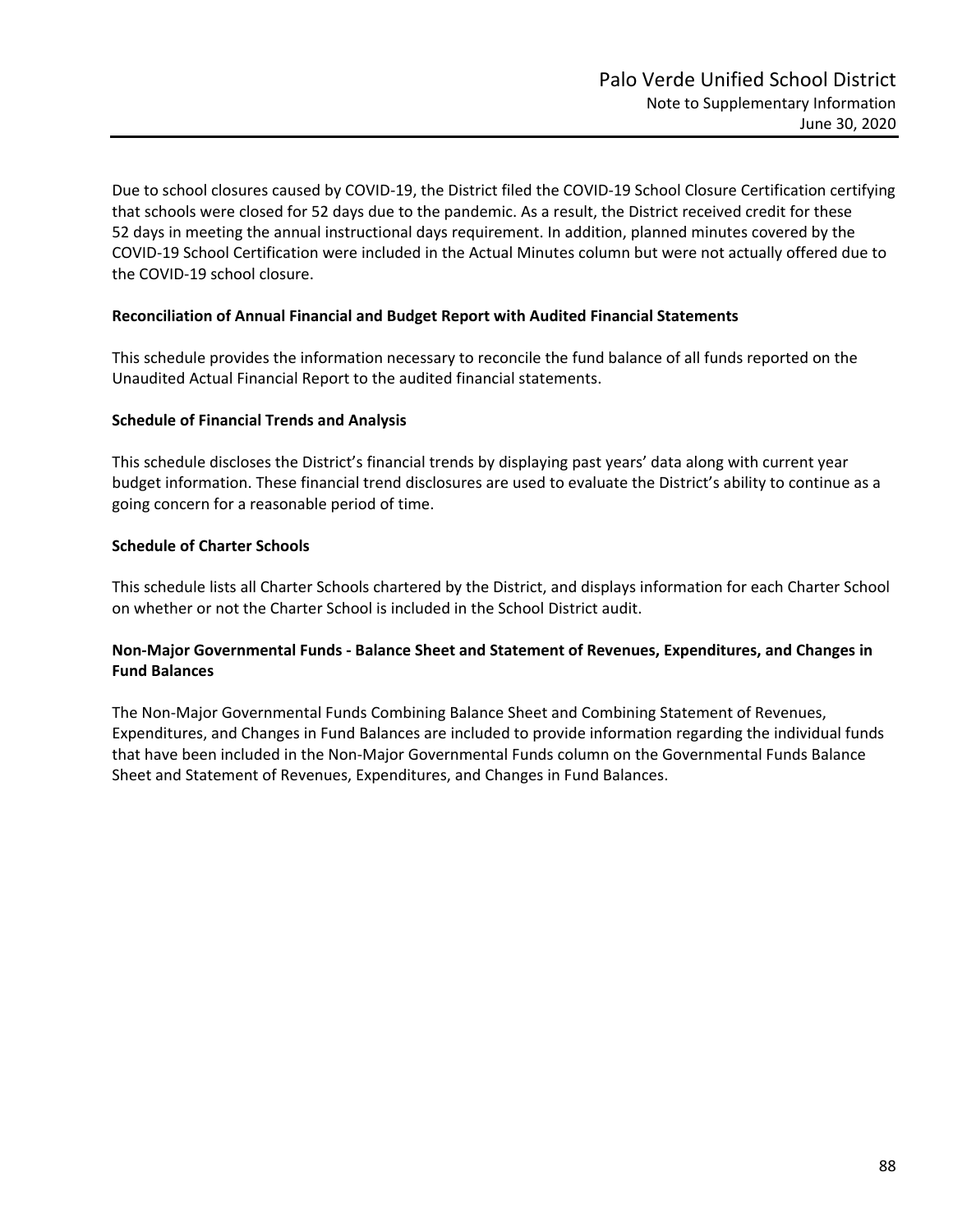Due to school closures caused by COVID‐19, the District filed the COVID‐19 School Closure Certification certifying that schools were closed for 52 days due to the pandemic. As a result, the District received credit for these 52 days in meeting the annual instructional days requirement. In addition, planned minutes covered by the COVID‐19 School Certification were included in the Actual Minutes column but were not actually offered due to the COVID‐19 school closure.

### **Reconciliation of Annual Financial and Budget Report with Audited Financial Statements**

This schedule provides the information necessary to reconcile the fund balance of all funds reported on the Unaudited Actual Financial Report to the audited financial statements.

## **Schedule of Financial Trends and Analysis**

This schedule discloses the District's financial trends by displaying past years' data along with current year budget information. These financial trend disclosures are used to evaluate the District's ability to continue as a going concern for a reasonable period of time.

## **Schedule of Charter Schools**

This schedule lists all Charter Schools chartered by the District, and displays information for each Charter School on whether or not the Charter School is included in the School District audit.

# **Non‐Major Governmental Funds ‐ Balance Sheet and Statement of Revenues, Expenditures, and Changes in Fund Balances**

The Non‐Major Governmental Funds Combining Balance Sheet and Combining Statement of Revenues, Expenditures, and Changes in Fund Balances are included to provide information regarding the individual funds that have been included in the Non‐Major Governmental Funds column on the Governmental Funds Balance Sheet and Statement of Revenues, Expenditures, and Changes in Fund Balances.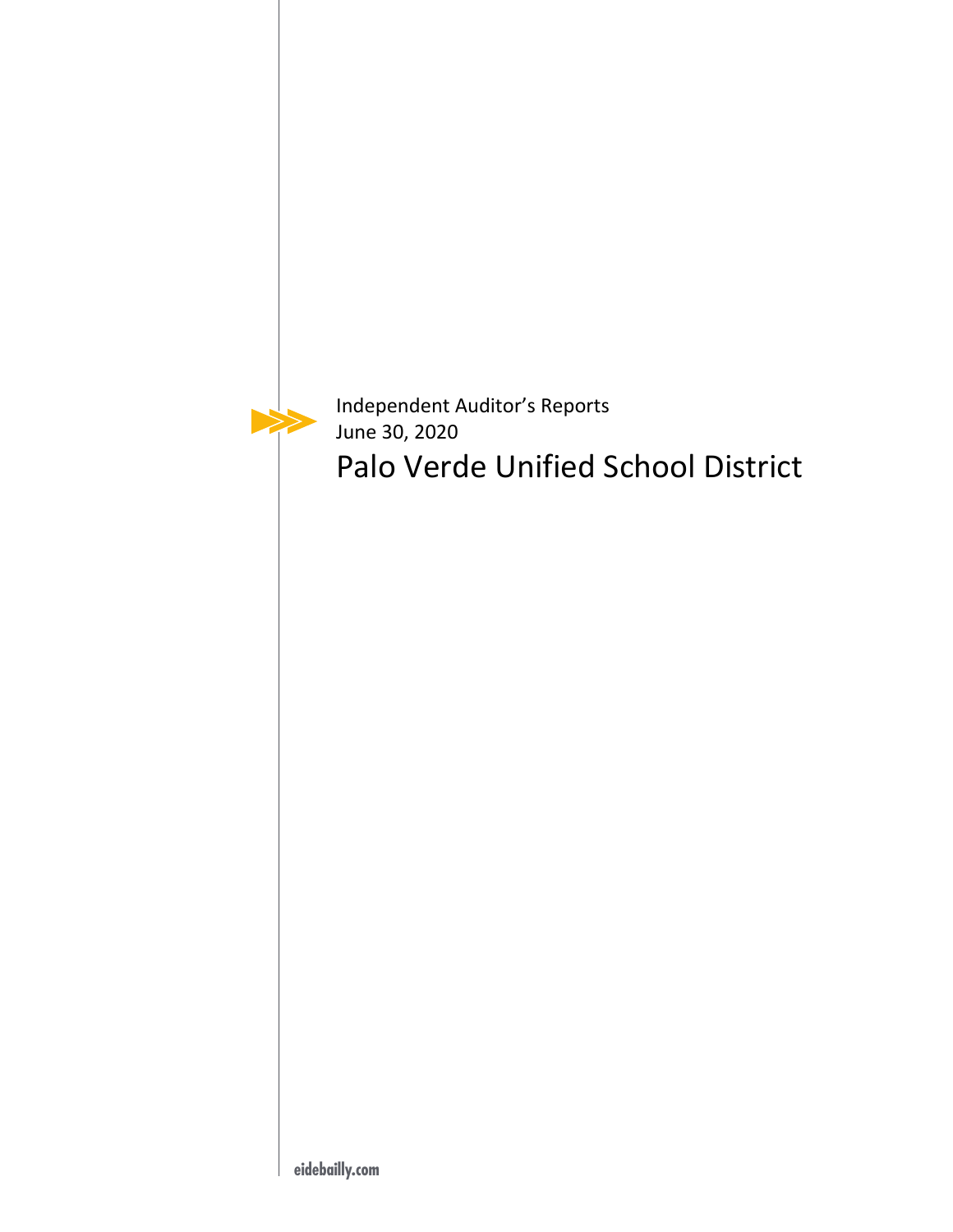

Independent Auditor's Reports June 30, 2020 Palo Verde Unified School District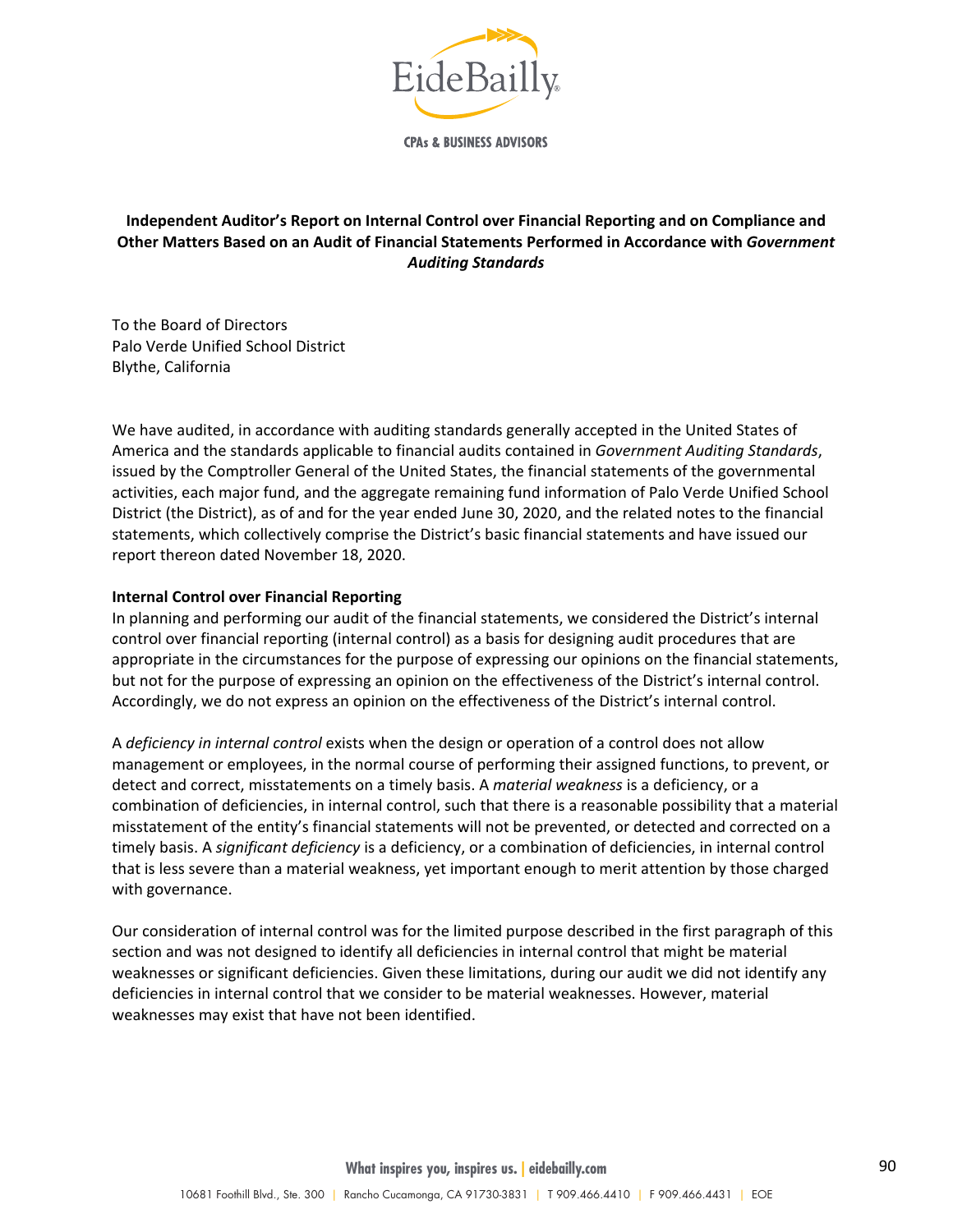

**CPAs & BUSINESS ADVISORS** 

# **Independent Auditor's Report on Internal Control over Financial Reporting and on Compliance and Other Matters Based on an Audit of Financial Statements Performed in Accordance with** *Government Auditing Standards*

To the Board of Directors Palo Verde Unified School District Blythe, California

We have audited, in accordance with auditing standards generally accepted in the United States of America and the standards applicable to financial audits contained in *Government Auditing Standards*, issued by the Comptroller General of the United States, the financial statements of the governmental activities, each major fund, and the aggregate remaining fund information of Palo Verde Unified School District (the District), as of and for the year ended June 30, 2020, and the related notes to the financial statements, which collectively comprise the District's basic financial statements and have issued our report thereon dated November 18, 2020.

#### **Internal Control over Financial Reporting**

In planning and performing our audit of the financial statements, we considered the District's internal control over financial reporting (internal control) as a basis for designing audit procedures that are appropriate in the circumstances for the purpose of expressing our opinions on the financial statements, but not for the purpose of expressing an opinion on the effectiveness of the District's internal control. Accordingly, we do not express an opinion on the effectiveness of the District's internal control.

A *deficiency in internal control* exists when the design or operation of a control does not allow management or employees, in the normal course of performing their assigned functions, to prevent, or detect and correct, misstatements on a timely basis. A *material weakness* is a deficiency, or a combination of deficiencies, in internal control, such that there is a reasonable possibility that a material misstatement of the entity's financial statements will not be prevented, or detected and corrected on a timely basis. A *significant deficiency* is a deficiency, or a combination of deficiencies, in internal control that is less severe than a material weakness, yet important enough to merit attention by those charged with governance.

Our consideration of internal control was for the limited purpose described in the first paragraph of this section and was not designed to identify all deficiencies in internal control that might be material weaknesses or significant deficiencies. Given these limitations, during our audit we did not identify any deficiencies in internal control that we consider to be material weaknesses. However, material weaknesses may exist that have not been identified.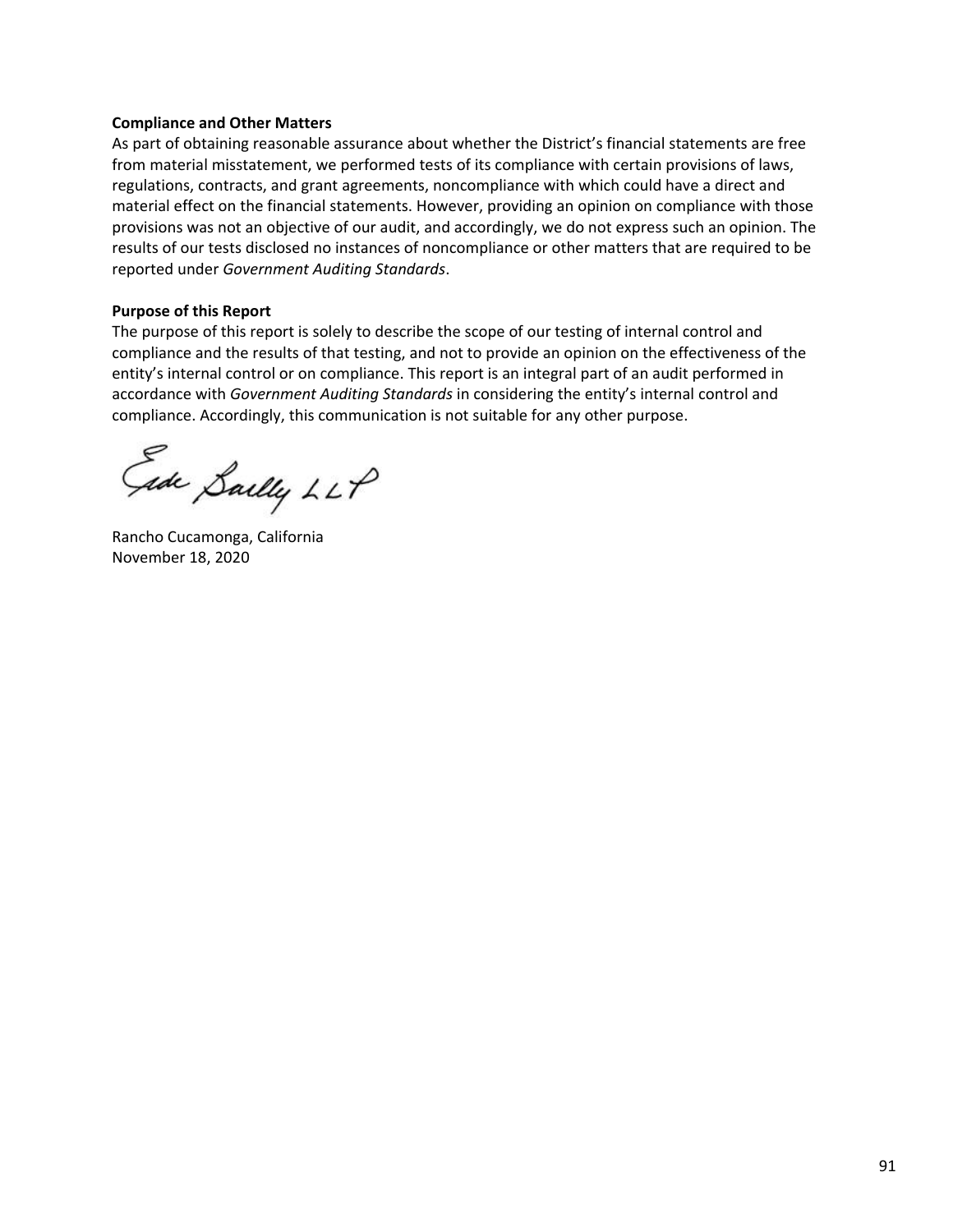#### **Compliance and Other Matters**

As part of obtaining reasonable assurance about whether the District's financial statements are free from material misstatement, we performed tests of its compliance with certain provisions of laws, regulations, contracts, and grant agreements, noncompliance with which could have a direct and material effect on the financial statements. However, providing an opinion on compliance with those provisions was not an objective of our audit, and accordingly, we do not express such an opinion. The results of our tests disclosed no instances of noncompliance or other matters that are required to be reported under *Government Auditing Standards*.

#### **Purpose of this Report**

The purpose of this report is solely to describe the scope of our testing of internal control and compliance and the results of that testing, and not to provide an opinion on the effectiveness of the entity's internal control or on compliance. This report is an integral part of an audit performed in accordance with *Government Auditing Standards* in considering the entity's internal control and compliance. Accordingly, this communication is not suitable for any other purpose.

Gide Sailly LLP

Rancho Cucamonga, California November 18, 2020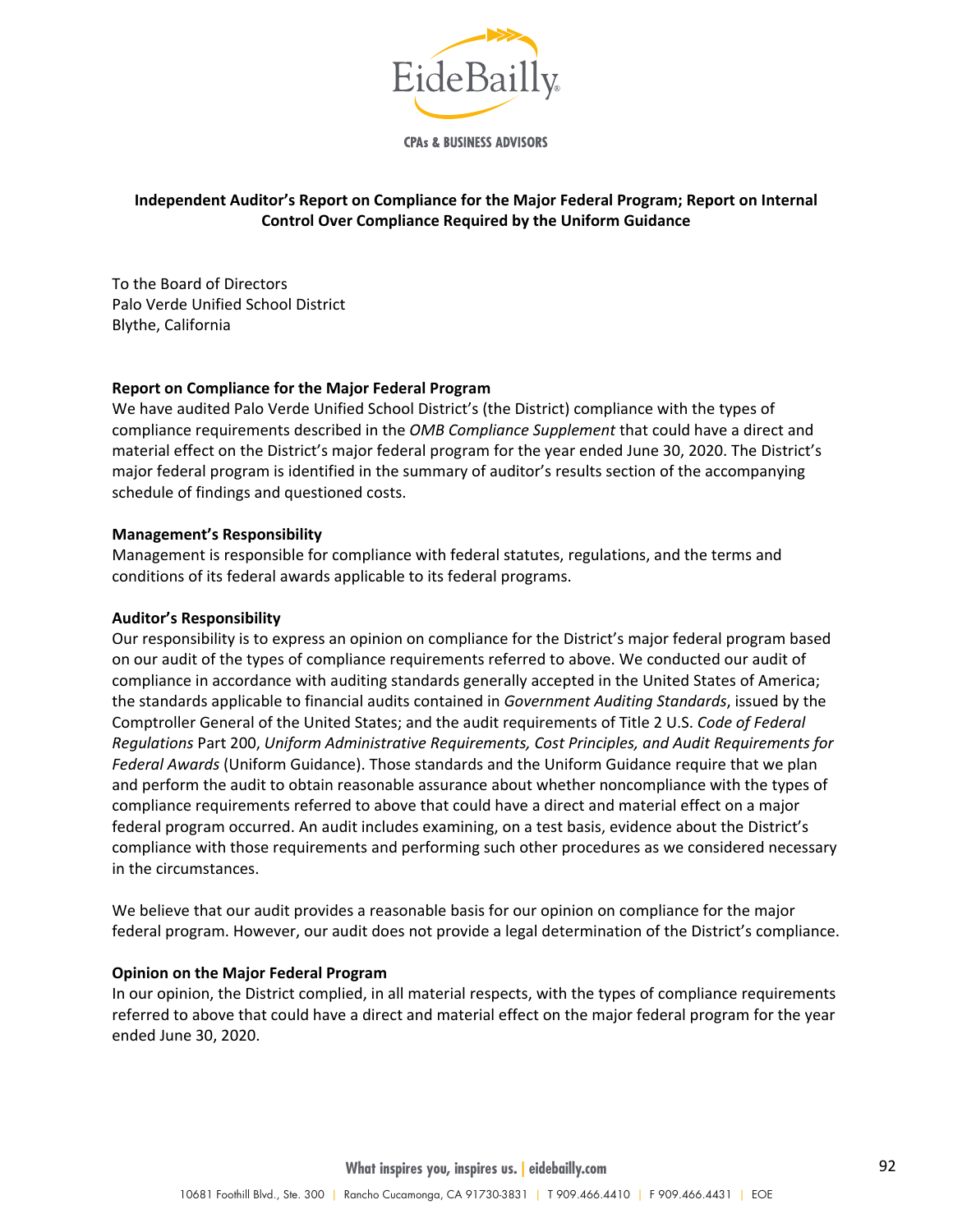

**CPAs & BUSINESS ADVISORS** 

# **Independent Auditor's Report on Compliance for the Major Federal Program; Report on Internal Control Over Compliance Required by the Uniform Guidance**

To the Board of Directors Palo Verde Unified School District Blythe, California

#### **Report on Compliance for the Major Federal Program**

We have audited Palo Verde Unified School District's (the District) compliance with the types of compliance requirements described in the *OMB Compliance Supplement* that could have a direct and material effect on the District's major federal program for the year ended June 30, 2020. The District's major federal program is identified in the summary of auditor's results section of the accompanying schedule of findings and questioned costs.

#### **Management's Responsibility**

Management is responsible for compliance with federal statutes, regulations, and the terms and conditions of its federal awards applicable to its federal programs.

#### **Auditor's Responsibility**

Our responsibility is to express an opinion on compliance for the District's major federal program based on our audit of the types of compliance requirements referred to above. We conducted our audit of compliance in accordance with auditing standards generally accepted in the United States of America; the standards applicable to financial audits contained in *Government Auditing Standards*, issued by the Comptroller General of the United States; and the audit requirements of Title 2 U.S. *Code of Federal Regulations* Part 200, *Uniform Administrative Requirements, Cost Principles, and Audit Requirements for Federal Awards* (Uniform Guidance). Those standards and the Uniform Guidance require that we plan and perform the audit to obtain reasonable assurance about whether noncompliance with the types of compliance requirements referred to above that could have a direct and material effect on a major federal program occurred. An audit includes examining, on a test basis, evidence about the District's compliance with those requirements and performing such other procedures as we considered necessary in the circumstances.

We believe that our audit provides a reasonable basis for our opinion on compliance for the major federal program. However, our audit does not provide a legal determination of the District's compliance.

#### **Opinion on the Major Federal Program**

In our opinion, the District complied, in all material respects, with the types of compliance requirements referred to above that could have a direct and material effect on the major federal program for the year ended June 30, 2020.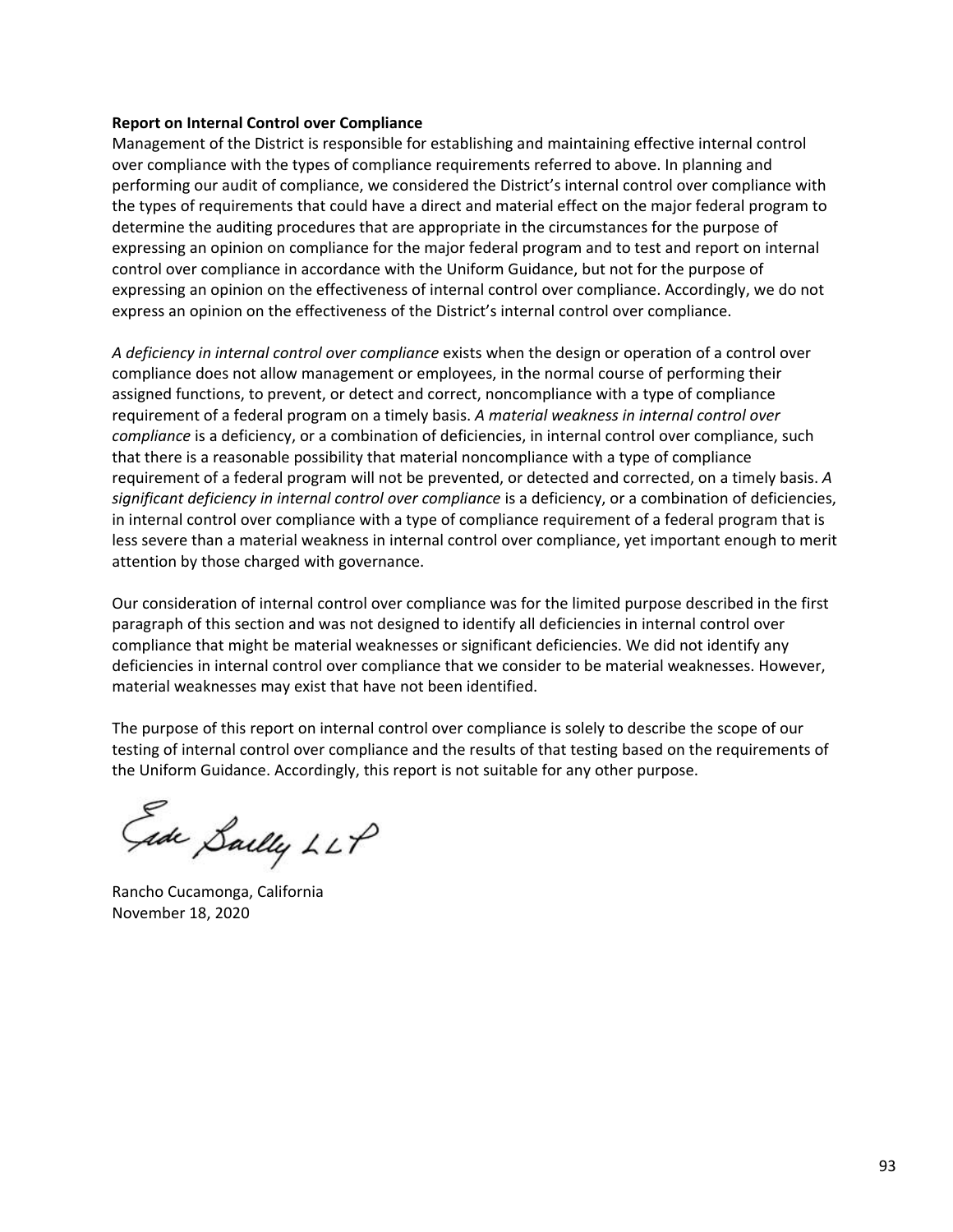#### **Report on Internal Control over Compliance**

Management of the District is responsible for establishing and maintaining effective internal control over compliance with the types of compliance requirements referred to above. In planning and performing our audit of compliance, we considered the District's internal control over compliance with the types of requirements that could have a direct and material effect on the major federal program to determine the auditing procedures that are appropriate in the circumstances for the purpose of expressing an opinion on compliance for the major federal program and to test and report on internal control over compliance in accordance with the Uniform Guidance, but not for the purpose of expressing an opinion on the effectiveness of internal control over compliance. Accordingly, we do not express an opinion on the effectiveness of the District's internal control over compliance.

*A deficiency in internal control over compliance* exists when the design or operation of a control over compliance does not allow management or employees, in the normal course of performing their assigned functions, to prevent, or detect and correct, noncompliance with a type of compliance requirement of a federal program on a timely basis. *A material weakness in internal control over compliance* is a deficiency, or a combination of deficiencies, in internal control over compliance, such that there is a reasonable possibility that material noncompliance with a type of compliance requirement of a federal program will not be prevented, or detected and corrected, on a timely basis. *A significant deficiency in internal control over compliance* is a deficiency, or a combination of deficiencies, in internal control over compliance with a type of compliance requirement of a federal program that is less severe than a material weakness in internal control over compliance, yet important enough to merit attention by those charged with governance.

Our consideration of internal control over compliance was for the limited purpose described in the first paragraph of this section and was not designed to identify all deficiencies in internal control over compliance that might be material weaknesses or significant deficiencies. We did not identify any deficiencies in internal control over compliance that we consider to be material weaknesses. However, material weaknesses may exist that have not been identified.

The purpose of this report on internal control over compliance is solely to describe the scope of our testing of internal control over compliance and the results of that testing based on the requirements of the Uniform Guidance. Accordingly, this report is not suitable for any other purpose.

Gide Sailly LLP

Rancho Cucamonga, California November 18, 2020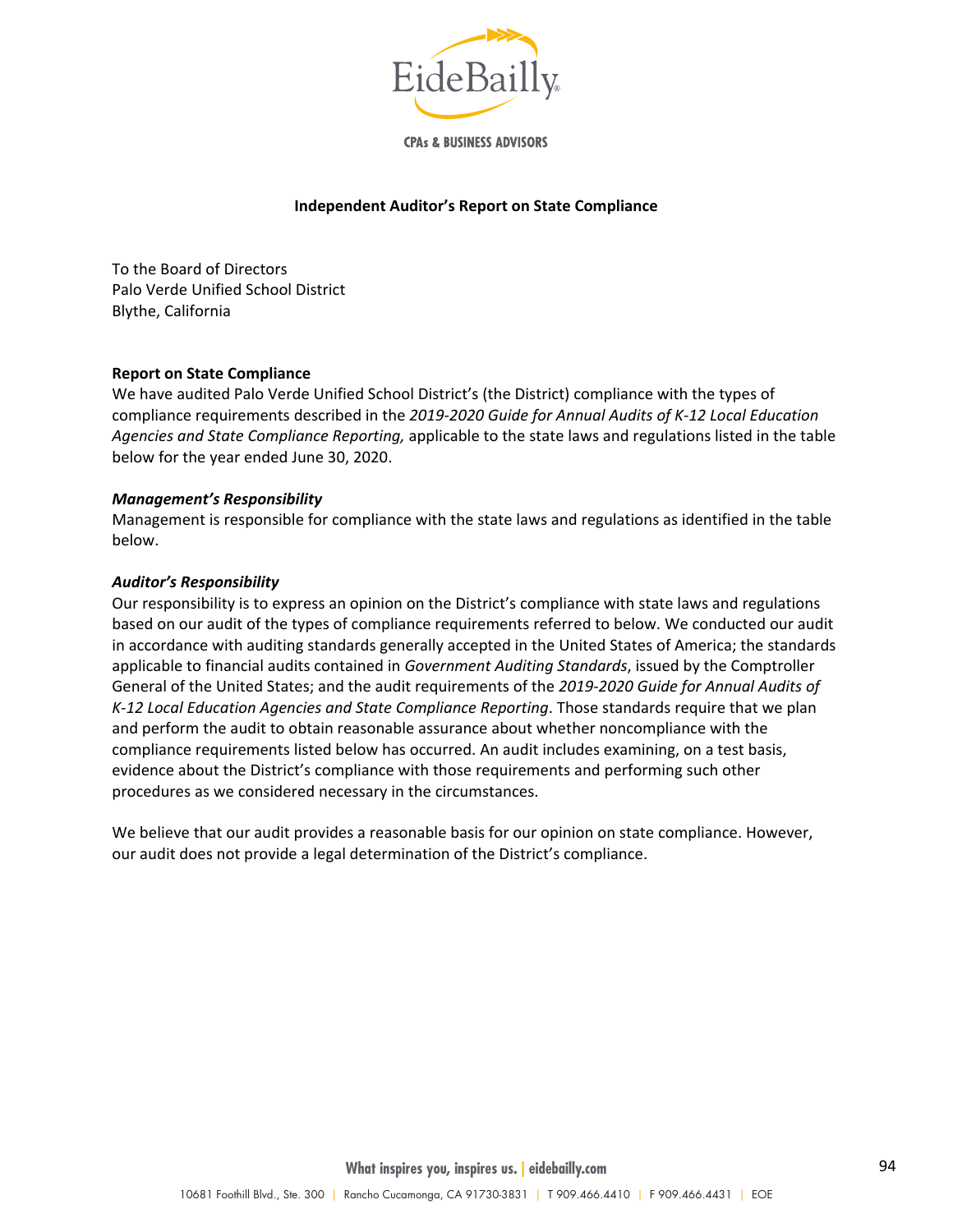

**CPAs & BUSINESS ADVISORS** 

#### **Independent Auditor's Report on State Compliance**

To the Board of Directors Palo Verde Unified School District Blythe, California

#### **Report on State Compliance**

We have audited Palo Verde Unified School District's (the District) compliance with the types of compliance requirements described in the *2019‐2020 Guide for Annual Audits of K‐12 Local Education Agencies and State Compliance Reporting,* applicable to the state laws and regulations listed in the table below for the year ended June 30, 2020.

#### *Management's Responsibility*

Management is responsible for compliance with the state laws and regulations as identified in the table below.

#### *Auditor's Responsibility*

Our responsibility is to express an opinion on the District's compliance with state laws and regulations based on our audit of the types of compliance requirements referred to below. We conducted our audit in accordance with auditing standards generally accepted in the United States of America; the standards applicable to financial audits contained in *Government Auditing Standards*, issued by the Comptroller General of the United States; and the audit requirements of the *2019‐2020 Guide for Annual Audits of K‐12 Local Education Agencies and State Compliance Reporting*. Those standards require that we plan and perform the audit to obtain reasonable assurance about whether noncompliance with the compliance requirements listed below has occurred. An audit includes examining, on a test basis, evidence about the District's compliance with those requirements and performing such other procedures as we considered necessary in the circumstances.

We believe that our audit provides a reasonable basis for our opinion on state compliance. However, our audit does not provide a legal determination of the District's compliance.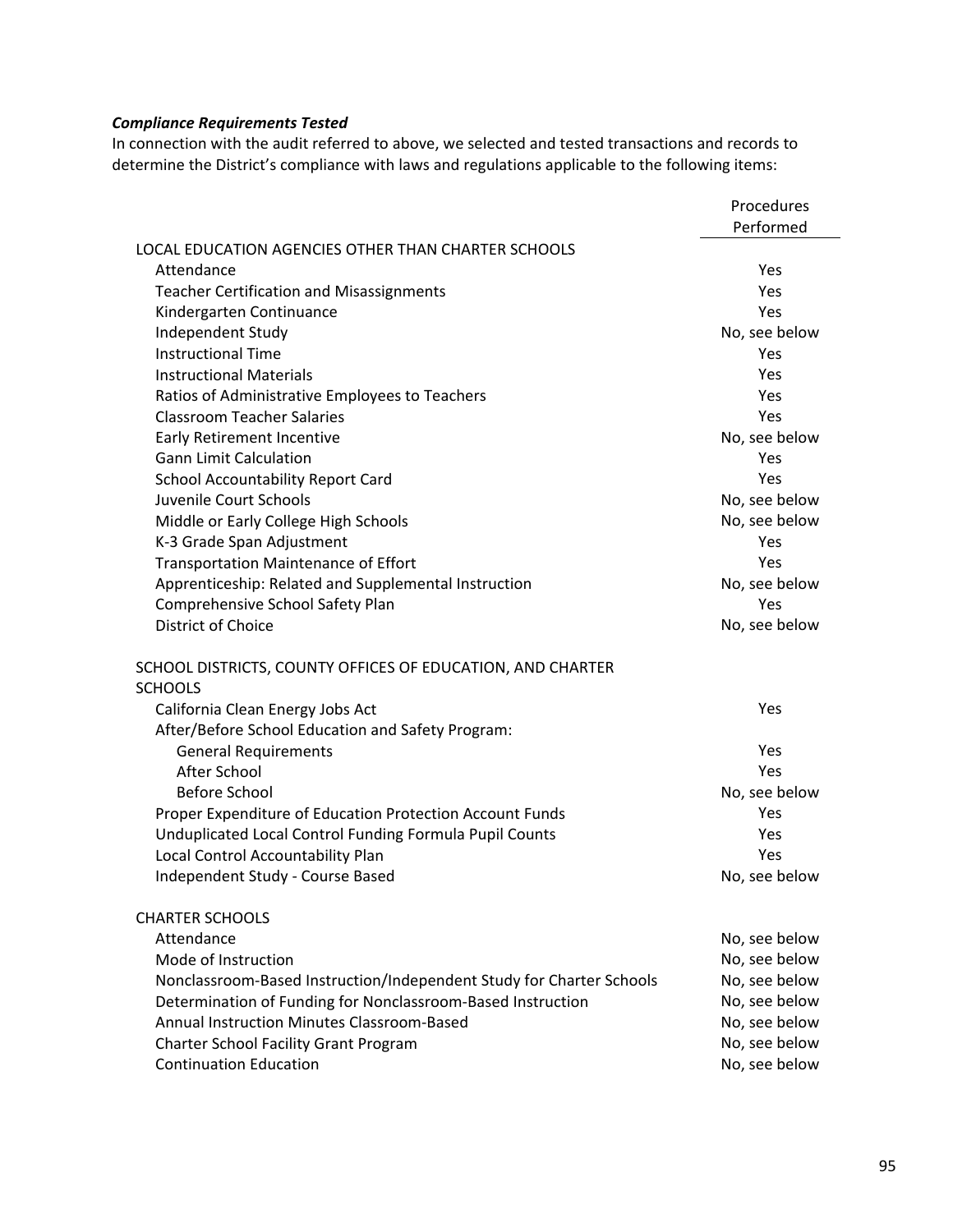# *Compliance Requirements Tested*

In connection with the audit referred to above, we selected and tested transactions and records to determine the District's compliance with laws and regulations applicable to the following items:

|                                                                                                           | Procedures    |
|-----------------------------------------------------------------------------------------------------------|---------------|
|                                                                                                           | Performed     |
| LOCAL EDUCATION AGENCIES OTHER THAN CHARTER SCHOOLS                                                       |               |
| Attendance                                                                                                | Yes           |
| <b>Teacher Certification and Misassignments</b>                                                           | Yes           |
| Kindergarten Continuance                                                                                  | Yes           |
| Independent Study                                                                                         | No, see below |
| <b>Instructional Time</b>                                                                                 | Yes           |
| <b>Instructional Materials</b>                                                                            | Yes           |
| Ratios of Administrative Employees to Teachers                                                            | Yes           |
| <b>Classroom Teacher Salaries</b>                                                                         | Yes           |
| Early Retirement Incentive                                                                                | No, see below |
| <b>Gann Limit Calculation</b>                                                                             | Yes           |
| School Accountability Report Card                                                                         | Yes           |
| Juvenile Court Schools                                                                                    | No, see below |
| Middle or Early College High Schools                                                                      | No, see below |
| K-3 Grade Span Adjustment                                                                                 | Yes           |
| <b>Transportation Maintenance of Effort</b>                                                               | Yes           |
| Apprenticeship: Related and Supplemental Instruction                                                      | No, see below |
| Comprehensive School Safety Plan                                                                          | Yes           |
| <b>District of Choice</b>                                                                                 | No, see below |
|                                                                                                           |               |
| SCHOOL DISTRICTS, COUNTY OFFICES OF EDUCATION, AND CHARTER                                                |               |
| <b>SCHOOLS</b>                                                                                            |               |
| California Clean Energy Jobs Act                                                                          | Yes           |
| After/Before School Education and Safety Program:                                                         |               |
| <b>General Requirements</b>                                                                               | Yes           |
| After School                                                                                              | Yes           |
| <b>Before School</b>                                                                                      | No, see below |
| Proper Expenditure of Education Protection Account Funds                                                  | Yes           |
| Unduplicated Local Control Funding Formula Pupil Counts                                                   | Yes           |
| Local Control Accountability Plan                                                                         | Yes           |
| Independent Study - Course Based                                                                          | No, see below |
| <b>CHARTER SCHOOLS</b>                                                                                    |               |
| Attendance                                                                                                | No, see below |
| Mode of Instruction                                                                                       | No, see below |
|                                                                                                           |               |
| Nonclassroom-Based Instruction/Independent Study for Charter Schools                                      | No, see below |
| Determination of Funding for Nonclassroom-Based Instruction<br>Annual Instruction Minutes Classroom-Based | No, see below |
|                                                                                                           | No, see below |
| <b>Charter School Facility Grant Program</b>                                                              | No, see below |
| <b>Continuation Education</b>                                                                             | No, see below |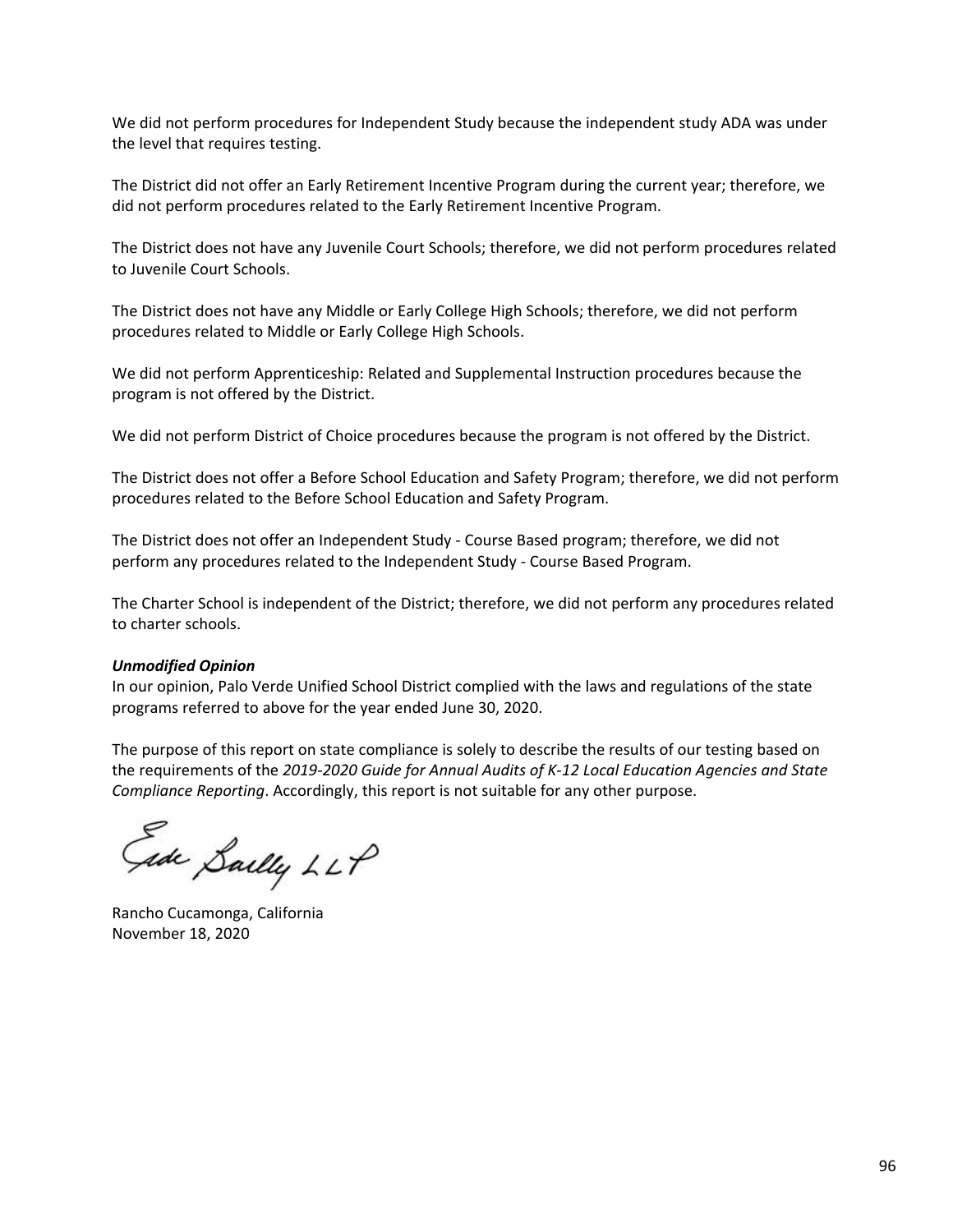We did not perform procedures for Independent Study because the independent study ADA was under the level that requires testing.

The District did not offer an Early Retirement Incentive Program during the current year; therefore, we did not perform procedures related to the Early Retirement Incentive Program.

The District does not have any Juvenile Court Schools; therefore, we did not perform procedures related to Juvenile Court Schools.

The District does not have any Middle or Early College High Schools; therefore, we did not perform procedures related to Middle or Early College High Schools.

We did not perform Apprenticeship: Related and Supplemental Instruction procedures because the program is not offered by the District.

We did not perform District of Choice procedures because the program is not offered by the District.

The District does not offer a Before School Education and Safety Program; therefore, we did not perform procedures related to the Before School Education and Safety Program.

The District does not offer an Independent Study ‐ Course Based program; therefore, we did not perform any procedures related to the Independent Study ‐ Course Based Program.

The Charter School is independent of the District; therefore, we did not perform any procedures related to charter schools.

#### *Unmodified Opinion*

In our opinion, Palo Verde Unified School District complied with the laws and regulations of the state programs referred to above for the year ended June 30, 2020.

The purpose of this report on state compliance is solely to describe the results of our testing based on the requirements of the *2019‐2020 Guide for Annual Audits of K‐12 Local Education Agencies and State Compliance Reporting*. Accordingly, this report is not suitable for any other purpose.

Gide Sailly LLP

Rancho Cucamonga, California November 18, 2020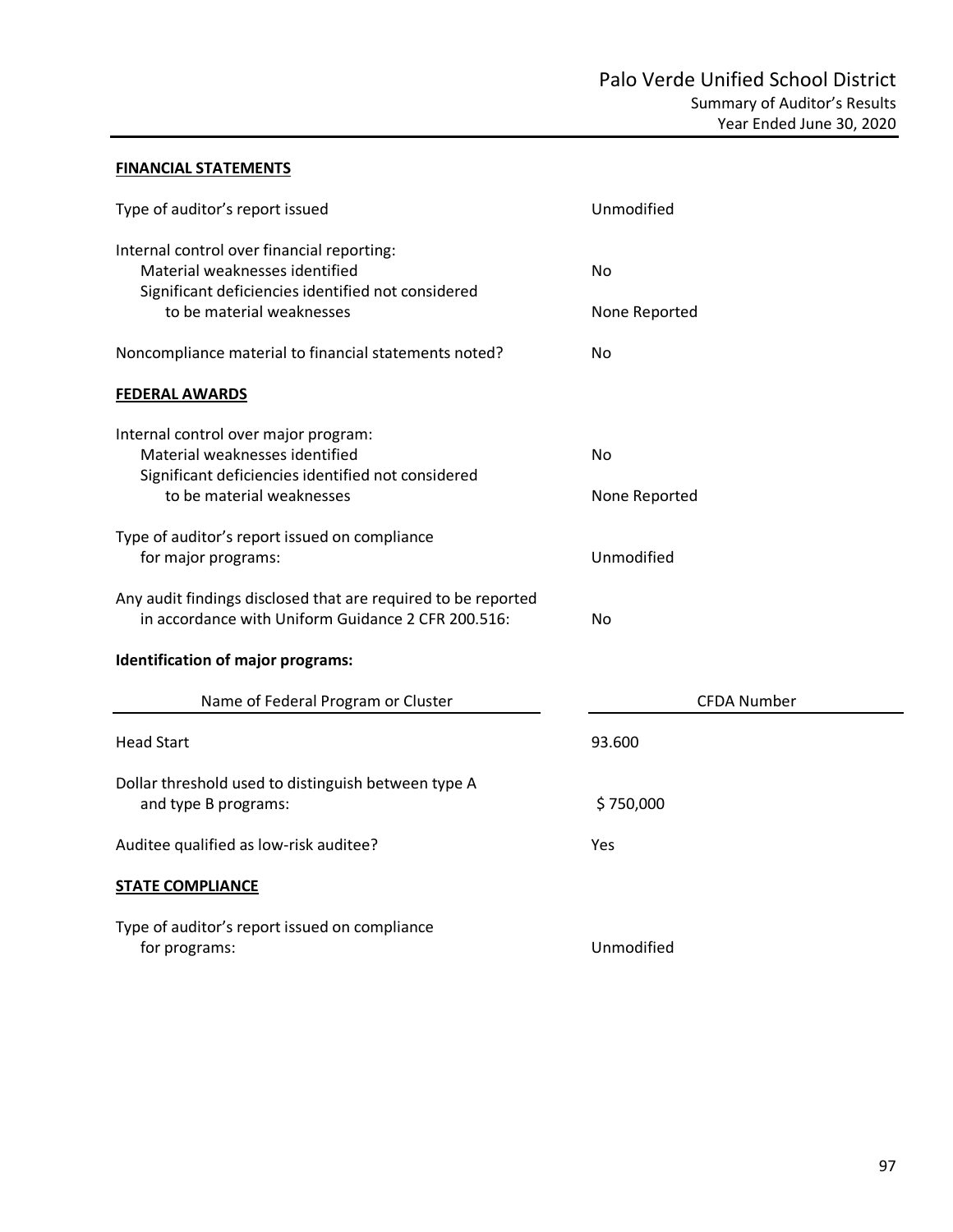# **FINANCIAL STATEMENTS**

| Type of auditor's report issued                                                                                                    | Unmodified         |  |  |  |
|------------------------------------------------------------------------------------------------------------------------------------|--------------------|--|--|--|
| Internal control over financial reporting:<br>Material weaknesses identified<br>Significant deficiencies identified not considered | No                 |  |  |  |
| to be material weaknesses                                                                                                          | None Reported      |  |  |  |
| Noncompliance material to financial statements noted?                                                                              | No                 |  |  |  |
| <b>FEDERAL AWARDS</b>                                                                                                              |                    |  |  |  |
| Internal control over major program:<br>Material weaknesses identified<br>Significant deficiencies identified not considered       | No                 |  |  |  |
| to be material weaknesses                                                                                                          | None Reported      |  |  |  |
| Type of auditor's report issued on compliance<br>for major programs:                                                               | Unmodified         |  |  |  |
| Any audit findings disclosed that are required to be reported<br>in accordance with Uniform Guidance 2 CFR 200.516:                | No                 |  |  |  |
| Identification of major programs:                                                                                                  |                    |  |  |  |
| Name of Federal Program or Cluster                                                                                                 | <b>CFDA Number</b> |  |  |  |
| <b>Head Start</b>                                                                                                                  | 93.600             |  |  |  |
| Dollar threshold used to distinguish between type A<br>and type B programs:                                                        | \$750,000          |  |  |  |
| Auditee qualified as low-risk auditee?                                                                                             | Yes                |  |  |  |
| <b>STATE COMPLIANCE</b>                                                                                                            |                    |  |  |  |
| Type of auditor's report issued on compliance<br>for programs:                                                                     | Unmodified         |  |  |  |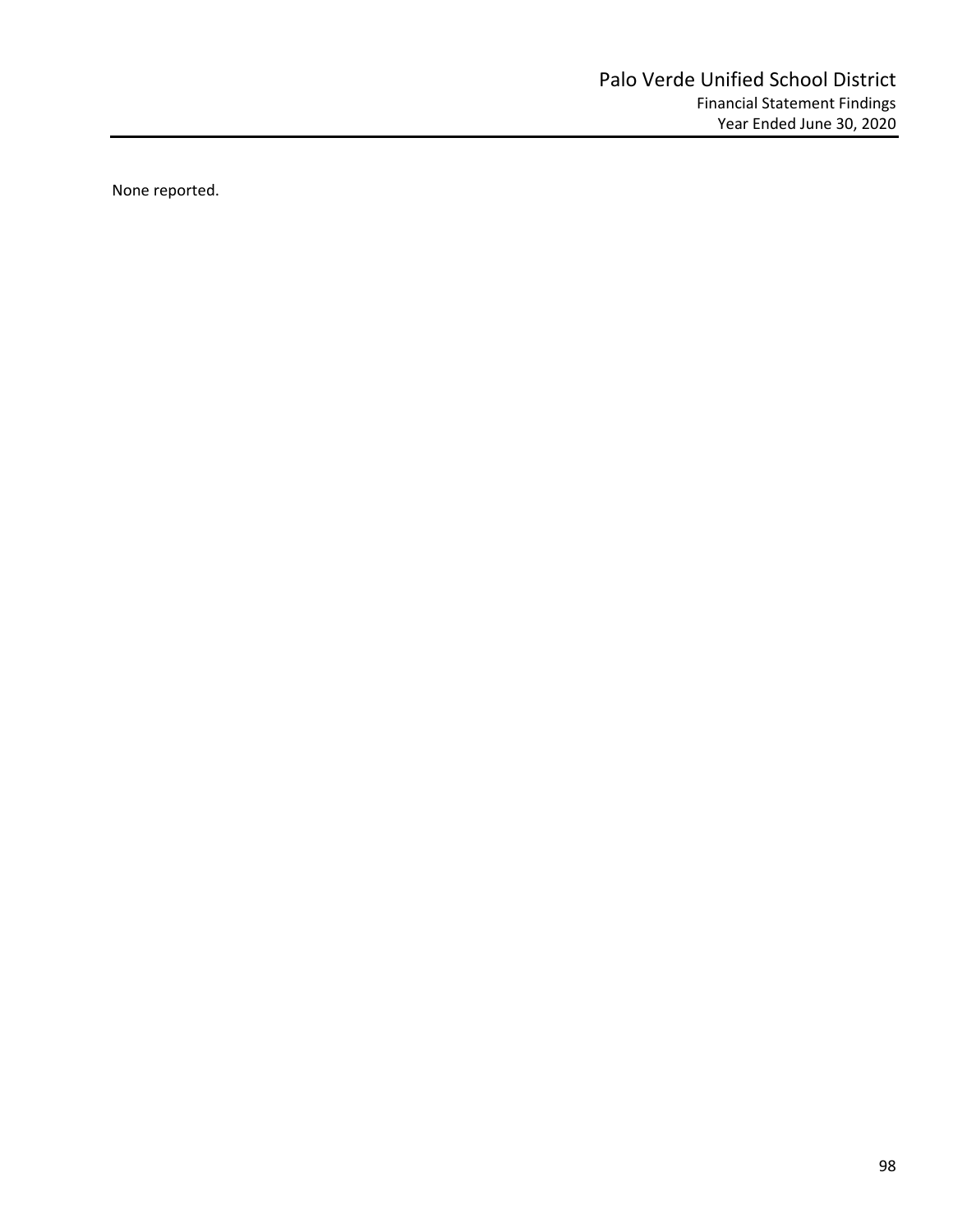None reported.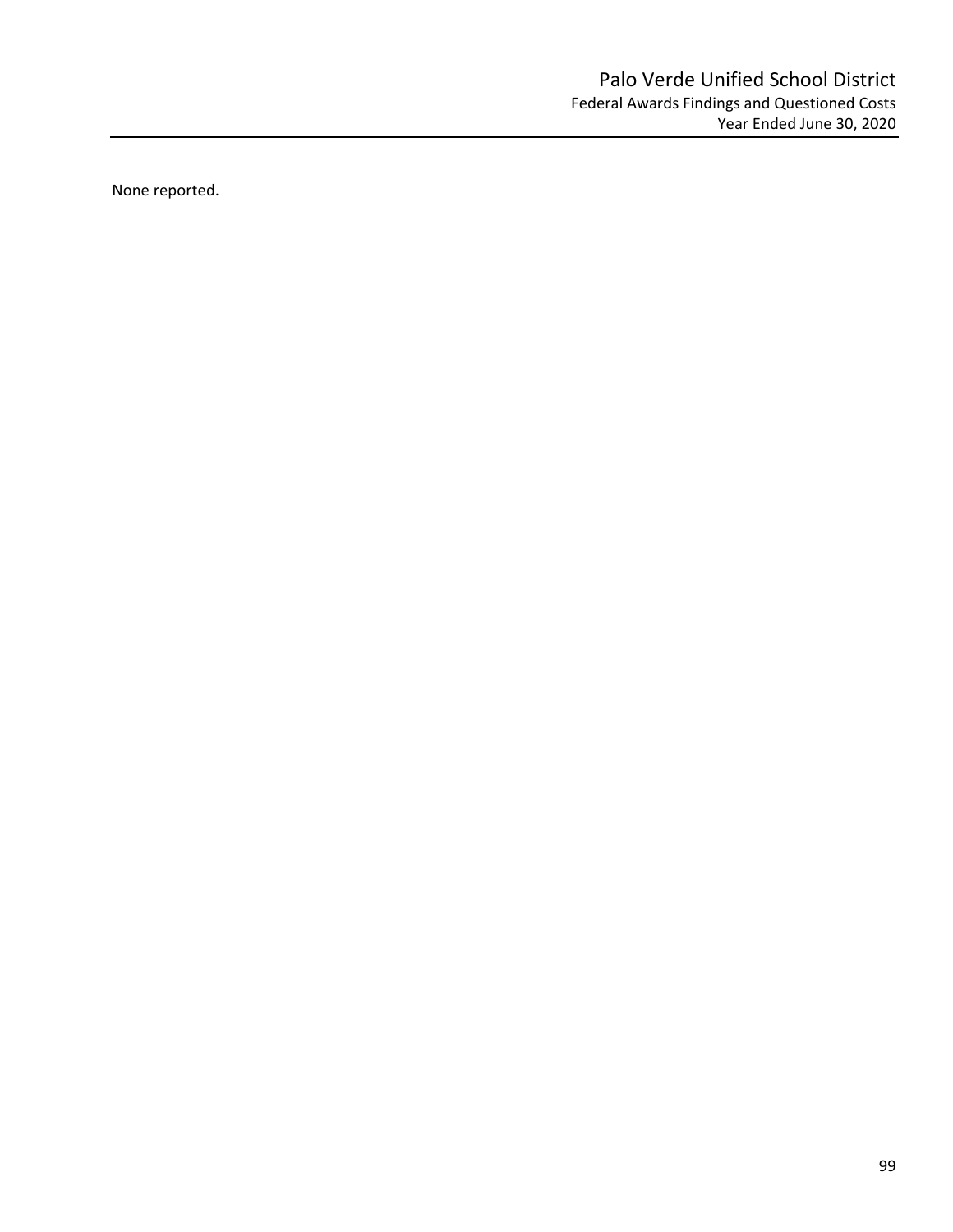None reported.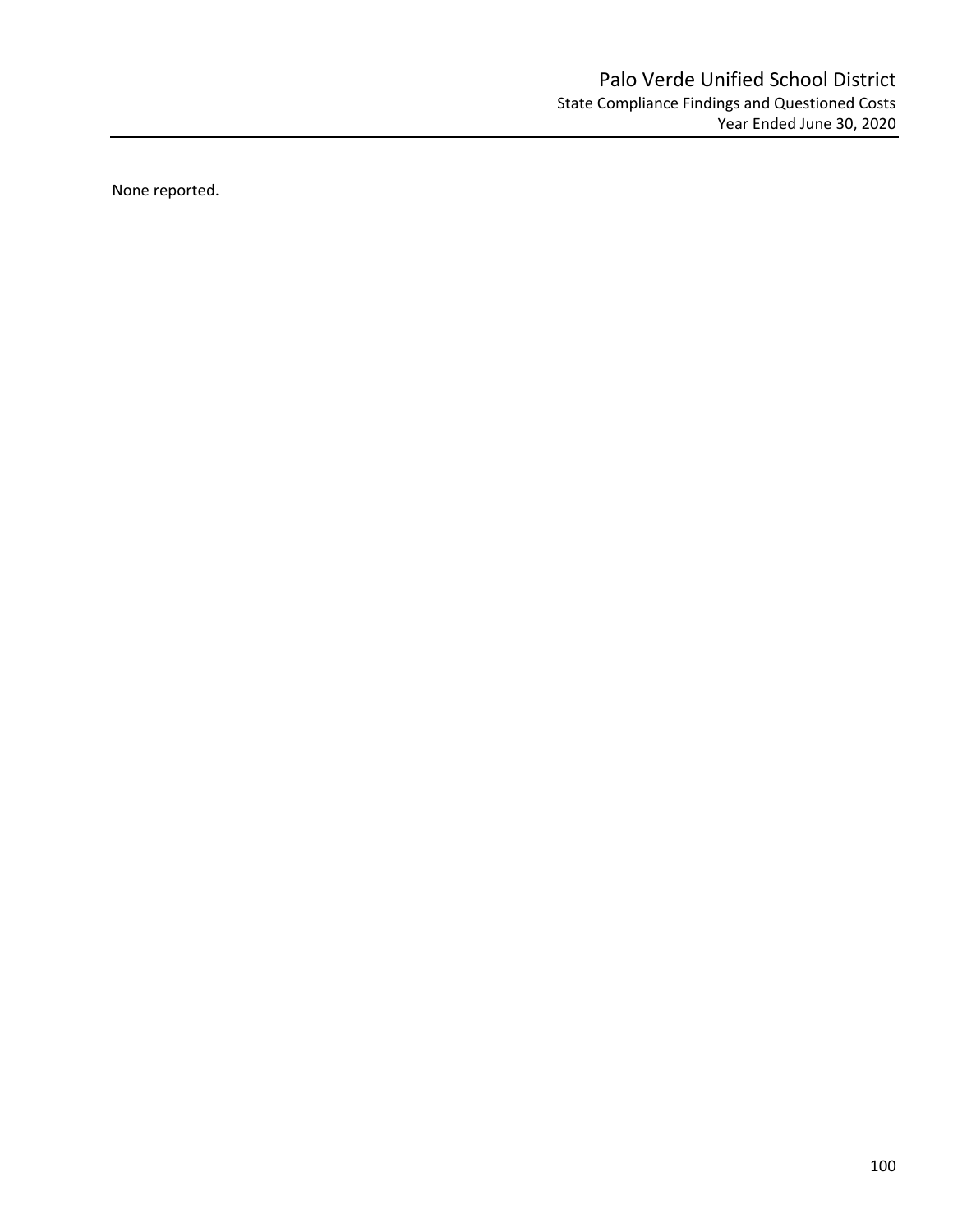None reported.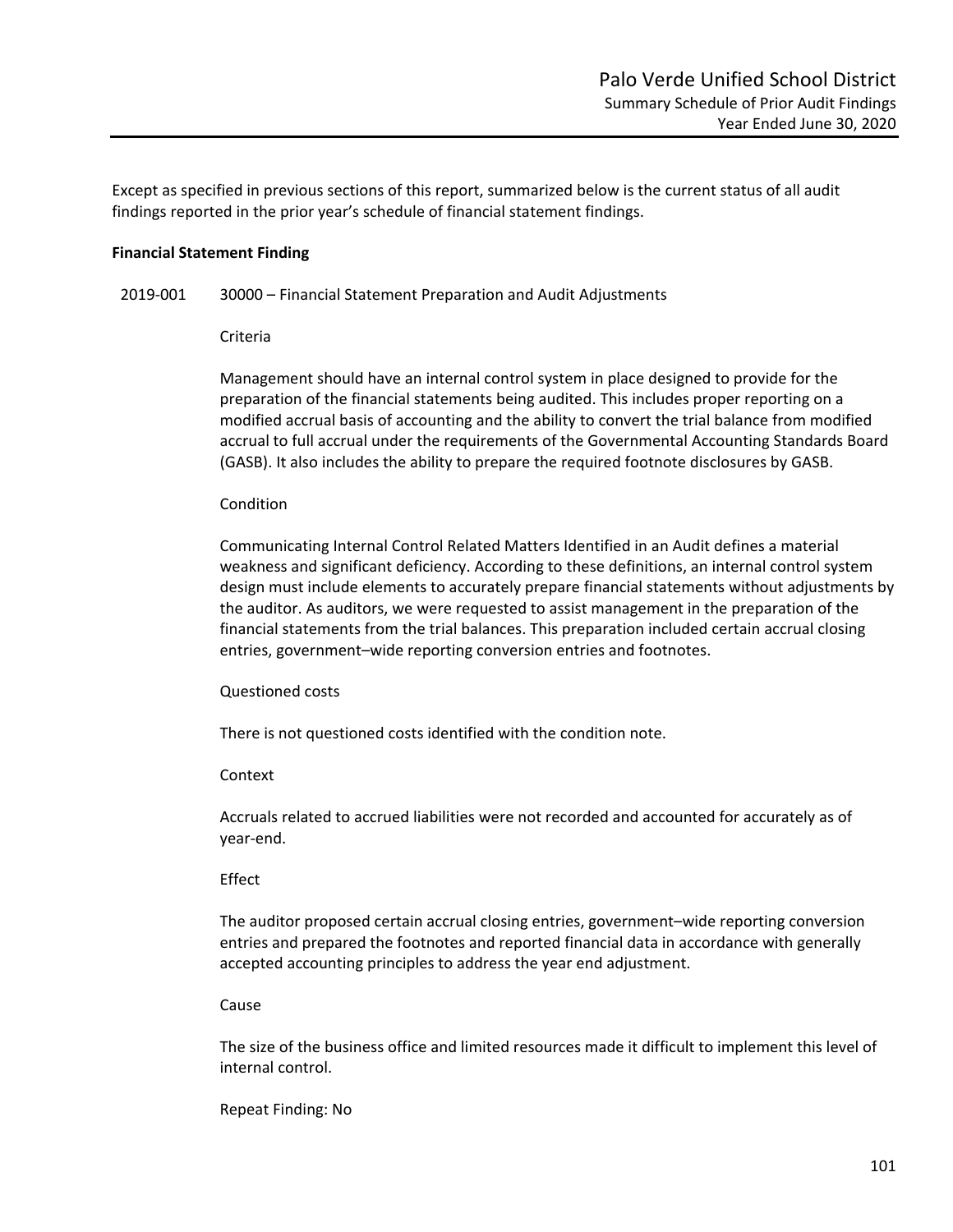Except as specified in previous sections of this report, summarized below is the current status of all audit findings reported in the prior year's schedule of financial statement findings.

#### **Financial Statement Finding**

#### 2019‐001 30000 – Financial Statement Preparation and Audit Adjustments

#### Criteria

 Management should have an internal control system in place designed to provide for the preparation of the financial statements being audited. This includes proper reporting on a modified accrual basis of accounting and the ability to convert the trial balance from modified accrual to full accrual under the requirements of the Governmental Accounting Standards Board (GASB). It also includes the ability to prepare the required footnote disclosures by GASB.

### Condition

 Communicating Internal Control Related Matters Identified in an Audit defines a material weakness and significant deficiency. According to these definitions, an internal control system design must include elements to accurately prepare financial statements without adjustments by the auditor. As auditors, we were requested to assist management in the preparation of the financial statements from the trial balances. This preparation included certain accrual closing entries, government–wide reporting conversion entries and footnotes.

#### Questioned costs

There is not questioned costs identified with the condition note.

#### Context

 Accruals related to accrued liabilities were not recorded and accounted for accurately as of year‐end.

#### Effect

 The auditor proposed certain accrual closing entries, government–wide reporting conversion entries and prepared the footnotes and reported financial data in accordance with generally accepted accounting principles to address the year end adjustment.

### Cause

 The size of the business office and limited resources made it difficult to implement this level of internal control.

Repeat Finding: No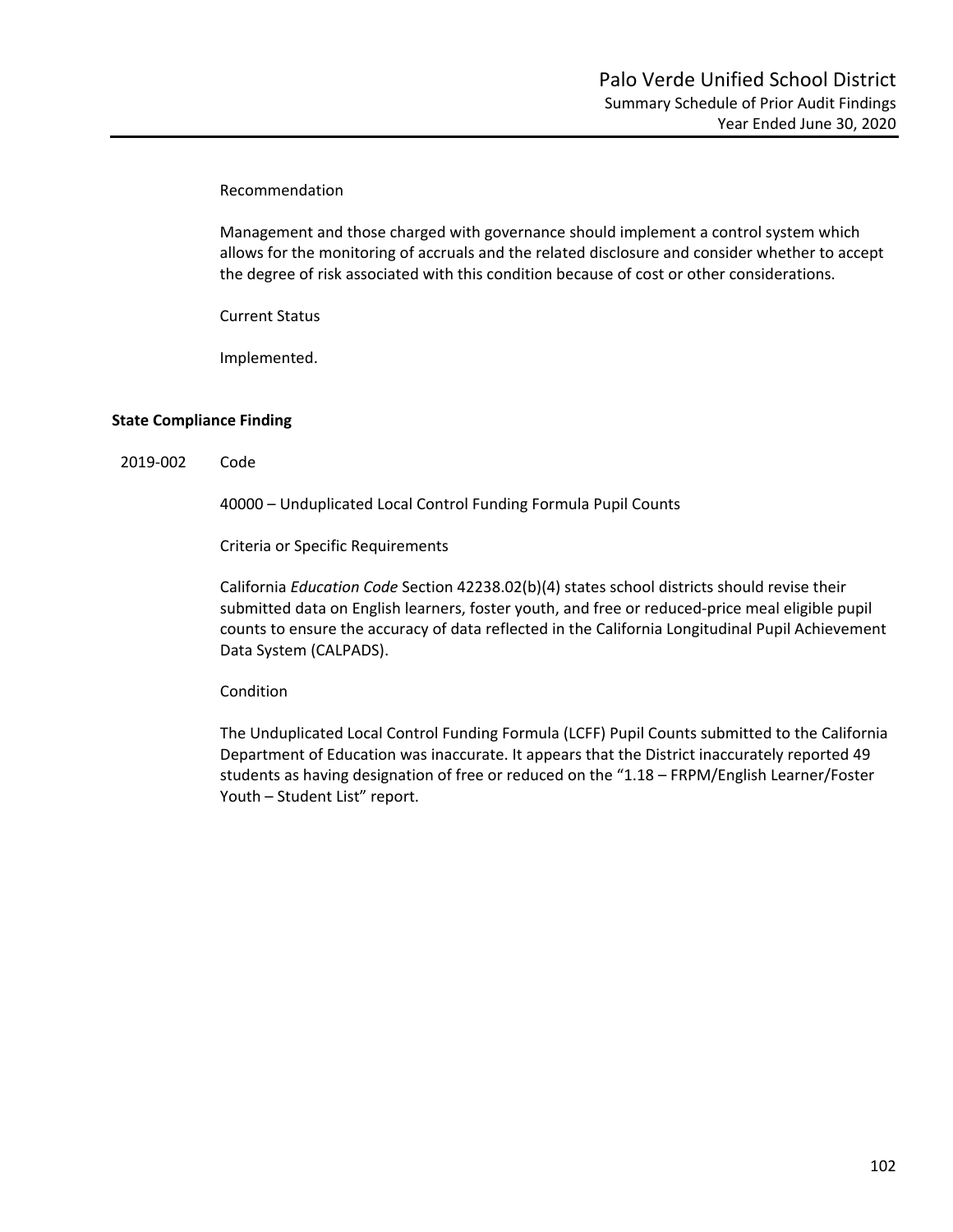Recommendation

 Management and those charged with governance should implement a control system which allows for the monitoring of accruals and the related disclosure and consider whether to accept the degree of risk associated with this condition because of cost or other considerations.

Current Status

Implemented.

### **State Compliance Finding**

## 2019‐002 Code

40000 – Unduplicated Local Control Funding Formula Pupil Counts

Criteria or Specific Requirements

California *Education Code* Section 42238.02(b)(4) states school districts should revise their submitted data on English learners, foster youth, and free or reduced-price meal eligible pupil counts to ensure the accuracy of data reflected in the California Longitudinal Pupil Achievement Data System (CALPADS).

### Condition

The Unduplicated Local Control Funding Formula (LCFF) Pupil Counts submitted to the California Department of Education was inaccurate. It appears that the District inaccurately reported 49 students as having designation of free or reduced on the "1.18 – FRPM/English Learner/Foster Youth – Student List" report.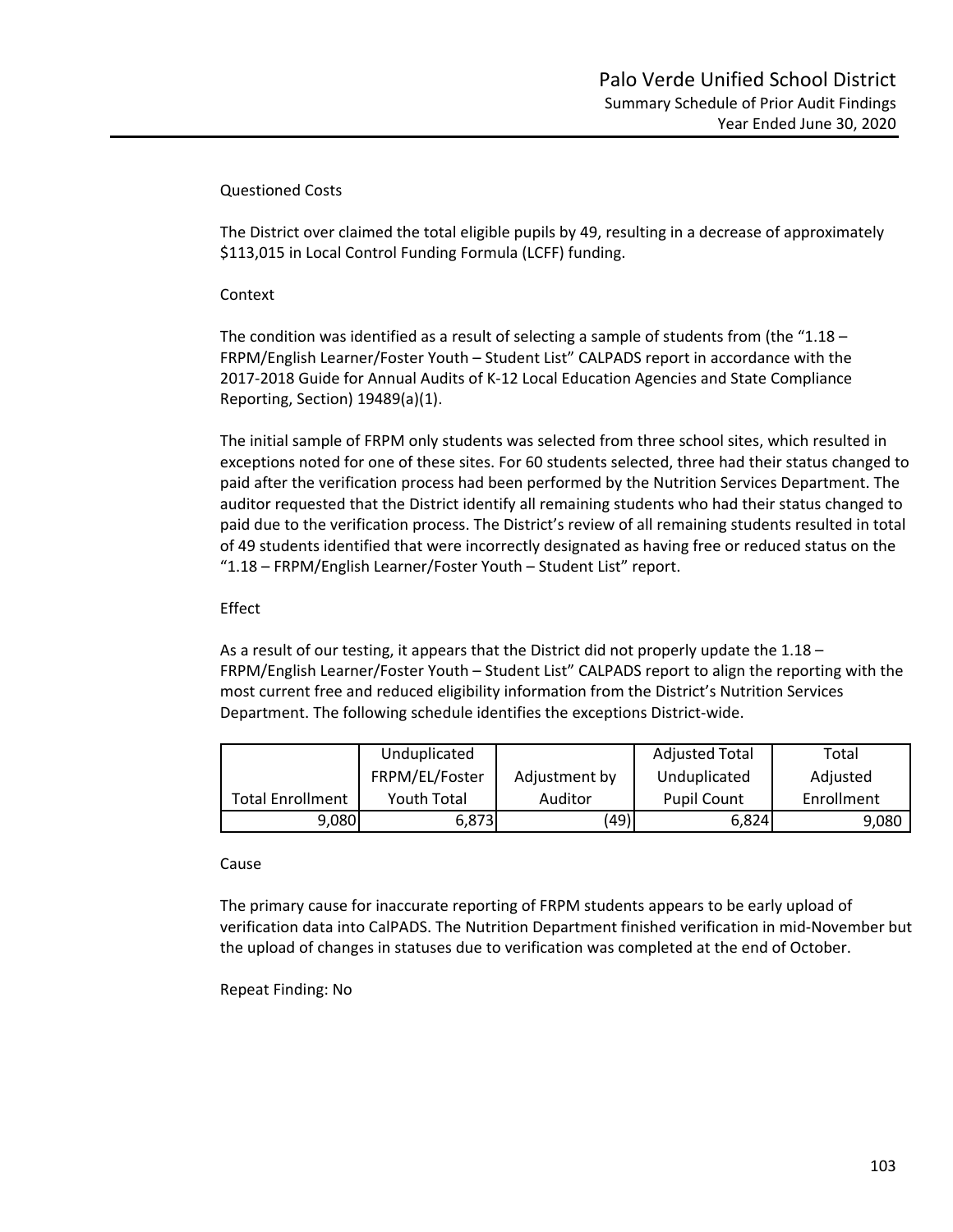### Questioned Costs

The District over claimed the total eligible pupils by 49, resulting in a decrease of approximately \$113,015 in Local Control Funding Formula (LCFF) funding.

#### Context

The condition was identified as a result of selecting a sample of students from (the "1.18 – FRPM/English Learner/Foster Youth – Student List" CALPADS report in accordance with the 2017‐2018 Guide for Annual Audits of K‐12 Local Education Agencies and State Compliance Reporting, Section) 19489(a)(1).

The initial sample of FRPM only students was selected from three school sites, which resulted in exceptions noted for one of these sites. For 60 students selected, three had their status changed to paid after the verification process had been performed by the Nutrition Services Department. The auditor requested that the District identify all remaining students who had their status changed to paid due to the verification process. The District's review of all remaining students resulted in total of 49 students identified that were incorrectly designated as having free or reduced status on the "1.18 – FRPM/English Learner/Foster Youth – Student List" report.

## Effect

As a result of our testing, it appears that the District did not properly update the  $1.18 -$ FRPM/English Learner/Foster Youth – Student List" CALPADS report to align the reporting with the most current free and reduced eligibility information from the District's Nutrition Services Department. The following schedule identifies the exceptions District-wide.

|                         | Unduplicated   |               | <b>Adjusted Total</b> | Total      |
|-------------------------|----------------|---------------|-----------------------|------------|
|                         | FRPM/EL/Foster | Adjustment by | Unduplicated          | Adjusted   |
| <b>Total Enrollment</b> | Youth Total    | Auditor       | <b>Pupil Count</b>    | Enrollment |
| 9,080                   | 6,873          | (49)          | 6,824                 | 9,080      |

### Cause

The primary cause for inaccurate reporting of FRPM students appears to be early upload of verification data into CalPADS. The Nutrition Department finished verification in mid‐November but the upload of changes in statuses due to verification was completed at the end of October.

Repeat Finding: No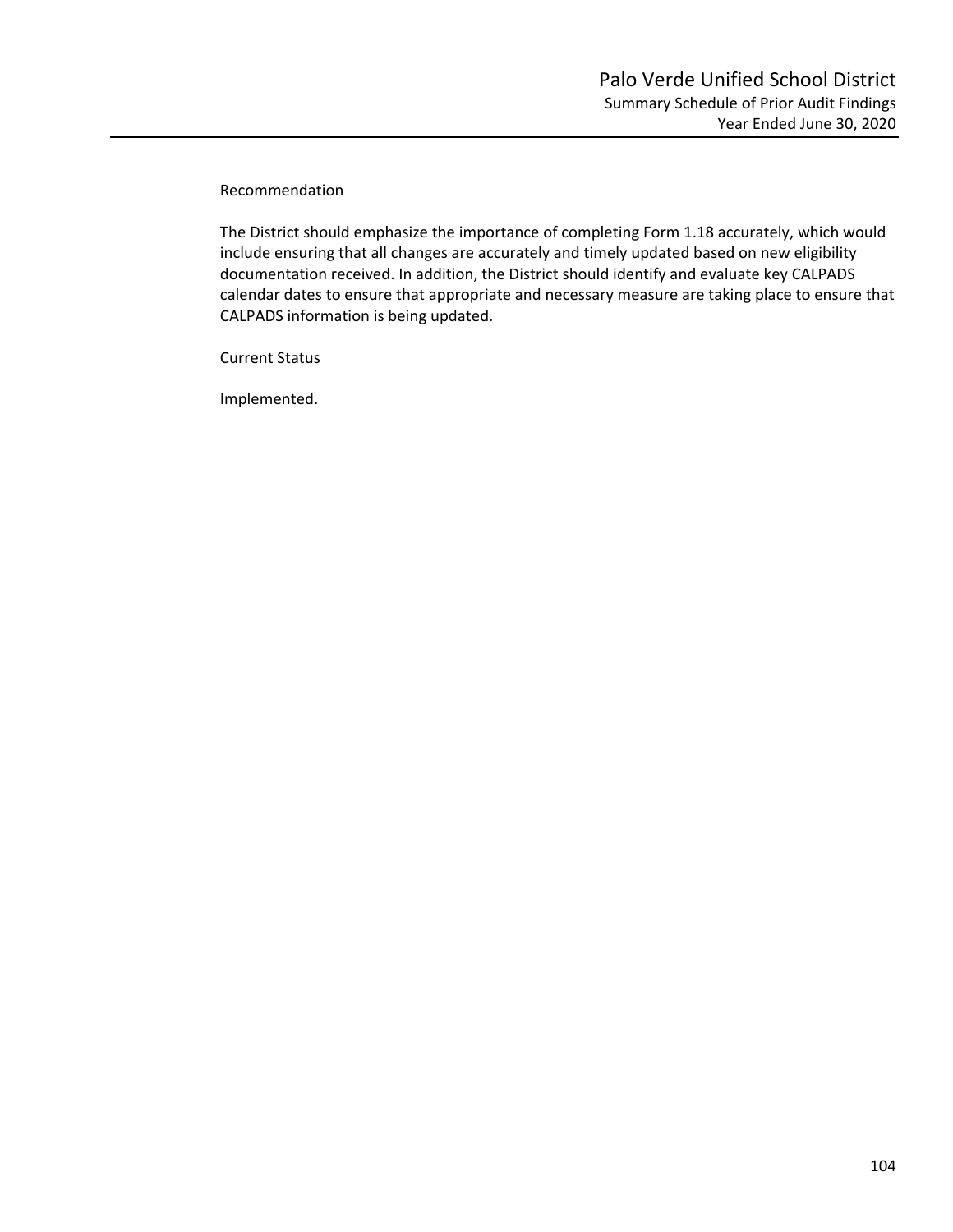Recommendation

The District should emphasize the importance of completing Form 1.18 accurately, which would include ensuring that all changes are accurately and timely updated based on new eligibility documentation received. In addition, the District should identify and evaluate key CALPADS calendar dates to ensure that appropriate and necessary measure are taking place to ensure that CALPADS information is being updated.

Current Status

Implemented.